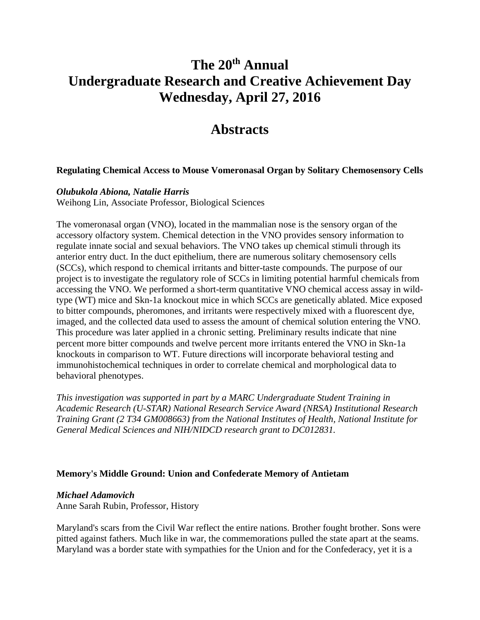# **The 20th Annual Undergraduate Research and Creative Achievement Day Wednesday, April 27, 2016**

# **Abstracts**

# **Regulating Chemical Access to Mouse Vomeronasal Organ by Solitary Chemosensory Cells**

# *Olubukola Abiona, Natalie Harris*

Weihong Lin, Associate Professor, Biological Sciences

The vomeronasal organ (VNO), located in the mammalian nose is the sensory organ of the accessory olfactory system. Chemical detection in the VNO provides sensory information to regulate innate social and sexual behaviors. The VNO takes up chemical stimuli through its anterior entry duct. In the duct epithelium, there are numerous solitary chemosensory cells (SCCs), which respond to chemical irritants and bitter-taste compounds. The purpose of our project is to investigate the regulatory role of SCCs in limiting potential harmful chemicals from accessing the VNO. We performed a short-term quantitative VNO chemical access assay in wildtype (WT) mice and Skn-1a knockout mice in which SCCs are genetically ablated. Mice exposed to bitter compounds, pheromones, and irritants were respectively mixed with a fluorescent dye, imaged, and the collected data used to assess the amount of chemical solution entering the VNO. This procedure was later applied in a chronic setting. Preliminary results indicate that nine percent more bitter compounds and twelve percent more irritants entered the VNO in Skn-1a knockouts in comparison to WT. Future directions will incorporate behavioral testing and immunohistochemical techniques in order to correlate chemical and morphological data to behavioral phenotypes.

*This investigation was supported in part by a MARC Undergraduate Student Training in Academic Research (U-STAR) National Research Service Award (NRSA) Institutional Research Training Grant (2 T34 GM008663) from the National Institutes of Health, National Institute for General Medical Sciences and NIH/NIDCD research grant to DC012831.*

# **Memory's Middle Ground: Union and Confederate Memory of Antietam**

#### *Michael Adamovich*

Anne Sarah Rubin, Professor, History

Maryland's scars from the Civil War reflect the entire nations. Brother fought brother. Sons were pitted against fathers. Much like in war, the commemorations pulled the state apart at the seams. Maryland was a border state with sympathies for the Union and for the Confederacy, yet it is a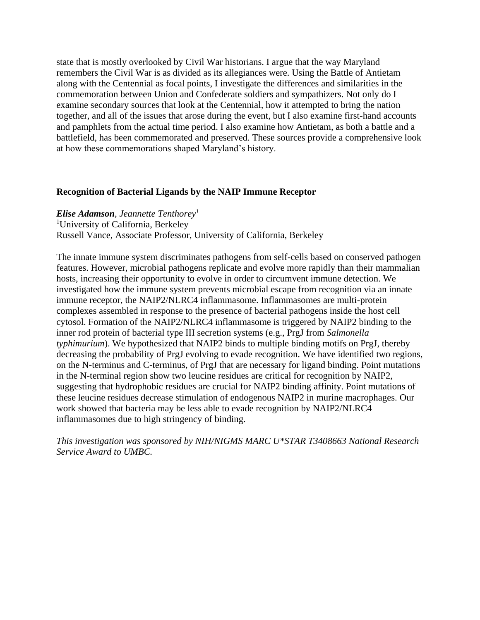state that is mostly overlooked by Civil War historians. I argue that the way Maryland remembers the Civil War is as divided as its allegiances were. Using the Battle of Antietam along with the Centennial as focal points, I investigate the differences and similarities in the commemoration between Union and Confederate soldiers and sympathizers. Not only do I examine secondary sources that look at the Centennial, how it attempted to bring the nation together, and all of the issues that arose during the event, but I also examine first-hand accounts and pamphlets from the actual time period. I also examine how Antietam, as both a battle and a battlefield, has been commemorated and preserved. These sources provide a comprehensive look at how these commemorations shaped Maryland's history.

# **Recognition of Bacterial Ligands by the NAIP Immune Receptor**

#### *Elise Adamson, Jeannette Tenthorey<sup>1</sup>*

<sup>1</sup>University of California, Berkeley

Russell Vance, Associate Professor, University of California, Berkeley

The innate immune system discriminates pathogens from self-cells based on conserved pathogen features. However, microbial pathogens replicate and evolve more rapidly than their mammalian hosts, increasing their opportunity to evolve in order to circumvent immune detection. We investigated how the immune system prevents microbial escape from recognition via an innate immune receptor, the NAIP2/NLRC4 inflammasome. Inflammasomes are multi-protein complexes assembled in response to the presence of bacterial pathogens inside the host cell cytosol. Formation of the NAIP2/NLRC4 inflammasome is triggered by NAIP2 binding to the inner rod protein of bacterial type III secretion systems (e.g., PrgJ from *Salmonella typhimurium*). We hypothesized that NAIP2 binds to multiple binding motifs on PrgJ, thereby decreasing the probability of PrgJ evolving to evade recognition. We have identified two regions, on the N-terminus and C-terminus, of PrgJ that are necessary for ligand binding. Point mutations in the N-terminal region show two leucine residues are critical for recognition by NAIP2, suggesting that hydrophobic residues are crucial for NAIP2 binding affinity. Point mutations of these leucine residues decrease stimulation of endogenous NAIP2 in murine macrophages. Our work showed that bacteria may be less able to evade recognition by NAIP2/NLRC4 inflammasomes due to high stringency of binding.

*This investigation was sponsored by NIH/NIGMS MARC U\*STAR T3408663 National Research Service Award to UMBC.*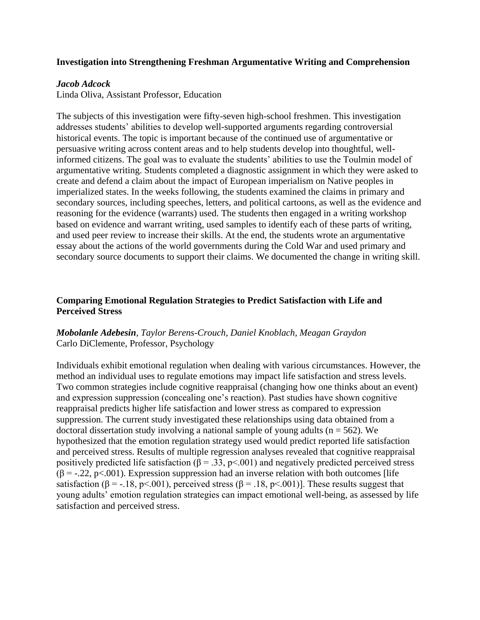# **Investigation into Strengthening Freshman Argumentative Writing and Comprehension**

### *Jacob Adcock*

Linda Oliva, Assistant Professor, Education

The subjects of this investigation were fifty-seven high-school freshmen. This investigation addresses students' abilities to develop well-supported arguments regarding controversial historical events. The topic is important because of the continued use of argumentative or persuasive writing across content areas and to help students develop into thoughtful, wellinformed citizens. The goal was to evaluate the students' abilities to use the Toulmin model of argumentative writing. Students completed a diagnostic assignment in which they were asked to create and defend a claim about the impact of European imperialism on Native peoples in imperialized states. In the weeks following, the students examined the claims in primary and secondary sources, including speeches, letters, and political cartoons, as well as the evidence and reasoning for the evidence (warrants) used. The students then engaged in a writing workshop based on evidence and warrant writing, used samples to identify each of these parts of writing, and used peer review to increase their skills. At the end, the students wrote an argumentative essay about the actions of the world governments during the Cold War and used primary and secondary source documents to support their claims. We documented the change in writing skill.

# **Comparing Emotional Regulation Strategies to Predict Satisfaction with Life and Perceived Stress**

# *Mobolanle Adebesin, Taylor Berens-Crouch, Daniel Knoblach, Meagan Graydon* Carlo DiClemente, Professor, Psychology

Individuals exhibit emotional regulation when dealing with various circumstances. However, the method an individual uses to regulate emotions may impact life satisfaction and stress levels. Two common strategies include cognitive reappraisal (changing how one thinks about an event) and expression suppression (concealing one's reaction). Past studies have shown cognitive reappraisal predicts higher life satisfaction and lower stress as compared to expression suppression. The current study investigated these relationships using data obtained from a doctoral dissertation study involving a national sample of young adults ( $n = 562$ ). We hypothesized that the emotion regulation strategy used would predict reported life satisfaction and perceived stress. Results of multiple regression analyses revealed that cognitive reappraisal positively predicted life satisfaction ( $\beta$  = .33, p < .001) and negatively predicted perceived stress  $(\beta = -.22, p < .001)$ . Expression suppression had an inverse relation with both outcomes [life satisfaction ( $\beta = -18$ , p<.001), perceived stress ( $\beta = 0.18$ , p<.001)]. These results suggest that young adults' emotion regulation strategies can impact emotional well-being, as assessed by life satisfaction and perceived stress.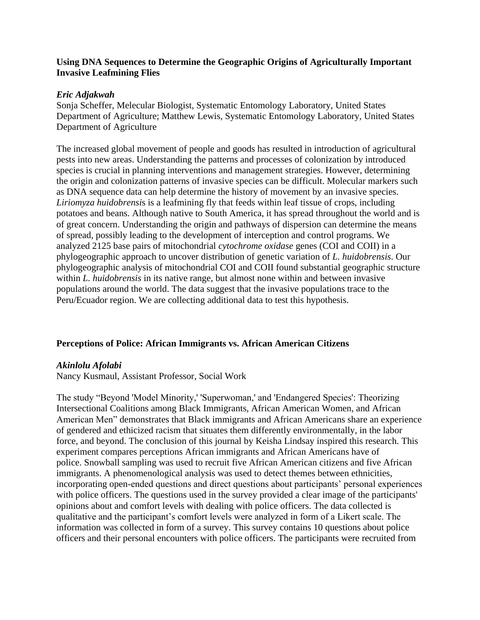# **Using DNA Sequences to Determine the Geographic Origins of Agriculturally Important Invasive Leafmining Flies**

### *Eric Adjakwah*

Sonja Scheffer, Melecular Biologist, Systematic Entomology Laboratory, United States Department of Agriculture; Matthew Lewis, Systematic Entomology Laboratory, United States Department of Agriculture

The increased global movement of people and goods has resulted in introduction of agricultural pests into new areas. Understanding the patterns and processes of colonization by introduced species is crucial in planning interventions and management strategies. However, determining the origin and colonization patterns of invasive species can be difficult. Molecular markers such as DNA sequence data can help determine the history of movement by an invasive species. *Liriomyza huidobrensi*s is a leafmining fly that feeds within leaf tissue of crops, including potatoes and beans. Although native to South America, it has spread throughout the world and is of great concern. Understanding the origin and pathways of dispersion can determine the means of spread, possibly leading to the development of interception and control programs. We analyzed 2125 base pairs of mitochondrial *cytochrome oxidase* genes (COI and COII) in a phylogeographic approach to uncover distribution of genetic variation of *L. huidobrensis*. Our phylogeographic analysis of mitochondrial COI and COII found substantial geographic structure within *L. huidobrensis* in its native range, but almost none within and between invasive populations around the world. The data suggest that the invasive populations trace to the Peru/Ecuador region. We are collecting additional data to test this hypothesis.

# **Perceptions of Police: African Immigrants vs. African American Citizens**

# *Akinlolu Afolabi*

Nancy Kusmaul, Assistant Professor, Social Work

The study "Beyond 'Model Minority,' 'Superwoman,' and 'Endangered Species': Theorizing Intersectional Coalitions among Black Immigrants, African American Women, and African American Men" demonstrates that Black immigrants and African Americans share an experience of gendered and ethicized racism that situates them differently environmentally, in the labor force, and beyond. The conclusion of this journal by Keisha Lindsay inspired this research. This experiment compares perceptions African immigrants and African Americans have of police. Snowball sampling was used to recruit five African American citizens and five African immigrants. A phenomenological analysis was used to detect themes between ethnicities, incorporating open-ended questions and direct questions about participants' personal experiences with police officers. The questions used in the survey provided a clear image of the participants' opinions about and comfort levels with dealing with police officers. The data collected is qualitative and the participant's comfort levels were analyzed in form of a Likert scale. The information was collected in form of a survey. This survey contains 10 questions about police officers and their personal encounters with police officers. The participants were recruited from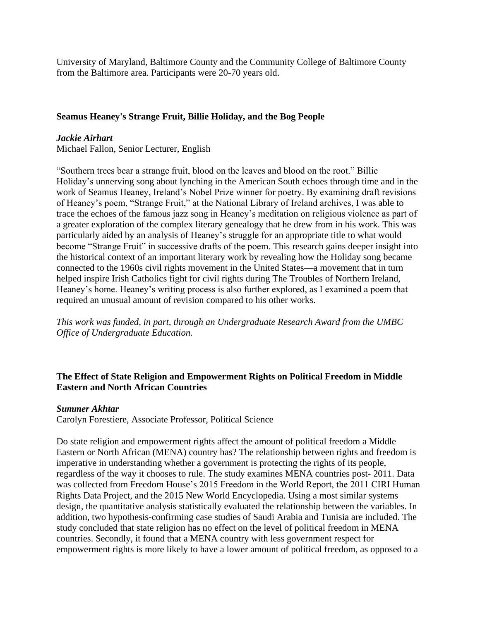University of Maryland, Baltimore County and the Community College of Baltimore County from the Baltimore area. Participants were 20-70 years old.

# **Seamus Heaney's Strange Fruit, Billie Holiday, and the Bog People**

# *Jackie Airhart*

Michael Fallon, Senior Lecturer, English

"Southern trees bear a strange fruit, blood on the leaves and blood on the root." Billie Holiday's unnerving song about lynching in the American South echoes through time and in the work of Seamus Heaney, Ireland's Nobel Prize winner for poetry. By examining draft revisions of Heaney's poem, "Strange Fruit," at the National Library of Ireland archives, I was able to trace the echoes of the famous jazz song in Heaney's meditation on religious violence as part of a greater exploration of the complex literary genealogy that he drew from in his work. This was particularly aided by an analysis of Heaney's struggle for an appropriate title to what would become "Strange Fruit" in successive drafts of the poem. This research gains deeper insight into the historical context of an important literary work by revealing how the Holiday song became connected to the 1960s civil rights movement in the United States—a movement that in turn helped inspire Irish Catholics fight for civil rights during The Troubles of Northern Ireland, Heaney's home. Heaney's writing process is also further explored, as I examined a poem that required an unusual amount of revision compared to his other works.

*This work was funded, in part, through an Undergraduate Research Award from the UMBC Office of Undergraduate Education.*

# **The Effect of State Religion and Empowerment Rights on Political Freedom in Middle Eastern and North African Countries**

# *Summer Akhtar*

Carolyn Forestiere, Associate Professor, Political Science

Do state religion and empowerment rights affect the amount of political freedom a Middle Eastern or North African (MENA) country has? The relationship between rights and freedom is imperative in understanding whether a government is protecting the rights of its people, regardless of the way it chooses to rule. The study examines MENA countries post- 2011. Data was collected from Freedom House's 2015 Freedom in the World Report, the 2011 CIRI Human Rights Data Project, and the 2015 New World Encyclopedia. Using a most similar systems design, the quantitative analysis statistically evaluated the relationship between the variables. In addition, two hypothesis-confirming case studies of Saudi Arabia and Tunisia are included. The study concluded that state religion has no effect on the level of political freedom in MENA countries. Secondly, it found that a MENA country with less government respect for empowerment rights is more likely to have a lower amount of political freedom, as opposed to a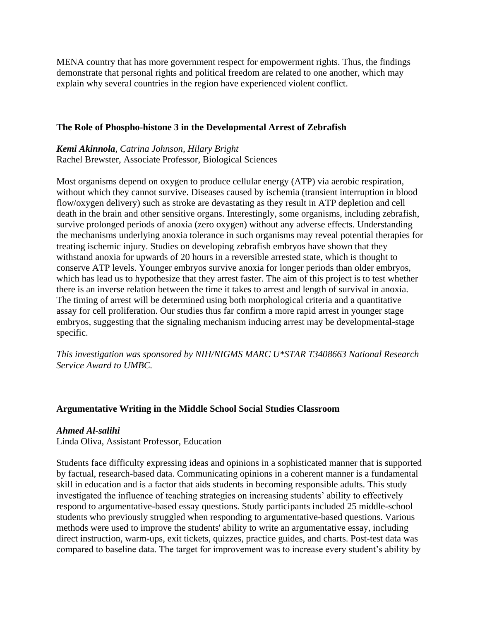MENA country that has more government respect for empowerment rights. Thus, the findings demonstrate that personal rights and political freedom are related to one another, which may explain why several countries in the region have experienced violent conflict.

# **The Role of Phospho-histone 3 in the Developmental Arrest of Zebrafish**

# *Kemi Akinnola, Catrina Johnson, Hilary Bright* Rachel Brewster, Associate Professor, Biological Sciences

Most organisms depend on oxygen to produce cellular energy (ATP) via aerobic respiration, without which they cannot survive. Diseases caused by ischemia (transient interruption in blood flow/oxygen delivery) such as stroke are devastating as they result in ATP depletion and cell death in the brain and other sensitive organs. Interestingly, some organisms, including zebrafish, survive prolonged periods of anoxia (zero oxygen) without any adverse effects. Understanding the mechanisms underlying anoxia tolerance in such organisms may reveal potential therapies for treating ischemic injury. Studies on developing zebrafish embryos have shown that they withstand anoxia for upwards of 20 hours in a reversible arrested state, which is thought to conserve ATP levels. Younger embryos survive anoxia for longer periods than older embryos, which has lead us to hypothesize that they arrest faster. The aim of this project is to test whether there is an inverse relation between the time it takes to arrest and length of survival in anoxia. The timing of arrest will be determined using both morphological criteria and a quantitative assay for cell proliferation. Our studies thus far confirm a more rapid arrest in younger stage embryos, suggesting that the signaling mechanism inducing arrest may be developmental-stage specific.

*This investigation was sponsored by NIH/NIGMS MARC U\*STAR T3408663 National Research Service Award to UMBC.*

# **Argumentative Writing in the Middle School Social Studies Classroom**

# *Ahmed Al-salihi*

Linda Oliva, Assistant Professor, Education

Students face difficulty expressing ideas and opinions in a sophisticated manner that is supported by factual, research-based data. Communicating opinions in a coherent manner is a fundamental skill in education and is a factor that aids students in becoming responsible adults. This study investigated the influence of teaching strategies on increasing students' ability to effectively respond to argumentative-based essay questions. Study participants included 25 middle-school students who previously struggled when responding to argumentative-based questions. Various methods were used to improve the students' ability to write an argumentative essay, including direct instruction, warm-ups, exit tickets, quizzes, practice guides, and charts. Post-test data was compared to baseline data. The target for improvement was to increase every student's ability by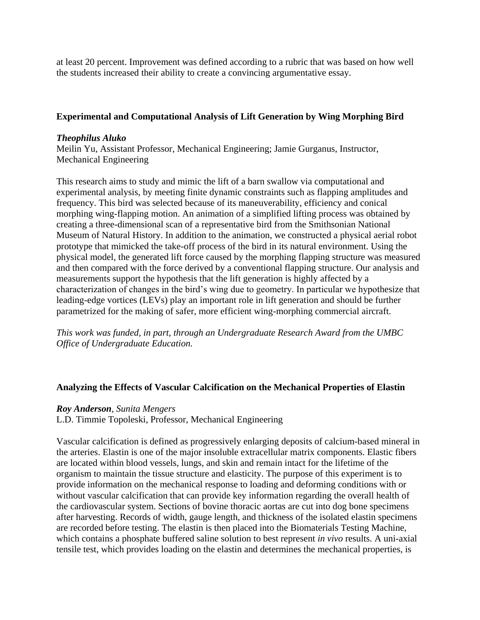at least 20 percent. Improvement was defined according to a rubric that was based on how well the students increased their ability to create a convincing argumentative essay.

# **Experimental and Computational Analysis of Lift Generation by Wing Morphing Bird**

# *Theophilus Aluko*

Meilin Yu, Assistant Professor, Mechanical Engineering; Jamie Gurganus, Instructor, Mechanical Engineering

This research aims to study and mimic the lift of a barn swallow via computational and experimental analysis, by meeting finite dynamic constraints such as flapping amplitudes and frequency. This bird was selected because of its maneuverability, efficiency and conical morphing wing-flapping motion. An animation of a simplified lifting process was obtained by creating a three-dimensional scan of a representative bird from the Smithsonian National Museum of Natural History. In addition to the animation, we constructed a physical aerial robot prototype that mimicked the take-off process of the bird in its natural environment. Using the physical model, the generated lift force caused by the morphing flapping structure was measured and then compared with the force derived by a conventional flapping structure. Our analysis and measurements support the hypothesis that the lift generation is highly affected by a characterization of changes in the bird's wing due to geometry. In particular we hypothesize that leading-edge vortices (LEVs) play an important role in lift generation and should be further parametrized for the making of safer, more efficient wing-morphing commercial aircraft.

*This work was funded, in part, through an Undergraduate Research Award from the UMBC Office of Undergraduate Education.*

# **Analyzing the Effects of Vascular Calcification on the Mechanical Properties of Elastin**

# *Roy Anderson, Sunita Mengers*

L.D. Timmie Topoleski, Professor, Mechanical Engineering

Vascular calcification is defined as progressively enlarging deposits of calcium-based mineral in the arteries. Elastin is one of the major insoluble extracellular matrix components. Elastic fibers are located within blood vessels, lungs, and skin and remain intact for the lifetime of the organism to maintain the tissue structure and elasticity. The purpose of this experiment is to provide information on the mechanical response to loading and deforming conditions with or without vascular calcification that can provide key information regarding the overall health of the cardiovascular system. Sections of bovine thoracic aortas are cut into dog bone specimens after harvesting. Records of width, gauge length, and thickness of the isolated elastin specimens are recorded before testing. The elastin is then placed into the Biomaterials Testing Machine, which contains a phosphate buffered saline solution to best represent *in vivo* results. A uni-axial tensile test, which provides loading on the elastin and determines the mechanical properties, is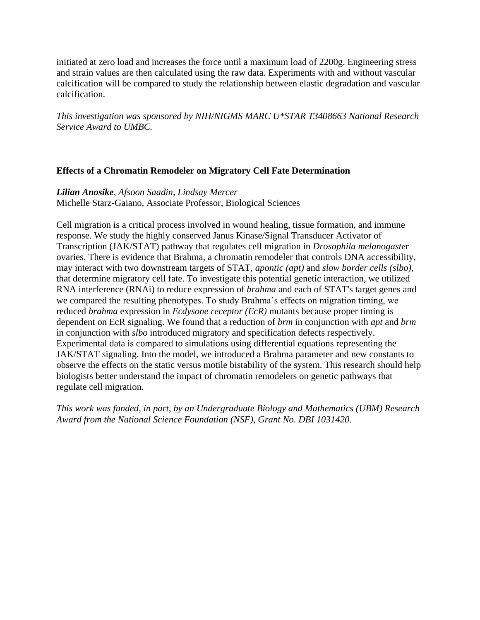initiated at zero load and increases the force until a maximum load of 2200g. Engineering stress and strain values are then calculated using the raw data. Experiments with and without vascular calcification will be compared to study the relationship between elastic degradation and vascular calcification.

*This investigation was sponsored by NIH/NIGMS MARC U\*STAR T3408663 National Research Service Award to UMBC.*

# **Effects of a Chromatin Remodeler on Migratory Cell Fate Determination**

*Lilian Anosike, Afsoon Saadin, Lindsay Mercer*

Michelle Starz-Gaiano, Associate Professor, Biological Sciences

Cell migration is a critical process involved in wound healing, tissue formation, and immune response. We study the highly conserved Janus Kinase/Signal Transducer Activator of Transcription (JAK/STAT) pathway that regulates cell migration in *Drosophila melanogaste*r ovaries. There is evidence that Brahma, a chromatin remodeler that controls DNA accessibility, may interact with two downstream targets of STAT, *apontic (apt)* and *slow border cells (slbo)*, that determine migratory cell fate. To investigate this potential genetic interaction, we utilized RNA interference (RNAi) to reduce expression of *brahma* and each of STAT's target genes and we compared the resulting phenotypes. To study Brahma's effects on migration timing, we reduced *brahma* expression in *Ecdysone receptor (EcR)* mutants because proper timing is dependent on EcR signaling. We found that a reduction of *brm* in conjunction with *apt* and *brm* in conjunction with *slbo* introduced migratory and specification defects respectively. Experimental data is compared to simulations using differential equations representing the JAK/STAT signaling. Into the model, we introduced a Brahma parameter and new constants to observe the effects on the static versus motile bistability of the system. This research should help biologists better understand the impact of chromatin remodelers on genetic pathways that regulate cell migration.

*This work was funded, in part, by an Undergraduate Biology and Mathematics (UBM) Research Award from the National Science Foundation (NSF), Grant No. DBI 1031420.*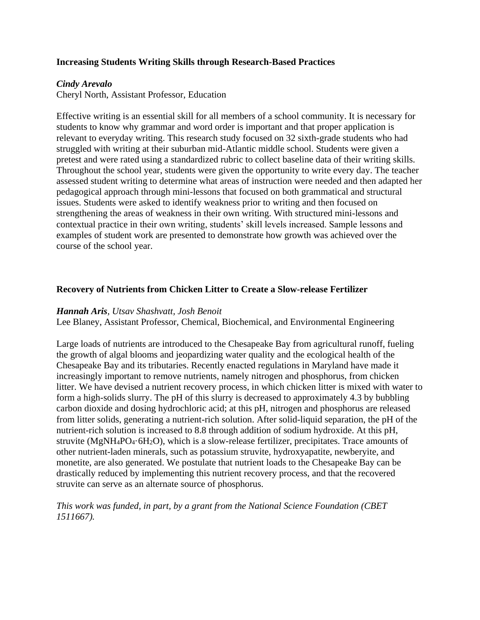# **Increasing Students Writing Skills through Research-Based Practices**

# *Cindy Arevalo*

Cheryl North, Assistant Professor, Education

Effective writing is an essential skill for all members of a school community. It is necessary for students to know why grammar and word order is important and that proper application is relevant to everyday writing. This research study focused on 32 sixth-grade students who had struggled with writing at their suburban mid-Atlantic middle school. Students were given a pretest and were rated using a standardized rubric to collect baseline data of their writing skills. Throughout the school year, students were given the opportunity to write every day. The teacher assessed student writing to determine what areas of instruction were needed and then adapted her pedagogical approach through mini-lessons that focused on both grammatical and structural issues. Students were asked to identify weakness prior to writing and then focused on strengthening the areas of weakness in their own writing. With structured mini-lessons and contextual practice in their own writing, students' skill levels increased. Sample lessons and examples of student work are presented to demonstrate how growth was achieved over the course of the school year.

# **Recovery of Nutrients from Chicken Litter to Create a Slow-release Fertilizer**

# *Hannah Aris, Utsav Shashvatt, Josh Benoit*

Lee Blaney, Assistant Professor, Chemical, Biochemical, and Environmental Engineering

Large loads of nutrients are introduced to the Chesapeake Bay from agricultural runoff, fueling the growth of algal blooms and jeopardizing water quality and the ecological health of the Chesapeake Bay and its tributaries. Recently enacted regulations in Maryland have made it increasingly important to remove nutrients, namely nitrogen and phosphorus, from chicken litter. We have devised a nutrient recovery process, in which chicken litter is mixed with water to form a high-solids slurry. The pH of this slurry is decreased to approximately 4.3 by bubbling carbon dioxide and dosing hydrochloric acid; at this pH, nitrogen and phosphorus are released from litter solids, generating a nutrient-rich solution. After solid-liquid separation, the pH of the nutrient-rich solution is increased to 8.8 through addition of sodium hydroxide. At this pH, struvite (MgNH4PO4·6H2O), which is a slow-release fertilizer, precipitates. Trace amounts of other nutrient-laden minerals, such as potassium struvite, hydroxyapatite, newberyite, and monetite, are also generated. We postulate that nutrient loads to the Chesapeake Bay can be drastically reduced by implementing this nutrient recovery process, and that the recovered struvite can serve as an alternate source of phosphorus.

*This work was funded, in part, by a grant from the National Science Foundation (CBET 1511667).*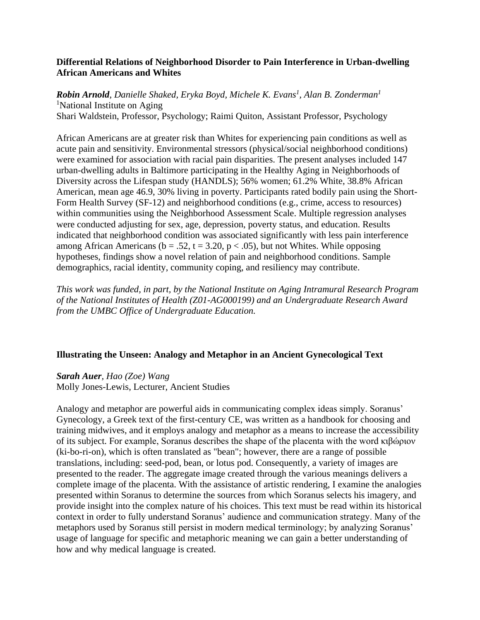# **Differential Relations of Neighborhood Disorder to Pain Interference in Urban-dwelling African Americans and Whites**

*Robin Arnold, Danielle Shaked, Eryka Boyd, Michele K. Evans<sup>1</sup> , Alan B. Zonderman<sup>1</sup>* <sup>1</sup>National Institute on Aging Shari Waldstein, Professor, Psychology; Raimi Quiton, Assistant Professor, Psychology

African Americans are at greater risk than Whites for experiencing pain conditions as well as acute pain and sensitivity. Environmental stressors (physical/social neighborhood conditions) were examined for association with racial pain disparities. The present analyses included 147 urban-dwelling adults in Baltimore participating in the Healthy Aging in Neighborhoods of Diversity across the Lifespan study (HANDLS); 56% women; 61.2% White, 38.8% African American, mean age 46.9, 30% living in poverty. Participants rated bodily pain using the Short-Form Health Survey (SF-12) and neighborhood conditions (e.g., crime, access to resources) within communities using the Neighborhood Assessment Scale. Multiple regression analyses were conducted adjusting for sex, age, depression, poverty status, and education. Results indicated that neighborhood condition was associated significantly with less pain interference among African Americans ( $b = .52$ ,  $t = 3.20$ ,  $p < .05$ ), but not Whites. While opposing hypotheses, findings show a novel relation of pain and neighborhood conditions. Sample demographics, racial identity, community coping, and resiliency may contribute.

*This work was funded, in part, by the National Institute on Aging Intramural Research Program of the National Institutes of Health (Z01-AG000199) and an Undergraduate Research Award from the UMBC Office of Undergraduate Education.*

# **Illustrating the Unseen: Analogy and Metaphor in an Ancient Gynecological Text**

*Sarah Auer, Hao (Zoe) Wang* Molly Jones-Lewis, Lecturer, Ancient Studies

Analogy and metaphor are powerful aids in communicating complex ideas simply. Soranus' Gynecology, a Greek text of the first-century CE, was written as a handbook for choosing and training midwives, and it employs analogy and metaphor as a means to increase the accessibility of its subject. For example, Soranus describes the shape of the placenta with the word κιβώριον (ki-bo-ri-on), which is often translated as "bean"; however, there are a range of possible translations, including: seed-pod, bean, or lotus pod. Consequently, a variety of images are presented to the reader. The aggregate image created through the various meanings delivers a complete image of the placenta. With the assistance of artistic rendering, I examine the analogies presented within Soranus to determine the sources from which Soranus selects his imagery, and provide insight into the complex nature of his choices. This text must be read within its historical context in order to fully understand Soranus' audience and communication strategy. Many of the metaphors used by Soranus still persist in modern medical terminology; by analyzing Soranus' usage of language for specific and metaphoric meaning we can gain a better understanding of how and why medical language is created.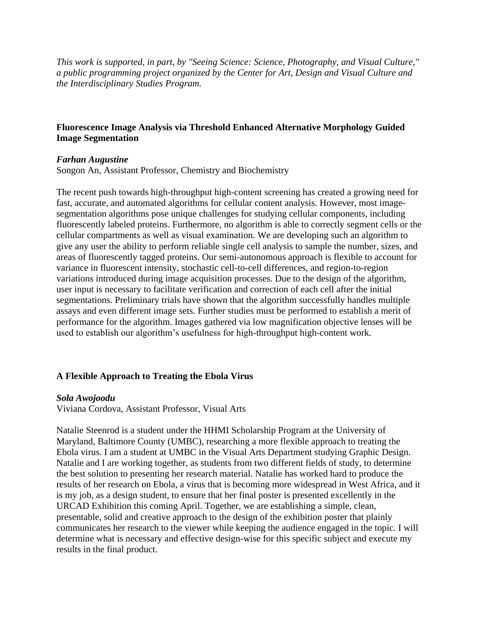*This work is supported, in part, by "Seeing Science: Science, Photography, and Visual Culture," a public programming project organized by the Center for Art, Design and Visual Culture and the Interdisciplinary Studies Program.*

# **Fluorescence Image Analysis via Threshold Enhanced Alternative Morphology Guided Image Segmentation**

#### *Farhan Augustine*

Songon An, Assistant Professor, Chemistry and Biochemistry

The recent push towards high-throughput high-content screening has created a growing need for fast, accurate, and automated algorithms for cellular content analysis. However, most imagesegmentation algorithms pose unique challenges for studying cellular components, including fluorescently labeled proteins. Furthermore, no algorithm is able to correctly segment cells or the cellular compartments as well as visual examination. We are developing such an algorithm to give any user the ability to perform reliable single cell analysis to sample the number, sizes, and areas of fluorescently tagged proteins. Our semi-autonomous approach is flexible to account for variance in fluorescent intensity, stochastic cell-to-cell differences, and region-to-region variations introduced during image acquisition processes. Due to the design of the algorithm, user input is necessary to facilitate verification and correction of each cell after the initial segmentations. Preliminary trials have shown that the algorithm successfully handles multiple assays and even different image sets. Further studies must be performed to establish a merit of performance for the algorithm. Images gathered via low magnification objective lenses will be used to establish our algorithm's usefulness for high-throughput high-content work.

# **A Flexible Approach to Treating the Ebola Virus**

#### *Sola Awojoodu*

Viviana Cordova, Assistant Professor, Visual Arts

Natalie Steenrod is a student under the HHMI Scholarship Program at the University of Maryland, Baltimore County (UMBC), researching a more flexible approach to treating the Ebola virus. I am a student at UMBC in the Visual Arts Department studying Graphic Design. Natalie and I are working together, as students from two different fields of study, to determine the best solution to presenting her research material. Natalie has worked hard to produce the results of her research on Ebola, a virus that is becoming more widespread in West Africa, and it is my job, as a design student, to ensure that her final poster is presented excellently in the URCAD Exhibition this coming April. Together, we are establishing a simple, clean, presentable, solid and creative approach to the design of the exhibition poster that plainly communicates her research to the viewer while keeping the audience engaged in the topic. I will determine what is necessary and effective design-wise for this specific subject and execute my results in the final product.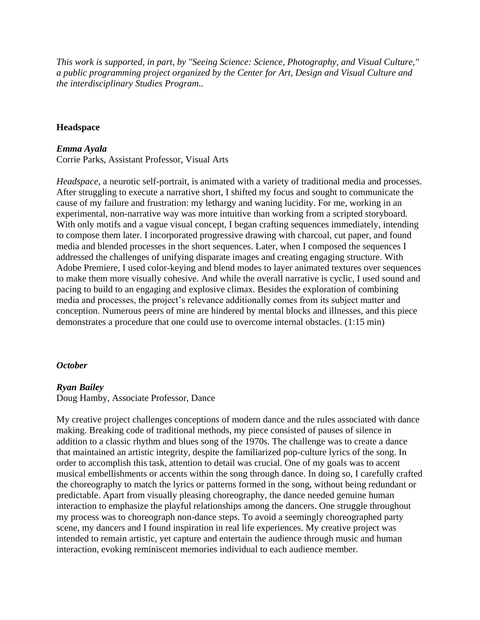*This work is supported, in part, by "Seeing Science: Science, Photography, and Visual Culture," a public programming project organized by the Center for Art, Design and Visual Culture and the interdisciplinary Studies Program..*

#### **Headspace**

#### *Emma Ayala*

Corrie Parks, Assistant Professor, Visual Arts

*Headspace*, a neurotic self-portrait, is animated with a variety of traditional media and processes. After struggling to execute a narrative short, I shifted my focus and sought to communicate the cause of my failure and frustration: my lethargy and waning lucidity. For me, working in an experimental, non-narrative way was more intuitive than working from a scripted storyboard. With only motifs and a vague visual concept, I began crafting sequences immediately, intending to compose them later. I incorporated progressive drawing with charcoal, cut paper, and found media and blended processes in the short sequences. Later, when I composed the sequences I addressed the challenges of unifying disparate images and creating engaging structure. With Adobe Premiere, I used color-keying and blend modes to layer animated textures over sequences to make them more visually cohesive. And while the overall narrative is cyclic, I used sound and pacing to build to an engaging and explosive climax. Besides the exploration of combining media and processes, the project's relevance additionally comes from its subject matter and conception. Numerous peers of mine are hindered by mental blocks and illnesses, and this piece demonstrates a procedure that one could use to overcome internal obstacles. (1:15 min)

#### *October*

#### *Ryan Bailey*

Doug Hamby, Associate Professor, Dance

My creative project challenges conceptions of modern dance and the rules associated with dance making. Breaking code of traditional methods, my piece consisted of pauses of silence in addition to a classic rhythm and blues song of the 1970s. The challenge was to create a dance that maintained an artistic integrity, despite the familiarized pop-culture lyrics of the song. In order to accomplish this task, attention to detail was crucial. One of my goals was to accent musical embellishments or accents within the song through dance. In doing so, I carefully crafted the choreography to match the lyrics or patterns formed in the song, without being redundant or predictable. Apart from visually pleasing choreography, the dance needed genuine human interaction to emphasize the playful relationships among the dancers. One struggle throughout my process was to choreograph non-dance steps. To avoid a seemingly choreographed party scene, my dancers and I found inspiration in real life experiences. My creative project was intended to remain artistic, yet capture and entertain the audience through music and human interaction, evoking reminiscent memories individual to each audience member.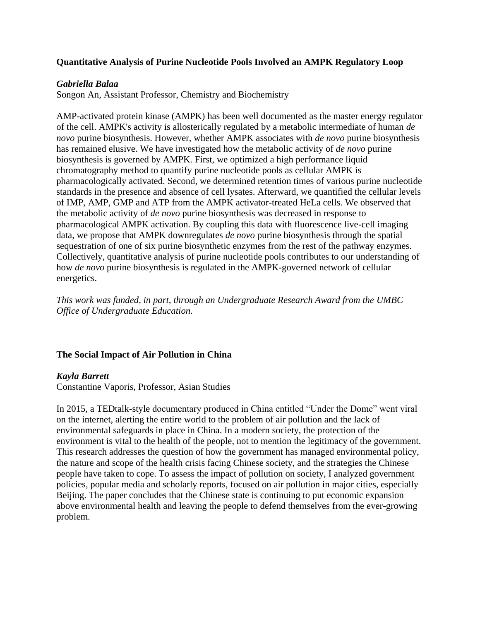# **Quantitative Analysis of Purine Nucleotide Pools Involved an AMPK Regulatory Loop**

# *Gabriella Balaa*

Songon An, Assistant Professor, Chemistry and Biochemistry

AMP-activated protein kinase (AMPK) has been well documented as the master energy regulator of the cell. AMPK's activity is allosterically regulated by a metabolic intermediate of human *de novo* purine biosynthesis. However, whether AMPK associates with *de novo* purine biosynthesis has remained elusive. We have investigated how the metabolic activity of *de novo* purine biosynthesis is governed by AMPK. First, we optimized a high performance liquid chromatography method to quantify purine nucleotide pools as cellular AMPK is pharmacologically activated. Second, we determined retention times of various purine nucleotide standards in the presence and absence of cell lysates. Afterward, we quantified the cellular levels of IMP, AMP, GMP and ATP from the AMPK activator-treated HeLa cells. We observed that the metabolic activity of *de novo* purine biosynthesis was decreased in response to pharmacological AMPK activation. By coupling this data with fluorescence live-cell imaging data, we propose that AMPK downregulates *de novo* purine biosynthesis through the spatial sequestration of one of six purine biosynthetic enzymes from the rest of the pathway enzymes. Collectively, quantitative analysis of purine nucleotide pools contributes to our understanding of how *de novo* purine biosynthesis is regulated in the AMPK-governed network of cellular energetics.

*This work was funded, in part, through an Undergraduate Research Award from the UMBC Office of Undergraduate Education.*

# **The Social Impact of Air Pollution in China**

# *Kayla Barrett*

Constantine Vaporis, Professor, Asian Studies

In 2015, a TEDtalk-style documentary produced in China entitled "Under the Dome" went viral on the internet, alerting the entire world to the problem of air pollution and the lack of environmental safeguards in place in China. In a modern society, the protection of the environment is vital to the health of the people, not to mention the legitimacy of the government. This research addresses the question of how the government has managed environmental policy, the nature and scope of the health crisis facing Chinese society, and the strategies the Chinese people have taken to cope. To assess the impact of pollution on society, I analyzed government policies, popular media and scholarly reports, focused on air pollution in major cities, especially Beijing. The paper concludes that the Chinese state is continuing to put economic expansion above environmental health and leaving the people to defend themselves from the ever-growing problem.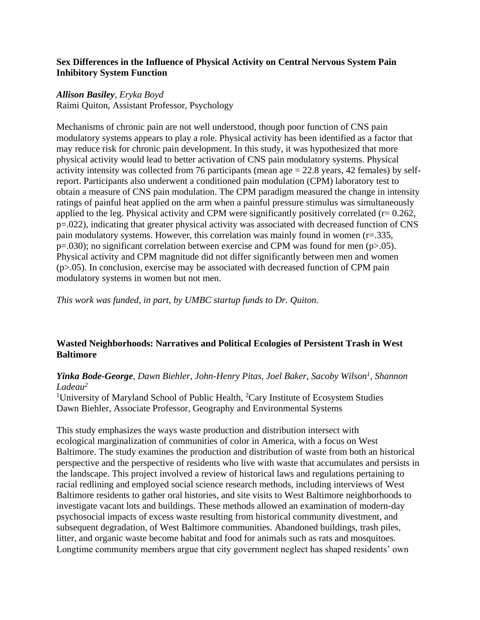# **Sex Differences in the Influence of Physical Activity on Central Nervous System Pain Inhibitory System Function**

### *Allison Basiley, Eryka Boyd*

Raimi Quiton, Assistant Professor, Psychology

Mechanisms of chronic pain are not well understood, though poor function of CNS pain modulatory systems appears to play a role. Physical activity has been identified as a factor that may reduce risk for chronic pain development. In this study, it was hypothesized that more physical activity would lead to better activation of CNS pain modulatory systems. Physical activity intensity was collected from 76 participants (mean age  $= 22.8$  years, 42 females) by selfreport. Participants also underwent a conditioned pain modulation (CPM) laboratory test to obtain a measure of CNS pain modulation. The CPM paradigm measured the change in intensity ratings of painful heat applied on the arm when a painful pressure stimulus was simultaneously applied to the leg. Physical activity and CPM were significantly positively correlated ( $r = 0.262$ , p=.022), indicating that greater physical activity was associated with decreased function of CNS pain modulatory systems. However, this correlation was mainly found in women (r=.335,  $p=.030$ ; no significant correlation between exercise and CPM was found for men ( $p>.05$ ). Physical activity and CPM magnitude did not differ significantly between men and women  $(p>0.05)$ . In conclusion, exercise may be associated with decreased function of CPM pain modulatory systems in women but not men.

*This work was funded, in part, by UMBC startup funds to Dr. Quiton.*

# **Wasted Neighborhoods: Narratives and Political Ecologies of Persistent Trash in West Baltimore**

# *Yinka Bode-George, Dawn Biehler, John-Henry Pitas, Joel Baker, Sacoby Wilson<sup>1</sup> , Shannon Ladeau<sup>2</sup>*

<sup>1</sup>University of Maryland School of Public Health, <sup>2</sup>Cary Institute of Ecosystem Studies Dawn Biehler, Associate Professor, Geography and Environmental Systems

This study emphasizes the ways waste production and distribution intersect with ecological marginalization of communities of color in America, with a focus on West Baltimore. The study examines the production and distribution of waste from both an historical perspective and the perspective of residents who live with waste that accumulates and persists in the landscape. This project involved a review of historical laws and regulations pertaining to racial redlining and employed social science research methods, including interviews of West Baltimore residents to gather oral histories, and site visits to West Baltimore neighborhoods to investigate vacant lots and buildings. These methods allowed an examination of modern-day psychosocial impacts of excess waste resulting from historical community divestment, and subsequent degradation, of West Baltimore communities. Abandoned buildings, trash piles, litter, and organic waste become habitat and food for animals such as rats and mosquitoes. Longtime community members argue that city government neglect has shaped residents' own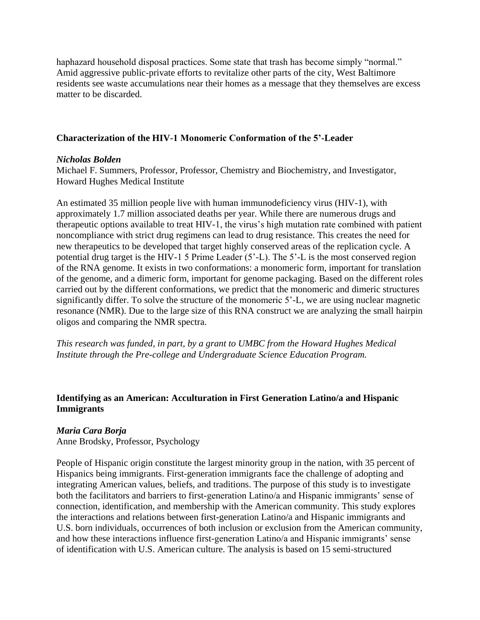haphazard household disposal practices. Some state that trash has become simply "normal." Amid aggressive public-private efforts to revitalize other parts of the city, West Baltimore residents see waste accumulations near their homes as a message that they themselves are excess matter to be discarded.

# **Characterization of the HIV-1 Monomeric Conformation of the 5'-Leader**

## *Nicholas Bolden*

Michael F. Summers, Professor, Professor, Chemistry and Biochemistry, and Investigator, Howard Hughes Medical Institute

An estimated 35 million people live with human immunodeficiency virus (HIV-1), with approximately 1.7 million associated deaths per year. While there are numerous drugs and therapeutic options available to treat HIV-1, the virus's high mutation rate combined with patient noncompliance with strict drug regimens can lead to drug resistance. This creates the need for new therapeutics to be developed that target highly conserved areas of the replication cycle. A potential drug target is the HIV-1 5 Prime Leader (5'-L). The 5'-L is the most conserved region of the RNA genome. It exists in two conformations: a monomeric form, important for translation of the genome, and a dimeric form, important for genome packaging. Based on the different roles carried out by the different conformations, we predict that the monomeric and dimeric structures significantly differ. To solve the structure of the monomeric 5'-L, we are using nuclear magnetic resonance (NMR). Due to the large size of this RNA construct we are analyzing the small hairpin oligos and comparing the NMR spectra.

*This research was funded, in part, by a grant to UMBC from the Howard Hughes Medical Institute through the Pre-college and Undergraduate Science Education Program.*

# **Identifying as an American: Acculturation in First Generation Latino/a and Hispanic Immigrants**

# *Maria Cara Borja*

Anne Brodsky, Professor, Psychology

People of Hispanic origin constitute the largest minority group in the nation, with 35 percent of Hispanics being immigrants. First-generation immigrants face the challenge of adopting and integrating American values, beliefs, and traditions. The purpose of this study is to investigate both the facilitators and barriers to first-generation Latino/a and Hispanic immigrants' sense of connection, identification, and membership with the American community. This study explores the interactions and relations between first-generation Latino/a and Hispanic immigrants and U.S. born individuals, occurrences of both inclusion or exclusion from the American community, and how these interactions influence first-generation Latino/a and Hispanic immigrants' sense of identification with U.S. American culture. The analysis is based on 15 semi-structured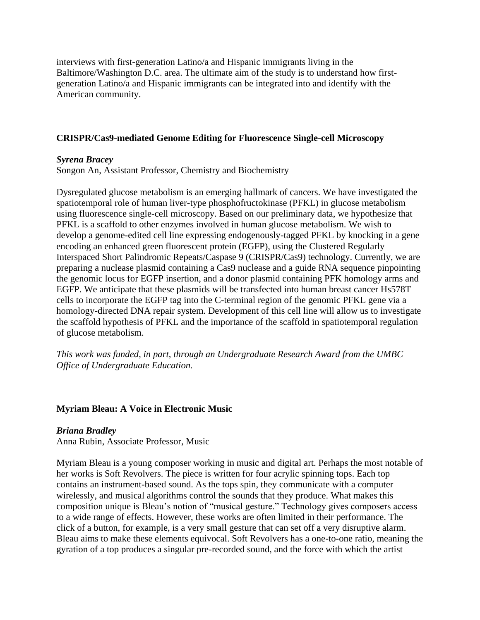interviews with first-generation Latino/a and Hispanic immigrants living in the Baltimore/Washington D.C. area. The ultimate aim of the study is to understand how firstgeneration Latino/a and Hispanic immigrants can be integrated into and identify with the American community.

# **CRISPR/Cas9-mediated Genome Editing for Fluorescence Single-cell Microscopy**

# *Syrena Bracey*

Songon An, Assistant Professor, Chemistry and Biochemistry

Dysregulated glucose metabolism is an emerging hallmark of cancers. We have investigated the spatiotemporal role of human liver-type phosphofructokinase (PFKL) in glucose metabolism using fluorescence single-cell microscopy. Based on our preliminary data, we hypothesize that PFKL is a scaffold to other enzymes involved in human glucose metabolism. We wish to develop a genome-edited cell line expressing endogenously-tagged PFKL by knocking in a gene encoding an enhanced green fluorescent protein (EGFP), using the Clustered Regularly Interspaced Short Palindromic Repeats/Caspase 9 (CRISPR/Cas9) technology. Currently, we are preparing a nuclease plasmid containing a Cas9 nuclease and a guide RNA sequence pinpointing the genomic locus for EGFP insertion, and a donor plasmid containing PFK homology arms and EGFP. We anticipate that these plasmids will be transfected into human breast cancer Hs578T cells to incorporate the EGFP tag into the C-terminal region of the genomic PFKL gene via a homology-directed DNA repair system. Development of this cell line will allow us to investigate the scaffold hypothesis of PFKL and the importance of the scaffold in spatiotemporal regulation of glucose metabolism.

*This work was funded, in part, through an Undergraduate Research Award from the UMBC Office of Undergraduate Education.*

# **Myriam Bleau: A Voice in Electronic Music**

#### *Briana Bradley*

Anna Rubin, Associate Professor, Music

Myriam Bleau is a young composer working in music and digital art. Perhaps the most notable of her works is Soft Revolvers. The piece is written for four acrylic spinning tops. Each top contains an instrument-based sound. As the tops spin, they communicate with a computer wirelessly, and musical algorithms control the sounds that they produce. What makes this composition unique is Bleau's notion of "musical gesture." Technology gives composers access to a wide range of effects. However, these works are often limited in their performance. The click of a button, for example, is a very small gesture that can set off a very disruptive alarm. Bleau aims to make these elements equivocal. Soft Revolvers has a one-to-one ratio, meaning the gyration of a top produces a singular pre-recorded sound, and the force with which the artist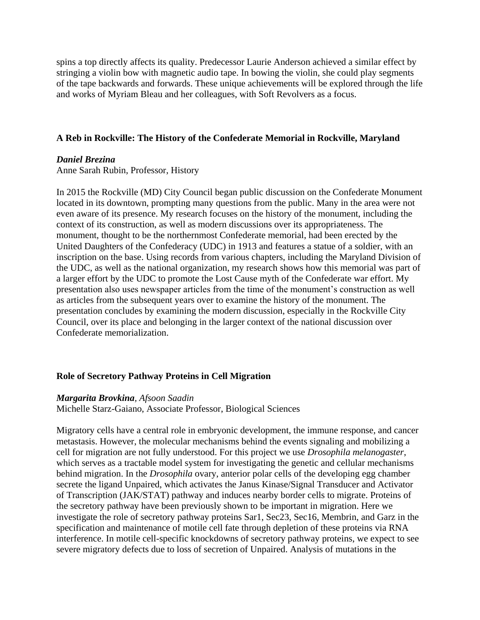spins a top directly affects its quality. Predecessor Laurie Anderson achieved a similar effect by stringing a violin bow with magnetic audio tape. In bowing the violin, she could play segments of the tape backwards and forwards. These unique achievements will be explored through the life and works of Myriam Bleau and her colleagues, with Soft Revolvers as a focus.

### **A Reb in Rockville: The History of the Confederate Memorial in Rockville, Maryland**

#### *Daniel Brezina*

Anne Sarah Rubin, Professor, History

In 2015 the Rockville (MD) City Council began public discussion on the Confederate Monument located in its downtown, prompting many questions from the public. Many in the area were not even aware of its presence. My research focuses on the history of the monument, including the context of its construction, as well as modern discussions over its appropriateness. The monument, thought to be the northernmost Confederate memorial, had been erected by the United Daughters of the Confederacy (UDC) in 1913 and features a statue of a soldier, with an inscription on the base. Using records from various chapters, including the Maryland Division of the UDC, as well as the national organization, my research shows how this memorial was part of a larger effort by the UDC to promote the Lost Cause myth of the Confederate war effort. My presentation also uses newspaper articles from the time of the monument's construction as well as articles from the subsequent years over to examine the history of the monument. The presentation concludes by examining the modern discussion, especially in the Rockville City Council, over its place and belonging in the larger context of the national discussion over Confederate memorialization.

# **Role of Secretory Pathway Proteins in Cell Migration**

# *Margarita Brovkina, Afsoon Saadin*

Michelle Starz-Gaiano, Associate Professor, Biological Sciences

Migratory cells have a central role in embryonic development, the immune response, and cancer metastasis. However, the molecular mechanisms behind the events signaling and mobilizing a cell for migration are not fully understood. For this project we use *Drosophila melanogaster*, which serves as a tractable model system for investigating the genetic and cellular mechanisms behind migration. In the *Drosophila* ovary, anterior polar cells of the developing egg chamber secrete the ligand Unpaired, which activates the Janus Kinase/Signal Transducer and Activator of Transcription (JAK/STAT) pathway and induces nearby border cells to migrate. Proteins of the secretory pathway have been previously shown to be important in migration. Here we investigate the role of secretory pathway proteins Sar1, Sec23, Sec16, Membrin, and Garz in the specification and maintenance of motile cell fate through depletion of these proteins via RNA interference. In motile cell-specific knockdowns of secretory pathway proteins, we expect to see severe migratory defects due to loss of secretion of Unpaired. Analysis of mutations in the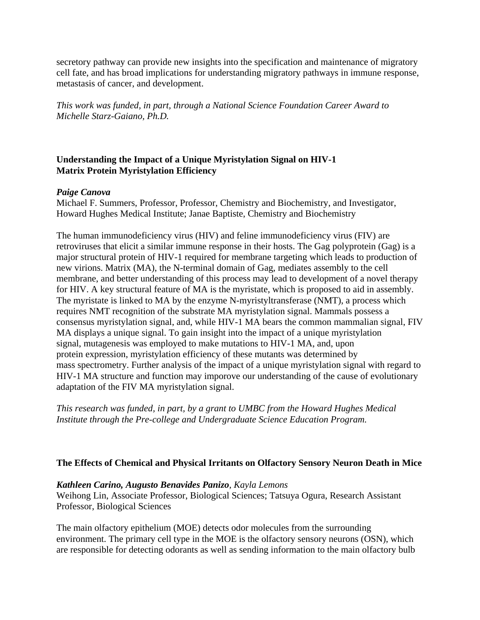secretory pathway can provide new insights into the specification and maintenance of migratory cell fate, and has broad implications for understanding migratory pathways in immune response, metastasis of cancer, and development.

*This work was funded, in part, through a National Science Foundation Career Award to Michelle Starz-Gaiano, Ph.D.*

# **Understanding the Impact of a Unique Myristylation Signal on HIV-1 Matrix Protein Myristylation Efficiency**

# *Paige Canova*

Michael F. Summers, Professor, Professor, Chemistry and Biochemistry, and Investigator, Howard Hughes Medical Institute; Janae Baptiste, Chemistry and Biochemistry

The human immunodeficiency virus (HIV) and feline immunodeficiency virus (FIV) are retroviruses that elicit a similar immune response in their hosts. The Gag polyprotein (Gag) is a major structural protein of HIV-1 required for membrane targeting which leads to production of new virions. Matrix (MA), the N-terminal domain of Gag, mediates assembly to the cell membrane, and better understanding of this process may lead to development of a novel therapy for HIV. A key structural feature of MA is the myristate, which is proposed to aid in assembly. The myristate is linked to MA by the enzyme N-myristyltransferase (NMT), a process which requires NMT recognition of the substrate MA myristylation signal. Mammals possess a consensus myristylation signal, and, while HIV-1 MA bears the common mammalian signal, FIV MA displays a unique signal. To gain insight into the impact of a unique myristylation signal, mutagenesis was employed to make mutations to HIV-1 MA, and, upon protein expression, myristylation efficiency of these mutants was determined by mass spectrometry. Further analysis of the impact of a unique myristylation signal with regard to HIV-1 MA structure and function may imporove our understanding of the cause of evolutionary adaptation of the FIV MA myristylation signal.

*This research was funded, in part, by a grant to UMBC from the Howard Hughes Medical Institute through the Pre-college and Undergraduate Science Education Program.*

# **The Effects of Chemical and Physical Irritants on Olfactory Sensory Neuron Death in Mice**

# *Kathleen Carino, Augusto Benavides Panizo, Kayla Lemons*

Weihong Lin, Associate Professor, Biological Sciences; Tatsuya Ogura, Research Assistant Professor, Biological Sciences

The main olfactory epithelium (MOE) detects odor molecules from the surrounding environment. The primary cell type in the MOE is the olfactory sensory neurons (OSN), which are responsible for detecting odorants as well as sending information to the main olfactory bulb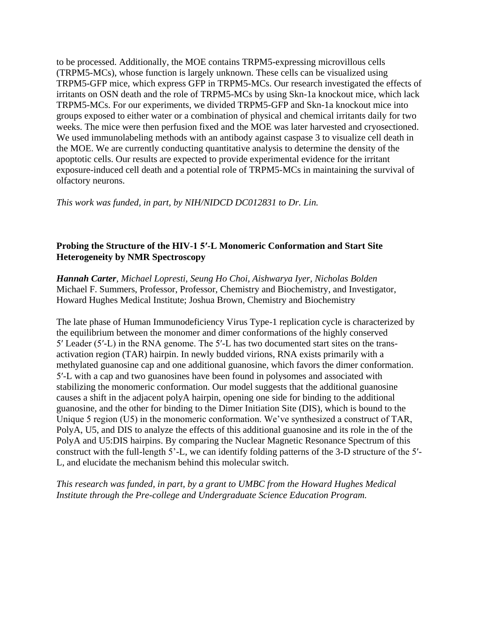to be processed. Additionally, the MOE contains TRPM5-expressing microvillous cells (TRPM5-MCs), whose function is largely unknown. These cells can be visualized using TRPM5-GFP mice, which express GFP in TRPM5-MCs. Our research investigated the effects of irritants on OSN death and the role of TRPM5-MCs by using Skn-1a knockout mice, which lack TRPM5-MCs. For our experiments, we divided TRPM5-GFP and Skn-1a knockout mice into groups exposed to either water or a combination of physical and chemical irritants daily for two weeks. The mice were then perfusion fixed and the MOE was later harvested and cryosectioned. We used immunolabeling methods with an antibody against caspase 3 to visualize cell death in the MOE. We are currently conducting quantitative analysis to determine the density of the apoptotic cells. Our results are expected to provide experimental evidence for the irritant exposure-induced cell death and a potential role of TRPM5-MCs in maintaining the survival of olfactory neurons.

*This work was funded, in part, by NIH/NIDCD DC012831 to Dr. Lin.*

# **Probing the Structure of the HIV-1 5′-L Monomeric Conformation and Start Site Heterogeneity by NMR Spectroscopy**

*Hannah Carter, Michael Lopresti, Seung Ho Choi, Aishwarya Iyer, Nicholas Bolden* Michael F. Summers, Professor, Professor, Chemistry and Biochemistry, and Investigator, Howard Hughes Medical Institute; Joshua Brown, Chemistry and Biochemistry

The late phase of Human Immunodeficiency Virus Type-1 replication cycle is characterized by the equilibrium between the monomer and dimer conformations of the highly conserved 5′ Leader (5′-L) in the RNA genome. The 5′-L has two documented start sites on the transactivation region (TAR) hairpin. In newly budded virions, RNA exists primarily with a methylated guanosine cap and one additional guanosine, which favors the dimer conformation. 5′-L with a cap and two guanosines have been found in polysomes and associated with stabilizing the monomeric conformation. Our model suggests that the additional guanosine causes a shift in the adjacent polyA hairpin, opening one side for binding to the additional guanosine, and the other for binding to the Dimer Initiation Site (DIS), which is bound to the Unique 5 region (U5) in the monomeric conformation. We've synthesized a construct of TAR, PolyA, U5, and DIS to analyze the effects of this additional guanosine and its role in the of the PolyA and U5:DIS hairpins. By comparing the Nuclear Magnetic Resonance Spectrum of this construct with the full-length 5'-L, we can identify folding patterns of the 3-D structure of the 5′- L, and elucidate the mechanism behind this molecular switch.

*This research was funded, in part, by a grant to UMBC from the Howard Hughes Medical Institute through the Pre-college and Undergraduate Science Education Program.*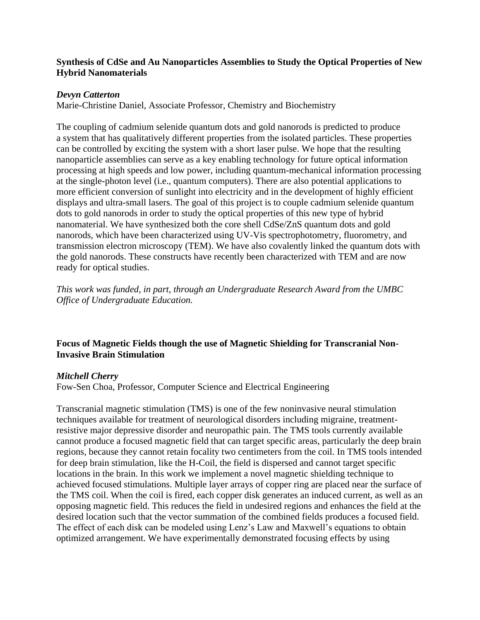# **Synthesis of CdSe and Au Nanoparticles Assemblies to Study the Optical Properties of New Hybrid Nanomaterials**

# *Devyn Catterton*

Marie-Christine Daniel, Associate Professor, Chemistry and Biochemistry

The coupling of cadmium selenide quantum dots and gold nanorods is predicted to produce a system that has qualitatively different properties from the isolated particles. These properties can be controlled by exciting the system with a short laser pulse. We hope that the resulting nanoparticle assemblies can serve as a key enabling technology for future optical information processing at high speeds and low power, including quantum-mechanical information processing at the single-photon level (i.e., quantum computers). There are also potential applications to more efficient conversion of sunlight into electricity and in the development of highly efficient displays and ultra-small lasers. The goal of this project is to couple cadmium selenide quantum dots to gold nanorods in order to study the optical properties of this new type of hybrid nanomaterial. We have synthesized both the core shell CdSe/ZnS quantum dots and gold nanorods, which have been characterized using UV-Vis spectrophotometry, fluorometry, and transmission electron microscopy (TEM). We have also covalently linked the quantum dots with the gold nanorods. These constructs have recently been characterized with TEM and are now ready for optical studies.

*This work was funded, in part, through an Undergraduate Research Award from the UMBC Office of Undergraduate Education.*

# **Focus of Magnetic Fields though the use of Magnetic Shielding for Transcranial Non-Invasive Brain Stimulation**

#### *Mitchell Cherry*

Fow-Sen Choa, Professor, Computer Science and Electrical Engineering

Transcranial magnetic stimulation (TMS) is one of the few noninvasive neural stimulation techniques available for treatment of neurological disorders including migraine, treatmentresistive major depressive disorder and neuropathic pain. The TMS tools currently available cannot produce a focused magnetic field that can target specific areas, particularly the deep brain regions, because they cannot retain focality two centimeters from the coil. In TMS tools intended for deep brain stimulation, like the H-Coil, the field is dispersed and cannot target specific locations in the brain. In this work we implement a novel magnetic shielding technique to achieved focused stimulations. Multiple layer arrays of copper ring are placed near the surface of the TMS coil. When the coil is fired, each copper disk generates an induced current, as well as an opposing magnetic field. This reduces the field in undesired regions and enhances the field at the desired location such that the vector summation of the combined fields produces a focused field. The effect of each disk can be modeled using Lenz's Law and Maxwell's equations to obtain optimized arrangement. We have experimentally demonstrated focusing effects by using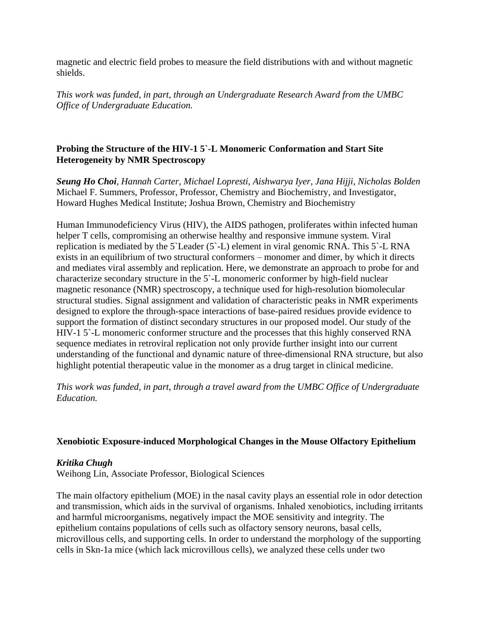magnetic and electric field probes to measure the field distributions with and without magnetic shields.

*This work was funded, in part, through an Undergraduate Research Award from the UMBC Office of Undergraduate Education.*

# **Probing the Structure of the HIV-1 5`-L Monomeric Conformation and Start Site Heterogeneity by NMR Spectroscopy**

*Seung Ho Choi, Hannah Carter, Michael Lopresti, Aishwarya Iyer, Jana Hijji, Nicholas Bolden* Michael F. Summers, Professor, Professor, Chemistry and Biochemistry, and Investigator, Howard Hughes Medical Institute; Joshua Brown, Chemistry and Biochemistry

Human Immunodeficiency Virus (HIV), the AIDS pathogen, proliferates within infected human helper T cells, compromising an otherwise healthy and responsive immune system. Viral replication is mediated by the 5`Leader (5`-L) element in viral genomic RNA. This 5`-L RNA exists in an equilibrium of two structural conformers – monomer and dimer, by which it directs and mediates viral assembly and replication. Here, we demonstrate an approach to probe for and characterize secondary structure in the 5`-L monomeric conformer by high-field nuclear magnetic resonance (NMR) spectroscopy, a technique used for high-resolution biomolecular structural studies. Signal assignment and validation of characteristic peaks in NMR experiments designed to explore the through-space interactions of base-paired residues provide evidence to support the formation of distinct secondary structures in our proposed model. Our study of the HIV-1 5`-L monomeric conformer structure and the processes that this highly conserved RNA sequence mediates in retroviral replication not only provide further insight into our current understanding of the functional and dynamic nature of three-dimensional RNA structure, but also highlight potential therapeutic value in the monomer as a drug target in clinical medicine.

*This work was funded, in part, through a travel award from the UMBC Office of Undergraduate Education.*

# **Xenobiotic Exposure-induced Morphological Changes in the Mouse Olfactory Epithelium**

# *Kritika Chugh*

Weihong Lin, Associate Professor, Biological Sciences

The main olfactory epithelium (MOE) in the nasal cavity plays an essential role in odor detection and transmission, which aids in the survival of organisms. Inhaled xenobiotics, including irritants and harmful microorganisms, negatively impact the MOE sensitivity and integrity. The epithelium contains populations of cells such as olfactory sensory neurons, basal cells, microvillous cells, and supporting cells. In order to understand the morphology of the supporting cells in Skn-1a mice (which lack microvillous cells), we analyzed these cells under two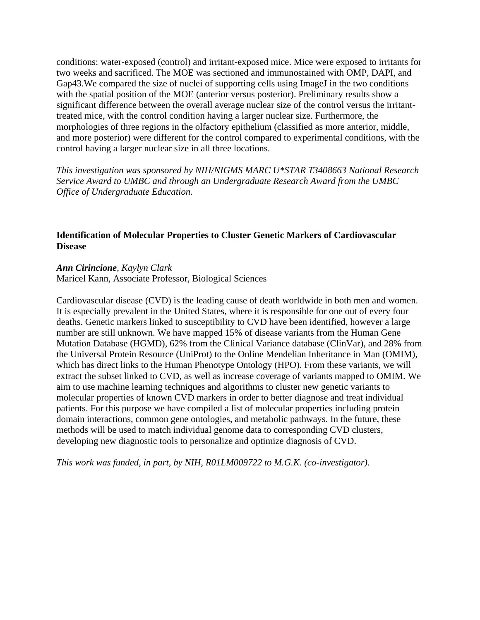conditions: water-exposed (control) and irritant-exposed mice. Mice were exposed to irritants for two weeks and sacrificed. The MOE was sectioned and immunostained with OMP, DAPI, and Gap43. We compared the size of nuclei of supporting cells using ImageJ in the two conditions with the spatial position of the MOE (anterior versus posterior). Preliminary results show a significant difference between the overall average nuclear size of the control versus the irritanttreated mice, with the control condition having a larger nuclear size. Furthermore, the morphologies of three regions in the olfactory epithelium (classified as more anterior, middle, and more posterior) were different for the control compared to experimental conditions, with the control having a larger nuclear size in all three locations.

*This investigation was sponsored by NIH/NIGMS MARC U\*STAR T3408663 National Research Service Award to UMBC and through an Undergraduate Research Award from the UMBC Office of Undergraduate Education.*

# **Identification of Molecular Properties to Cluster Genetic Markers of Cardiovascular Disease**

### *Ann Cirincione, Kaylyn Clark*

Maricel Kann, Associate Professor, Biological Sciences

Cardiovascular disease (CVD) is the leading cause of death worldwide in both men and women. It is especially prevalent in the United States, where it is responsible for one out of every four deaths. Genetic markers linked to susceptibility to CVD have been identified, however a large number are still unknown. We have mapped 15% of disease variants from the Human Gene Mutation Database (HGMD), 62% from the Clinical Variance database (ClinVar), and 28% from the Universal Protein Resource (UniProt) to the Online Mendelian Inheritance in Man (OMIM), which has direct links to the Human Phenotype Ontology (HPO). From these variants, we will extract the subset linked to CVD, as well as increase coverage of variants mapped to OMIM. We aim to use machine learning techniques and algorithms to cluster new genetic variants to molecular properties of known CVD markers in order to better diagnose and treat individual patients. For this purpose we have compiled a list of molecular properties including protein domain interactions, common gene ontologies, and metabolic pathways. In the future, these methods will be used to match individual genome data to corresponding CVD clusters, developing new diagnostic tools to personalize and optimize diagnosis of CVD.

*This work was funded, in part, by NIH, R01LM009722 to M.G.K. (co-investigator).*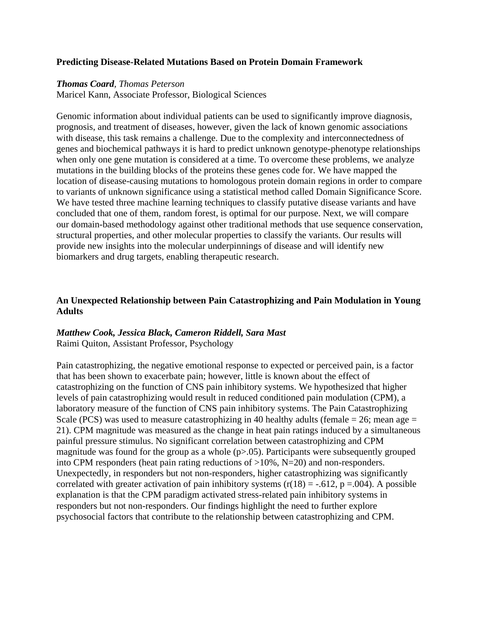## **Predicting Disease-Related Mutations Based on Protein Domain Framework**

#### *Thomas Coard, Thomas Peterson*

Maricel Kann, Associate Professor, Biological Sciences

Genomic information about individual patients can be used to significantly improve diagnosis, prognosis, and treatment of diseases, however, given the lack of known genomic associations with disease, this task remains a challenge. Due to the complexity and interconnectedness of genes and biochemical pathways it is hard to predict unknown genotype-phenotype relationships when only one gene mutation is considered at a time. To overcome these problems, we analyze mutations in the building blocks of the proteins these genes code for. We have mapped the location of disease-causing mutations to homologous protein domain regions in order to compare to variants of unknown significance using a statistical method called Domain Significance Score. We have tested three machine learning techniques to classify putative disease variants and have concluded that one of them, random forest, is optimal for our purpose. Next, we will compare our domain-based methodology against other traditional methods that use sequence conservation, structural properties, and other molecular properties to classify the variants. Our results will provide new insights into the molecular underpinnings of disease and will identify new biomarkers and drug targets, enabling therapeutic research.

# **An Unexpected Relationship between Pain Catastrophizing and Pain Modulation in Young Adults**

# *Matthew Cook, Jessica Black, Cameron Riddell, Sara Mast*

Raimi Quiton, Assistant Professor, Psychology

Pain catastrophizing, the negative emotional response to expected or perceived pain, is a factor that has been shown to exacerbate pain; however, little is known about the effect of catastrophizing on the function of CNS pain inhibitory systems. We hypothesized that higher levels of pain catastrophizing would result in reduced conditioned pain modulation (CPM), a laboratory measure of the function of CNS pain inhibitory systems. The Pain Catastrophizing Scale (PCS) was used to measure catastrophizing in 40 healthy adults (female  $= 26$ ; mean age  $=$ 21). CPM magnitude was measured as the change in heat pain ratings induced by a simultaneous painful pressure stimulus. No significant correlation between catastrophizing and CPM magnitude was found for the group as a whole  $(p>0.05)$ . Participants were subsequently grouped into CPM responders (heat pain rating reductions of >10%, N=20) and non-responders. Unexpectedly, in responders but not non-responders, higher catastrophizing was significantly correlated with greater activation of pain inhibitory systems  $(r(18) = -.612, p = .004)$ . A possible explanation is that the CPM paradigm activated stress-related pain inhibitory systems in responders but not non-responders. Our findings highlight the need to further explore psychosocial factors that contribute to the relationship between catastrophizing and CPM.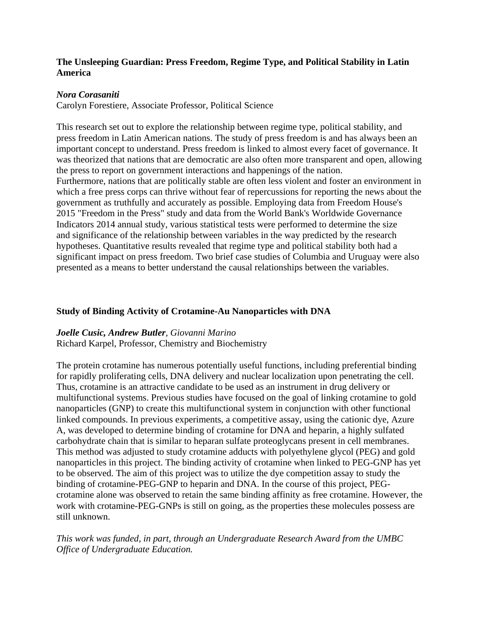# **The Unsleeping Guardian: Press Freedom, Regime Type, and Political Stability in Latin America**

# *Nora Corasaniti*

Carolyn Forestiere, Associate Professor, Political Science

This research set out to explore the relationship between regime type, political stability, and press freedom in Latin American nations. The study of press freedom is and has always been an important concept to understand. Press freedom is linked to almost every facet of governance. It was theorized that nations that are democratic are also often more transparent and open, allowing the press to report on government interactions and happenings of the nation. Furthermore, nations that are politically stable are often less violent and foster an environment in which a free press corps can thrive without fear of repercussions for reporting the news about the government as truthfully and accurately as possible. Employing data from Freedom House's 2015 "Freedom in the Press" study and data from the World Bank's Worldwide Governance Indicators 2014 annual study, various statistical tests were performed to determine the size and significance of the relationship between variables in the way predicted by the research hypotheses. Quantitative results revealed that regime type and political stability both had a significant impact on press freedom. Two brief case studies of Columbia and Uruguay were also presented as a means to better understand the causal relationships between the variables.

# **Study of Binding Activity of Crotamine-Au Nanoparticles with DNA**

# *Joelle Cusic, Andrew Butler, Giovanni Marino*

Richard Karpel, Professor, Chemistry and Biochemistry

The protein crotamine has numerous potentially useful functions, including preferential binding for rapidly proliferating cells, DNA delivery and nuclear localization upon penetrating the cell. Thus, crotamine is an attractive candidate to be used as an instrument in drug delivery or multifunctional systems. Previous studies have focused on the goal of linking crotamine to gold nanoparticles (GNP) to create this multifunctional system in conjunction with other functional linked compounds. In previous experiments, a competitive assay, using the cationic dye, Azure A, was developed to determine binding of crotamine for DNA and heparin, a highly sulfated carbohydrate chain that is similar to heparan sulfate proteoglycans present in cell membranes. This method was adjusted to study crotamine adducts with polyethylene glycol (PEG) and gold nanoparticles in this project. The binding activity of crotamine when linked to PEG-GNP has yet to be observed. The aim of this project was to utilize the dye competition assay to study the binding of crotamine-PEG-GNP to heparin and DNA. In the course of this project, PEGcrotamine alone was observed to retain the same binding affinity as free crotamine. However, the work with crotamine-PEG-GNPs is still on going, as the properties these molecules possess are still unknown.

*This work was funded, in part, through an Undergraduate Research Award from the UMBC Office of Undergraduate Education.*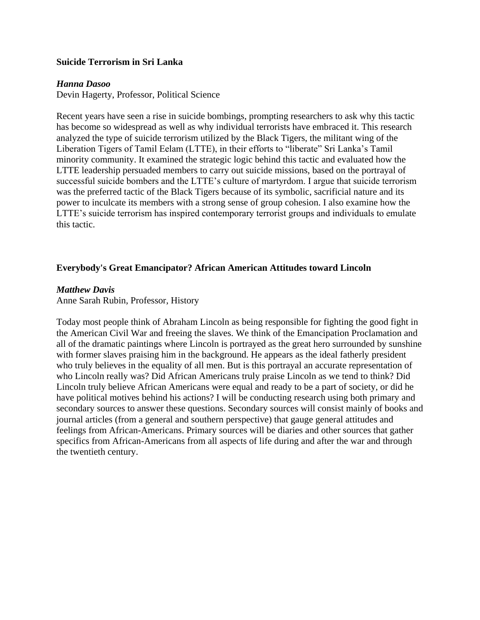### **Suicide Terrorism in Sri Lanka**

#### *Hanna Dasoo*

Devin Hagerty, Professor, Political Science

Recent years have seen a rise in suicide bombings, prompting researchers to ask why this tactic has become so widespread as well as why individual terrorists have embraced it. This research analyzed the type of suicide terrorism utilized by the Black Tigers, the militant wing of the Liberation Tigers of Tamil Eelam (LTTE), in their efforts to "liberate" Sri Lanka's Tamil minority community. It examined the strategic logic behind this tactic and evaluated how the LTTE leadership persuaded members to carry out suicide missions, based on the portrayal of successful suicide bombers and the LTTE's culture of martyrdom. I argue that suicide terrorism was the preferred tactic of the Black Tigers because of its symbolic, sacrificial nature and its power to inculcate its members with a strong sense of group cohesion. I also examine how the LTTE's suicide terrorism has inspired contemporary terrorist groups and individuals to emulate this tactic.

# **Everybody's Great Emancipator? African American Attitudes toward Lincoln**

#### *Matthew Davis*

Anne Sarah Rubin, Professor, History

Today most people think of Abraham Lincoln as being responsible for fighting the good fight in the American Civil War and freeing the slaves. We think of the Emancipation Proclamation and all of the dramatic paintings where Lincoln is portrayed as the great hero surrounded by sunshine with former slaves praising him in the background. He appears as the ideal fatherly president who truly believes in the equality of all men. But is this portrayal an accurate representation of who Lincoln really was? Did African Americans truly praise Lincoln as we tend to think? Did Lincoln truly believe African Americans were equal and ready to be a part of society, or did he have political motives behind his actions? I will be conducting research using both primary and secondary sources to answer these questions. Secondary sources will consist mainly of books and journal articles (from a general and southern perspective) that gauge general attitudes and feelings from African-Americans. Primary sources will be diaries and other sources that gather specifics from African-Americans from all aspects of life during and after the war and through the twentieth century.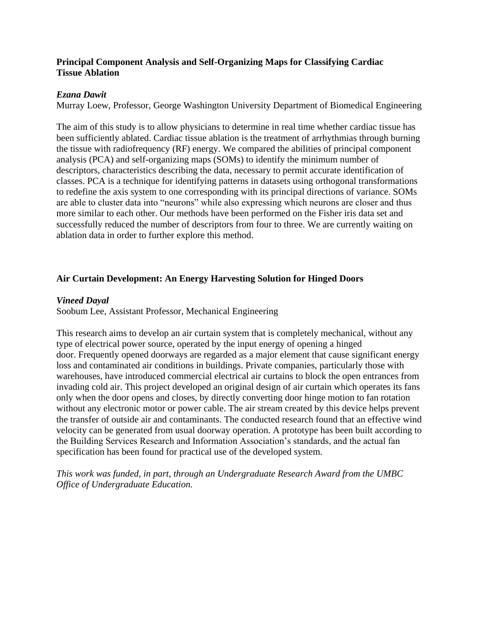# **Principal Component Analysis and Self-Organizing Maps for Classifying Cardiac Tissue Ablation**

# *Ezana Dawit*

Murray Loew, Professor, George Washington University Department of Biomedical Engineering

The aim of this study is to allow physicians to determine in real time whether cardiac tissue has been sufficiently ablated. Cardiac tissue ablation is the treatment of arrhythmias through burning the tissue with radiofrequency (RF) energy. We compared the abilities of principal component analysis (PCA) and self-organizing maps (SOMs) to identify the minimum number of descriptors, characteristics describing the data, necessary to permit accurate identification of classes. PCA is a technique for identifying patterns in datasets using orthogonal transformations to redefine the axis system to one corresponding with its principal directions of variance. SOMs are able to cluster data into "neurons" while also expressing which neurons are closer and thus more similar to each other. Our methods have been performed on the Fisher iris data set and successfully reduced the number of descriptors from four to three. We are currently waiting on ablation data in order to further explore this method.

# **Air Curtain Development: An Energy Harvesting Solution for Hinged Doors**

# *Vineed Dayal*

Soobum Lee, Assistant Professor, Mechanical Engineering

This research aims to develop an air curtain system that is completely mechanical, without any type of electrical power source, operated by the input energy of opening a hinged door. Frequently opened doorways are regarded as a major element that cause significant energy loss and contaminated air conditions in buildings. Private companies, particularly those with warehouses, have introduced commercial electrical air curtains to block the open entrances from invading cold air. This project developed an original design of air curtain which operates its fans only when the door opens and closes, by directly converting door hinge motion to fan rotation without any electronic motor or power cable. The air stream created by this device helps prevent the transfer of outside air and contaminants. The conducted research found that an effective wind velocity can be generated from usual doorway operation. A prototype has been built according to the Building Services Research and Information Association's standards, and the actual fan specification has been found for practical use of the developed system.

*This work was funded, in part, through an Undergraduate Research Award from the UMBC Office of Undergraduate Education.*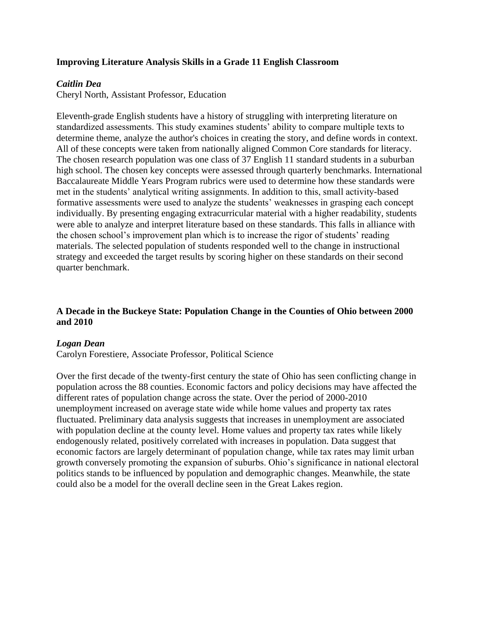# **Improving Literature Analysis Skills in a Grade 11 English Classroom**

### *Caitlin Dea*

Cheryl North, Assistant Professor, Education

Eleventh-grade English students have a history of struggling with interpreting literature on standardized assessments. This study examines students' ability to compare multiple texts to determine theme, analyze the author's choices in creating the story, and define words in context. All of these concepts were taken from nationally aligned Common Core standards for literacy. The chosen research population was one class of 37 English 11 standard students in a suburban high school. The chosen key concepts were assessed through quarterly benchmarks. International Baccalaureate Middle Years Program rubrics were used to determine how these standards were met in the students' analytical writing assignments. In addition to this, small activity-based formative assessments were used to analyze the students' weaknesses in grasping each concept individually. By presenting engaging extracurricular material with a higher readability, students were able to analyze and interpret literature based on these standards. This falls in alliance with the chosen school's improvement plan which is to increase the rigor of students' reading materials. The selected population of students responded well to the change in instructional strategy and exceeded the target results by scoring higher on these standards on their second quarter benchmark.

# **A Decade in the Buckeye State: Population Change in the Counties of Ohio between 2000 and 2010**

# *Logan Dean*

Carolyn Forestiere, Associate Professor, Political Science

Over the first decade of the twenty-first century the state of Ohio has seen conflicting change in population across the 88 counties. Economic factors and policy decisions may have affected the different rates of population change across the state. Over the period of 2000-2010 unemployment increased on average state wide while home values and property tax rates fluctuated. Preliminary data analysis suggests that increases in unemployment are associated with population decline at the county level. Home values and property tax rates while likely endogenously related, positively correlated with increases in population. Data suggest that economic factors are largely determinant of population change, while tax rates may limit urban growth conversely promoting the expansion of suburbs. Ohio's significance in national electoral politics stands to be influenced by population and demographic changes. Meanwhile, the state could also be a model for the overall decline seen in the Great Lakes region.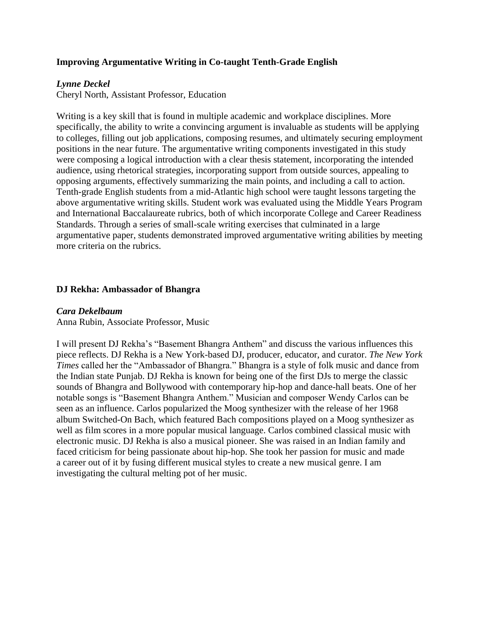# **Improving Argumentative Writing in Co-taught Tenth-Grade English**

# *Lynne Deckel*

Cheryl North, Assistant Professor, Education

Writing is a key skill that is found in multiple academic and workplace disciplines. More specifically, the ability to write a convincing argument is invaluable as students will be applying to colleges, filling out job applications, composing resumes, and ultimately securing employment positions in the near future. The argumentative writing components investigated in this study were composing a logical introduction with a clear thesis statement, incorporating the intended audience, using rhetorical strategies, incorporating support from outside sources, appealing to opposing arguments, effectively summarizing the main points, and including a call to action. Tenth-grade English students from a mid-Atlantic high school were taught lessons targeting the above argumentative writing skills. Student work was evaluated using the Middle Years Program and International Baccalaureate rubrics, both of which incorporate College and Career Readiness Standards. Through a series of small-scale writing exercises that culminated in a large argumentative paper, students demonstrated improved argumentative writing abilities by meeting more criteria on the rubrics.

# **DJ Rekha: Ambassador of Bhangra**

### *Cara Dekelbaum*

Anna Rubin, Associate Professor, Music

I will present DJ Rekha's "Basement Bhangra Anthem" and discuss the various influences this piece reflects. DJ Rekha is a New York-based DJ, producer, educator, and curator. *The New York Times* called her the "Ambassador of Bhangra." Bhangra is a style of folk music and dance from the Indian state Punjab. DJ Rekha is known for being one of the first DJs to merge the classic sounds of Bhangra and Bollywood with contemporary hip-hop and dance-hall beats. One of her notable songs is "Basement Bhangra Anthem." Musician and composer Wendy Carlos can be seen as an influence. Carlos popularized the Moog synthesizer with the release of her 1968 album Switched-On Bach, which featured Bach compositions played on a Moog synthesizer as well as film scores in a more popular musical language. Carlos combined classical music with electronic music. DJ Rekha is also a musical pioneer. She was raised in an Indian family and faced criticism for being passionate about hip-hop. She took her passion for music and made a career out of it by fusing different musical styles to create a new musical genre. I am investigating the cultural melting pot of her music.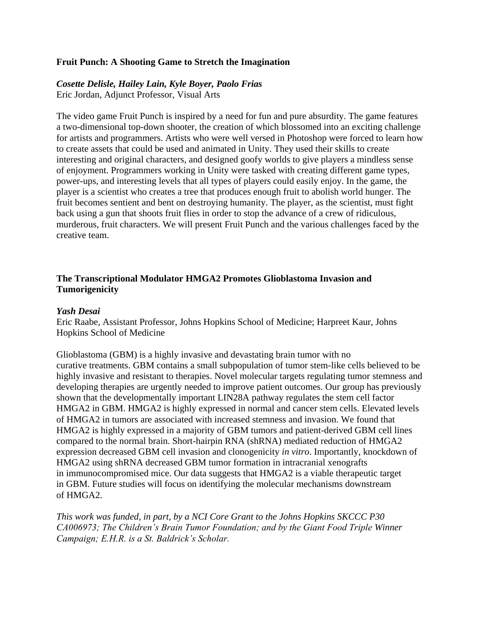### **Fruit Punch: A Shooting Game to Stretch the Imagination**

# *Cosette Delisle, Hailey Lain, Kyle Boyer, Paolo Frias*

Eric Jordan, Adjunct Professor, Visual Arts

The video game Fruit Punch is inspired by a need for fun and pure absurdity. The game features a two-dimensional top-down shooter, the creation of which blossomed into an exciting challenge for artists and programmers. Artists who were well versed in Photoshop were forced to learn how to create assets that could be used and animated in Unity. They used their skills to create interesting and original characters, and designed goofy worlds to give players a mindless sense of enjoyment. Programmers working in Unity were tasked with creating different game types, power-ups, and interesting levels that all types of players could easily enjoy. In the game, the player is a scientist who creates a tree that produces enough fruit to abolish world hunger. The fruit becomes sentient and bent on destroying humanity. The player, as the scientist, must fight back using a gun that shoots fruit flies in order to stop the advance of a crew of ridiculous, murderous, fruit characters. We will present Fruit Punch and the various challenges faced by the creative team.

# **The Transcriptional Modulator HMGA2 Promotes Glioblastoma Invasion and Tumorigenicity**

#### *Yash Desai*

Eric Raabe, Assistant Professor, Johns Hopkins School of Medicine; Harpreet Kaur, Johns Hopkins School of Medicine

Glioblastoma (GBM) is a highly invasive and devastating brain tumor with no curative treatments. GBM contains a small subpopulation of tumor stem-like cells believed to be highly invasive and resistant to therapies. Novel molecular targets regulating tumor stemness and developing therapies are urgently needed to improve patient outcomes. Our group has previously shown that the developmentally important LIN28A pathway regulates the stem cell factor HMGA2 in GBM. HMGA2 is highly expressed in normal and cancer stem cells. Elevated levels of HMGA2 in tumors are associated with increased stemness and invasion. We found that HMGA2 is highly expressed in a majority of GBM tumors and patient-derived GBM cell lines compared to the normal brain. Short-hairpin RNA (shRNA) mediated reduction of HMGA2 expression decreased GBM cell invasion and clonogenicity *in vitro*. Importantly, knockdown of HMGA2 using shRNA decreased GBM tumor formation in intracranial xenografts in immunocompromised mice. Our data suggests that HMGA2 is a viable therapeutic target in GBM. Future studies will focus on identifying the molecular mechanisms downstream of HMGA2.

*This work was funded, in part, by a NCI Core Grant to the Johns Hopkins SKCCC P30 CA006973; The Children's Brain Tumor Foundation; and by the Giant Food Triple Winner Campaign; E.H.R. is a St. Baldrick's Scholar.*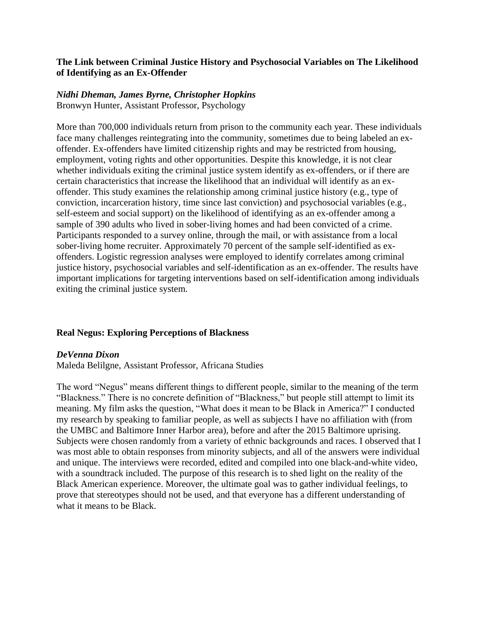# **The Link between Criminal Justice History and Psychosocial Variables on The Likelihood of Identifying as an Ex-Offender**

# *Nidhi Dheman, James Byrne, Christopher Hopkins*

Bronwyn Hunter, Assistant Professor, Psychology

More than 700,000 individuals return from prison to the community each year. These individuals face many challenges reintegrating into the community, sometimes due to being labeled an exoffender. Ex-offenders have limited citizenship rights and may be restricted from housing, employment, voting rights and other opportunities. Despite this knowledge, it is not clear whether individuals exiting the criminal justice system identify as ex-offenders, or if there are certain characteristics that increase the likelihood that an individual will identify as an exoffender. This study examines the relationship among criminal justice history (e.g., type of conviction, incarceration history, time since last conviction) and psychosocial variables (e.g., self-esteem and social support) on the likelihood of identifying as an ex-offender among a sample of 390 adults who lived in sober-living homes and had been convicted of a crime. Participants responded to a survey online, through the mail, or with assistance from a local sober-living home recruiter. Approximately 70 percent of the sample self-identified as exoffenders. Logistic regression analyses were employed to identify correlates among criminal justice history, psychosocial variables and self-identification as an ex-offender. The results have important implications for targeting interventions based on self-identification among individuals exiting the criminal justice system.

# **Real Negus: Exploring Perceptions of Blackness**

# *DeVenna Dixon*

Maleda Belilgne, Assistant Professor, Africana Studies

The word "Negus" means different things to different people, similar to the meaning of the term "Blackness." There is no concrete definition of "Blackness," but people still attempt to limit its meaning. My film asks the question, "What does it mean to be Black in America?" I conducted my research by speaking to familiar people, as well as subjects I have no affiliation with (from the UMBC and Baltimore Inner Harbor area), before and after the 2015 Baltimore uprising. Subjects were chosen randomly from a variety of ethnic backgrounds and races. I observed that I was most able to obtain responses from minority subjects, and all of the answers were individual and unique. The interviews were recorded, edited and compiled into one black-and-white video, with a soundtrack included. The purpose of this research is to shed light on the reality of the Black American experience. Moreover, the ultimate goal was to gather individual feelings, to prove that stereotypes should not be used, and that everyone has a different understanding of what it means to be Black.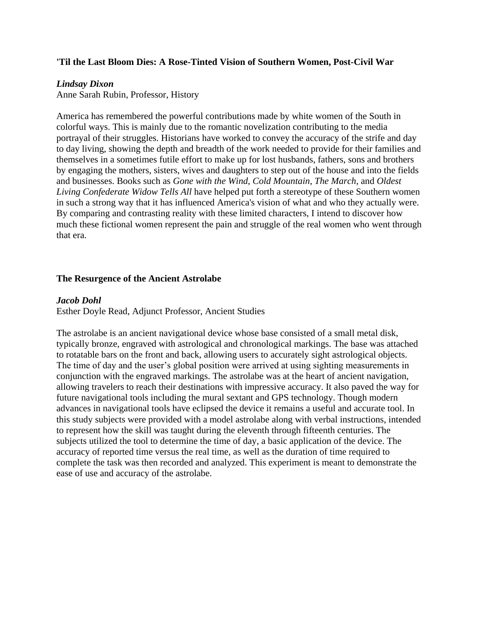## **'Til the Last Bloom Dies: A Rose-Tinted Vision of Southern Women, Post-Civil War**

#### *Lindsay Dixon*

Anne Sarah Rubin, Professor, History

America has remembered the powerful contributions made by white women of the South in colorful ways. This is mainly due to the romantic novelization contributing to the media portrayal of their struggles. Historians have worked to convey the accuracy of the strife and day to day living, showing the depth and breadth of the work needed to provide for their families and themselves in a sometimes futile effort to make up for lost husbands, fathers, sons and brothers by engaging the mothers, sisters, wives and daughters to step out of the house and into the fields and businesses. Books such as *Gone with the Wind*, *Cold Mountain*, *The March*, and *Oldest Living Confederate Widow Tells All* have helped put forth a stereotype of these Southern women in such a strong way that it has influenced America's vision of what and who they actually were. By comparing and contrasting reality with these limited characters, I intend to discover how much these fictional women represent the pain and struggle of the real women who went through that era.

#### **The Resurgence of the Ancient Astrolabe**

#### *Jacob Dohl*

Esther Doyle Read, Adjunct Professor, Ancient Studies

The astrolabe is an ancient navigational device whose base consisted of a small metal disk, typically bronze, engraved with astrological and chronological markings. The base was attached to rotatable bars on the front and back, allowing users to accurately sight astrological objects. The time of day and the user's global position were arrived at using sighting measurements in conjunction with the engraved markings. The astrolabe was at the heart of ancient navigation, allowing travelers to reach their destinations with impressive accuracy. It also paved the way for future navigational tools including the mural sextant and GPS technology. Though modern advances in navigational tools have eclipsed the device it remains a useful and accurate tool. In this study subjects were provided with a model astrolabe along with verbal instructions, intended to represent how the skill was taught during the eleventh through fifteenth centuries. The subjects utilized the tool to determine the time of day, a basic application of the device. The accuracy of reported time versus the real time, as well as the duration of time required to complete the task was then recorded and analyzed. This experiment is meant to demonstrate the ease of use and accuracy of the astrolabe.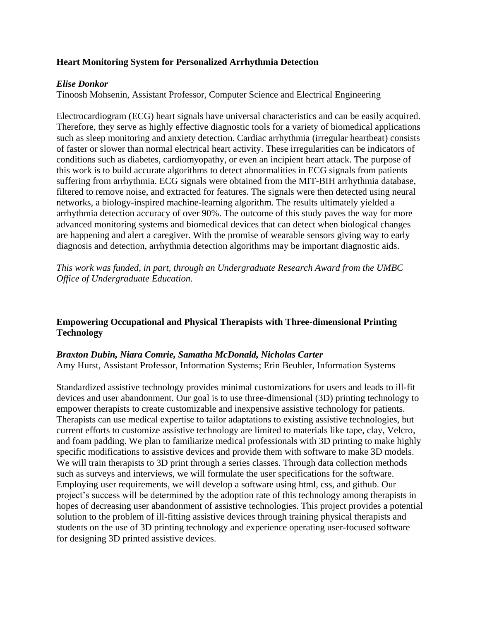# **Heart Monitoring System for Personalized Arrhythmia Detection**

# *Elise Donkor*

Tinoosh Mohsenin, Assistant Professor, Computer Science and Electrical Engineering

Electrocardiogram (ECG) heart signals have universal characteristics and can be easily acquired. Therefore, they serve as highly effective diagnostic tools for a variety of biomedical applications such as sleep monitoring and anxiety detection. Cardiac arrhythmia (irregular heartbeat) consists of faster or slower than normal electrical heart activity. These irregularities can be indicators of conditions such as diabetes, cardiomyopathy, or even an incipient heart attack. The purpose of this work is to build accurate algorithms to detect abnormalities in ECG signals from patients suffering from arrhythmia. ECG signals were obtained from the MIT-BIH arrhythmia database, filtered to remove noise, and extracted for features. The signals were then detected using neural networks, a biology-inspired machine-learning algorithm. The results ultimately yielded a arrhythmia detection accuracy of over 90%. The outcome of this study paves the way for more advanced monitoring systems and biomedical devices that can detect when biological changes are happening and alert a caregiver. With the promise of wearable sensors giving way to early diagnosis and detection, arrhythmia detection algorithms may be important diagnostic aids.

*This work was funded, in part, through an Undergraduate Research Award from the UMBC Office of Undergraduate Education.*

# **Empowering Occupational and Physical Therapists with Three-dimensional Printing Technology**

#### *Braxton Dubin, Niara Comrie, Samatha McDonald, Nicholas Carter*

Amy Hurst, Assistant Professor, Information Systems; Erin Beuhler, Information Systems

Standardized assistive technology provides minimal customizations for users and leads to ill-fit devices and user abandonment. Our goal is to use three-dimensional (3D) printing technology to empower therapists to create customizable and inexpensive assistive technology for patients. Therapists can use medical expertise to tailor adaptations to existing assistive technologies, but current efforts to customize assistive technology are limited to materials like tape, clay, Velcro, and foam padding. We plan to familiarize medical professionals with 3D printing to make highly specific modifications to assistive devices and provide them with software to make 3D models. We will train therapists to 3D print through a series classes. Through data collection methods such as surveys and interviews, we will formulate the user specifications for the software. Employing user requirements, we will develop a software using html, css, and github. Our project's success will be determined by the adoption rate of this technology among therapists in hopes of decreasing user abandonment of assistive technologies. This project provides a potential solution to the problem of ill-fitting assistive devices through training physical therapists and students on the use of 3D printing technology and experience operating user-focused software for designing 3D printed assistive devices.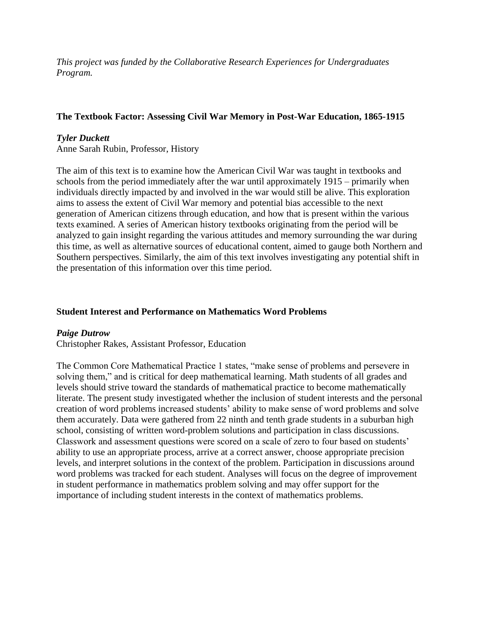*This project was funded by the Collaborative Research Experiences for Undergraduates Program.*

# **The Textbook Factor: Assessing Civil War Memory in Post-War Education, 1865-1915**

# *Tyler Duckett*

Anne Sarah Rubin, Professor, History

The aim of this text is to examine how the American Civil War was taught in textbooks and schools from the period immediately after the war until approximately 1915 – primarily when individuals directly impacted by and involved in the war would still be alive. This exploration aims to assess the extent of Civil War memory and potential bias accessible to the next generation of American citizens through education, and how that is present within the various texts examined. A series of American history textbooks originating from the period will be analyzed to gain insight regarding the various attitudes and memory surrounding the war during this time, as well as alternative sources of educational content, aimed to gauge both Northern and Southern perspectives. Similarly, the aim of this text involves investigating any potential shift in the presentation of this information over this time period.

# **Student Interest and Performance on Mathematics Word Problems**

# *Paige Dutrow*

Christopher Rakes, Assistant Professor, Education

The Common Core Mathematical Practice 1 states, "make sense of problems and persevere in solving them," and is critical for deep mathematical learning. Math students of all grades and levels should strive toward the standards of mathematical practice to become mathematically literate. The present study investigated whether the inclusion of student interests and the personal creation of word problems increased students' ability to make sense of word problems and solve them accurately. Data were gathered from 22 ninth and tenth grade students in a suburban high school, consisting of written word-problem solutions and participation in class discussions. Classwork and assessment questions were scored on a scale of zero to four based on students' ability to use an appropriate process, arrive at a correct answer, choose appropriate precision levels, and interpret solutions in the context of the problem. Participation in discussions around word problems was tracked for each student. Analyses will focus on the degree of improvement in student performance in mathematics problem solving and may offer support for the importance of including student interests in the context of mathematics problems.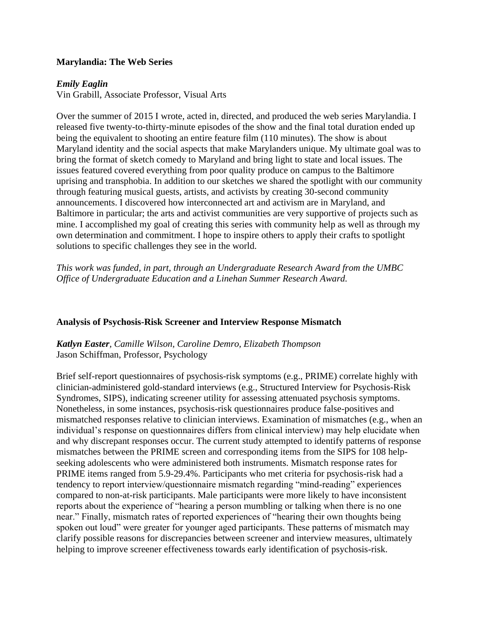# **Marylandia: The Web Series**

# *Emily Eaglin*

Vin Grabill, Associate Professor, Visual Arts

Over the summer of 2015 I wrote, acted in, directed, and produced the web series Marylandia. I released five twenty-to-thirty-minute episodes of the show and the final total duration ended up being the equivalent to shooting an entire feature film (110 minutes). The show is about Maryland identity and the social aspects that make Marylanders unique. My ultimate goal was to bring the format of sketch comedy to Maryland and bring light to state and local issues. The issues featured covered everything from poor quality produce on campus to the Baltimore uprising and transphobia. In addition to our sketches we shared the spotlight with our community through featuring musical guests, artists, and activists by creating 30-second community announcements. I discovered how interconnected art and activism are in Maryland, and Baltimore in particular; the arts and activist communities are very supportive of projects such as mine. I accomplished my goal of creating this series with community help as well as through my own determination and commitment. I hope to inspire others to apply their crafts to spotlight solutions to specific challenges they see in the world.

*This work was funded, in part, through an Undergraduate Research Award from the UMBC Office of Undergraduate Education and a Linehan Summer Research Award.*

# **Analysis of Psychosis-Risk Screener and Interview Response Mismatch**

*Katlyn Easter, Camille Wilson, Caroline Demro, Elizabeth Thompson* Jason Schiffman, Professor, Psychology

Brief self-report questionnaires of psychosis-risk symptoms (e.g., PRIME) correlate highly with clinician-administered gold-standard interviews (e.g., Structured Interview for Psychosis-Risk Syndromes, SIPS), indicating screener utility for assessing attenuated psychosis symptoms. Nonetheless, in some instances, psychosis-risk questionnaires produce false-positives and mismatched responses relative to clinician interviews. Examination of mismatches (e.g., when an individual's response on questionnaires differs from clinical interview) may help elucidate when and why discrepant responses occur. The current study attempted to identify patterns of response mismatches between the PRIME screen and corresponding items from the SIPS for 108 helpseeking adolescents who were administered both instruments. Mismatch response rates for PRIME items ranged from 5.9-29.4%. Participants who met criteria for psychosis-risk had a tendency to report interview/questionnaire mismatch regarding "mind-reading" experiences compared to non-at-risk participants. Male participants were more likely to have inconsistent reports about the experience of "hearing a person mumbling or talking when there is no one near." Finally, mismatch rates of reported experiences of "hearing their own thoughts being spoken out loud" were greater for younger aged participants. These patterns of mismatch may clarify possible reasons for discrepancies between screener and interview measures, ultimately helping to improve screener effectiveness towards early identification of psychosis-risk.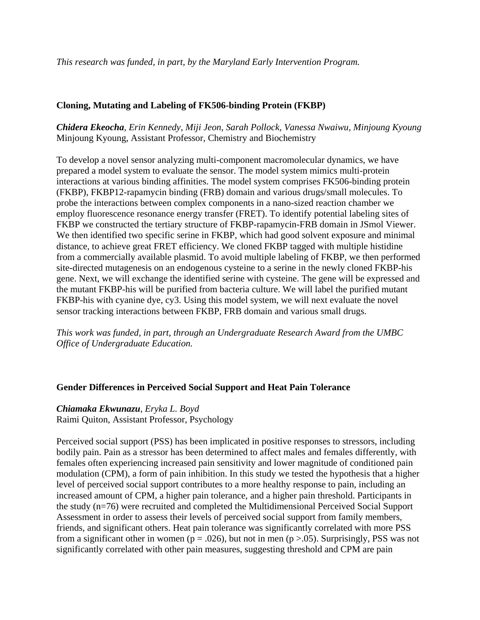*This research was funded, in part, by the Maryland Early Intervention Program.*

# **Cloning, Mutating and Labeling of FK506-binding Protein (FKBP)**

*Chidera Ekeocha, Erin Kennedy, Miji Jeon, Sarah Pollock, Vanessa Nwaiwu, Minjoung Kyoung*  Minjoung Kyoung, Assistant Professor, Chemistry and Biochemistry

To develop a novel sensor analyzing multi-component macromolecular dynamics, we have prepared a model system to evaluate the sensor. The model system mimics multi-protein interactions at various binding affinities. The model system comprises FK506-binding protein (FKBP), FKBP12-rapamycin binding (FRB) domain and various drugs/small molecules. To probe the interactions between complex components in a nano-sized reaction chamber we employ fluorescence resonance energy transfer (FRET). To identify potential labeling sites of FKBP we constructed the tertiary structure of FKBP-rapamycin-FRB domain in JSmol Viewer. We then identified two specific serine in FKBP, which had good solvent exposure and minimal distance, to achieve great FRET efficiency. We cloned FKBP tagged with multiple histidine from a commercially available plasmid. To avoid multiple labeling of FKBP, we then performed site-directed mutagenesis on an endogenous cysteine to a serine in the newly cloned FKBP-his gene. Next, we will exchange the identified serine with cysteine. The gene will be expressed and the mutant FKBP-his will be purified from bacteria culture. We will label the purified mutant FKBP-his with cyanine dye, cy3. Using this model system, we will next evaluate the novel sensor tracking interactions between FKBP, FRB domain and various small drugs.

*This work was funded, in part, through an Undergraduate Research Award from the UMBC Office of Undergraduate Education.*

# **Gender Differences in Perceived Social Support and Heat Pain Tolerance**

# *Chiamaka Ekwunazu, Eryka L. Boyd*

Raimi Quiton, Assistant Professor, Psychology

Perceived social support (PSS) has been implicated in positive responses to stressors, including bodily pain. Pain as a stressor has been determined to affect males and females differently, with females often experiencing increased pain sensitivity and lower magnitude of conditioned pain modulation (CPM), a form of pain inhibition. In this study we tested the hypothesis that a higher level of perceived social support contributes to a more healthy response to pain, including an increased amount of CPM, a higher pain tolerance, and a higher pain threshold. Participants in the study (n=76) were recruited and completed the Multidimensional Perceived Social Support Assessment in order to assess their levels of perceived social support from family members, friends, and significant others. Heat pain tolerance was significantly correlated with more PSS from a significant other in women ( $p = .026$ ), but not in men ( $p > .05$ ). Surprisingly, PSS was not significantly correlated with other pain measures, suggesting threshold and CPM are pain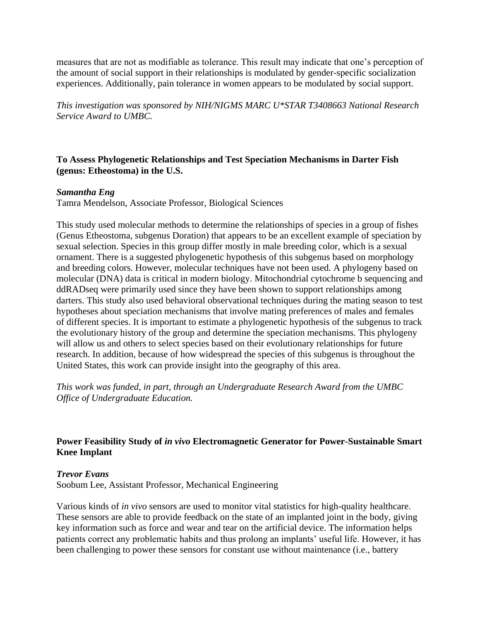measures that are not as modifiable as tolerance. This result may indicate that one's perception of the amount of social support in their relationships is modulated by gender-specific socialization experiences. Additionally, pain tolerance in women appears to be modulated by social support.

*This investigation was sponsored by NIH/NIGMS MARC U\*STAR T3408663 National Research Service Award to UMBC.*

# **To Assess Phylogenetic Relationships and Test Speciation Mechanisms in Darter Fish (genus: Etheostoma) in the U.S.**

# *Samantha Eng*

Tamra Mendelson, Associate Professor, Biological Sciences

This study used molecular methods to determine the relationships of species in a group of fishes (Genus Etheostoma, subgenus Doration) that appears to be an excellent example of speciation by sexual selection. Species in this group differ mostly in male breeding color, which is a sexual ornament. There is a suggested phylogenetic hypothesis of this subgenus based on morphology and breeding colors. However, molecular techniques have not been used. A phylogeny based on molecular (DNA) data is critical in modern biology. Mitochondrial cytochrome b sequencing and ddRADseq were primarily used since they have been shown to support relationships among darters. This study also used behavioral observational techniques during the mating season to test hypotheses about speciation mechanisms that involve mating preferences of males and females of different species. It is important to estimate a phylogenetic hypothesis of the subgenus to track the evolutionary history of the group and determine the speciation mechanisms. This phylogeny will allow us and others to select species based on their evolutionary relationships for future research. In addition, because of how widespread the species of this subgenus is throughout the United States, this work can provide insight into the geography of this area.

*This work was funded, in part, through an Undergraduate Research Award from the UMBC Office of Undergraduate Education.*

# **Power Feasibility Study of** *in vivo* **Electromagnetic Generator for Power-Sustainable Smart Knee Implant**

# *Trevor Evans*

Soobum Lee, Assistant Professor, Mechanical Engineering

Various kinds of *in vivo* sensors are used to monitor vital statistics for high-quality healthcare. These sensors are able to provide feedback on the state of an implanted joint in the body, giving key information such as force and wear and tear on the artificial device. The information helps patients correct any problematic habits and thus prolong an implants' useful life. However, it has been challenging to power these sensors for constant use without maintenance (i.e., battery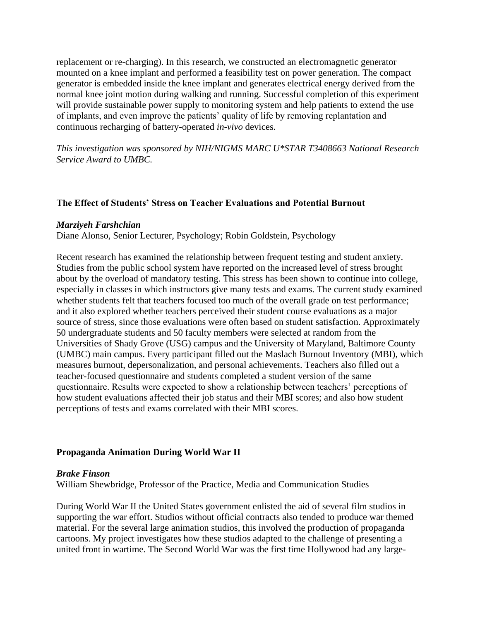replacement or re-charging). In this research, we constructed an electromagnetic generator mounted on a knee implant and performed a feasibility test on power generation. The compact generator is embedded inside the knee implant and generates electrical energy derived from the normal knee joint motion during walking and running. Successful completion of this experiment will provide sustainable power supply to monitoring system and help patients to extend the use of implants, and even improve the patients' quality of life by removing replantation and continuous recharging of battery-operated *in-vivo* devices.

*This investigation was sponsored by NIH/NIGMS MARC U\*STAR T3408663 National Research Service Award to UMBC.*

# **The Effect of Students' Stress on Teacher Evaluations and Potential Burnout**

### *Marziyeh Farshchian*

Diane Alonso, Senior Lecturer, Psychology; Robin Goldstein, Psychology

Recent research has examined the relationship between frequent testing and student anxiety. Studies from the public school system have reported on the increased level of stress brought about by the overload of mandatory testing. This stress has been shown to continue into college, especially in classes in which instructors give many tests and exams. The current study examined whether students felt that teachers focused too much of the overall grade on test performance; and it also explored whether teachers perceived their student course evaluations as a major source of stress, since those evaluations were often based on student satisfaction. Approximately 50 undergraduate students and 50 faculty members were selected at random from the Universities of Shady Grove (USG) campus and the University of Maryland, Baltimore County (UMBC) main campus. Every participant filled out the Maslach Burnout Inventory (MBI), which measures burnout, depersonalization, and personal achievements. Teachers also filled out a teacher-focused questionnaire and students completed a student version of the same questionnaire. Results were expected to show a relationship between teachers' perceptions of how student evaluations affected their job status and their MBI scores; and also how student perceptions of tests and exams correlated with their MBI scores.

## **Propaganda Animation During World War II**

### *Brake Finson*

William Shewbridge, Professor of the Practice, Media and Communication Studies

During World War II the United States government enlisted the aid of several film studios in supporting the war effort. Studios without official contracts also tended to produce war themed material. For the several large animation studios, this involved the production of propaganda cartoons. My project investigates how these studios adapted to the challenge of presenting a united front in wartime. The Second World War was the first time Hollywood had any large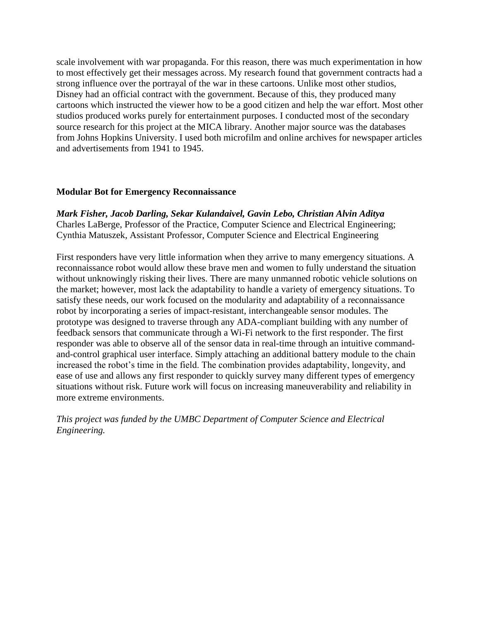scale involvement with war propaganda. For this reason, there was much experimentation in how to most effectively get their messages across. My research found that government contracts had a strong influence over the portrayal of the war in these cartoons. Unlike most other studios, Disney had an official contract with the government. Because of this, they produced many cartoons which instructed the viewer how to be a good citizen and help the war effort. Most other studios produced works purely for entertainment purposes. I conducted most of the secondary source research for this project at the MICA library. Another major source was the databases from Johns Hopkins University. I used both microfilm and online archives for newspaper articles and advertisements from 1941 to 1945.

## **Modular Bot for Emergency Reconnaissance**

*Mark Fisher, Jacob Darling, Sekar Kulandaivel, Gavin Lebo, Christian Alvin Aditya* Charles LaBerge, Professor of the Practice, Computer Science and Electrical Engineering; Cynthia Matuszek, Assistant Professor, Computer Science and Electrical Engineering

First responders have very little information when they arrive to many emergency situations. A reconnaissance robot would allow these brave men and women to fully understand the situation without unknowingly risking their lives. There are many unmanned robotic vehicle solutions on the market; however, most lack the adaptability to handle a variety of emergency situations. To satisfy these needs, our work focused on the modularity and adaptability of a reconnaissance robot by incorporating a series of impact-resistant, interchangeable sensor modules. The prototype was designed to traverse through any ADA-compliant building with any number of feedback sensors that communicate through a Wi-Fi network to the first responder. The first responder was able to observe all of the sensor data in real-time through an intuitive commandand-control graphical user interface. Simply attaching an additional battery module to the chain increased the robot's time in the field. The combination provides adaptability, longevity, and ease of use and allows any first responder to quickly survey many different types of emergency situations without risk. Future work will focus on increasing maneuverability and reliability in more extreme environments.

*This project was funded by the UMBC Department of Computer Science and Electrical Engineering.*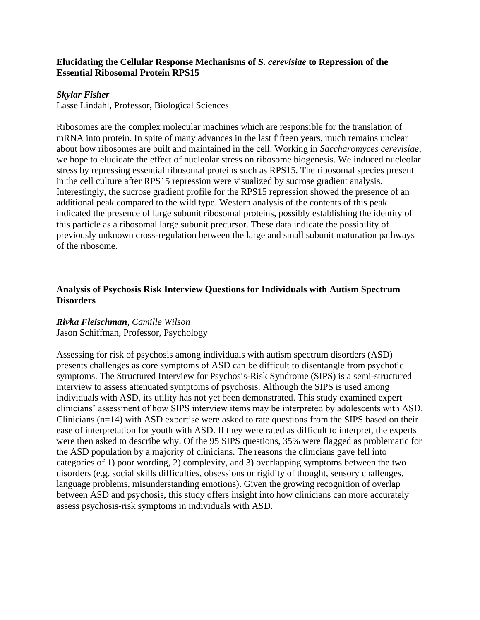## **Elucidating the Cellular Response Mechanisms of** *S. cerevisiae* **to Repression of the Essential Ribosomal Protein RPS15**

## *Skylar Fisher*

Lasse Lindahl, Professor, Biological Sciences

Ribosomes are the complex molecular machines which are responsible for the translation of mRNA into protein. In spite of many advances in the last fifteen years, much remains unclear about how ribosomes are built and maintained in the cell. Working in *Saccharomyces cerevisiae*, we hope to elucidate the effect of nucleolar stress on ribosome biogenesis. We induced nucleolar stress by repressing essential ribosomal proteins such as RPS15. The ribosomal species present in the cell culture after RPS15 repression were visualized by sucrose gradient analysis. Interestingly, the sucrose gradient profile for the RPS15 repression showed the presence of an additional peak compared to the wild type. Western analysis of the contents of this peak indicated the presence of large subunit ribosomal proteins, possibly establishing the identity of this particle as a ribosomal large subunit precursor. These data indicate the possibility of previously unknown cross-regulation between the large and small subunit maturation pathways of the ribosome.

# **Analysis of Psychosis Risk Interview Questions for Individuals with Autism Spectrum Disorders**

## *Rivka Fleischman, Camille Wilson* Jason Schiffman, Professor, Psychology

Assessing for risk of psychosis among individuals with autism spectrum disorders (ASD) presents challenges as core symptoms of ASD can be difficult to disentangle from psychotic symptoms. The Structured Interview for Psychosis-Risk Syndrome (SIPS) is a semi-structured interview to assess attenuated symptoms of psychosis. Although the SIPS is used among individuals with ASD, its utility has not yet been demonstrated. This study examined expert clinicians' assessment of how SIPS interview items may be interpreted by adolescents with ASD. Clinicians (n=14) with ASD expertise were asked to rate questions from the SIPS based on their ease of interpretation for youth with ASD. If they were rated as difficult to interpret, the experts were then asked to describe why. Of the 95 SIPS questions, 35% were flagged as problematic for the ASD population by a majority of clinicians. The reasons the clinicians gave fell into categories of 1) poor wording, 2) complexity, and 3) overlapping symptoms between the two disorders (e.g. social skills difficulties, obsessions or rigidity of thought, sensory challenges, language problems, misunderstanding emotions). Given the growing recognition of overlap between ASD and psychosis, this study offers insight into how clinicians can more accurately assess psychosis-risk symptoms in individuals with ASD.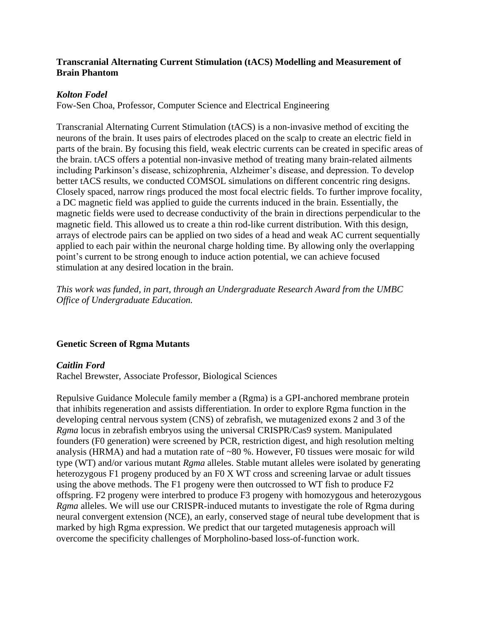# **Transcranial Alternating Current Stimulation (tACS) Modelling and Measurement of Brain Phantom**

# *Kolton Fodel*

Fow-Sen Choa, Professor, Computer Science and Electrical Engineering

Transcranial Alternating Current Stimulation (tACS) is a non-invasive method of exciting the neurons of the brain. It uses pairs of electrodes placed on the scalp to create an electric field in parts of the brain. By focusing this field, weak electric currents can be created in specific areas of the brain. tACS offers a potential non-invasive method of treating many brain-related ailments including Parkinson's disease, schizophrenia, Alzheimer's disease, and depression. To develop better tACS results, we conducted COMSOL simulations on different concentric ring designs. Closely spaced, narrow rings produced the most focal electric fields. To further improve focality, a DC magnetic field was applied to guide the currents induced in the brain. Essentially, the magnetic fields were used to decrease conductivity of the brain in directions perpendicular to the magnetic field. This allowed us to create a thin rod-like current distribution. With this design, arrays of electrode pairs can be applied on two sides of a head and weak AC current sequentially applied to each pair within the neuronal charge holding time. By allowing only the overlapping point's current to be strong enough to induce action potential, we can achieve focused stimulation at any desired location in the brain.

*This work was funded, in part, through an Undergraduate Research Award from the UMBC Office of Undergraduate Education.*

# **Genetic Screen of Rgma Mutants**

## *Caitlin Ford*

Rachel Brewster, Associate Professor, Biological Sciences

Repulsive Guidance Molecule family member a (Rgma) is a GPI-anchored membrane protein that inhibits regeneration and assists differentiation. In order to explore Rgma function in the developing central nervous system (CNS) of zebrafish, we mutagenized exons 2 and 3 of the *Rgma* locus in zebrafish embryos using the universal CRISPR/Cas9 system. Manipulated founders (F0 generation) were screened by PCR, restriction digest, and high resolution melting analysis (HRMA) and had a mutation rate of ~80 %. However, F0 tissues were mosaic for wild type (WT) and/or various mutant *Rgma* alleles. Stable mutant alleles were isolated by generating heterozygous F1 progeny produced by an F0 X WT cross and screening larvae or adult tissues using the above methods. The F1 progeny were then outcrossed to WT fish to produce F2 offspring. F2 progeny were interbred to produce F3 progeny with homozygous and heterozygous *Rgma* alleles. We will use our CRISPR-induced mutants to investigate the role of Rgma during neural convergent extension (NCE), an early, conserved stage of neural tube development that is marked by high Rgma expression. We predict that our targeted mutagenesis approach will overcome the specificity challenges of Morpholino-based loss-of-function work.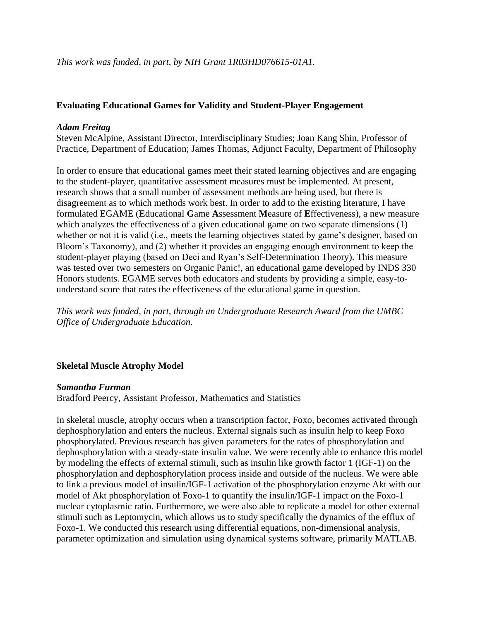# **Evaluating Educational Games for Validity and Student-Player Engagement**

### *Adam Freitag*

Steven McAlpine, Assistant Director, Interdisciplinary Studies; Joan Kang Shin, Professor of Practice, Department of Education; James Thomas, Adjunct Faculty, Department of Philosophy

In order to ensure that educational games meet their stated learning objectives and are engaging to the student-player, quantitative assessment measures must be implemented. At present, research shows that a small number of assessment methods are being used, but there is disagreement as to which methods work best. In order to add to the existing literature, I have formulated EGAME (**E**ducational **G**ame **A**ssessment **M**easure of **E**ffectiveness), a new measure which analyzes the effectiveness of a given educational game on two separate dimensions (1) whether or not it is valid (i.e., meets the learning objectives stated by game's designer, based on Bloom's Taxonomy), and (2) whether it provides an engaging enough environment to keep the student-player playing (based on Deci and Ryan's Self-Determination Theory). This measure was tested over two semesters on Organic Panic!, an educational game developed by INDS 330 Honors students. EGAME serves both educators and students by providing a simple, easy-tounderstand score that rates the effectiveness of the educational game in question.

*This work was funded, in part, through an Undergraduate Research Award from the UMBC Office of Undergraduate Education.*

## **Skeletal Muscle Atrophy Model**

### *Samantha Furman*

Bradford Peercy, Assistant Professor, Mathematics and Statistics

In skeletal muscle, atrophy occurs when a transcription factor, Foxo, becomes activated through dephosphorylation and enters the nucleus. External signals such as insulin help to keep Foxo phosphorylated. Previous research has given parameters for the rates of phosphorylation and dephosphorylation with a steady-state insulin value. We were recently able to enhance this model by modeling the effects of external stimuli, such as insulin like growth factor 1 (IGF-1) on the phosphorylation and dephosphorylation process inside and outside of the nucleus. We were able to link a previous model of insulin/IGF-1 activation of the phosphorylation enzyme Akt with our model of Akt phosphorylation of Foxo-1 to quantify the insulin/IGF-1 impact on the Foxo-1 nuclear cytoplasmic ratio. Furthermore, we were also able to replicate a model for other external stimuli such as Leptomycin, which allows us to study specifically the dynamics of the efflux of Foxo-1. We conducted this research using differential equations, non-dimensional analysis, parameter optimization and simulation using dynamical systems software, primarily MATLAB.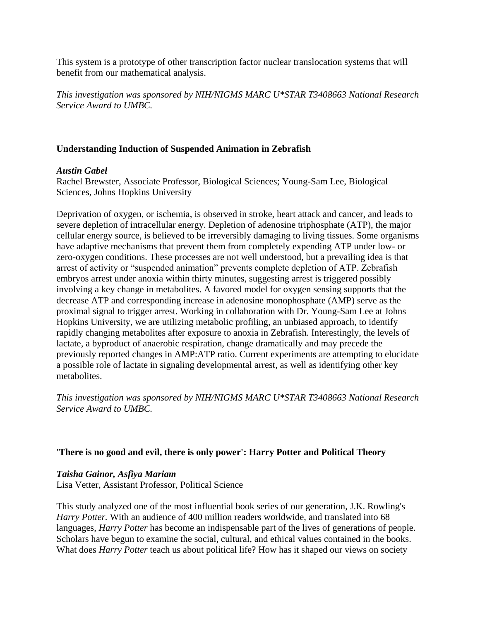This system is a prototype of other transcription factor nuclear translocation systems that will benefit from our mathematical analysis.

*This investigation was sponsored by NIH/NIGMS MARC U\*STAR T3408663 National Research Service Award to UMBC.*

# **Understanding Induction of Suspended Animation in Zebrafish**

### *Austin Gabel*

Rachel Brewster, Associate Professor, Biological Sciences; Young-Sam Lee, Biological Sciences, Johns Hopkins University

Deprivation of oxygen, or ischemia, is observed in stroke, heart attack and cancer, and leads to severe depletion of intracellular energy. Depletion of adenosine triphosphate (ATP), the major cellular energy source, is believed to be irreversibly damaging to living tissues. Some organisms have adaptive mechanisms that prevent them from completely expending ATP under low- or zero-oxygen conditions. These processes are not well understood, but a prevailing idea is that arrest of activity or "suspended animation" prevents complete depletion of ATP. Zebrafish embryos arrest under anoxia within thirty minutes, suggesting arrest is triggered possibly involving a key change in metabolites. A favored model for oxygen sensing supports that the decrease ATP and corresponding increase in adenosine monophosphate (AMP) serve as the proximal signal to trigger arrest. Working in collaboration with Dr. Young-Sam Lee at Johns Hopkins University, we are utilizing metabolic profiling, an unbiased approach, to identify rapidly changing metabolites after exposure to anoxia in Zebrafish. Interestingly, the levels of lactate, a byproduct of anaerobic respiration, change dramatically and may precede the previously reported changes in AMP:ATP ratio. Current experiments are attempting to elucidate a possible role of lactate in signaling developmental arrest, as well as identifying other key metabolites.

*This investigation was sponsored by NIH/NIGMS MARC U\*STAR T3408663 National Research Service Award to UMBC.*

## **'There is no good and evil, there is only power': Harry Potter and Political Theory**

## *Taisha Gainor, Asfiya Mariam*

Lisa Vetter, Assistant Professor, Political Science

This study analyzed one of the most influential book series of our generation, J.K. Rowling's *Harry Potter.* With an audience of 400 million readers worldwide, and translated into 68 languages, *Harry Potter* has become an indispensable part of the lives of generations of people. Scholars have begun to examine the social, cultural, and ethical values contained in the books. What does *Harry Potter* teach us about political life? How has it shaped our views on society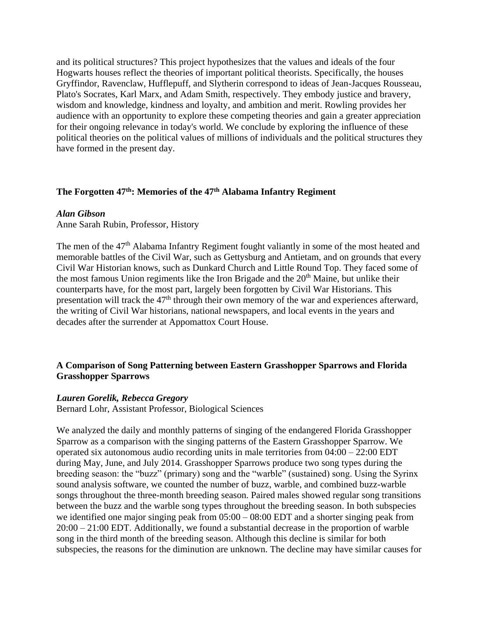and its political structures? This project hypothesizes that the values and ideals of the four Hogwarts houses reflect the theories of important political theorists. Specifically, the houses Gryffindor, Ravenclaw, Hufflepuff, and Slytherin correspond to ideas of Jean-Jacques Rousseau, Plato's Socrates, Karl Marx, and Adam Smith, respectively. They embody justice and bravery, wisdom and knowledge, kindness and loyalty, and ambition and merit. Rowling provides her audience with an opportunity to explore these competing theories and gain a greater appreciation for their ongoing relevance in today's world. We conclude by exploring the influence of these political theories on the political values of millions of individuals and the political structures they have formed in the present day.

# **The Forgotten 47th: Memories of the 47th Alabama Infantry Regiment**

### *Alan Gibson*

Anne Sarah Rubin, Professor, History

The men of the 47<sup>th</sup> Alabama Infantry Regiment fought valiantly in some of the most heated and memorable battles of the Civil War, such as Gettysburg and Antietam, and on grounds that every Civil War Historian knows, such as Dunkard Church and Little Round Top. They faced some of the most famous Union regiments like the Iron Brigade and the  $20<sup>th</sup>$  Maine, but unlike their counterparts have, for the most part, largely been forgotten by Civil War Historians. This presentation will track the 47<sup>th</sup> through their own memory of the war and experiences afterward, the writing of Civil War historians, national newspapers, and local events in the years and decades after the surrender at Appomattox Court House.

# **A Comparison of Song Patterning between Eastern Grasshopper Sparrows and Florida Grasshopper Sparrows**

### *Lauren Gorelik, Rebecca Gregory*

Bernard Lohr, Assistant Professor, Biological Sciences

We analyzed the daily and monthly patterns of singing of the endangered Florida Grasshopper Sparrow as a comparison with the singing patterns of the Eastern Grasshopper Sparrow. We operated six autonomous audio recording units in male territories from 04:00 – 22:00 EDT during May, June, and July 2014. Grasshopper Sparrows produce two song types during the breeding season: the "buzz" (primary) song and the "warble" (sustained) song. Using the Syrinx sound analysis software, we counted the number of buzz, warble, and combined buzz-warble songs throughout the three-month breeding season. Paired males showed regular song transitions between the buzz and the warble song types throughout the breeding season. In both subspecies we identified one major singing peak from  $05:00 - 08:00$  EDT and a shorter singing peak from 20:00 – 21:00 EDT. Additionally, we found a substantial decrease in the proportion of warble song in the third month of the breeding season. Although this decline is similar for both subspecies, the reasons for the diminution are unknown. The decline may have similar causes for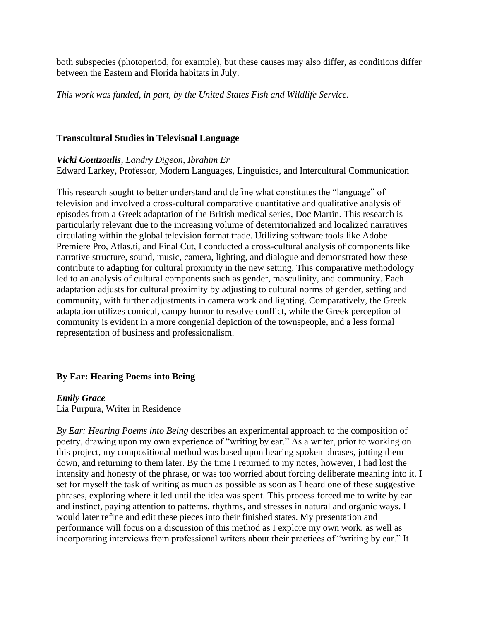both subspecies (photoperiod, for example), but these causes may also differ, as conditions differ between the Eastern and Florida habitats in July.

*This work was funded, in part, by the United States Fish and Wildlife Service.*

### **Transcultural Studies in Televisual Language**

### *Vicki Goutzoulis, Landry Digeon, Ibrahim Er*

Edward Larkey, Professor, Modern Languages, Linguistics, and Intercultural Communication

This research sought to better understand and define what constitutes the "language" of television and involved a cross-cultural comparative quantitative and qualitative analysis of episodes from a Greek adaptation of the British medical series, Doc Martin. This research is particularly relevant due to the increasing volume of deterritorialized and localized narratives circulating within the global television format trade. Utilizing software tools like Adobe Premiere Pro, Atlas.ti, and Final Cut, I conducted a cross-cultural analysis of components like narrative structure, sound, music, camera, lighting, and dialogue and demonstrated how these contribute to adapting for cultural proximity in the new setting. This comparative methodology led to an analysis of cultural components such as gender, masculinity, and community. Each adaptation adjusts for cultural proximity by adjusting to cultural norms of gender, setting and community, with further adjustments in camera work and lighting. Comparatively, the Greek adaptation utilizes comical, campy humor to resolve conflict, while the Greek perception of community is evident in a more congenial depiction of the townspeople, and a less formal representation of business and professionalism.

## **By Ear: Hearing Poems into Being**

## *Emily Grace*

Lia Purpura, Writer in Residence

*By Ear: Hearing Poems into Being* describes an experimental approach to the composition of poetry, drawing upon my own experience of "writing by ear." As a writer, prior to working on this project, my compositional method was based upon hearing spoken phrases, jotting them down, and returning to them later. By the time I returned to my notes, however, I had lost the intensity and honesty of the phrase, or was too worried about forcing deliberate meaning into it. I set for myself the task of writing as much as possible as soon as I heard one of these suggestive phrases, exploring where it led until the idea was spent. This process forced me to write by ear and instinct, paying attention to patterns, rhythms, and stresses in natural and organic ways. I would later refine and edit these pieces into their finished states. My presentation and performance will focus on a discussion of this method as I explore my own work, as well as incorporating interviews from professional writers about their practices of "writing by ear." It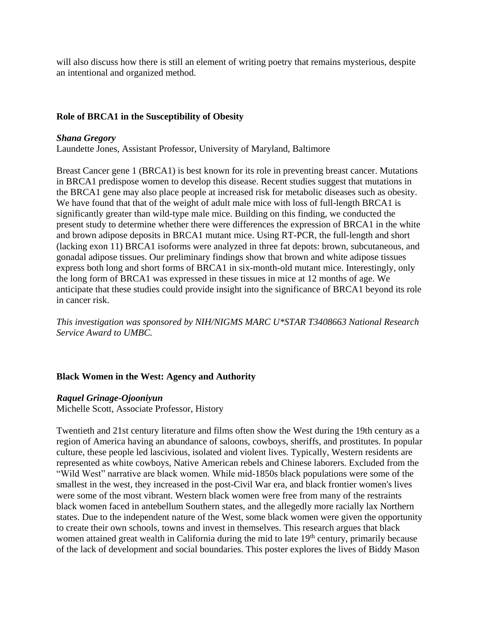will also discuss how there is still an element of writing poetry that remains mysterious, despite an intentional and organized method.

# **Role of BRCA1 in the Susceptibility of Obesity**

## *Shana Gregory*

Laundette Jones, Assistant Professor, University of Maryland, Baltimore

Breast Cancer gene 1 (BRCA1) is best known for its role in preventing breast cancer. Mutations in BRCA1 predispose women to develop this disease. Recent studies suggest that mutations in the BRCA1 gene may also place people at increased risk for metabolic diseases such as obesity. We have found that that of the weight of adult male mice with loss of full-length BRCA1 is significantly greater than wild-type male mice. Building on this finding, we conducted the present study to determine whether there were differences the expression of BRCA1 in the white and brown adipose deposits in BRCA1 mutant mice. Using RT-PCR, the full-length and short (lacking exon 11) BRCA1 isoforms were analyzed in three fat depots: brown, subcutaneous, and gonadal adipose tissues. Our preliminary findings show that brown and white adipose tissues express both long and short forms of BRCA1 in six-month-old mutant mice. Interestingly, only the long form of BRCA1 was expressed in these tissues in mice at 12 months of age. We anticipate that these studies could provide insight into the significance of BRCA1 beyond its role in cancer risk.

*This investigation was sponsored by NIH/NIGMS MARC U\*STAR T3408663 National Research Service Award to UMBC.*

# **Black Women in the West: Agency and Authority**

## *Raquel Grinage-Ojooniyun*

Michelle Scott, Associate Professor, History

Twentieth and 21st century literature and films often show the West during the 19th century as a region of America having an abundance of saloons, cowboys, sheriffs, and prostitutes. In popular culture, these people led lascivious, isolated and violent lives. Typically, Western residents are represented as white cowboys, Native American rebels and Chinese laborers. Excluded from the "Wild West" narrative are black women. While mid-1850s black populations were some of the smallest in the west, they increased in the post-Civil War era, and black frontier women's lives were some of the most vibrant. Western black women were free from many of the restraints black women faced in antebellum Southern states, and the allegedly more racially lax Northern states. Due to the independent nature of the West, some black women were given the opportunity to create their own schools, towns and invest in themselves. This research argues that black women attained great wealth in California during the mid to late 19<sup>th</sup> century, primarily because of the lack of development and social boundaries. This poster explores the lives of Biddy Mason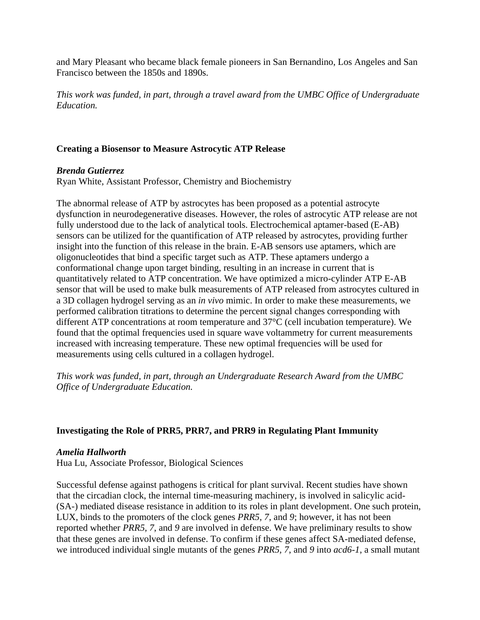and Mary Pleasant who became black female pioneers in San Bernandino, Los Angeles and San Francisco between the 1850s and 1890s.

*This work was funded, in part, through a travel award from the UMBC Office of Undergraduate Education.*

## **Creating a Biosensor to Measure Astrocytic ATP Release**

## *Brenda Gutierrez*

Ryan White, Assistant Professor, Chemistry and Biochemistry

The abnormal release of ATP by astrocytes has been proposed as a potential astrocyte dysfunction in neurodegenerative diseases. However, the roles of astrocytic ATP release are not fully understood due to the lack of analytical tools. Electrochemical aptamer-based (E-AB) sensors can be utilized for the quantification of ATP released by astrocytes, providing further insight into the function of this release in the brain. E-AB sensors use aptamers, which are oligonucleotides that bind a specific target such as ATP. These aptamers undergo a conformational change upon target binding, resulting in an increase in current that is quantitatively related to ATP concentration. We have optimized a micro-cylinder ATP E-AB sensor that will be used to make bulk measurements of ATP released from astrocytes cultured in a 3D collagen hydrogel serving as an *in vivo* mimic. In order to make these measurements, we performed calibration titrations to determine the percent signal changes corresponding with different ATP concentrations at room temperature and 37°C (cell incubation temperature). We found that the optimal frequencies used in square wave voltammetry for current measurements increased with increasing temperature. These new optimal frequencies will be used for measurements using cells cultured in a collagen hydrogel.

*This work was funded, in part, through an Undergraduate Research Award from the UMBC Office of Undergraduate Education.*

## **Investigating the Role of PRR5, PRR7, and PRR9 in Regulating Plant Immunity**

## *Amelia Hallworth*

Hua Lu, Associate Professor, Biological Sciences

Successful defense against pathogens is critical for plant survival. Recent studies have shown that the circadian clock, the internal time-measuring machinery, is involved in salicylic acid- (SA-) mediated disease resistance in addition to its roles in plant development. One such protein, LUX, binds to the promoters of the clock genes *PRR5, 7*, and *9*; however, it has not been reported whether *PRR5, 7*, and *9* are involved in defense. We have preliminary results to show that these genes are involved in defense. To confirm if these genes affect SA-mediated defense, we introduced individual single mutants of the genes *PRR5, 7*, and *9* into *acd6-1*, a small mutant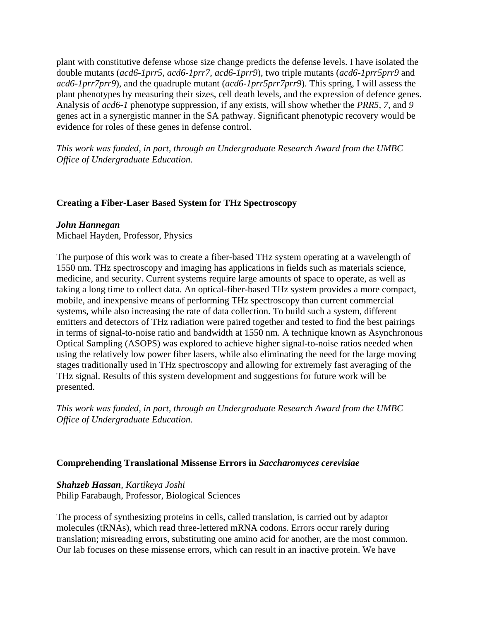plant with constitutive defense whose size change predicts the defense levels. I have isolated the double mutants (*acd6-1prr5, acd6-1prr7, acd6-1prr9*), two triple mutants (*acd6-1prr5prr9* and *acd6-1prr7prr9*), and the quadruple mutant (*acd6-1prr5prr7prr9*). This spring, I will assess the plant phenotypes by measuring their sizes, cell death levels, and the expression of defence genes. Analysis of *acd6-1* phenotype suppression, if any exists, will show whether the *PRR5, 7*, and *9* genes act in a synergistic manner in the SA pathway. Significant phenotypic recovery would be evidence for roles of these genes in defense control.

*This work was funded, in part, through an Undergraduate Research Award from the UMBC Office of Undergraduate Education.*

## **Creating a Fiber-Laser Based System for THz Spectroscopy**

#### *John Hannegan*

Michael Hayden, Professor, Physics

The purpose of this work was to create a fiber-based THz system operating at a wavelength of 1550 nm. THz spectroscopy and imaging has applications in fields such as materials science, medicine, and security. Current systems require large amounts of space to operate, as well as taking a long time to collect data. An optical-fiber-based THz system provides a more compact, mobile, and inexpensive means of performing THz spectroscopy than current commercial systems, while also increasing the rate of data collection. To build such a system, different emitters and detectors of THz radiation were paired together and tested to find the best pairings in terms of signal-to-noise ratio and bandwidth at 1550 nm. A technique known as Asynchronous Optical Sampling (ASOPS) was explored to achieve higher signal-to-noise ratios needed when using the relatively low power fiber lasers, while also eliminating the need for the large moving stages traditionally used in THz spectroscopy and allowing for extremely fast averaging of the THz signal. Results of this system development and suggestions for future work will be presented.

*This work was funded, in part, through an Undergraduate Research Award from the UMBC Office of Undergraduate Education.*

### **Comprehending Translational Missense Errors in** *Saccharomyces cerevisiae*

## *Shahzeb Hassan, Kartikeya Joshi*

Philip Farabaugh, Professor, Biological Sciences

The process of synthesizing proteins in cells, called translation, is carried out by adaptor molecules (tRNAs), which read three-lettered mRNA codons. Errors occur rarely during translation; misreading errors, substituting one amino acid for another, are the most common. Our lab focuses on these missense errors, which can result in an inactive protein. We have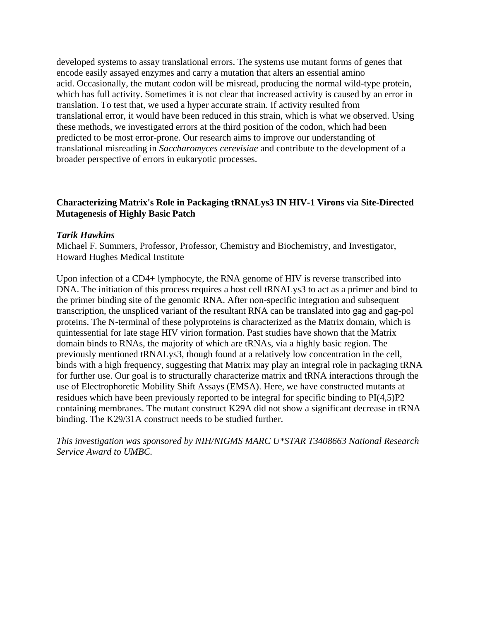developed systems to assay translational errors. The systems use mutant forms of genes that encode easily assayed enzymes and carry a mutation that alters an essential amino acid. Occasionally, the mutant codon will be misread, producing the normal wild-type protein, which has full activity. Sometimes it is not clear that increased activity is caused by an error in translation. To test that, we used a hyper accurate strain. If activity resulted from translational error, it would have been reduced in this strain, which is what we observed. Using these methods, we investigated errors at the third position of the codon, which had been predicted to be most error-prone. Our research aims to improve our understanding of translational misreading in *Saccharomyces cerevisiae* and contribute to the development of a broader perspective of errors in eukaryotic processes.

## **Characterizing Matrix's Role in Packaging tRNALys3 IN HIV-1 Virons via Site-Directed Mutagenesis of Highly Basic Patch**

### *Tarik Hawkins*

Michael F. Summers, Professor, Professor, Chemistry and Biochemistry, and Investigator, Howard Hughes Medical Institute

Upon infection of a CD4+ lymphocyte, the RNA genome of HIV is reverse transcribed into DNA. The initiation of this process requires a host cell tRNALys3 to act as a primer and bind to the primer binding site of the genomic RNA. After non-specific integration and subsequent transcription, the unspliced variant of the resultant RNA can be translated into gag and gag-pol proteins. The N-terminal of these polyproteins is characterized as the Matrix domain, which is quintessential for late stage HIV virion formation. Past studies have shown that the Matrix domain binds to RNAs, the majority of which are tRNAs, via a highly basic region. The previously mentioned tRNALys3, though found at a relatively low concentration in the cell, binds with a high frequency, suggesting that Matrix may play an integral role in packaging tRNA for further use. Our goal is to structurally characterize matrix and tRNA interactions through the use of Electrophoretic Mobility Shift Assays (EMSA). Here, we have constructed mutants at residues which have been previously reported to be integral for specific binding to PI(4,5)P2 containing membranes. The mutant construct K29A did not show a significant decrease in tRNA binding. The K29/31A construct needs to be studied further.

*This investigation was sponsored by NIH/NIGMS MARC U\*STAR T3408663 National Research Service Award to UMBC.*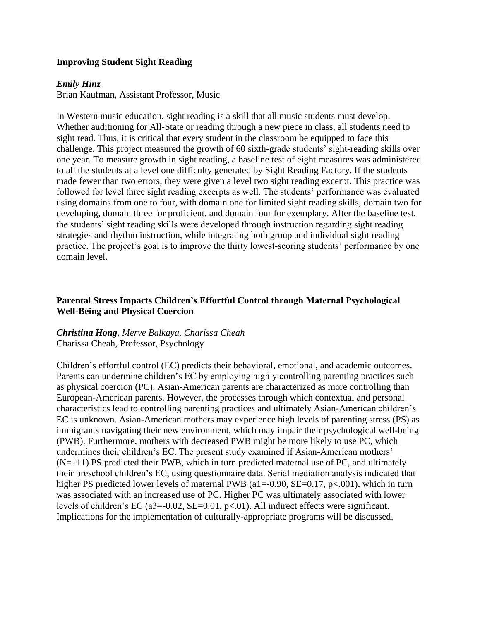## **Improving Student Sight Reading**

### *Emily Hinz*

Brian Kaufman, Assistant Professor, Music

In Western music education, sight reading is a skill that all music students must develop. Whether auditioning for All-State or reading through a new piece in class, all students need to sight read. Thus, it is critical that every student in the classroom be equipped to face this challenge. This project measured the growth of 60 sixth-grade students' sight-reading skills over one year. To measure growth in sight reading, a baseline test of eight measures was administered to all the students at a level one difficulty generated by Sight Reading Factory. If the students made fewer than two errors, they were given a level two sight reading excerpt. This practice was followed for level three sight reading excerpts as well. The students' performance was evaluated using domains from one to four, with domain one for limited sight reading skills, domain two for developing, domain three for proficient, and domain four for exemplary. After the baseline test, the students' sight reading skills were developed through instruction regarding sight reading strategies and rhythm instruction, while integrating both group and individual sight reading practice. The project's goal is to improve the thirty lowest-scoring students' performance by one domain level.

## **Parental Stress Impacts Children's Effortful Control through Maternal Psychological Well-Being and Physical Coercion**

# *Christina Hong, Merve Balkaya, Charissa Cheah* Charissa Cheah, Professor, Psychology

Children's effortful control (EC) predicts their behavioral, emotional, and academic outcomes. Parents can undermine children's EC by employing highly controlling parenting practices such as physical coercion (PC). Asian-American parents are characterized as more controlling than European-American parents. However, the processes through which contextual and personal characteristics lead to controlling parenting practices and ultimately Asian-American children's EC is unknown. Asian-American mothers may experience high levels of parenting stress (PS) as immigrants navigating their new environment, which may impair their psychological well-being (PWB). Furthermore, mothers with decreased PWB might be more likely to use PC, which undermines their children's EC. The present study examined if Asian-American mothers' (N=111) PS predicted their PWB, which in turn predicted maternal use of PC, and ultimately their preschool children's EC, using questionnaire data. Serial mediation analysis indicated that higher PS predicted lower levels of maternal PWB (a1=-0.90, SE=0.17, p<.001), which in turn was associated with an increased use of PC. Higher PC was ultimately associated with lower levels of children's EC (a3=-0.02, SE=0.01, p<.01). All indirect effects were significant. Implications for the implementation of culturally-appropriate programs will be discussed.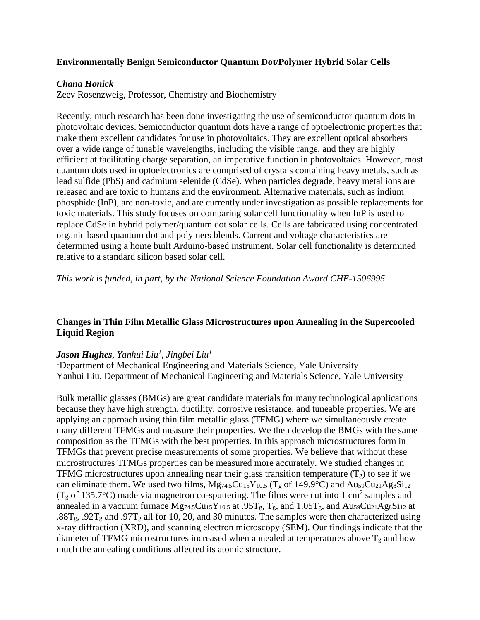## **Environmentally Benign Semiconductor Quantum Dot/Polymer Hybrid Solar Cells**

### *Chana Honick*

Zeev Rosenzweig, Professor, Chemistry and Biochemistry

Recently, much research has been done investigating the use of semiconductor quantum dots in photovoltaic devices. Semiconductor quantum dots have a range of optoelectronic properties that make them excellent candidates for use in photovoltaics. They are excellent optical absorbers over a wide range of tunable wavelengths, including the visible range, and they are highly efficient at facilitating charge separation, an imperative function in photovoltaics. However, most quantum dots used in optoelectronics are comprised of crystals containing heavy metals, such as lead sulfide (PbS) and cadmium selenide (CdSe). When particles degrade, heavy metal ions are released and are toxic to humans and the environment. Alternative materials, such as indium phosphide (InP), are non-toxic, and are currently under investigation as possible replacements for toxic materials. This study focuses on comparing solar cell functionality when InP is used to replace CdSe in hybrid polymer/quantum dot solar cells. Cells are fabricated using concentrated organic based quantum dot and polymers blends. Current and voltage characteristics are determined using a home built Arduino-based instrument. Solar cell functionality is determined relative to a standard silicon based solar cell.

*This work is funded, in part, by the National Science Foundation Award CHE-1506995.*

# **Changes in Thin Film Metallic Glass Microstructures upon Annealing in the Supercooled Liquid Region**

### *Jason Hughes, Yanhui Liu<sup>1</sup> , Jingbei Liu<sup>1</sup>*

<sup>1</sup>Department of Mechanical Engineering and Materials Science, Yale University Yanhui Liu, Department of Mechanical Engineering and Materials Science, Yale University

Bulk metallic glasses (BMGs) are great candidate materials for many technological applications because they have high strength, ductility, corrosive resistance, and tuneable properties. We are applying an approach using thin film metallic glass (TFMG) where we simultaneously create many different TFMGs and measure their properties. We then develop the BMGs with the same composition as the TFMGs with the best properties. In this approach microstructures form in TFMGs that prevent precise measurements of some properties. We believe that without these microstructures TFMGs properties can be measured more accurately. We studied changes in TFMG microstructures upon annealing near their glass transition temperature  $(T_g)$  to see if we can eliminate them. We used two films,  $Mg_{74.5}Cu_{15}Y_{10.5}$  (T<sub>g</sub> of 149.9°C) and Au<sub>59</sub>Cu<sub>21</sub>Ag<sub>8</sub>Si<sub>12</sub> ( $T_g$  of 135.7°C) made via magnetron co-sputtering. The films were cut into 1 cm<sup>2</sup> samples and annealed in a vacuum furnace  $Mg74.5Cu15Y10.5$  at .95Tg, Tg, and 1.05Tg, and Au59Cu21Ag8Si12 at .88T<sub>g</sub>, .92T<sub>g</sub> and .97T<sub>g</sub> all for 10, 20, and 30 minutes. The samples were then characterized using x-ray diffraction (XRD), and scanning electron microscopy (SEM). Our findings indicate that the diameter of TFMG microstructures increased when annealed at temperatures above  $T_g$  and how much the annealing conditions affected its atomic structure.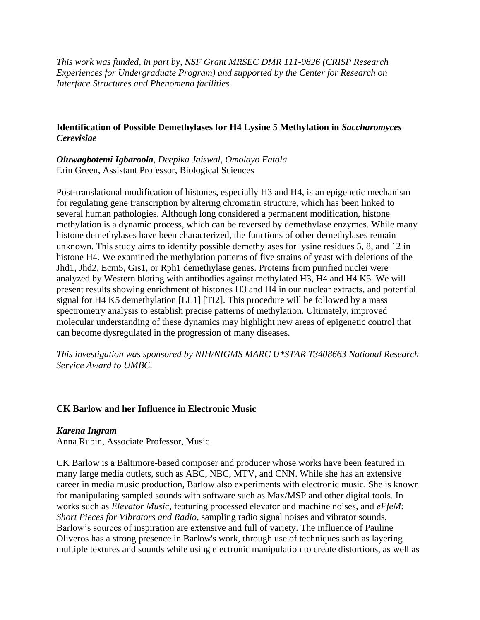*This work was funded, in part by, NSF Grant MRSEC DMR 111-9826 (CRISP Research Experiences for Undergraduate Program) and supported by the Center for Research on Interface Structures and Phenomena facilities.*

## **Identification of Possible Demethylases for H4 Lysine 5 Methylation in** *Saccharomyces Cerevisiae*

*Oluwagbotemi Igbaroola, Deepika Jaiswal, Omolayo Fatola* Erin Green, Assistant Professor, Biological Sciences

Post-translational modification of histones, especially H3 and H4, is an epigenetic mechanism for regulating gene transcription by altering chromatin structure, which has been linked to several human pathologies. Although long considered a permanent modification, histone methylation is a dynamic process, which can be reversed by demethylase enzymes. While many histone demethylases have been characterized, the functions of other demethylases remain unknown. This study aims to identify possible demethylases for lysine residues 5, 8, and 12 in histone H4. We examined the methylation patterns of five strains of yeast with deletions of the Jhd1, Jhd2, Ecm5, Gis1, or Rph1 demethylase genes. Proteins from purified nuclei were analyzed by Western bloting with antibodies against methylated H3, H4 and H4 K5. We will present results showing enrichment of histones H3 and H4 in our nuclear extracts, and potential signal for H4 K5 demethylation [LL1] [TI2]. This procedure will be followed by a mass spectrometry analysis to establish precise patterns of methylation. Ultimately, improved molecular understanding of these dynamics may highlight new areas of epigenetic control that can become dysregulated in the progression of many diseases.

*This investigation was sponsored by NIH/NIGMS MARC U\*STAR T3408663 National Research Service Award to UMBC.*

### **CK Barlow and her Influence in Electronic Music**

### *Karena Ingram*

Anna Rubin, Associate Professor, Music

CK Barlow is a Baltimore-based composer and producer whose works have been featured in many large media outlets, such as ABC, NBC, MTV, and CNN. While she has an extensive career in media music production, Barlow also experiments with electronic music. She is known for manipulating sampled sounds with software such as Max/MSP and other digital tools. In works such as *Elevator Music*, featuring processed elevator and machine noises, and *eFfeM: Short Pieces for Vibrators and Radio*, sampling radio signal noises and vibrator sounds, Barlow's sources of inspiration are extensive and full of variety. The influence of Pauline Oliveros has a strong presence in Barlow's work, through use of techniques such as layering multiple textures and sounds while using electronic manipulation to create distortions, as well as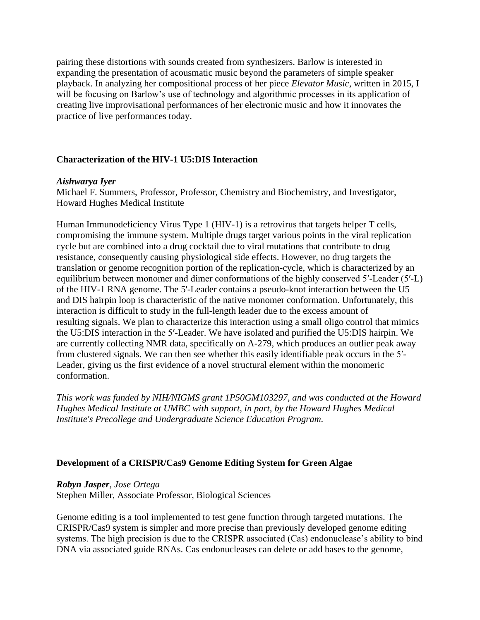pairing these distortions with sounds created from synthesizers. Barlow is interested in expanding the presentation of acousmatic music beyond the parameters of simple speaker playback. In analyzing her compositional process of her piece *Elevator Music*, written in 2015, I will be focusing on Barlow's use of technology and algorithmic processes in its application of creating live improvisational performances of her electronic music and how it innovates the practice of live performances today.

## **Characterization of the HIV-1 U5:DIS Interaction**

### *Aishwarya Iyer*

Michael F. Summers, Professor, Professor, Chemistry and Biochemistry, and Investigator, Howard Hughes Medical Institute

Human Immunodeficiency Virus Type 1 (HIV-1) is a retrovirus that targets helper T cells, compromising the immune system. Multiple drugs target various points in the viral replication cycle but are combined into a drug cocktail due to viral mutations that contribute to drug resistance, consequently causing physiological side effects. However, no drug targets the translation or genome recognition portion of the replication-cycle, which is characterized by an equilibrium between monomer and dimer conformations of the highly conserved 5′-Leader (5′-L) of the HIV-1 RNA genome. The 5'-Leader contains a pseudo-knot interaction between the U5 and DIS hairpin loop is characteristic of the native monomer conformation. Unfortunately, this interaction is difficult to study in the full-length leader due to the excess amount of resulting signals. We plan to characterize this interaction using a small oligo control that mimics the U5:DIS interaction in the 5′-Leader. We have isolated and purified the U5:DIS hairpin. We are currently collecting NMR data, specifically on A-279, which produces an outlier peak away from clustered signals. We can then see whether this easily identifiable peak occurs in the 5′- Leader, giving us the first evidence of a novel structural element within the monomeric conformation.

*This work was funded by NIH/NIGMS grant 1P50GM103297, and was conducted at the Howard Hughes Medical Institute at UMBC with support, in part, by the Howard Hughes Medical Institute's Precollege and Undergraduate Science Education Program.*

## **Development of a CRISPR/Cas9 Genome Editing System for Green Algae**

### *Robyn Jasper, Jose Ortega*

Stephen Miller, Associate Professor, Biological Sciences

Genome editing is a tool implemented to test gene function through targeted mutations. The CRISPR/Cas9 system is simpler and more precise than previously developed genome editing systems. The high precision is due to the CRISPR associated (Cas) endonuclease's ability to bind DNA via associated guide RNAs. Cas endonucleases can delete or add bases to the genome,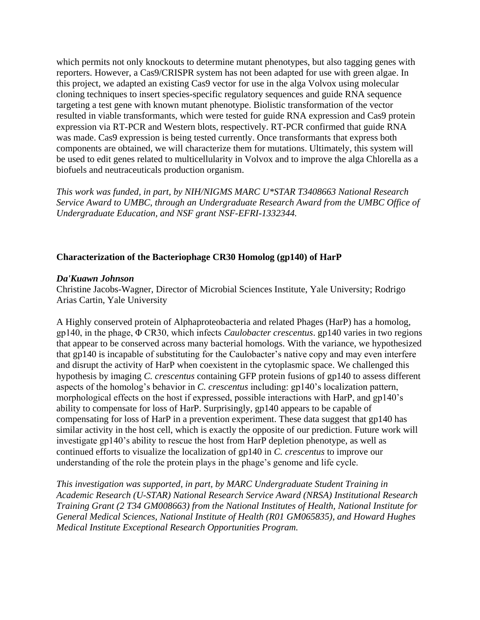which permits not only knockouts to determine mutant phenotypes, but also tagging genes with reporters. However, a Cas9/CRISPR system has not been adapted for use with green algae. In this project, we adapted an existing Cas9 vector for use in the alga Volvox using molecular cloning techniques to insert species-specific regulatory sequences and guide RNA sequence targeting a test gene with known mutant phenotype. Biolistic transformation of the vector resulted in viable transformants, which were tested for guide RNA expression and Cas9 protein expression via RT-PCR and Western blots, respectively. RT-PCR confirmed that guide RNA was made. Cas9 expression is being tested currently. Once transformants that express both components are obtained, we will characterize them for mutations. Ultimately, this system will be used to edit genes related to multicellularity in Volvox and to improve the alga Chlorella as a biofuels and neutraceuticals production organism.

*This work was funded, in part, by NIH/NIGMS MARC U\*STAR T3408663 National Research Service Award to UMBC, through an Undergraduate Research Award from the UMBC Office of Undergraduate Education, and NSF grant NSF-EFRI-1332344.*

## **Characterization of the Bacteriophage CR30 Homolog (gp140) of HarP**

### *Da'Kuawn Johnson*

Christine Jacobs-Wagner, Director of Microbial Sciences Institute, Yale University; Rodrigo Arias Cartin, Yale University

A Highly conserved protein of Alphaproteobacteria and related Phages (HarP) has a homolog, gp140, in the phage, Φ CR30, which infects *Caulobacter crescentus*. gp140 varies in two regions that appear to be conserved across many bacterial homologs. With the variance, we hypothesized that gp140 is incapable of substituting for the Caulobacter's native copy and may even interfere and disrupt the activity of HarP when coexistent in the cytoplasmic space. We challenged this hypothesis by imaging *C. crescentus* containing GFP protein fusions of gp140 to assess different aspects of the homolog's behavior in *C. crescentus* including: gp140's localization pattern, morphological effects on the host if expressed, possible interactions with HarP, and gp140's ability to compensate for loss of HarP. Surprisingly, gp140 appears to be capable of compensating for loss of HarP in a prevention experiment. These data suggest that gp140 has similar activity in the host cell, which is exactly the opposite of our prediction. Future work will investigate gp140's ability to rescue the host from HarP depletion phenotype, as well as continued efforts to visualize the localization of gp140 in *C. crescentus* to improve our understanding of the role the protein plays in the phage's genome and life cycle.

*This investigation was supported, in part, by MARC Undergraduate Student Training in Academic Research (U-STAR) National Research Service Award (NRSA) Institutional Research Training Grant (2 T34 GM008663) from the National Institutes of Health, National Institute for General Medical Sciences, National Institute of Health (R01 GM065835), and Howard Hughes Medical Institute Exceptional Research Opportunities Program.*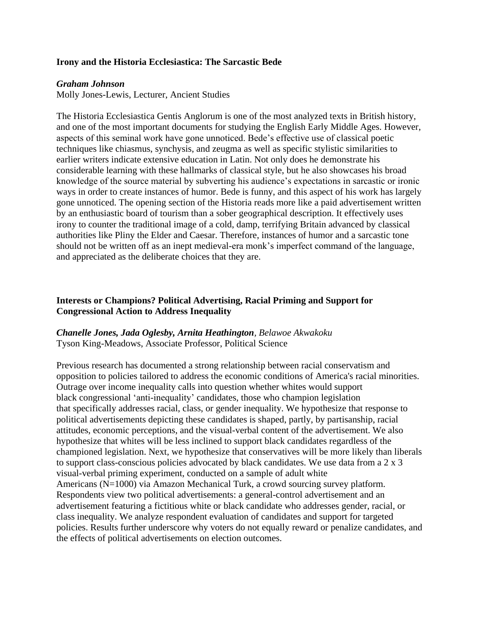## **Irony and the Historia Ecclesiastica: The Sarcastic Bede**

### *Graham Johnson*

Molly Jones-Lewis, Lecturer, Ancient Studies

The Historia Ecclesiastica Gentis Anglorum is one of the most analyzed texts in British history, and one of the most important documents for studying the English Early Middle Ages. However, aspects of this seminal work have gone unnoticed. Bede's effective use of classical poetic techniques like chiasmus, synchysis, and zeugma as well as specific stylistic similarities to earlier writers indicate extensive education in Latin. Not only does he demonstrate his considerable learning with these hallmarks of classical style, but he also showcases his broad knowledge of the source material by subverting his audience's expectations in sarcastic or ironic ways in order to create instances of humor. Bede is funny, and this aspect of his work has largely gone unnoticed. The opening section of the Historia reads more like a paid advertisement written by an enthusiastic board of tourism than a sober geographical description. It effectively uses irony to counter the traditional image of a cold, damp, terrifying Britain advanced by classical authorities like Pliny the Elder and Caesar. Therefore, instances of humor and a sarcastic tone should not be written off as an inept medieval-era monk's imperfect command of the language, and appreciated as the deliberate choices that they are.

## **Interests or Champions? Political Advertising, Racial Priming and Support for Congressional Action to Address Inequality**

# *Chanelle Jones, Jada Oglesby, Arnita Heathington, Belawoe Akwakoku* Tyson King-Meadows, Associate Professor, Political Science

Previous research has documented a strong relationship between racial conservatism and opposition to policies tailored to address the economic conditions of America's racial minorities. Outrage over income inequality calls into question whether whites would support black congressional 'anti-inequality' candidates, those who champion legislation that specifically addresses racial, class, or gender inequality. We hypothesize that response to political advertisements depicting these candidates is shaped, partly, by partisanship, racial attitudes, economic perceptions, and the visual-verbal content of the advertisement. We also hypothesize that whites will be less inclined to support black candidates regardless of the championed legislation. Next, we hypothesize that conservatives will be more likely than liberals to support class-conscious policies advocated by black candidates. We use data from a 2 x 3 visual-verbal priming experiment, conducted on a sample of adult white Americans (N=1000) via Amazon Mechanical Turk, a crowd sourcing survey platform. Respondents view two political advertisements: a general-control advertisement and an advertisement featuring a fictitious white or black candidate who addresses gender, racial, or class inequality. We analyze respondent evaluation of candidates and support for targeted policies. Results further underscore why voters do not equally reward or penalize candidates, and the effects of political advertisements on election outcomes.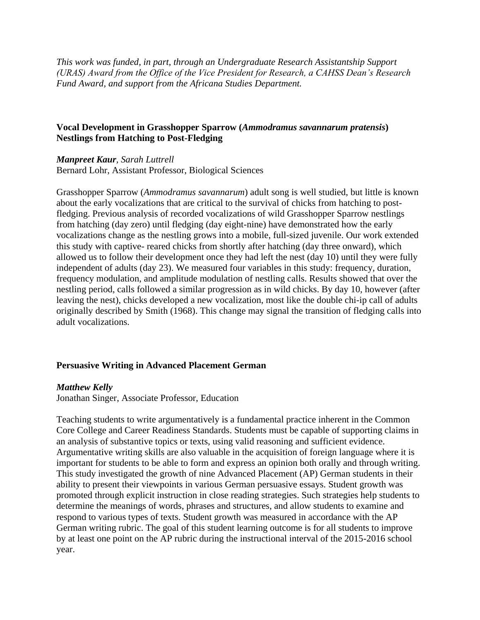*This work was funded, in part, through an Undergraduate Research Assistantship Support (URAS) Award from the Office of the Vice President for Research, a CAHSS Dean's Research Fund Award, and support from the Africana Studies Department.*

## **Vocal Development in Grasshopper Sparrow (***Ammodramus savannarum pratensis***) Nestlings from Hatching to Post-Fledging**

### *Manpreet Kaur, Sarah Luttrell*

Bernard Lohr, Assistant Professor, Biological Sciences

Grasshopper Sparrow (*Ammodramus savannarum*) adult song is well studied, but little is known about the early vocalizations that are critical to the survival of chicks from hatching to postfledging. Previous analysis of recorded vocalizations of wild Grasshopper Sparrow nestlings from hatching (day zero) until fledging (day eight-nine) have demonstrated how the early vocalizations change as the nestling grows into a mobile, full-sized juvenile. Our work extended this study with captive- reared chicks from shortly after hatching (day three onward), which allowed us to follow their development once they had left the nest (day 10) until they were fully independent of adults (day 23). We measured four variables in this study: frequency, duration, frequency modulation, and amplitude modulation of nestling calls. Results showed that over the nestling period, calls followed a similar progression as in wild chicks. By day 10, however (after leaving the nest), chicks developed a new vocalization, most like the double chi-ip call of adults originally described by Smith (1968). This change may signal the transition of fledging calls into adult vocalizations.

### **Persuasive Writing in Advanced Placement German**

#### *Matthew Kelly*

Jonathan Singer, Associate Professor, Education

Teaching students to write argumentatively is a fundamental practice inherent in the Common Core College and Career Readiness Standards. Students must be capable of supporting claims in an analysis of substantive topics or texts, using valid reasoning and sufficient evidence. Argumentative writing skills are also valuable in the acquisition of foreign language where it is important for students to be able to form and express an opinion both orally and through writing. This study investigated the growth of nine Advanced Placement (AP) German students in their ability to present their viewpoints in various German persuasive essays. Student growth was promoted through explicit instruction in close reading strategies. Such strategies help students to determine the meanings of words, phrases and structures, and allow students to examine and respond to various types of texts. Student growth was measured in accordance with the AP German writing rubric. The goal of this student learning outcome is for all students to improve by at least one point on the AP rubric during the instructional interval of the 2015-2016 school year.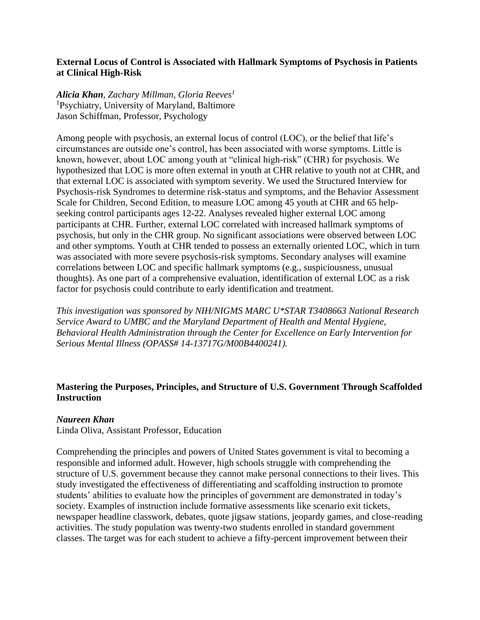# **External Locus of Control is Associated with Hallmark Symptoms of Psychosis in Patients at Clinical High-Risk**

*Alicia Khan, Zachary Millman, Gloria Reeves<sup>1</sup>* <sup>1</sup>Psychiatry, University of Maryland, Baltimore Jason Schiffman, Professor, Psychology

Among people with psychosis, an external locus of control (LOC), or the belief that life's circumstances are outside one's control, has been associated with worse symptoms. Little is known, however, about LOC among youth at "clinical high-risk" (CHR) for psychosis. We hypothesized that LOC is more often external in youth at CHR relative to youth not at CHR, and that external LOC is associated with symptom severity. We used the Structured Interview for Psychosis-risk Syndromes to determine risk-status and symptoms, and the Behavior Assessment Scale for Children, Second Edition, to measure LOC among 45 youth at CHR and 65 helpseeking control participants ages 12-22. Analyses revealed higher external LOC among participants at CHR. Further, external LOC correlated with increased hallmark symptoms of psychosis, but only in the CHR group. No significant associations were observed between LOC and other symptoms. Youth at CHR tended to possess an externally oriented LOC, which in turn was associated with more severe psychosis-risk symptoms. Secondary analyses will examine correlations between LOC and specific hallmark symptoms (e.g., suspiciousness, unusual thoughts). As one part of a comprehensive evaluation, identification of external LOC as a risk factor for psychosis could contribute to early identification and treatment.

*This investigation was sponsored by NIH/NIGMS MARC U\*STAR T3408663 National Research Service Award to UMBC and the Maryland Department of Health and Mental Hygiene, Behavioral Health Administration through the Center for Excellence on Early Intervention for Serious Mental Illness (OPASS# 14-13717G/M00B4400241).*

# **Mastering the Purposes, Principles, and Structure of U.S. Government Through Scaffolded Instruction**

## *Naureen Khan*

Linda Oliva, Assistant Professor, Education

Comprehending the principles and powers of United States government is vital to becoming a responsible and informed adult. However, high schools struggle with comprehending the structure of U.S. government because they cannot make personal connections to their lives. This study investigated the effectiveness of differentiating and scaffolding instruction to promote students' abilities to evaluate how the principles of government are demonstrated in today's society. Examples of instruction include formative assessments like scenario exit tickets, newspaper headline classwork, debates, quote jigsaw stations, jeopardy games, and close-reading activities. The study population was twenty-two students enrolled in standard government classes. The target was for each student to achieve a fifty-percent improvement between their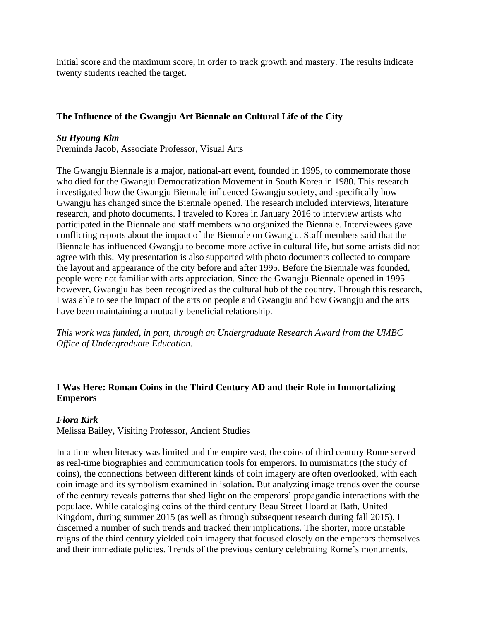initial score and the maximum score, in order to track growth and mastery. The results indicate twenty students reached the target.

# **The Influence of the Gwangju Art Biennale on Cultural Life of the City**

## *Su Hyoung Kim*

Preminda Jacob, Associate Professor, Visual Arts

The Gwangju Biennale is a major, national-art event, founded in 1995, to commemorate those who died for the Gwangju Democratization Movement in South Korea in 1980. This research investigated how the Gwangju Biennale influenced Gwangju society, and specifically how Gwangju has changed since the Biennale opened. The research included interviews, literature research, and photo documents. I traveled to Korea in January 2016 to interview artists who participated in the Biennale and staff members who organized the Biennale. Interviewees gave conflicting reports about the impact of the Biennale on Gwangju. Staff members said that the Biennale has influenced Gwangju to become more active in cultural life, but some artists did not agree with this. My presentation is also supported with photo documents collected to compare the layout and appearance of the city before and after 1995. Before the Biennale was founded, people were not familiar with arts appreciation. Since the Gwangju Biennale opened in 1995 however, Gwangju has been recognized as the cultural hub of the country. Through this research, I was able to see the impact of the arts on people and Gwangju and how Gwangju and the arts have been maintaining a mutually beneficial relationship.

*This work was funded, in part, through an Undergraduate Research Award from the UMBC Office of Undergraduate Education.*

# **I Was Here: Roman Coins in the Third Century AD and their Role in Immortalizing Emperors**

# *Flora Kirk*

Melissa Bailey, Visiting Professor, Ancient Studies

In a time when literacy was limited and the empire vast, the coins of third century Rome served as real-time biographies and communication tools for emperors. In numismatics (the study of coins), the connections between different kinds of coin imagery are often overlooked, with each coin image and its symbolism examined in isolation. But analyzing image trends over the course of the century reveals patterns that shed light on the emperors' propagandic interactions with the populace. While cataloging coins of the third century Beau Street Hoard at Bath, United Kingdom, during summer 2015 (as well as through subsequent research during fall 2015), I discerned a number of such trends and tracked their implications. The shorter, more unstable reigns of the third century yielded coin imagery that focused closely on the emperors themselves and their immediate policies. Trends of the previous century celebrating Rome's monuments,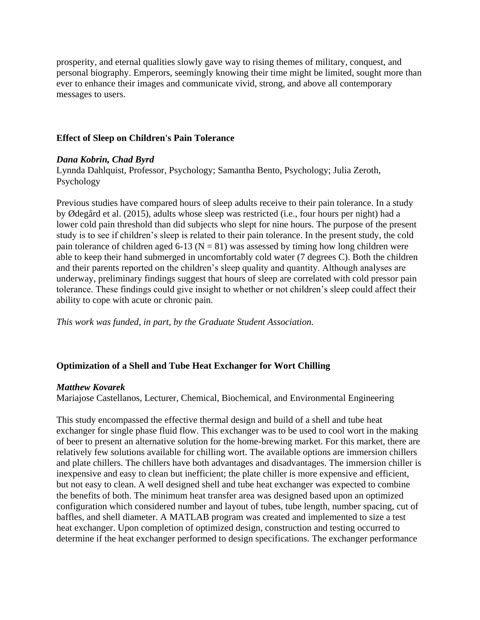prosperity, and eternal qualities slowly gave way to rising themes of military, conquest, and personal biography. Emperors, seemingly knowing their time might be limited, sought more than ever to enhance their images and communicate vivid, strong, and above all contemporary messages to users.

## **Effect of Sleep on Children's Pain Tolerance**

# *Dana Kobrin, Chad Byrd*

Lynnda Dahlquist, Professor, Psychology; Samantha Bento, Psychology; Julia Zeroth, Psychology

Previous studies have compared hours of sleep adults receive to their pain tolerance. In a study by Ødegård et al. (2015), adults whose sleep was restricted (i.e., four hours per night) had a lower cold pain threshold than did subjects who slept for nine hours. The purpose of the present study is to see if children's sleep is related to their pain tolerance. In the present study, the cold pain tolerance of children aged 6-13 ( $N = 81$ ) was assessed by timing how long children were able to keep their hand submerged in uncomfortably cold water (7 degrees C). Both the children and their parents reported on the children's sleep quality and quantity. Although analyses are underway, preliminary findings suggest that hours of sleep are correlated with cold pressor pain tolerance. These findings could give insight to whether or not children's sleep could affect their ability to cope with acute or chronic pain.

*This work was funded, in part, by the Graduate Student Association.*

# **Optimization of a Shell and Tube Heat Exchanger for Wort Chilling**

## *Matthew Kovarek*

Mariajose Castellanos, Lecturer, Chemical, Biochemical, and Environmental Engineering

This study encompassed the effective thermal design and build of a shell and tube heat exchanger for single phase fluid flow. This exchanger was to be used to cool wort in the making of beer to present an alternative solution for the home-brewing market. For this market, there are relatively few solutions available for chilling wort. The available options are immersion chillers and plate chillers. The chillers have both advantages and disadvantages. The immersion chiller is inexpensive and easy to clean but inefficient; the plate chiller is more expensive and efficient, but not easy to clean. A well designed shell and tube heat exchanger was expected to combine the benefits of both. The minimum heat transfer area was designed based upon an optimized configuration which considered number and layout of tubes, tube length, number spacing, cut of baffles, and shell diameter. A MATLAB program was created and implemented to size a test heat exchanger. Upon completion of optimized design, construction and testing occurred to determine if the heat exchanger performed to design specifications. The exchanger performance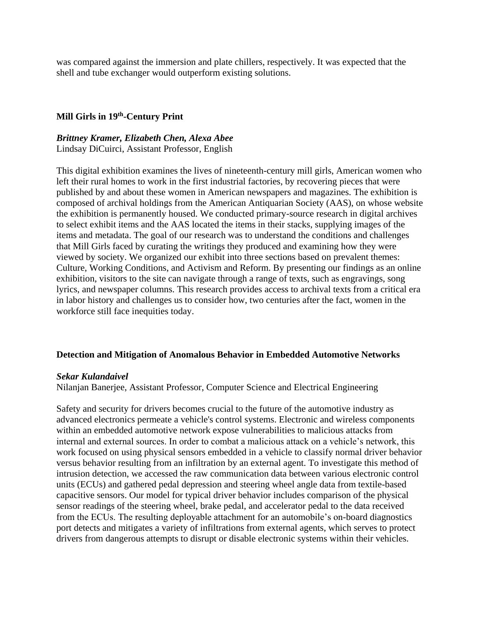was compared against the immersion and plate chillers, respectively. It was expected that the shell and tube exchanger would outperform existing solutions.

## **Mill Girls in 19th -Century Print**

*Brittney Kramer, Elizabeth Chen, Alexa Abee* Lindsay DiCuirci, Assistant Professor, English

This digital exhibition examines the lives of nineteenth-century mill girls, American women who left their rural homes to work in the first industrial factories, by recovering pieces that were published by and about these women in American newspapers and magazines. The exhibition is composed of archival holdings from the American Antiquarian Society (AAS), on whose website the exhibition is permanently housed. We conducted primary-source research in digital archives to select exhibit items and the AAS located the items in their stacks, supplying images of the items and metadata. The goal of our research was to understand the conditions and challenges that Mill Girls faced by curating the writings they produced and examining how they were viewed by society. We organized our exhibit into three sections based on prevalent themes: Culture, Working Conditions, and Activism and Reform. By presenting our findings as an online exhibition, visitors to the site can navigate through a range of texts, such as engravings, song lyrics, and newspaper columns. This research provides access to archival texts from a critical era in labor history and challenges us to consider how, two centuries after the fact, women in the workforce still face inequities today.

### **Detection and Mitigation of Anomalous Behavior in Embedded Automotive Networks**

### *Sekar Kulandaivel*

Nilanjan Banerjee, Assistant Professor, Computer Science and Electrical Engineering

Safety and security for drivers becomes crucial to the future of the automotive industry as advanced electronics permeate a vehicle's control systems. Electronic and wireless components within an embedded automotive network expose vulnerabilities to malicious attacks from internal and external sources. In order to combat a malicious attack on a vehicle's network, this work focused on using physical sensors embedded in a vehicle to classify normal driver behavior versus behavior resulting from an infiltration by an external agent. To investigate this method of intrusion detection, we accessed the raw communication data between various electronic control units (ECUs) and gathered pedal depression and steering wheel angle data from textile-based capacitive sensors. Our model for typical driver behavior includes comparison of the physical sensor readings of the steering wheel, brake pedal, and accelerator pedal to the data received from the ECUs. The resulting deployable attachment for an automobile's on-board diagnostics port detects and mitigates a variety of infiltrations from external agents, which serves to protect drivers from dangerous attempts to disrupt or disable electronic systems within their vehicles.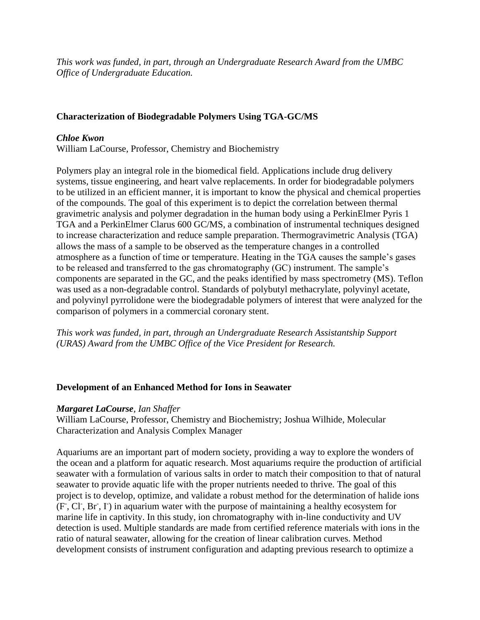*This work was funded, in part, through an Undergraduate Research Award from the UMBC Office of Undergraduate Education.*

# **Characterization of Biodegradable Polymers Using TGA-GC/MS**

# *Chloe Kwon*

William LaCourse, Professor, Chemistry and Biochemistry

Polymers play an integral role in the biomedical field. Applications include drug delivery systems, tissue engineering, and heart valve replacements. In order for biodegradable polymers to be utilized in an efficient manner, it is important to know the physical and chemical properties of the compounds. The goal of this experiment is to depict the correlation between thermal gravimetric analysis and polymer degradation in the human body using a PerkinElmer Pyris 1 TGA and a PerkinElmer Clarus 600 GC/MS, a combination of instrumental techniques designed to increase characterization and reduce sample preparation. Thermogravimetric Analysis (TGA) allows the mass of a sample to be observed as the temperature changes in a controlled atmosphere as a function of time or temperature. Heating in the TGA causes the sample's gases to be released and transferred to the gas chromatography (GC) instrument. The sample's components are separated in the GC, and the peaks identified by mass spectrometry (MS). Teflon was used as a non-degradable control. Standards of polybutyl methacrylate, polyvinyl acetate, and polyvinyl pyrrolidone were the biodegradable polymers of interest that were analyzed for the comparison of polymers in a commercial coronary stent.

*This work was funded, in part, through an Undergraduate Research Assistantship Support (URAS) Award from the UMBC Office of the Vice President for Research.*

## **Development of an Enhanced Method for Ions in Seawater**

## *Margaret LaCourse, Ian Shaffer*

William LaCourse, Professor, Chemistry and Biochemistry; Joshua Wilhide, Molecular Characterization and Analysis Complex Manager

Aquariums are an important part of modern society, providing a way to explore the wonders of the ocean and a platform for aquatic research. Most aquariums require the production of artificial seawater with a formulation of various salts in order to match their composition to that of natural seawater to provide aquatic life with the proper nutrients needed to thrive. The goal of this project is to develop, optimize, and validate a robust method for the determination of halide ions (F- , Cl- , Br- , I- ) in aquarium water with the purpose of maintaining a healthy ecosystem for marine life in captivity. In this study, ion chromatography with in-line conductivity and UV detection is used. Multiple standards are made from certified reference materials with ions in the ratio of natural seawater, allowing for the creation of linear calibration curves. Method development consists of instrument configuration and adapting previous research to optimize a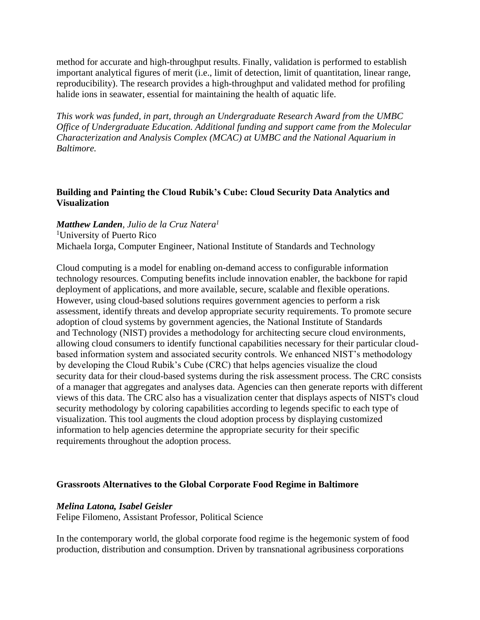method for accurate and high-throughput results. Finally, validation is performed to establish important analytical figures of merit (i.e., limit of detection, limit of quantitation, linear range, reproducibility). The research provides a high-throughput and validated method for profiling halide ions in seawater, essential for maintaining the health of aquatic life.

*This work was funded, in part, through an Undergraduate Research Award from the UMBC Office of Undergraduate Education. Additional funding and support came from the Molecular Characterization and Analysis Complex (MCAC) at UMBC and the National Aquarium in Baltimore.* 

# **Building and Painting the Cloud Rubik's Cube: Cloud Security Data Analytics and Visualization**

*Matthew Landen, Julio de la Cruz Natera<sup>1</sup>* <sup>1</sup>University of Puerto Rico Michaela Iorga, Computer Engineer, National Institute of Standards and Technology

Cloud computing is a model for enabling on-demand access to configurable information technology resources. Computing benefits include innovation enabler, the backbone for rapid deployment of applications, and more available, secure, scalable and flexible operations. However, using cloud-based solutions requires government agencies to perform a risk assessment, identify threats and develop appropriate security requirements. To promote secure adoption of cloud systems by government agencies, the National Institute of Standards and Technology (NIST) provides a methodology for architecting secure cloud environments, allowing cloud consumers to identify functional capabilities necessary for their particular cloudbased information system and associated security controls. We enhanced NIST's methodology by developing the Cloud Rubik's Cube (CRC) that helps agencies visualize the cloud security data for their cloud-based systems during the risk assessment process. The CRC consists of a manager that aggregates and analyses data. Agencies can then generate reports with different views of this data. The CRC also has a visualization center that displays aspects of NIST's cloud security methodology by coloring capabilities according to legends specific to each type of visualization. This tool augments the cloud adoption process by displaying customized information to help agencies determine the appropriate security for their specific requirements throughout the adoption process.

## **Grassroots Alternatives to the Global Corporate Food Regime in Baltimore**

## *Melina Latona, Isabel Geisler*

Felipe Filomeno, Assistant Professor, Political Science

In the contemporary world, the global corporate food regime is the hegemonic system of food production, distribution and consumption. Driven by transnational agribusiness corporations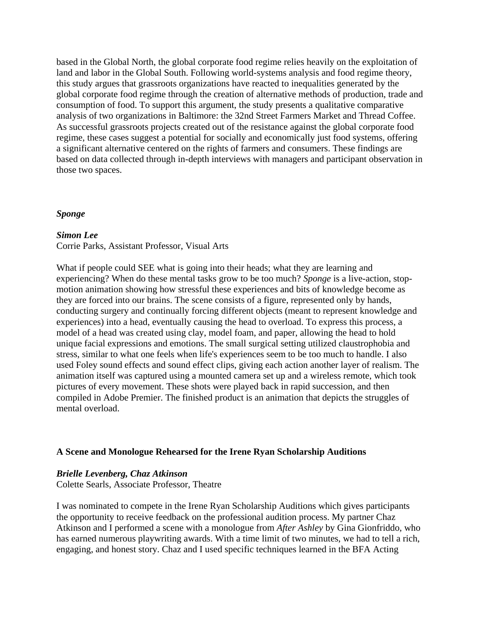based in the Global North, the global corporate food regime relies heavily on the exploitation of land and labor in the Global South. Following world-systems analysis and food regime theory, this study argues that grassroots organizations have reacted to inequalities generated by the global corporate food regime through the creation of alternative methods of production, trade and consumption of food. To support this argument, the study presents a qualitative comparative analysis of two organizations in Baltimore: the 32nd Street Farmers Market and Thread Coffee. As successful grassroots projects created out of the resistance against the global corporate food regime, these cases suggest a potential for socially and economically just food systems, offering a significant alternative centered on the rights of farmers and consumers. These findings are based on data collected through in-depth interviews with managers and participant observation in those two spaces.

## *Sponge*

### *Simon Lee*

Corrie Parks, Assistant Professor, Visual Arts

What if people could SEE what is going into their heads; what they are learning and experiencing? When do these mental tasks grow to be too much? *Sponge* is a live-action, stopmotion animation showing how stressful these experiences and bits of knowledge become as they are forced into our brains. The scene consists of a figure, represented only by hands, conducting surgery and continually forcing different objects (meant to represent knowledge and experiences) into a head, eventually causing the head to overload. To express this process, a model of a head was created using clay, model foam, and paper, allowing the head to hold unique facial expressions and emotions. The small surgical setting utilized claustrophobia and stress, similar to what one feels when life's experiences seem to be too much to handle. I also used Foley sound effects and sound effect clips, giving each action another layer of realism. The animation itself was captured using a mounted camera set up and a wireless remote, which took pictures of every movement. These shots were played back in rapid succession, and then compiled in Adobe Premier. The finished product is an animation that depicts the struggles of mental overload.

## **A Scene and Monologue Rehearsed for the Irene Ryan Scholarship Auditions**

## *Brielle Levenberg, Chaz Atkinson*

Colette Searls, Associate Professor, Theatre

I was nominated to compete in the Irene Ryan Scholarship Auditions which gives participants the opportunity to receive feedback on the professional audition process. My partner Chaz Atkinson and I performed a scene with a monologue from *After Ashley* by Gina Gionfriddo, who has earned numerous playwriting awards. With a time limit of two minutes, we had to tell a rich, engaging, and honest story. Chaz and I used specific techniques learned in the BFA Acting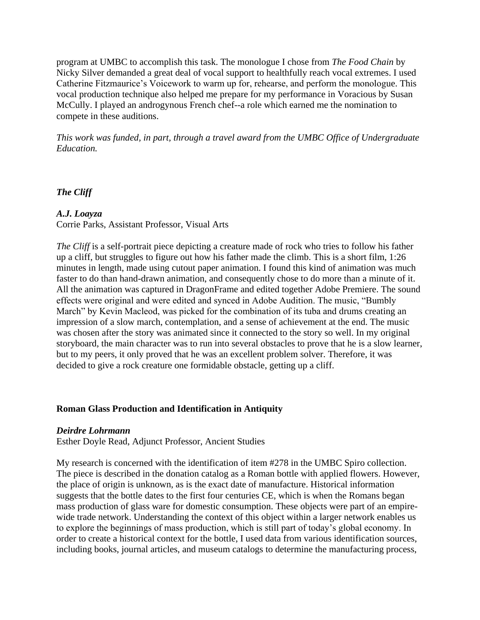program at UMBC to accomplish this task. The monologue I chose from *The Food Chain* by Nicky Silver demanded a great deal of vocal support to healthfully reach vocal extremes. I used Catherine Fitzmaurice's Voicework to warm up for, rehearse, and perform the monologue. This vocal production technique also helped me prepare for my performance in Voracious by Susan McCully. I played an androgynous French chef--a role which earned me the nomination to compete in these auditions.

*This work was funded, in part, through a travel award from the UMBC Office of Undergraduate Education.*

*The Cliff*

### *A.J. Loayza*

Corrie Parks, Assistant Professor, Visual Arts

*The Cliff* is a self-portrait piece depicting a creature made of rock who tries to follow his father up a cliff, but struggles to figure out how his father made the climb. This is a short film, 1:26 minutes in length, made using cutout paper animation. I found this kind of animation was much faster to do than hand-drawn animation, and consequently chose to do more than a minute of it. All the animation was captured in DragonFrame and edited together Adobe Premiere. The sound effects were original and were edited and synced in Adobe Audition. The music, "Bumbly March" by Kevin Macleod, was picked for the combination of its tuba and drums creating an impression of a slow march, contemplation, and a sense of achievement at the end. The music was chosen after the story was animated since it connected to the story so well. In my original storyboard, the main character was to run into several obstacles to prove that he is a slow learner, but to my peers, it only proved that he was an excellent problem solver. Therefore, it was decided to give a rock creature one formidable obstacle, getting up a cliff.

### **Roman Glass Production and Identification in Antiquity**

### *Deirdre Lohrmann*

Esther Doyle Read, Adjunct Professor, Ancient Studies

My research is concerned with the identification of item #278 in the UMBC Spiro collection. The piece is described in the donation catalog as a Roman bottle with applied flowers. However, the place of origin is unknown, as is the exact date of manufacture. Historical information suggests that the bottle dates to the first four centuries CE, which is when the Romans began mass production of glass ware for domestic consumption. These objects were part of an empirewide trade network. Understanding the context of this object within a larger network enables us to explore the beginnings of mass production, which is still part of today's global economy. In order to create a historical context for the bottle, I used data from various identification sources, including books, journal articles, and museum catalogs to determine the manufacturing process,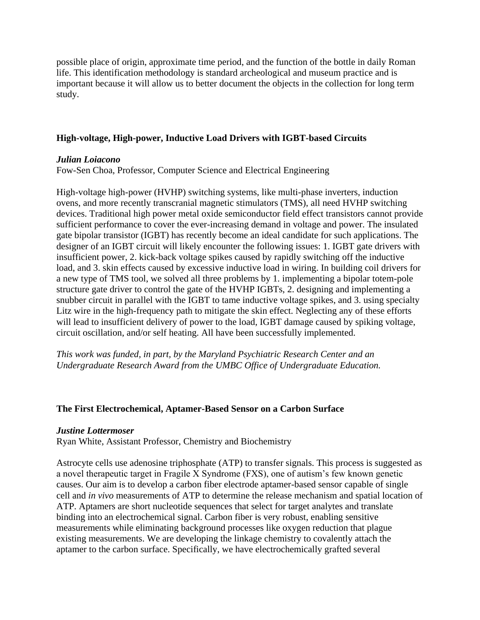possible place of origin, approximate time period, and the function of the bottle in daily Roman life. This identification methodology is standard archeological and museum practice and is important because it will allow us to better document the objects in the collection for long term study.

### **High-voltage, High-power, Inductive Load Drivers with IGBT-based Circuits**

### *Julian Loiacono*

Fow-Sen Choa, Professor, Computer Science and Electrical Engineering

High-voltage high-power (HVHP) switching systems, like multi-phase inverters, induction ovens, and more recently transcranial magnetic stimulators (TMS), all need HVHP switching devices. Traditional high power metal oxide semiconductor field effect transistors cannot provide sufficient performance to cover the ever-increasing demand in voltage and power. The insulated gate bipolar transistor (IGBT) has recently become an ideal candidate for such applications. The designer of an IGBT circuit will likely encounter the following issues: 1. IGBT gate drivers with insufficient power, 2. kick-back voltage spikes caused by rapidly switching off the inductive load, and 3. skin effects caused by excessive inductive load in wiring. In building coil drivers for a new type of TMS tool, we solved all three problems by 1. implementing a bipolar totem-pole structure gate driver to control the gate of the HVHP IGBTs, 2. designing and implementing a snubber circuit in parallel with the IGBT to tame inductive voltage spikes, and 3. using specialty Litz wire in the high-frequency path to mitigate the skin effect. Neglecting any of these efforts will lead to insufficient delivery of power to the load, IGBT damage caused by spiking voltage, circuit oscillation, and/or self heating. All have been successfully implemented.

*This work was funded, in part, by the Maryland Psychiatric Research Center and an Undergraduate Research Award from the UMBC Office of Undergraduate Education.*

### **The First Electrochemical, Aptamer-Based Sensor on a Carbon Surface**

#### *Justine Lottermoser*

Ryan White, Assistant Professor, Chemistry and Biochemistry

Astrocyte cells use adenosine triphosphate (ATP) to transfer signals. This process is suggested as a novel therapeutic target in Fragile X Syndrome (FXS), one of autism's few known genetic causes. Our aim is to develop a carbon fiber electrode aptamer-based sensor capable of single cell and *in vivo* measurements of ATP to determine the release mechanism and spatial location of ATP. Aptamers are short nucleotide sequences that select for target analytes and translate binding into an electrochemical signal. Carbon fiber is very robust, enabling sensitive measurements while eliminating background processes like oxygen reduction that plague existing measurements. We are developing the linkage chemistry to covalently attach the aptamer to the carbon surface. Specifically, we have electrochemically grafted several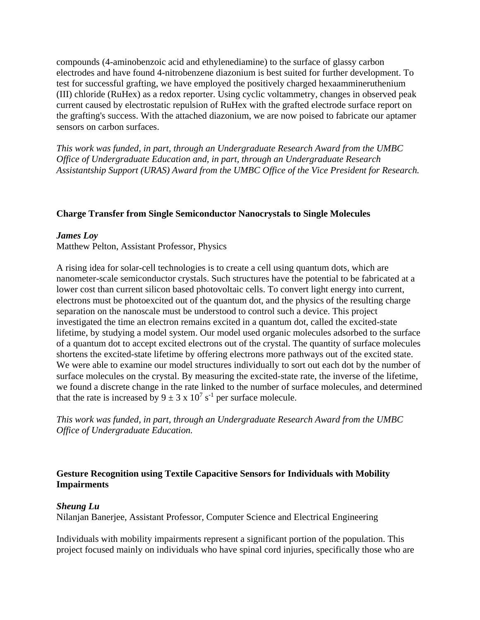compounds (4-aminobenzoic acid and ethylenediamine) to the surface of glassy carbon electrodes and have found 4-nitrobenzene diazonium is best suited for further development. To test for successful grafting, we have employed the positively charged hexaammineruthenium (III) chloride (RuHex) as a redox reporter. Using cyclic voltammetry, changes in observed peak current caused by electrostatic repulsion of RuHex with the grafted electrode surface report on the grafting's success. With the attached diazonium, we are now poised to fabricate our aptamer sensors on carbon surfaces.

*This work was funded, in part, through an Undergraduate Research Award from the UMBC Office of Undergraduate Education and, in part, through an Undergraduate Research Assistantship Support (URAS) Award from the UMBC Office of the Vice President for Research.*

## **Charge Transfer from Single Semiconductor Nanocrystals to Single Molecules**

#### *James Loy*

Matthew Pelton, Assistant Professor, Physics

A rising idea for solar-cell technologies is to create a cell using quantum dots, which are nanometer-scale semiconductor crystals. Such structures have the potential to be fabricated at a lower cost than current silicon based photovoltaic cells. To convert light energy into current, electrons must be photoexcited out of the quantum dot, and the physics of the resulting charge separation on the nanoscale must be understood to control such a device. This project investigated the time an electron remains excited in a quantum dot, called the excited-state lifetime, by studying a model system. Our model used organic molecules adsorbed to the surface of a quantum dot to accept excited electrons out of the crystal. The quantity of surface molecules shortens the excited-state lifetime by offering electrons more pathways out of the excited state. We were able to examine our model structures individually to sort out each dot by the number of surface molecules on the crystal. By measuring the excited-state rate, the inverse of the lifetime, we found a discrete change in the rate linked to the number of surface molecules, and determined that the rate is increased by  $9 \pm 3 \times 10^7 \text{ s}^{-1}$  per surface molecule.

*This work was funded, in part, through an Undergraduate Research Award from the UMBC Office of Undergraduate Education.*

# **Gesture Recognition using Textile Capacitive Sensors for Individuals with Mobility Impairments**

#### *Sheung Lu*

Nilanjan Banerjee, Assistant Professor, Computer Science and Electrical Engineering

Individuals with mobility impairments represent a significant portion of the population. This project focused mainly on individuals who have spinal cord injuries, specifically those who are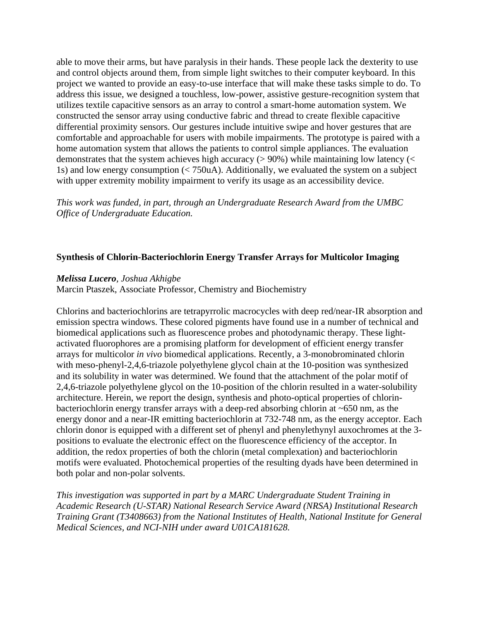able to move their arms, but have paralysis in their hands. These people lack the dexterity to use and control objects around them, from simple light switches to their computer keyboard. In this project we wanted to provide an easy-to-use interface that will make these tasks simple to do. To address this issue, we designed a touchless, low-power, assistive gesture-recognition system that utilizes textile capacitive sensors as an array to control a smart-home automation system. We constructed the sensor array using conductive fabric and thread to create flexible capacitive differential proximity sensors. Our gestures include intuitive swipe and hover gestures that are comfortable and approachable for users with mobile impairments. The prototype is paired with a home automation system that allows the patients to control simple appliances. The evaluation demonstrates that the system achieves high accuracy ( $> 90\%$ ) while maintaining low latency ( $<$ 1s) and low energy consumption (< 750uA). Additionally, we evaluated the system on a subject with upper extremity mobility impairment to verify its usage as an accessibility device.

*This work was funded, in part, through an Undergraduate Research Award from the UMBC Office of Undergraduate Education.*

## **Synthesis of Chlorin-Bacteriochlorin Energy Transfer Arrays for Multicolor Imaging**

### *Melissa Lucero, Joshua Akhigbe*

Marcin Ptaszek, Associate Professor, Chemistry and Biochemistry

Chlorins and bacteriochlorins are tetrapyrrolic macrocycles with deep red/near-IR absorption and emission spectra windows. These colored pigments have found use in a number of technical and biomedical applications such as fluorescence probes and photodynamic therapy. These lightactivated fluorophores are a promising platform for development of efficient energy transfer arrays for multicolor *in vivo* biomedical applications. Recently, a 3-monobrominated chlorin with meso-phenyl-2,4,6-triazole polyethylene glycol chain at the 10-position was synthesized and its solubility in water was determined. We found that the attachment of the polar motif of 2,4,6-triazole polyethylene glycol on the 10-position of the chlorin resulted in a water-solubility architecture. Herein, we report the design, synthesis and photo-optical properties of chlorinbacteriochlorin energy transfer arrays with a deep-red absorbing chlorin at ~650 nm, as the energy donor and a near-IR emitting bacteriochlorin at 732-748 nm, as the energy acceptor. Each chlorin donor is equipped with a different set of phenyl and phenylethynyl auxochromes at the 3 positions to evaluate the electronic effect on the fluorescence efficiency of the acceptor. In addition, the redox properties of both the chlorin (metal complexation) and bacteriochlorin motifs were evaluated. Photochemical properties of the resulting dyads have been determined in both polar and non-polar solvents.

*This investigation was supported in part by a MARC Undergraduate Student Training in Academic Research (U-STAR) National Research Service Award (NRSA) Institutional Research Training Grant (T3408663) from the National Institutes of Health, National Institute for General Medical Sciences, and NCI-NIH under award U01CA181628.*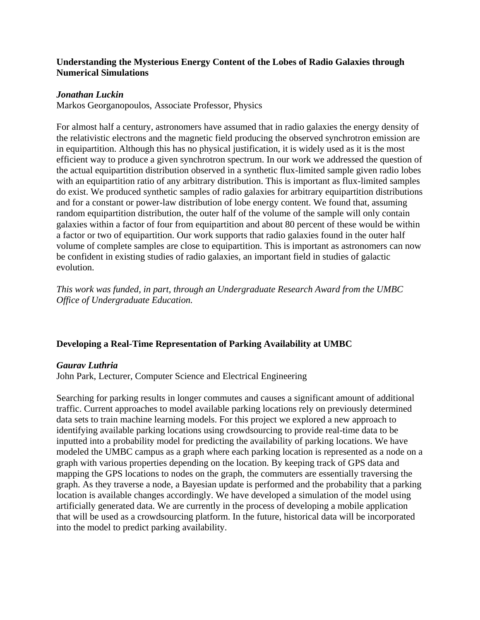# **Understanding the Mysterious Energy Content of the Lobes of Radio Galaxies through Numerical Simulations**

### *Jonathan Luckin*

Markos Georganopoulos, Associate Professor, Physics

For almost half a century, astronomers have assumed that in radio galaxies the energy density of the relativistic electrons and the magnetic field producing the observed synchrotron emission are in equipartition. Although this has no physical justification, it is widely used as it is the most efficient way to produce a given synchrotron spectrum. In our work we addressed the question of the actual equipartition distribution observed in a synthetic flux-limited sample given radio lobes with an equipartition ratio of any arbitrary distribution. This is important as flux-limited samples do exist. We produced synthetic samples of radio galaxies for arbitrary equipartition distributions and for a constant or power-law distribution of lobe energy content. We found that, assuming random equipartition distribution, the outer half of the volume of the sample will only contain galaxies within a factor of four from equipartition and about 80 percent of these would be within a factor or two of equipartition. Our work supports that radio galaxies found in the outer half volume of complete samples are close to equipartition. This is important as astronomers can now be confident in existing studies of radio galaxies, an important field in studies of galactic evolution.

*This work was funded, in part, through an Undergraduate Research Award from the UMBC Office of Undergraduate Education.*

## **Developing a Real-Time Representation of Parking Availability at UMBC**

### *Gaurav Luthria*

John Park, Lecturer, Computer Science and Electrical Engineering

Searching for parking results in longer commutes and causes a significant amount of additional traffic. Current approaches to model available parking locations rely on previously determined data sets to train machine learning models. For this project we explored a new approach to identifying available parking locations using crowdsourcing to provide real-time data to be inputted into a probability model for predicting the availability of parking locations. We have modeled the UMBC campus as a graph where each parking location is represented as a node on a graph with various properties depending on the location. By keeping track of GPS data and mapping the GPS locations to nodes on the graph, the commuters are essentially traversing the graph. As they traverse a node, a Bayesian update is performed and the probability that a parking location is available changes accordingly. We have developed a simulation of the model using artificially generated data. We are currently in the process of developing a mobile application that will be used as a crowdsourcing platform. In the future, historical data will be incorporated into the model to predict parking availability.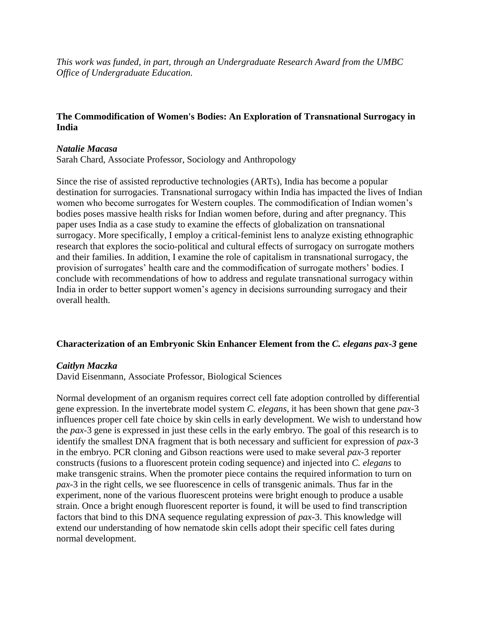*This work was funded, in part, through an Undergraduate Research Award from the UMBC Office of Undergraduate Education.*

# **The Commodification of Women's Bodies: An Exploration of Transnational Surrogacy in India**

### *Natalie Macasa*

Sarah Chard, Associate Professor, Sociology and Anthropology

Since the rise of assisted reproductive technologies (ARTs), India has become a popular destination for surrogacies. Transnational surrogacy within India has impacted the lives of Indian women who become surrogates for Western couples. The commodification of Indian women's bodies poses massive health risks for Indian women before, during and after pregnancy. This paper uses India as a case study to examine the effects of globalization on transnational surrogacy. More specifically, I employ a critical-feminist lens to analyze existing ethnographic research that explores the socio-political and cultural effects of surrogacy on surrogate mothers and their families. In addition, I examine the role of capitalism in transnational surrogacy, the provision of surrogates' health care and the commodification of surrogate mothers' bodies. I conclude with recommendations of how to address and regulate transnational surrogacy within India in order to better support women's agency in decisions surrounding surrogacy and their overall health.

## **Characterization of an Embryonic Skin Enhancer Element from the** *C. elegans pax-3* **gene**

## *Caitlyn Maczka*

David Eisenmann, Associate Professor, Biological Sciences

Normal development of an organism requires correct cell fate adoption controlled by differential gene expression. In the invertebrate model system *C. elegans*, it has been shown that gene *pax*-3 influences proper cell fate choice by skin cells in early development. We wish to understand how the *pax*-3 gene is expressed in just these cells in the early embryo. The goal of this research is to identify the smallest DNA fragment that is both necessary and sufficient for expression of *pax*-3 in the embryo. PCR cloning and Gibson reactions were used to make several *pax*-3 reporter constructs (fusions to a fluorescent protein coding sequence) and injected into *C. elegans* to make transgenic strains. When the promoter piece contains the required information to turn on *pax*-3 in the right cells, we see fluorescence in cells of transgenic animals. Thus far in the experiment, none of the various fluorescent proteins were bright enough to produce a usable strain. Once a bright enough fluorescent reporter is found, it will be used to find transcription factors that bind to this DNA sequence regulating expression of *pax*-3. This knowledge will extend our understanding of how nematode skin cells adopt their specific cell fates during normal development.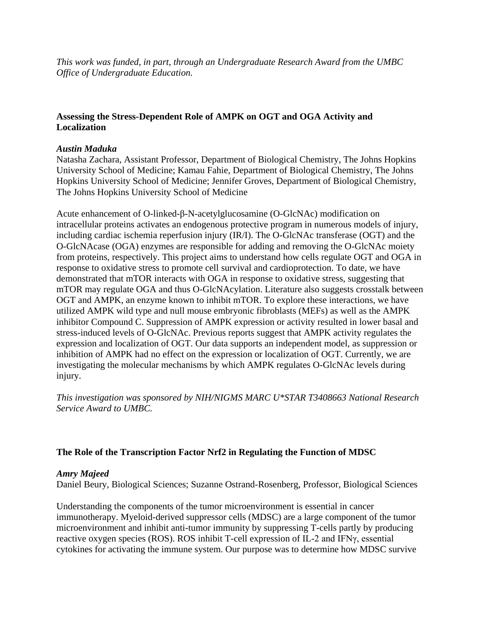*This work was funded, in part, through an Undergraduate Research Award from the UMBC Office of Undergraduate Education.*

# **Assessing the Stress-Dependent Role of AMPK on OGT and OGA Activity and Localization**

## *Austin Maduka*

Natasha Zachara, Assistant Professor, Department of Biological Chemistry, The Johns Hopkins University School of Medicine; Kamau Fahie, Department of Biological Chemistry, The Johns Hopkins University School of Medicine; Jennifer Groves, Department of Biological Chemistry, The Johns Hopkins University School of Medicine

Acute enhancement of O-linked-β-N-acetylglucosamine (O-GlcNAc) modification on intracellular proteins activates an endogenous protective program in numerous models of injury, including cardiac ischemia reperfusion injury (IR/I). The O-GlcNAc transferase (OGT) and the O-GlcNAcase (OGA) enzymes are responsible for adding and removing the O-GlcNAc moiety from proteins, respectively. This project aims to understand how cells regulate OGT and OGA in response to oxidative stress to promote cell survival and cardioprotection. To date, we have demonstrated that mTOR interacts with OGA in response to oxidative stress, suggesting that mTOR may regulate OGA and thus O-GlcNAcylation. Literature also suggests crosstalk between OGT and AMPK, an enzyme known to inhibit mTOR. To explore these interactions, we have utilized AMPK wild type and null mouse embryonic fibroblasts (MEFs) as well as the AMPK inhibitor Compound C. Suppression of AMPK expression or activity resulted in lower basal and stress-induced levels of O-GlcNAc. Previous reports suggest that AMPK activity regulates the expression and localization of OGT. Our data supports an independent model, as suppression or inhibition of AMPK had no effect on the expression or localization of OGT. Currently, we are investigating the molecular mechanisms by which AMPK regulates O-GlcNAc levels during injury.

*This investigation was sponsored by NIH/NIGMS MARC U\*STAR T3408663 National Research Service Award to UMBC.*

# **The Role of the Transcription Factor Nrf2 in Regulating the Function of MDSC**

## *Amry Majeed*

Daniel Beury, Biological Sciences; Suzanne Ostrand-Rosenberg, Professor, Biological Sciences

Understanding the components of the tumor microenvironment is essential in cancer immunotherapy. Myeloid-derived suppressor cells (MDSC) are a large component of the tumor microenvironment and inhibit anti-tumor immunity by suppressing T-cells partly by producing reactive oxygen species (ROS). ROS inhibit T-cell expression of IL-2 and IFNγ, essential cytokines for activating the immune system. Our purpose was to determine how MDSC survive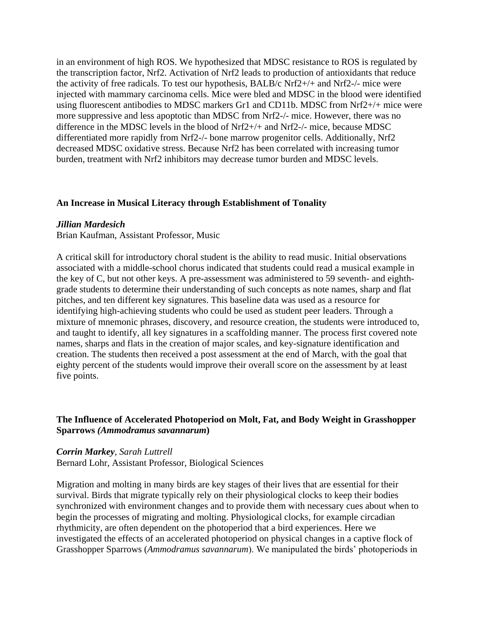in an environment of high ROS. We hypothesized that MDSC resistance to ROS is regulated by the transcription factor, Nrf2. Activation of Nrf2 leads to production of antioxidants that reduce the activity of free radicals. To test our hypothesis, BALB/c Nrf2+/+ and Nrf2-/- mice were injected with mammary carcinoma cells. Mice were bled and MDSC in the blood were identified using fluorescent antibodies to MDSC markers Gr1 and CD11b. MDSC from Nrf2+/+ mice were more suppressive and less apoptotic than MDSC from Nrf2-/- mice. However, there was no difference in the MDSC levels in the blood of Nrf2+/+ and Nrf2-/- mice, because MDSC differentiated more rapidly from Nrf2-/- bone marrow progenitor cells. Additionally, Nrf2 decreased MDSC oxidative stress. Because Nrf2 has been correlated with increasing tumor burden, treatment with Nrf2 inhibitors may decrease tumor burden and MDSC levels.

### **An Increase in Musical Literacy through Establishment of Tonality**

#### *Jillian Mardesich*

Brian Kaufman, Assistant Professor, Music

A critical skill for introductory choral student is the ability to read music. Initial observations associated with a middle-school chorus indicated that students could read a musical example in the key of C, but not other keys. A pre-assessment was administered to 59 seventh- and eighthgrade students to determine their understanding of such concepts as note names, sharp and flat pitches, and ten different key signatures. This baseline data was used as a resource for identifying high-achieving students who could be used as student peer leaders. Through a mixture of mnemonic phrases, discovery, and resource creation, the students were introduced to, and taught to identify, all key signatures in a scaffolding manner. The process first covered note names, sharps and flats in the creation of major scales, and key-signature identification and creation. The students then received a post assessment at the end of March, with the goal that eighty percent of the students would improve their overall score on the assessment by at least five points.

# **The Influence of Accelerated Photoperiod on Molt, Fat, and Body Weight in Grasshopper Sparrows** *(Ammodramus savannarum***)**

### *Corrin Markey, Sarah Luttrell*

Bernard Lohr, Assistant Professor, Biological Sciences

Migration and molting in many birds are key stages of their lives that are essential for their survival. Birds that migrate typically rely on their physiological clocks to keep their bodies synchronized with environment changes and to provide them with necessary cues about when to begin the processes of migrating and molting. Physiological clocks, for example circadian rhythmicity, are often dependent on the photoperiod that a bird experiences. Here we investigated the effects of an accelerated photoperiod on physical changes in a captive flock of Grasshopper Sparrows (*Ammodramus savannarum*). We manipulated the birds' photoperiods in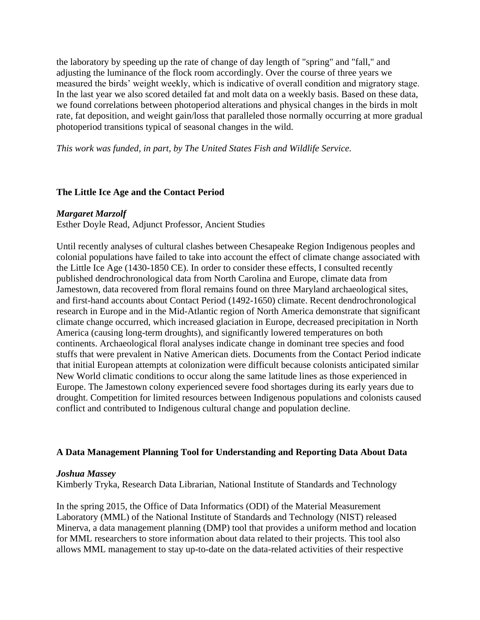the laboratory by speeding up the rate of change of day length of "spring" and "fall," and adjusting the luminance of the flock room accordingly. Over the course of three years we measured the birds' weight weekly, which is indicative of overall condition and migratory stage. In the last year we also scored detailed fat and molt data on a weekly basis. Based on these data, we found correlations between photoperiod alterations and physical changes in the birds in molt rate, fat deposition, and weight gain/loss that paralleled those normally occurring at more gradual photoperiod transitions typical of seasonal changes in the wild.

*This work was funded, in part, by The United States Fish and Wildlife Service.*

# **The Little Ice Age and the Contact Period**

## *Margaret Marzolf*

Esther Doyle Read, Adjunct Professor, Ancient Studies

Until recently analyses of cultural clashes between Chesapeake Region Indigenous peoples and colonial populations have failed to take into account the effect of climate change associated with the Little Ice Age (1430-1850 CE). In order to consider these effects, I consulted recently published dendrochronological data from North Carolina and Europe, climate data from Jamestown, data recovered from floral remains found on three Maryland archaeological sites, and first-hand accounts about Contact Period (1492-1650) climate. Recent dendrochronological research in Europe and in the Mid-Atlantic region of North America demonstrate that significant climate change occurred, which increased glaciation in Europe, decreased precipitation in North America (causing long-term droughts), and significantly lowered temperatures on both continents. Archaeological floral analyses indicate change in dominant tree species and food stuffs that were prevalent in Native American diets. Documents from the Contact Period indicate that initial European attempts at colonization were difficult because colonists anticipated similar New World climatic conditions to occur along the same latitude lines as those experienced in Europe. The Jamestown colony experienced severe food shortages during its early years due to drought. Competition for limited resources between Indigenous populations and colonists caused conflict and contributed to Indigenous cultural change and population decline.

## **A Data Management Planning Tool for Understanding and Reporting Data About Data**

## *Joshua Massey*

Kimberly Tryka, Research Data Librarian, National Institute of Standards and Technology

In the spring 2015, the Office of Data Informatics (ODI) of the Material Measurement Laboratory (MML) of the National Institute of Standards and Technology (NIST) released Minerva, a data management planning (DMP) tool that provides a uniform method and location for MML researchers to store information about data related to their projects. This tool also allows MML management to stay up-to-date on the data-related activities of their respective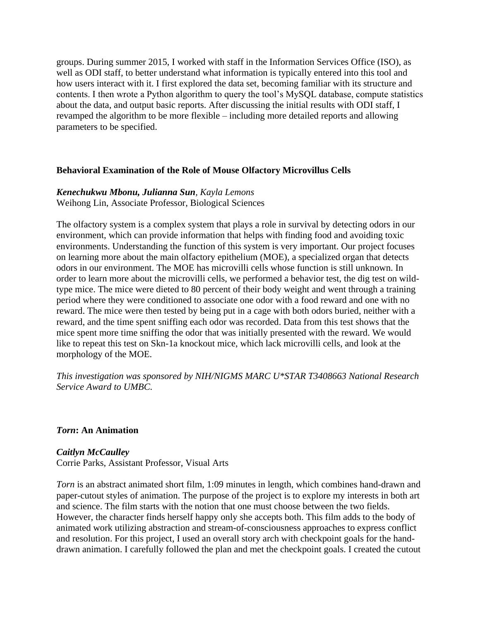groups. During summer 2015, I worked with staff in the Information Services Office (ISO), as well as ODI staff, to better understand what information is typically entered into this tool and how users interact with it. I first explored the data set, becoming familiar with its structure and contents. I then wrote a Python algorithm to query the tool's MySQL database, compute statistics about the data, and output basic reports. After discussing the initial results with ODI staff, I revamped the algorithm to be more flexible – including more detailed reports and allowing parameters to be specified.

## **Behavioral Examination of the Role of Mouse Olfactory Microvillus Cells**

## *Kenechukwu Mbonu, Julianna Sun, Kayla Lemons*

Weihong Lin, Associate Professor, Biological Sciences

The olfactory system is a complex system that plays a role in survival by detecting odors in our environment, which can provide information that helps with finding food and avoiding toxic environments. Understanding the function of this system is very important. Our project focuses on learning more about the main olfactory epithelium (MOE), a specialized organ that detects odors in our environment. The MOE has microvilli cells whose function is still unknown. In order to learn more about the microvilli cells, we performed a behavior test, the dig test on wildtype mice. The mice were dieted to 80 percent of their body weight and went through a training period where they were conditioned to associate one odor with a food reward and one with no reward. The mice were then tested by being put in a cage with both odors buried, neither with a reward, and the time spent sniffing each odor was recorded. Data from this test shows that the mice spent more time sniffing the odor that was initially presented with the reward. We would like to repeat this test on Skn-1a knockout mice, which lack microvilli cells, and look at the morphology of the MOE.

*This investigation was sponsored by NIH/NIGMS MARC U\*STAR T3408663 National Research Service Award to UMBC.*

### *Torn***: An Animation**

### *Caitlyn McCaulley*

Corrie Parks, Assistant Professor, Visual Arts

*Torn* is an abstract animated short film, 1:09 minutes in length, which combines hand-drawn and paper-cutout styles of animation. The purpose of the project is to explore my interests in both art and science. The film starts with the notion that one must choose between the two fields. However, the character finds herself happy only she accepts both. This film adds to the body of animated work utilizing abstraction and stream-of-consciousness approaches to express conflict and resolution. For this project, I used an overall story arch with checkpoint goals for the handdrawn animation. I carefully followed the plan and met the checkpoint goals. I created the cutout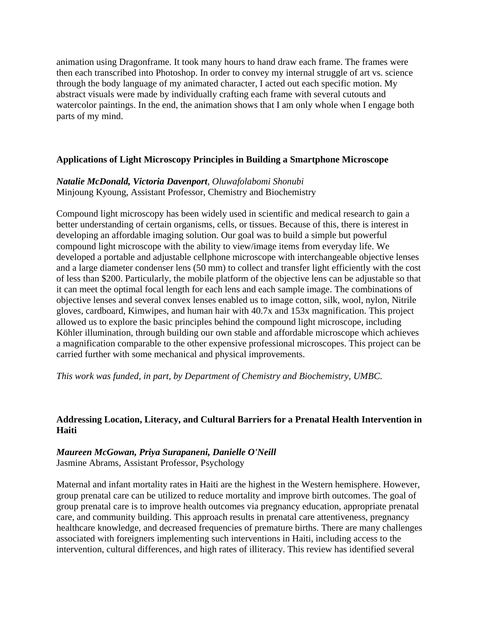animation using Dragonframe. It took many hours to hand draw each frame. The frames were then each transcribed into Photoshop. In order to convey my internal struggle of art vs. science through the body language of my animated character, I acted out each specific motion. My abstract visuals were made by individually crafting each frame with several cutouts and watercolor paintings. In the end, the animation shows that I am only whole when I engage both parts of my mind.

# **Applications of Light Microscopy Principles in Building a Smartphone Microscope**

# *Natalie McDonald, Victoria Davenport, Oluwafolabomi Shonubi* Minjoung Kyoung, Assistant Professor, Chemistry and Biochemistry

Compound light microscopy has been widely used in scientific and medical research to gain a better understanding of certain organisms, cells, or tissues. Because of this, there is interest in developing an affordable imaging solution. Our goal was to build a simple but powerful compound light microscope with the ability to view/image items from everyday life. We developed a portable and adjustable cellphone microscope with interchangeable objective lenses and a large diameter condenser lens (50 mm) to collect and transfer light efficiently with the cost of less than \$200. Particularly, the mobile platform of the objective lens can be adjustable so that it can meet the optimal focal length for each lens and each sample image. The combinations of objective lenses and several convex lenses enabled us to image cotton, silk, wool, nylon, Nitrile gloves, cardboard, Kimwipes, and human hair with 40.7x and 153x magnification. This project allowed us to explore the basic principles behind the compound light microscope, including Köhler illumination, through building our own stable and affordable microscope which achieves a magnification comparable to the other expensive professional microscopes. This project can be carried further with some mechanical and physical improvements.

*This work was funded, in part, by Department of Chemistry and Biochemistry, UMBC.* 

# **Addressing Location, Literacy, and Cultural Barriers for a Prenatal Health Intervention in Haiti**

#### *Maureen McGowan, Priya Surapaneni, Danielle O'Neill* Jasmine Abrams, Assistant Professor, Psychology

Maternal and infant mortality rates in Haiti are the highest in the Western hemisphere. However, group prenatal care can be utilized to reduce mortality and improve birth outcomes. The goal of group prenatal care is to improve health outcomes via pregnancy education, appropriate prenatal care, and community building. This approach results in prenatal care attentiveness, pregnancy healthcare knowledge, and decreased frequencies of premature births. There are many challenges associated with foreigners implementing such interventions in Haiti, including access to the intervention, cultural differences, and high rates of illiteracy. This review has identified several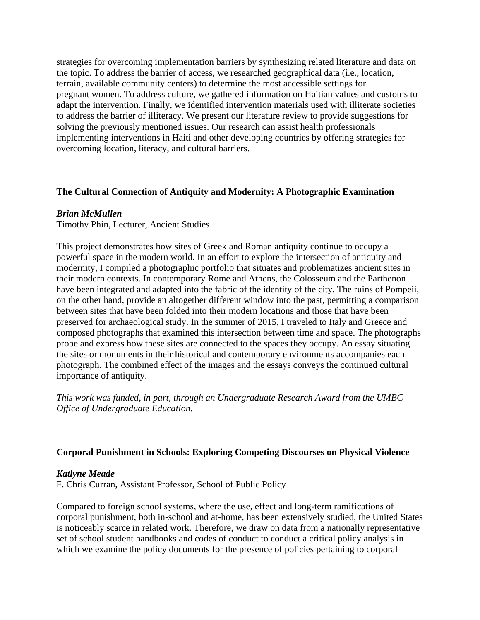strategies for overcoming implementation barriers by synthesizing related literature and data on the topic. To address the barrier of access, we researched geographical data (i.e., location, terrain, available community centers) to determine the most accessible settings for pregnant women. To address culture, we gathered information on Haitian values and customs to adapt the intervention. Finally, we identified intervention materials used with illiterate societies to address the barrier of illiteracy. We present our literature review to provide suggestions for solving the previously mentioned issues. Our research can assist health professionals implementing interventions in Haiti and other developing countries by offering strategies for overcoming location, literacy, and cultural barriers.

# **The Cultural Connection of Antiquity and Modernity: A Photographic Examination**

### *Brian McMullen*

Timothy Phin, Lecturer, Ancient Studies

This project demonstrates how sites of Greek and Roman antiquity continue to occupy a powerful space in the modern world. In an effort to explore the intersection of antiquity and modernity, I compiled a photographic portfolio that situates and problematizes ancient sites in their modern contexts. In contemporary Rome and Athens, the Colosseum and the Parthenon have been integrated and adapted into the fabric of the identity of the city. The ruins of Pompeii, on the other hand, provide an altogether different window into the past, permitting a comparison between sites that have been folded into their modern locations and those that have been preserved for archaeological study. In the summer of 2015, I traveled to Italy and Greece and composed photographs that examined this intersection between time and space. The photographs probe and express how these sites are connected to the spaces they occupy. An essay situating the sites or monuments in their historical and contemporary environments accompanies each photograph. The combined effect of the images and the essays conveys the continued cultural importance of antiquity.

*This work was funded, in part, through an Undergraduate Research Award from the UMBC Office of Undergraduate Education.*

# **Corporal Punishment in Schools: Exploring Competing Discourses on Physical Violence**

# *Katlyne Meade*

F. Chris Curran, Assistant Professor, School of Public Policy

Compared to foreign school systems, where the use, effect and long-term ramifications of corporal punishment, both in-school and at-home, has been extensively studied, the United States is noticeably scarce in related work. Therefore, we draw on data from a nationally representative set of school student handbooks and codes of conduct to conduct a critical policy analysis in which we examine the policy documents for the presence of policies pertaining to corporal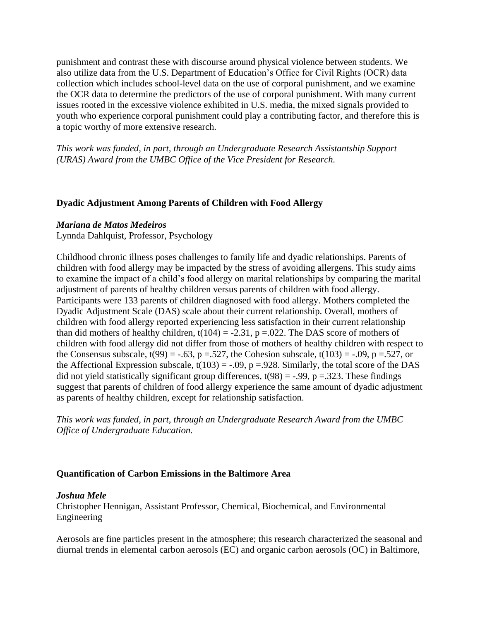punishment and contrast these with discourse around physical violence between students. We also utilize data from the U.S. Department of Education's Office for Civil Rights (OCR) data collection which includes school-level data on the use of corporal punishment, and we examine the OCR data to determine the predictors of the use of corporal punishment. With many current issues rooted in the excessive violence exhibited in U.S. media, the mixed signals provided to youth who experience corporal punishment could play a contributing factor, and therefore this is a topic worthy of more extensive research.

*This work was funded, in part, through an Undergraduate Research Assistantship Support (URAS) Award from the UMBC Office of the Vice President for Research.*

# **Dyadic Adjustment Among Parents of Children with Food Allergy**

#### *Mariana de Matos Medeiros*

Lynnda Dahlquist, Professor, Psychology

Childhood chronic illness poses challenges to family life and dyadic relationships. Parents of children with food allergy may be impacted by the stress of avoiding allergens. This study aims to examine the impact of a child's food allergy on marital relationships by comparing the marital adjustment of parents of healthy children versus parents of children with food allergy. Participants were 133 parents of children diagnosed with food allergy. Mothers completed the Dyadic Adjustment Scale (DAS) scale about their current relationship. Overall, mothers of children with food allergy reported experiencing less satisfaction in their current relationship than did mothers of healthy children,  $t(104) = -2.31$ ,  $p = 0.022$ . The DAS score of mothers of children with food allergy did not differ from those of mothers of healthy children with respect to the Consensus subscale,  $t(99) = -.63$ ,  $p = .527$ , the Cohesion subscale,  $t(103) = -.09$ ,  $p = .527$ , or the Affectional Expression subscale,  $t(103) = -.09$ ,  $p = .928$ . Similarly, the total score of the DAS did not yield statistically significant group differences,  $t(98) = -.99$ ,  $p = .323$ . These findings suggest that parents of children of food allergy experience the same amount of dyadic adjustment as parents of healthy children, except for relationship satisfaction.

*This work was funded, in part, through an Undergraduate Research Award from the UMBC Office of Undergraduate Education.*

# **Quantification of Carbon Emissions in the Baltimore Area**

#### *Joshua Mele*

Christopher Hennigan, Assistant Professor, Chemical, Biochemical, and Environmental Engineering

Aerosols are fine particles present in the atmosphere; this research characterized the seasonal and diurnal trends in elemental carbon aerosols (EC) and organic carbon aerosols (OC) in Baltimore,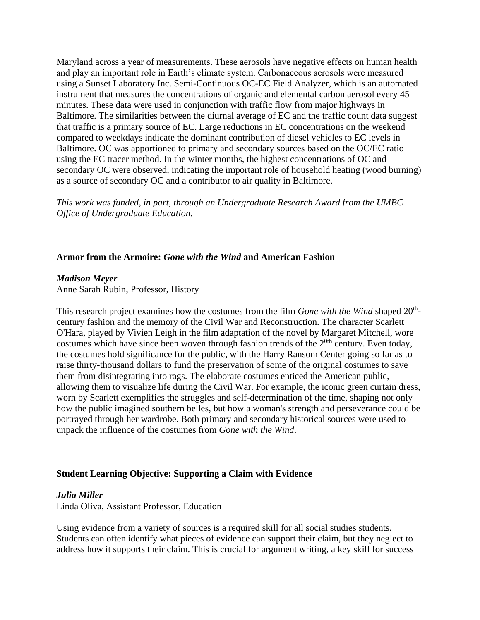Maryland across a year of measurements. These aerosols have negative effects on human health and play an important role in Earth's climate system. Carbonaceous aerosols were measured using a Sunset Laboratory Inc. Semi-Continuous OC-EC Field Analyzer, which is an automated instrument that measures the concentrations of organic and elemental carbon aerosol every 45 minutes. These data were used in conjunction with traffic flow from major highways in Baltimore. The similarities between the diurnal average of EC and the traffic count data suggest that traffic is a primary source of EC. Large reductions in EC concentrations on the weekend compared to weekdays indicate the dominant contribution of diesel vehicles to EC levels in Baltimore. OC was apportioned to primary and secondary sources based on the OC/EC ratio using the EC tracer method. In the winter months, the highest concentrations of OC and secondary OC were observed, indicating the important role of household heating (wood burning) as a source of secondary OC and a contributor to air quality in Baltimore.

*This work was funded, in part, through an Undergraduate Research Award from the UMBC Office of Undergraduate Education.*

### **Armor from the Armoire:** *Gone with the Wind* **and American Fashion**

#### *Madison Meyer*

Anne Sarah Rubin, Professor, History

This research project examines how the costumes from the film *Gone with the Wind* shaped 20<sup>th</sup>century fashion and the memory of the Civil War and Reconstruction. The character Scarlett O'Hara, played by Vivien Leigh in the film adaptation of the novel by Margaret Mitchell, wore costumes which have since been woven through fashion trends of the  $2^{0th}$  century. Even today, the costumes hold significance for the public, with the Harry Ransom Center going so far as to raise thirty-thousand dollars to fund the preservation of some of the original costumes to save them from disintegrating into rags. The elaborate costumes enticed the American public, allowing them to visualize life during the Civil War. For example, the iconic green curtain dress, worn by Scarlett exemplifies the struggles and self-determination of the time, shaping not only how the public imagined southern belles, but how a woman's strength and perseverance could be portrayed through her wardrobe. Both primary and secondary historical sources were used to unpack the influence of the costumes from *Gone with the Wind*.

# **Student Learning Objective: Supporting a Claim with Evidence**

#### *Julia Miller*

Linda Oliva, Assistant Professor, Education

Using evidence from a variety of sources is a required skill for all social studies students. Students can often identify what pieces of evidence can support their claim, but they neglect to address how it supports their claim. This is crucial for argument writing, a key skill for success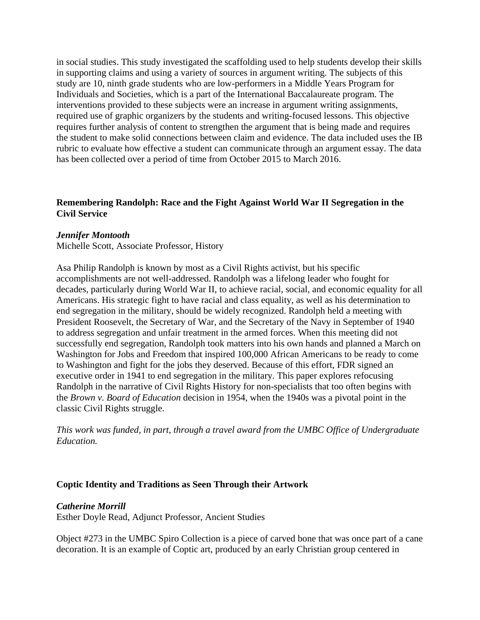in social studies. This study investigated the scaffolding used to help students develop their skills in supporting claims and using a variety of sources in argument writing. The subjects of this study are 10, ninth grade students who are low-performers in a Middle Years Program for Individuals and Societies, which is a part of the International Baccalaureate program. The interventions provided to these subjects were an increase in argument writing assignments, required use of graphic organizers by the students and writing-focused lessons. This objective requires further analysis of content to strengthen the argument that is being made and requires the student to make solid connections between claim and evidence. The data included uses the IB rubric to evaluate how effective a student can communicate through an argument essay. The data has been collected over a period of time from October 2015 to March 2016.

# **Remembering Randolph: Race and the Fight Against World War II Segregation in the Civil Service**

### *Jennifer Montooth*

Michelle Scott, Associate Professor, History

Asa Philip Randolph is known by most as a Civil Rights activist, but his specific accomplishments are not well-addressed. Randolph was a lifelong leader who fought for decades, particularly during World War II, to achieve racial, social, and economic equality for all Americans. His strategic fight to have racial and class equality, as well as his determination to end segregation in the military, should be widely recognized. Randolph held a meeting with President Roosevelt, the Secretary of War, and the Secretary of the Navy in September of 1940 to address segregation and unfair treatment in the armed forces. When this meeting did not successfully end segregation, Randolph took matters into his own hands and planned a March on Washington for Jobs and Freedom that inspired 100,000 African Americans to be ready to come to Washington and fight for the jobs they deserved. Because of this effort, FDR signed an executive order in 1941 to end segregation in the military. This paper explores refocusing Randolph in the narrative of Civil Rights History for non-specialists that too often begins with the *Brown v. Board of Education* decision in 1954, when the 1940s was a pivotal point in the classic Civil Rights struggle.

*This work was funded, in part, through a travel award from the UMBC Office of Undergraduate Education.*

# **Coptic Identity and Traditions as Seen Through their Artwork**

#### *Catherine Morrill*

Esther Doyle Read, Adjunct Professor, Ancient Studies

Object #273 in the UMBC Spiro Collection is a piece of carved bone that was once part of a cane decoration. It is an example of Coptic art, produced by an early Christian group centered in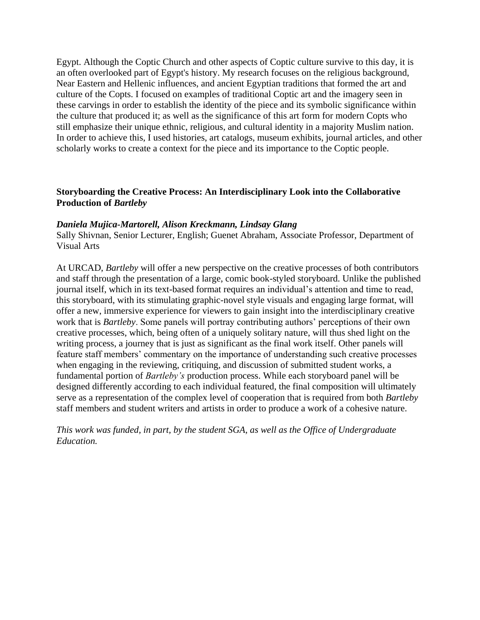Egypt. Although the Coptic Church and other aspects of Coptic culture survive to this day, it is an often overlooked part of Egypt's history. My research focuses on the religious background, Near Eastern and Hellenic influences, and ancient Egyptian traditions that formed the art and culture of the Copts. I focused on examples of traditional Coptic art and the imagery seen in these carvings in order to establish the identity of the piece and its symbolic significance within the culture that produced it; as well as the significance of this art form for modern Copts who still emphasize their unique ethnic, religious, and cultural identity in a majority Muslim nation. In order to achieve this, I used histories, art catalogs, museum exhibits, journal articles, and other scholarly works to create a context for the piece and its importance to the Coptic people.

# **Storyboarding the Creative Process: An Interdisciplinary Look into the Collaborative Production of** *Bartleby*

### *Daniela Mujica-Martorell, Alison Kreckmann, Lindsay Glang*

Sally Shivnan, Senior Lecturer, English; Guenet Abraham, Associate Professor, Department of Visual Arts

At URCAD, *Bartleby* will offer a new perspective on the creative processes of both contributors and staff through the presentation of a large, comic book-styled storyboard. Unlike the published journal itself, which in its text-based format requires an individual's attention and time to read, this storyboard, with its stimulating graphic-novel style visuals and engaging large format, will offer a new, immersive experience for viewers to gain insight into the interdisciplinary creative work that is *Bartleby*. Some panels will portray contributing authors' perceptions of their own creative processes, which, being often of a uniquely solitary nature, will thus shed light on the writing process, a journey that is just as significant as the final work itself. Other panels will feature staff members' commentary on the importance of understanding such creative processes when engaging in the reviewing, critiquing, and discussion of submitted student works, a fundamental portion of *Bartleby's* production process. While each storyboard panel will be designed differently according to each individual featured, the final composition will ultimately serve as a representation of the complex level of cooperation that is required from both *Bartleby* staff members and student writers and artists in order to produce a work of a cohesive nature.

*This work was funded, in part, by the student SGA, as well as the Office of Undergraduate Education.*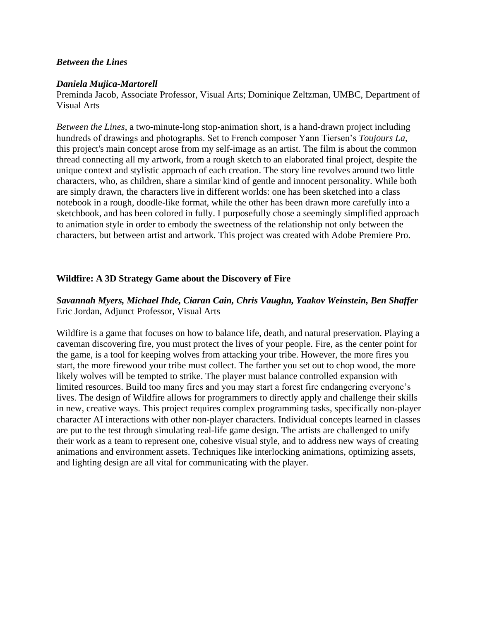# *Between the Lines*

#### *Daniela Mujica-Martorell*

Preminda Jacob, Associate Professor, Visual Arts; Dominique Zeltzman, UMBC, Department of Visual Arts

*Between the Lines*, a two-minute-long stop-animation short, is a hand-drawn project including hundreds of drawings and photographs. Set to French composer Yann Tiersen's *Toujours La*, this project's main concept arose from my self-image as an artist. The film is about the common thread connecting all my artwork, from a rough sketch to an elaborated final project, despite the unique context and stylistic approach of each creation. The story line revolves around two little characters, who, as children, share a similar kind of gentle and innocent personality. While both are simply drawn, the characters live in different worlds: one has been sketched into a class notebook in a rough, doodle-like format, while the other has been drawn more carefully into a sketchbook, and has been colored in fully. I purposefully chose a seemingly simplified approach to animation style in order to embody the sweetness of the relationship not only between the characters, but between artist and artwork. This project was created with Adobe Premiere Pro.

# **Wildfire: A 3D Strategy Game about the Discovery of Fire**

# *Savannah Myers, Michael Ihde, Ciaran Cain, Chris Vaughn, Yaakov Weinstein, Ben Shaffer* Eric Jordan, Adjunct Professor, Visual Arts

Wildfire is a game that focuses on how to balance life, death, and natural preservation. Playing a caveman discovering fire, you must protect the lives of your people. Fire, as the center point for the game, is a tool for keeping wolves from attacking your tribe. However, the more fires you start, the more firewood your tribe must collect. The farther you set out to chop wood, the more likely wolves will be tempted to strike. The player must balance controlled expansion with limited resources. Build too many fires and you may start a forest fire endangering everyone's lives. The design of Wildfire allows for programmers to directly apply and challenge their skills in new, creative ways. This project requires complex programming tasks, specifically non-player character AI interactions with other non-player characters. Individual concepts learned in classes are put to the test through simulating real-life game design. The artists are challenged to unify their work as a team to represent one, cohesive visual style, and to address new ways of creating animations and environment assets. Techniques like interlocking animations, optimizing assets, and lighting design are all vital for communicating with the player.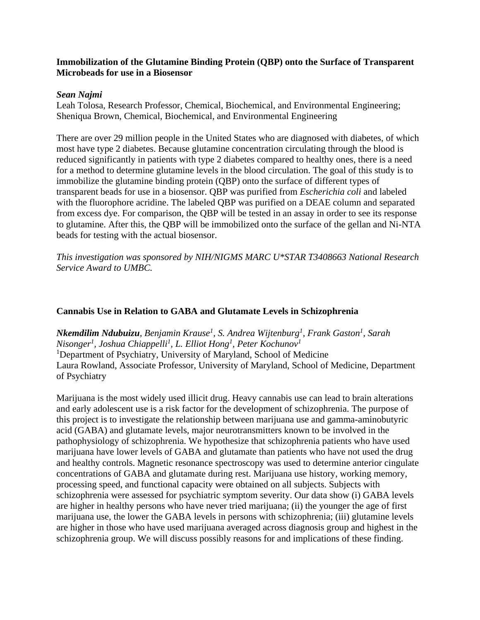# **Immobilization of the Glutamine Binding Protein (QBP) onto the Surface of Transparent Microbeads for use in a Biosensor**

### *Sean Najmi*

Leah Tolosa, Research Professor, Chemical, Biochemical, and Environmental Engineering; Sheniqua Brown, Chemical, Biochemical, and Environmental Engineering

There are over 29 million people in the United States who are diagnosed with diabetes, of which most have type 2 diabetes. Because glutamine concentration circulating through the blood is reduced significantly in patients with type 2 diabetes compared to healthy ones, there is a need for a method to determine glutamine levels in the blood circulation. The goal of this study is to immobilize the glutamine binding protein (QBP) onto the surface of different types of transparent beads for use in a biosensor. QBP was purified from *Escherichia coli* and labeled with the fluorophore acridine. The labeled QBP was purified on a DEAE column and separated from excess dye. For comparison, the QBP will be tested in an assay in order to see its response to glutamine. After this, the QBP will be immobilized onto the surface of the gellan and Ni-NTA beads for testing with the actual biosensor.

*This investigation was sponsored by NIH/NIGMS MARC U\*STAR T3408663 National Research Service Award to UMBC.*

# **Cannabis Use in Relation to GABA and Glutamate Levels in Schizophrenia**

*Nkemdilim Ndubuizu, Benjamin Krause<sup>1</sup> , S. Andrea Wijtenburg<sup>1</sup> , Frank Gaston<sup>1</sup> , Sarah Nisonger<sup>1</sup> , Joshua Chiappelli<sup>1</sup> , L. Elliot Hong<sup>1</sup> , Peter Kochunov<sup>1</sup>* <sup>1</sup>Department of Psychiatry, University of Maryland, School of Medicine Laura Rowland, Associate Professor, University of Maryland, School of Medicine, Department of Psychiatry

Marijuana is the most widely used illicit drug. Heavy cannabis use can lead to brain alterations and early adolescent use is a risk factor for the development of schizophrenia. The purpose of this project is to investigate the relationship between marijuana use and gamma-aminobutyric acid (GABA) and glutamate levels, major neurotransmitters known to be involved in the pathophysiology of schizophrenia. We hypothesize that schizophrenia patients who have used marijuana have lower levels of GABA and glutamate than patients who have not used the drug and healthy controls. Magnetic resonance spectroscopy was used to determine anterior cingulate concentrations of GABA and glutamate during rest. Marijuana use history, working memory, processing speed, and functional capacity were obtained on all subjects. Subjects with schizophrenia were assessed for psychiatric symptom severity. Our data show (i) GABA levels are higher in healthy persons who have never tried marijuana; (ii) the younger the age of first marijuana use, the lower the GABA levels in persons with schizophrenia; (iii) glutamine levels are higher in those who have used marijuana averaged across diagnosis group and highest in the schizophrenia group. We will discuss possibly reasons for and implications of these finding.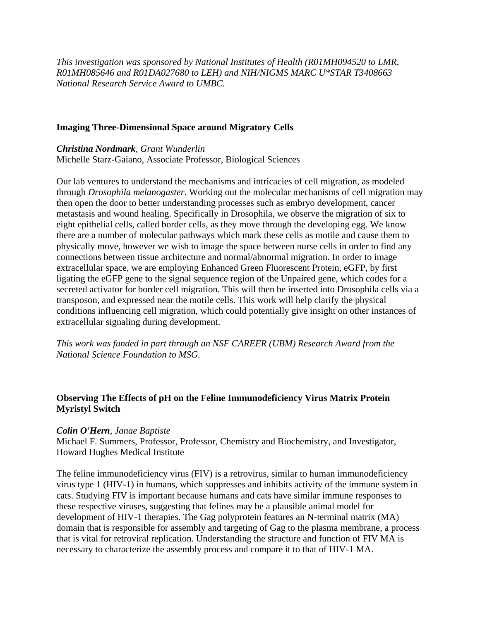*This investigation was sponsored by National Institutes of Health (R01MH094520 to LMR, R01MH085646 and R01DA027680 to LEH) and NIH/NIGMS MARC U\*STAR T3408663 National Research Service Award to UMBC.*

### **Imaging Three-Dimensional Space around Migratory Cells**

# *Christina Nordmark, Grant Wunderlin*

Michelle Starz-Gaiano, Associate Professor, Biological Sciences

Our lab ventures to understand the mechanisms and intricacies of cell migration, as modeled through *Drosophila melanogaster*. Working out the molecular mechanisms of cell migration may then open the door to better understanding processes such as embryo development, cancer metastasis and wound healing. Specifically in Drosophila, we observe the migration of six to eight epithelial cells, called border cells, as they move through the developing egg. We know there are a number of molecular pathways which mark these cells as motile and cause them to physically move, however we wish to image the space between nurse cells in order to find any connections between tissue architecture and normal/abnormal migration. In order to image extracellular space, we are employing Enhanced Green Fluorescent Protein, eGFP, by first ligating the eGFP gene to the signal sequence region of the Unpaired gene, which codes for a secreted activator for border cell migration. This will then be inserted into Drosophila cells via a transposon, and expressed near the motile cells. This work will help clarify the physical conditions influencing cell migration, which could potentially give insight on other instances of extracellular signaling during development.

*This work was funded in part through an NSF CAREER (UBM) Research Award from the National Science Foundation to MSG.*

# **Observing The Effects of pH on the Feline Immunodeficiency Virus Matrix Protein Myristyl Switch**

# *Colin O'Hern, Janae Baptiste*

Michael F. Summers, Professor, Professor, Chemistry and Biochemistry, and Investigator, Howard Hughes Medical Institute

The feline immunodeficiency virus (FIV) is a retrovirus, similar to human immunodeficiency virus type 1 (HIV-1) in humans, which suppresses and inhibits activity of the immune system in cats. Studying FIV is important because humans and cats have similar immune responses to these respective viruses, suggesting that felines may be a plausible animal model for development of HIV-1 therapies. The Gag polyprotein features an N-terminal matrix (MA) domain that is responsible for assembly and targeting of Gag to the plasma membrane, a process that is vital for retroviral replication. Understanding the structure and function of FIV MA is necessary to characterize the assembly process and compare it to that of HIV-1 MA.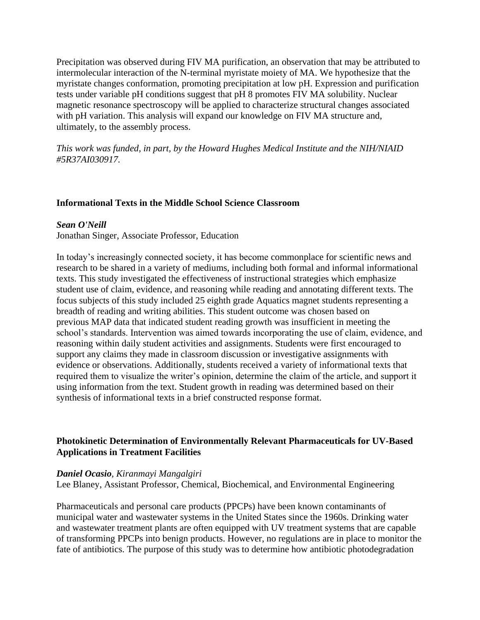Precipitation was observed during FIV MA purification, an observation that may be attributed to intermolecular interaction of the N-terminal myristate moiety of MA. We hypothesize that the myristate changes conformation, promoting precipitation at low pH. Expression and purification tests under variable pH conditions suggest that pH 8 promotes FIV MA solubility. Nuclear magnetic resonance spectroscopy will be applied to characterize structural changes associated with pH variation. This analysis will expand our knowledge on FIV MA structure and, ultimately, to the assembly process.

*This work was funded, in part, by the Howard Hughes Medical Institute and the NIH/NIAID #5R37AI030917.*

# **Informational Texts in the Middle School Science Classroom**

#### *Sean O'Neill*

Jonathan Singer, Associate Professor, Education

In today's increasingly connected society, it has become commonplace for scientific news and research to be shared in a variety of mediums, including both formal and informal informational texts. This study investigated the effectiveness of instructional strategies which emphasize student use of claim, evidence, and reasoning while reading and annotating different texts. The focus subjects of this study included 25 eighth grade Aquatics magnet students representing a breadth of reading and writing abilities. This student outcome was chosen based on previous MAP data that indicated student reading growth was insufficient in meeting the school's standards. Intervention was aimed towards incorporating the use of claim, evidence, and reasoning within daily student activities and assignments. Students were first encouraged to support any claims they made in classroom discussion or investigative assignments with evidence or observations. Additionally, students received a variety of informational texts that required them to visualize the writer's opinion, determine the claim of the article, and support it using information from the text. Student growth in reading was determined based on their synthesis of informational texts in a brief constructed response format.

# **Photokinetic Determination of Environmentally Relevant Pharmaceuticals for UV-Based Applications in Treatment Facilities**

#### *Daniel Ocasio, Kiranmayi Mangalgiri*

Lee Blaney, Assistant Professor, Chemical, Biochemical, and Environmental Engineering

Pharmaceuticals and personal care products (PPCPs) have been known contaminants of municipal water and wastewater systems in the United States since the 1960s. Drinking water and wastewater treatment plants are often equipped with UV treatment systems that are capable of transforming PPCPs into benign products. However, no regulations are in place to monitor the fate of antibiotics. The purpose of this study was to determine how antibiotic photodegradation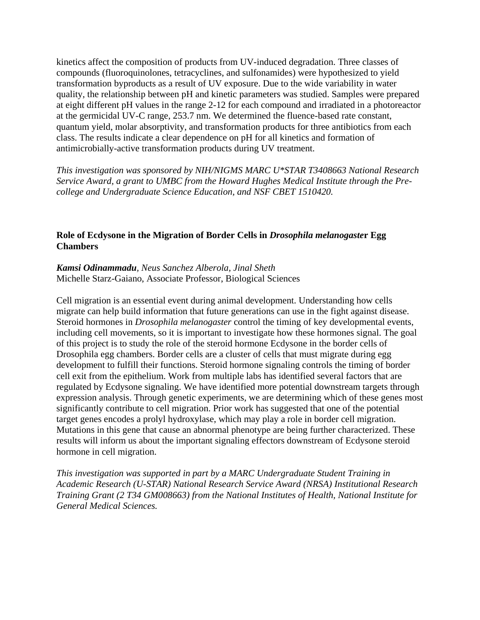kinetics affect the composition of products from UV-induced degradation. Three classes of compounds (fluoroquinolones, tetracyclines, and sulfonamides) were hypothesized to yield transformation byproducts as a result of UV exposure. Due to the wide variability in water quality, the relationship between pH and kinetic parameters was studied. Samples were prepared at eight different pH values in the range 2-12 for each compound and irradiated in a photoreactor at the germicidal UV-C range, 253.7 nm. We determined the fluence-based rate constant, quantum yield, molar absorptivity, and transformation products for three antibiotics from each class. The results indicate a clear dependence on pH for all kinetics and formation of antimicrobially-active transformation products during UV treatment.

*This investigation was sponsored by NIH/NIGMS MARC U\*STAR T3408663 National Research Service Award, a grant to UMBC from the Howard Hughes Medical Institute through the Precollege and Undergraduate Science Education, and NSF CBET 1510420.*

# **Role of Ecdysone in the Migration of Border Cells in** *Drosophila melanogaste***r Egg Chambers**

# *Kamsi Odinammadu, Neus Sanchez Alberola, Jinal Sheth* Michelle Starz-Gaiano, Associate Professor, Biological Sciences

Cell migration is an essential event during animal development. Understanding how cells migrate can help build information that future generations can use in the fight against disease. Steroid hormones in *Drosophila melanogaster* control the timing of key developmental events, including cell movements, so it is important to investigate how these hormones signal. The goal of this project is to study the role of the steroid hormone Ecdysone in the border cells of Drosophila egg chambers. Border cells are a cluster of cells that must migrate during egg development to fulfill their functions. Steroid hormone signaling controls the timing of border cell exit from the epithelium. Work from multiple labs has identified several factors that are regulated by Ecdysone signaling. We have identified more potential downstream targets through expression analysis. Through genetic experiments, we are determining which of these genes most significantly contribute to cell migration. Prior work has suggested that one of the potential target genes encodes a prolyl hydroxylase, which may play a role in border cell migration. Mutations in this gene that cause an abnormal phenotype are being further characterized. These results will inform us about the important signaling effectors downstream of Ecdysone steroid hormone in cell migration.

*This investigation was supported in part by a MARC Undergraduate Student Training in Academic Research (U-STAR) National Research Service Award (NRSA) Institutional Research Training Grant (2 T34 GM008663) from the National Institutes of Health, National Institute for General Medical Sciences.*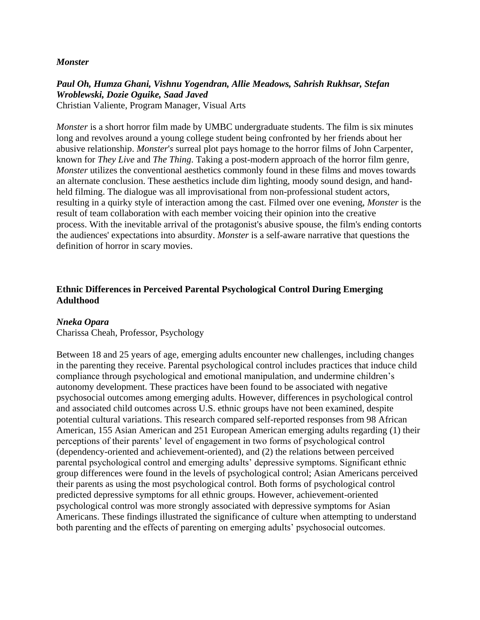### *Monster*

# *Paul Oh, Humza Ghani, Vishnu Yogendran, Allie Meadows, Sahrish Rukhsar, Stefan Wroblewski, Dozie Oguike, Saad Javed*

Christian Valiente, Program Manager, Visual Arts

*Monster* is a short horror film made by UMBC undergraduate students. The film is six minutes long and revolves around a young college student being confronted by her friends about her abusive relationship. *Monster*'*s* surreal plot pays homage to the horror films of John Carpenter, known for *They Live* and *The Thing*. Taking a post-modern approach of the horror film genre, *Monster* utilizes the conventional aesthetics commonly found in these films and moves towards an alternate conclusion. These aesthetics include dim lighting, moody sound design, and handheld filming. The dialogue was all improvisational from non-professional student actors, resulting in a quirky style of interaction among the cast. Filmed over one evening, *Monster* is the result of team collaboration with each member voicing their opinion into the creative process. With the inevitable arrival of the protagonist's abusive spouse, the film's ending contorts the audiences' expectations into absurdity. *Monster* is a self-aware narrative that questions the definition of horror in scary movies.

# **Ethnic Differences in Perceived Parental Psychological Control During Emerging Adulthood**

# *Nneka Opara*

Charissa Cheah, Professor, Psychology

Between 18 and 25 years of age, emerging adults encounter new challenges, including changes in the parenting they receive. Parental psychological control includes practices that induce child compliance through psychological and emotional manipulation, and undermine children's autonomy development. These practices have been found to be associated with negative psychosocial outcomes among emerging adults. However, differences in psychological control and associated child outcomes across U.S. ethnic groups have not been examined, despite potential cultural variations. This research compared self-reported responses from 98 African American, 155 Asian American and 251 European American emerging adults regarding (1) their perceptions of their parents' level of engagement in two forms of psychological control (dependency-oriented and achievement-oriented), and (2) the relations between perceived parental psychological control and emerging adults' depressive symptoms. Significant ethnic group differences were found in the levels of psychological control; Asian Americans perceived their parents as using the most psychological control. Both forms of psychological control predicted depressive symptoms for all ethnic groups. However, achievement-oriented psychological control was more strongly associated with depressive symptoms for Asian Americans. These findings illustrated the significance of culture when attempting to understand both parenting and the effects of parenting on emerging adults' psychosocial outcomes.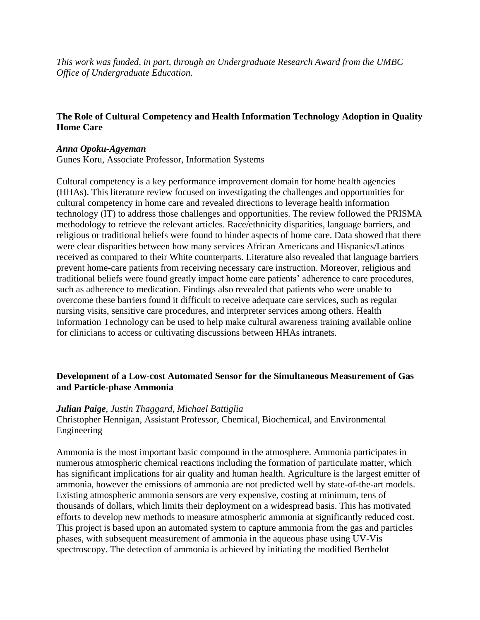*This work was funded, in part, through an Undergraduate Research Award from the UMBC Office of Undergraduate Education.*

# **The Role of Cultural Competency and Health Information Technology Adoption in Quality Home Care**

### *Anna Opoku-Agyeman*

Gunes Koru, Associate Professor, Information Systems

Cultural competency is a key performance improvement domain for home health agencies (HHAs). This literature review focused on investigating the challenges and opportunities for cultural competency in home care and revealed directions to leverage health information technology (IT) to address those challenges and opportunities. The review followed the PRISMA methodology to retrieve the relevant articles. Race/ethnicity disparities, language barriers, and religious or traditional beliefs were found to hinder aspects of home care. Data showed that there were clear disparities between how many services African Americans and Hispanics/Latinos received as compared to their White counterparts. Literature also revealed that language barriers prevent home-care patients from receiving necessary care instruction. Moreover, religious and traditional beliefs were found greatly impact home care patients' adherence to care procedures, such as adherence to medication. Findings also revealed that patients who were unable to overcome these barriers found it difficult to receive adequate care services, such as regular nursing visits, sensitive care procedures, and interpreter services among others. Health Information Technology can be used to help make cultural awareness training available online for clinicians to access or cultivating discussions between HHAs intranets.

# **Development of a Low-cost Automated Sensor for the Simultaneous Measurement of Gas and Particle-phase Ammonia**

# *Julian Paige, Justin Thaggard, Michael Battiglia*

Christopher Hennigan, Assistant Professor, Chemical, Biochemical, and Environmental Engineering

Ammonia is the most important basic compound in the atmosphere. Ammonia participates in numerous atmospheric chemical reactions including the formation of particulate matter, which has significant implications for air quality and human health. Agriculture is the largest emitter of ammonia, however the emissions of ammonia are not predicted well by state-of-the-art models. Existing atmospheric ammonia sensors are very expensive, costing at minimum, tens of thousands of dollars, which limits their deployment on a widespread basis. This has motivated efforts to develop new methods to measure atmospheric ammonia at significantly reduced cost. This project is based upon an automated system to capture ammonia from the gas and particles phases, with subsequent measurement of ammonia in the aqueous phase using UV-Vis spectroscopy. The detection of ammonia is achieved by initiating the modified Berthelot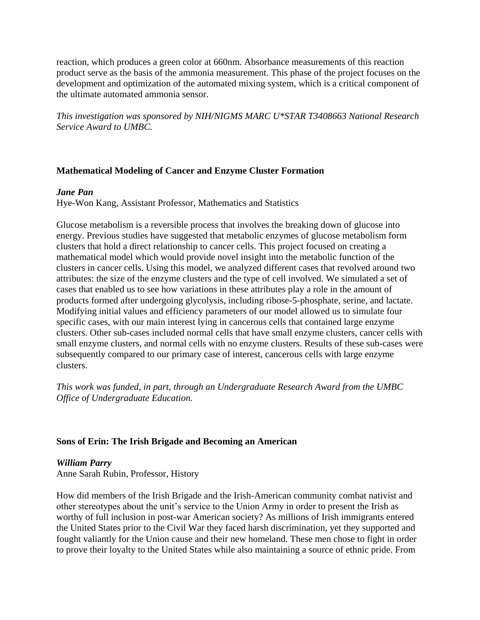reaction, which produces a green color at 660nm. Absorbance measurements of this reaction product serve as the basis of the ammonia measurement. This phase of the project focuses on the development and optimization of the automated mixing system, which is a critical component of the ultimate automated ammonia sensor.

*This investigation was sponsored by NIH/NIGMS MARC U\*STAR T3408663 National Research Service Award to UMBC.*

# **Mathematical Modeling of Cancer and Enzyme Cluster Formation**

### *Jane Pan*

Hye-Won Kang, Assistant Professor, Mathematics and Statistics

Glucose metabolism is a reversible process that involves the breaking down of glucose into energy. Previous studies have suggested that metabolic enzymes of glucose metabolism form clusters that hold a direct relationship to cancer cells. This project focused on creating a mathematical model which would provide novel insight into the metabolic function of the clusters in cancer cells. Using this model, we analyzed different cases that revolved around two attributes: the size of the enzyme clusters and the type of cell involved. We simulated a set of cases that enabled us to see how variations in these attributes play a role in the amount of products formed after undergoing glycolysis, including ribose-5-phosphate, serine, and lactate. Modifying initial values and efficiency parameters of our model allowed us to simulate four specific cases, with our main interest lying in cancerous cells that contained large enzyme clusters. Other sub-cases included normal cells that have small enzyme clusters, cancer cells with small enzyme clusters, and normal cells with no enzyme clusters. Results of these sub-cases were subsequently compared to our primary case of interest, cancerous cells with large enzyme clusters.

*This work was funded, in part, through an Undergraduate Research Award from the UMBC Office of Undergraduate Education.*

# **Sons of Erin: The Irish Brigade and Becoming an American**

# *William Parry*

Anne Sarah Rubin, Professor, History

How did members of the Irish Brigade and the Irish-American community combat nativist and other stereotypes about the unit's service to the Union Army in order to present the Irish as worthy of full inclusion in post-war American society? As millions of Irish immigrants entered the United States prior to the Civil War they faced harsh discrimination, yet they supported and fought valiantly for the Union cause and their new homeland. These men chose to fight in order to prove their loyalty to the United States while also maintaining a source of ethnic pride. From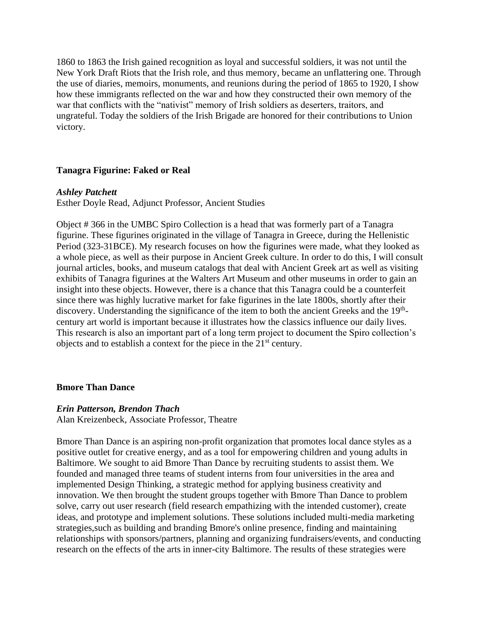1860 to 1863 the Irish gained recognition as loyal and successful soldiers, it was not until the New York Draft Riots that the Irish role, and thus memory, became an unflattering one. Through the use of diaries, memoirs, monuments, and reunions during the period of 1865 to 1920, I show how these immigrants reflected on the war and how they constructed their own memory of the war that conflicts with the "nativist" memory of Irish soldiers as deserters, traitors, and ungrateful. Today the soldiers of the Irish Brigade are honored for their contributions to Union victory.

### **Tanagra Figurine: Faked or Real**

#### *Ashley Patchett*

Esther Doyle Read, Adjunct Professor, Ancient Studies

Object # 366 in the UMBC Spiro Collection is a head that was formerly part of a Tanagra figurine. These figurines originated in the village of Tanagra in Greece, during the Hellenistic Period (323-31BCE). My research focuses on how the figurines were made, what they looked as a whole piece, as well as their purpose in Ancient Greek culture. In order to do this, I will consult journal articles, books, and museum catalogs that deal with Ancient Greek art as well as visiting exhibits of Tanagra figurines at the Walters Art Museum and other museums in order to gain an insight into these objects. However, there is a chance that this Tanagra could be a counterfeit since there was highly lucrative market for fake figurines in the late 1800s, shortly after their discovery. Understanding the significance of the item to both the ancient Greeks and the 19<sup>th</sup>century art world is important because it illustrates how the classics influence our daily lives. This research is also an important part of a long term project to document the Spiro collection's objects and to establish a context for the piece in the 21<sup>st</sup> century.

#### **Bmore Than Dance**

#### *Erin Patterson, Brendon Thach*

Alan Kreizenbeck, Associate Professor, Theatre

Bmore Than Dance is an aspiring non-profit organization that promotes local dance styles as a positive outlet for creative energy, and as a tool for empowering children and young adults in Baltimore. We sought to aid Bmore Than Dance by recruiting students to assist them. We founded and managed three teams of student interns from four universities in the area and implemented Design Thinking, a strategic method for applying business creativity and innovation. We then brought the student groups together with Bmore Than Dance to problem solve, carry out user research (field research empathizing with the intended customer), create ideas, and prototype and implement solutions. These solutions included multi-media marketing strategies,such as building and branding Bmore's online presence, finding and maintaining relationships with sponsors/partners, planning and organizing fundraisers/events, and conducting research on the effects of the arts in inner-city Baltimore. The results of these strategies were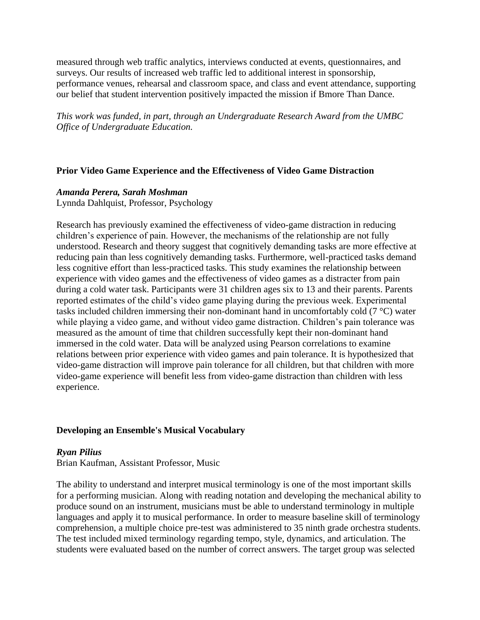measured through web traffic analytics, interviews conducted at events, questionnaires, and surveys. Our results of increased web traffic led to additional interest in sponsorship, performance venues, rehearsal and classroom space, and class and event attendance, supporting our belief that student intervention positively impacted the mission if Bmore Than Dance.

*This work was funded, in part, through an Undergraduate Research Award from the UMBC Office of Undergraduate Education.*

### **Prior Video Game Experience and the Effectiveness of Video Game Distraction**

#### *Amanda Perera, Sarah Moshman*

Lynnda Dahlquist, Professor, Psychology

Research has previously examined the effectiveness of video-game distraction in reducing children's experience of pain. However, the mechanisms of the relationship are not fully understood. Research and theory suggest that cognitively demanding tasks are more effective at reducing pain than less cognitively demanding tasks. Furthermore, well-practiced tasks demand less cognitive effort than less-practiced tasks. This study examines the relationship between experience with video games and the effectiveness of video games as a distracter from pain during a cold water task. Participants were 31 children ages six to 13 and their parents. Parents reported estimates of the child's video game playing during the previous week. Experimental tasks included children immersing their non-dominant hand in uncomfortably cold (7 °C) water while playing a video game, and without video game distraction. Children's pain tolerance was measured as the amount of time that children successfully kept their non-dominant hand immersed in the cold water. Data will be analyzed using Pearson correlations to examine relations between prior experience with video games and pain tolerance. It is hypothesized that video-game distraction will improve pain tolerance for all children, but that children with more video-game experience will benefit less from video-game distraction than children with less experience.

### **Developing an Ensemble's Musical Vocabulary**

*Ryan Pilius*

Brian Kaufman, Assistant Professor, Music

The ability to understand and interpret musical terminology is one of the most important skills for a performing musician. Along with reading notation and developing the mechanical ability to produce sound on an instrument, musicians must be able to understand terminology in multiple languages and apply it to musical performance. In order to measure baseline skill of terminology comprehension, a multiple choice pre-test was administered to 35 ninth grade orchestra students. The test included mixed terminology regarding tempo, style, dynamics, and articulation. The students were evaluated based on the number of correct answers. The target group was selected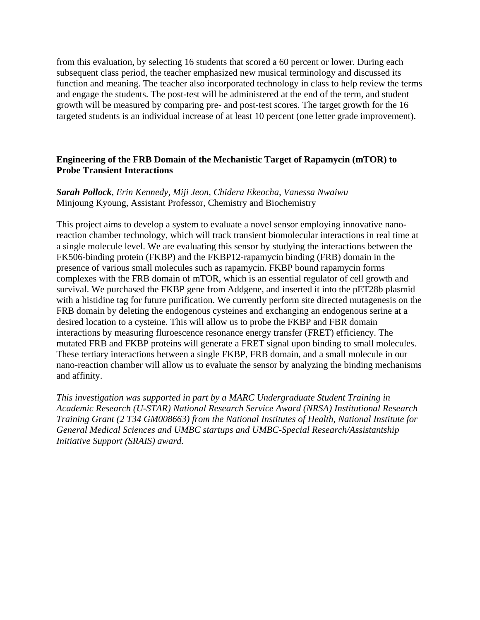from this evaluation, by selecting 16 students that scored a 60 percent or lower. During each subsequent class period, the teacher emphasized new musical terminology and discussed its function and meaning. The teacher also incorporated technology in class to help review the terms and engage the students. The post-test will be administered at the end of the term, and student growth will be measured by comparing pre- and post-test scores. The target growth for the 16 targeted students is an individual increase of at least 10 percent (one letter grade improvement).

# **Engineering of the FRB Domain of the Mechanistic Target of Rapamycin (mTOR) to Probe Transient Interactions**

# *Sarah Pollock, Erin Kennedy, Miji Jeon, Chidera Ekeocha, Vanessa Nwaiwu* Minjoung Kyoung, Assistant Professor, Chemistry and Biochemistry

This project aims to develop a system to evaluate a novel sensor employing innovative nanoreaction chamber technology, which will track transient biomolecular interactions in real time at a single molecule level. We are evaluating this sensor by studying the interactions between the FK506-binding protein (FKBP) and the FKBP12-rapamycin binding (FRB) domain in the presence of various small molecules such as rapamycin. FKBP bound rapamycin forms complexes with the FRB domain of mTOR, which is an essential regulator of cell growth and survival. We purchased the FKBP gene from Addgene, and inserted it into the pET28b plasmid with a histidine tag for future purification. We currently perform site directed mutagenesis on the FRB domain by deleting the endogenous cysteines and exchanging an endogenous serine at a desired location to a cysteine. This will allow us to probe the FKBP and FBR domain interactions by measuring fluroescence resonance energy transfer (FRET) efficiency. The mutated FRB and FKBP proteins will generate a FRET signal upon binding to small molecules. These tertiary interactions between a single FKBP, FRB domain, and a small molecule in our nano-reaction chamber will allow us to evaluate the sensor by analyzing the binding mechanisms and affinity.

*This investigation was supported in part by a MARC Undergraduate Student Training in Academic Research (U-STAR) National Research Service Award (NRSA) Institutional Research Training Grant (2 T34 GM008663) from the National Institutes of Health, National Institute for General Medical Sciences and UMBC startups and UMBC-Special Research/Assistantship Initiative Support (SRAIS) award.*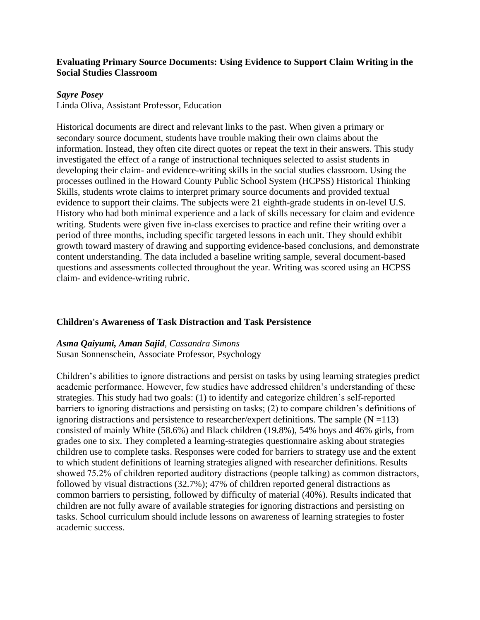# **Evaluating Primary Source Documents: Using Evidence to Support Claim Writing in the Social Studies Classroom**

### *Sayre Posey*

Linda Oliva, Assistant Professor, Education

Historical documents are direct and relevant links to the past. When given a primary or secondary source document, students have trouble making their own claims about the information. Instead, they often cite direct quotes or repeat the text in their answers. This study investigated the effect of a range of instructional techniques selected to assist students in developing their claim- and evidence-writing skills in the social studies classroom. Using the processes outlined in the Howard County Public School System (HCPSS) Historical Thinking Skills, students wrote claims to interpret primary source documents and provided textual evidence to support their claims. The subjects were 21 eighth-grade students in on-level U.S. History who had both minimal experience and a lack of skills necessary for claim and evidence writing. Students were given five in-class exercises to practice and refine their writing over a period of three months, including specific targeted lessons in each unit. They should exhibit growth toward mastery of drawing and supporting evidence-based conclusions, and demonstrate content understanding. The data included a baseline writing sample, several document-based questions and assessments collected throughout the year. Writing was scored using an HCPSS claim- and evidence-writing rubric.

# **Children's Awareness of Task Distraction and Task Persistence**

#### *Asma Qaiyumi, Aman Sajid, Cassandra Simons* Susan Sonnenschein, Associate Professor, Psychology

Children's abilities to ignore distractions and persist on tasks by using learning strategies predict academic performance. However, few studies have addressed children's understanding of these strategies. This study had two goals: (1) to identify and categorize children's self-reported barriers to ignoring distractions and persisting on tasks; (2) to compare children's definitions of ignoring distractions and persistence to researcher/expert definitions. The sample  $(N = 113)$ consisted of mainly White (58.6%) and Black children (19.8%), 54% boys and 46% girls, from grades one to six. They completed a learning-strategies questionnaire asking about strategies children use to complete tasks. Responses were coded for barriers to strategy use and the extent to which student definitions of learning strategies aligned with researcher definitions. Results showed 75.2% of children reported auditory distractions (people talking) as common distractors, followed by visual distractions (32.7%); 47% of children reported general distractions as common barriers to persisting, followed by difficulty of material (40%). Results indicated that children are not fully aware of available strategies for ignoring distractions and persisting on tasks. School curriculum should include lessons on awareness of learning strategies to foster academic success.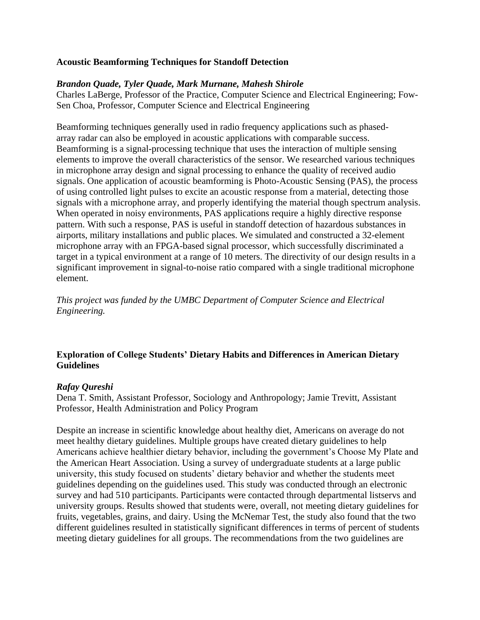# **Acoustic Beamforming Techniques for Standoff Detection**

# *Brandon Quade, Tyler Quade, Mark Murnane, Mahesh Shirole*

Charles LaBerge, Professor of the Practice, Computer Science and Electrical Engineering; Fow-Sen Choa, Professor, Computer Science and Electrical Engineering

Beamforming techniques generally used in radio frequency applications such as phasedarray radar can also be employed in acoustic applications with comparable success. Beamforming is a signal-processing technique that uses the interaction of multiple sensing elements to improve the overall characteristics of the sensor. We researched various techniques in microphone array design and signal processing to enhance the quality of received audio signals. One application of acoustic beamforming is Photo-Acoustic Sensing (PAS), the process of using controlled light pulses to excite an acoustic response from a material, detecting those signals with a microphone array, and properly identifying the material though spectrum analysis. When operated in noisy environments, PAS applications require a highly directive response pattern. With such a response, PAS is useful in standoff detection of hazardous substances in airports, military installations and public places. We simulated and constructed a 32-element microphone array with an FPGA-based signal processor, which successfully discriminated a target in a typical environment at a range of 10 meters. The directivity of our design results in a significant improvement in signal-to-noise ratio compared with a single traditional microphone element.

*This project was funded by the UMBC Department of Computer Science and Electrical Engineering.*

# **Exploration of College Students' Dietary Habits and Differences in American Dietary Guidelines**

# *Rafay Qureshi*

Dena T. Smith, Assistant Professor, Sociology and Anthropology; Jamie Trevitt, Assistant Professor, Health Administration and Policy Program

Despite an increase in scientific knowledge about healthy diet, Americans on average do not meet healthy dietary guidelines. Multiple groups have created dietary guidelines to help Americans achieve healthier dietary behavior, including the government's Choose My Plate and the American Heart Association. Using a survey of undergraduate students at a large public university, this study focused on students' dietary behavior and whether the students meet guidelines depending on the guidelines used. This study was conducted through an electronic survey and had 510 participants. Participants were contacted through departmental listservs and university groups. Results showed that students were, overall, not meeting dietary guidelines for fruits, vegetables, grains, and dairy. Using the McNemar Test, the study also found that the two different guidelines resulted in statistically significant differences in terms of percent of students meeting dietary guidelines for all groups. The recommendations from the two guidelines are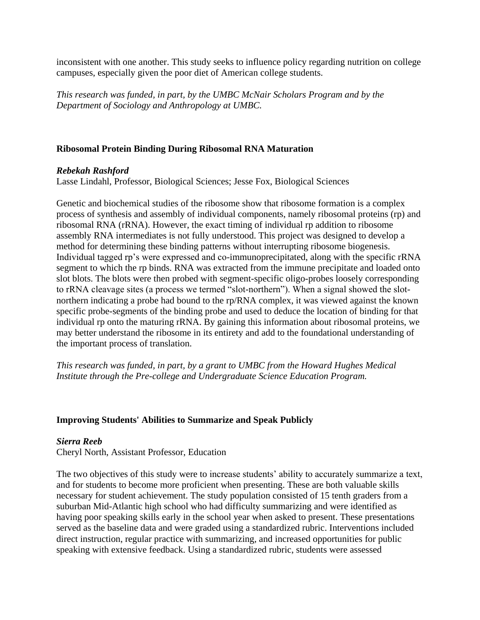inconsistent with one another. This study seeks to influence policy regarding nutrition on college campuses, especially given the poor diet of American college students.

*This research was funded, in part, by the UMBC McNair Scholars Program and by the Department of Sociology and Anthropology at UMBC.*

# **Ribosomal Protein Binding During Ribosomal RNA Maturation**

### *Rebekah Rashford*

Lasse Lindahl, Professor, Biological Sciences; Jesse Fox, Biological Sciences

Genetic and biochemical studies of the ribosome show that ribosome formation is a complex process of synthesis and assembly of individual components, namely ribosomal proteins (rp) and ribosomal RNA (rRNA). However, the exact timing of individual rp addition to ribosome assembly RNA intermediates is not fully understood. This project was designed to develop a method for determining these binding patterns without interrupting ribosome biogenesis. Individual tagged rp's were expressed and co-immunoprecipitated, along with the specific rRNA segment to which the rp binds. RNA was extracted from the immune precipitate and loaded onto slot blots. The blots were then probed with segment-specific oligo-probes loosely corresponding to rRNA cleavage sites (a process we termed "slot-northern"). When a signal showed the slotnorthern indicating a probe had bound to the rp/RNA complex, it was viewed against the known specific probe-segments of the binding probe and used to deduce the location of binding for that individual rp onto the maturing rRNA. By gaining this information about ribosomal proteins, we may better understand the ribosome in its entirety and add to the foundational understanding of the important process of translation.

*This research was funded, in part, by a grant to UMBC from the Howard Hughes Medical Institute through the Pre-college and Undergraduate Science Education Program.*

# **Improving Students' Abilities to Summarize and Speak Publicly**

#### *Sierra Reeb*

Cheryl North, Assistant Professor, Education

The two objectives of this study were to increase students' ability to accurately summarize a text, and for students to become more proficient when presenting. These are both valuable skills necessary for student achievement. The study population consisted of 15 tenth graders from a suburban Mid-Atlantic high school who had difficulty summarizing and were identified as having poor speaking skills early in the school year when asked to present. These presentations served as the baseline data and were graded using a standardized rubric. Interventions included direct instruction, regular practice with summarizing, and increased opportunities for public speaking with extensive feedback. Using a standardized rubric, students were assessed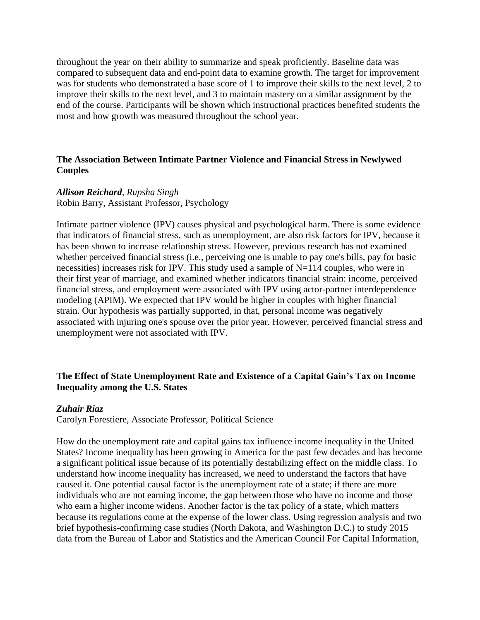throughout the year on their ability to summarize and speak proficiently. Baseline data was compared to subsequent data and end-point data to examine growth. The target for improvement was for students who demonstrated a base score of 1 to improve their skills to the next level, 2 to improve their skills to the next level, and 3 to maintain mastery on a similar assignment by the end of the course. Participants will be shown which instructional practices benefited students the most and how growth was measured throughout the school year.

# **The Association Between Intimate Partner Violence and Financial Stress in Newlywed Couples**

### *Allison Reichard, Rupsha Singh*

Robin Barry, Assistant Professor, Psychology

Intimate partner violence (IPV) causes physical and psychological harm. There is some evidence that indicators of financial stress, such as unemployment, are also risk factors for IPV, because it has been shown to increase relationship stress. However, previous research has not examined whether perceived financial stress (i.e., perceiving one is unable to pay one's bills, pay for basic necessities) increases risk for IPV. This study used a sample of N=114 couples, who were in their first year of marriage, and examined whether indicators financial strain: income, perceived financial stress, and employment were associated with IPV using actor-partner interdependence modeling (APIM). We expected that IPV would be higher in couples with higher financial strain. Our hypothesis was partially supported, in that, personal income was negatively associated with injuring one's spouse over the prior year. However, perceived financial stress and unemployment were not associated with IPV.

# **The Effect of State Unemployment Rate and Existence of a Capital Gain's Tax on Income Inequality among the U.S. States**

#### *Zuhair Riaz*

Carolyn Forestiere, Associate Professor, Political Science

How do the unemployment rate and capital gains tax influence income inequality in the United States? Income inequality has been growing in America for the past few decades and has become a significant political issue because of its potentially destabilizing effect on the middle class. To understand how income inequality has increased, we need to understand the factors that have caused it. One potential causal factor is the unemployment rate of a state; if there are more individuals who are not earning income, the gap between those who have no income and those who earn a higher income widens. Another factor is the tax policy of a state, which matters because its regulations come at the expense of the lower class. Using regression analysis and two brief hypothesis-confirming case studies (North Dakota, and Washington D.C.) to study 2015 data from the Bureau of Labor and Statistics and the American Council For Capital Information,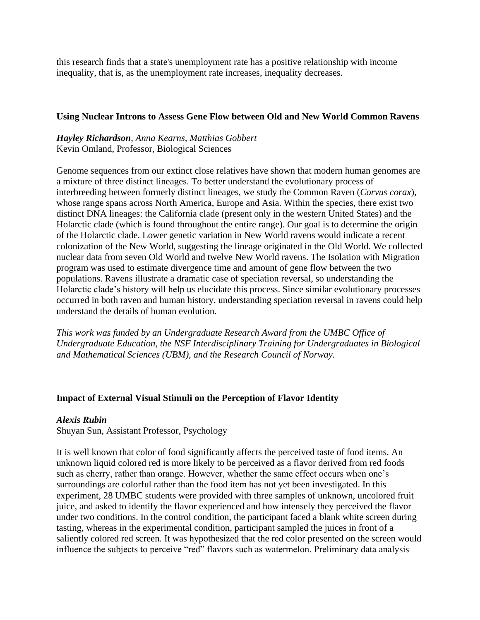this research finds that a state's unemployment rate has a positive relationship with income inequality, that is, as the unemployment rate increases, inequality decreases.

### **Using Nuclear Introns to Assess Gene Flow between Old and New World Common Ravens**

# *Hayley Richardson, Anna Kearns, Matthias Gobbert* Kevin Omland, Professor, Biological Sciences

Genome sequences from our extinct close relatives have shown that modern human genomes are a mixture of three distinct lineages. To better understand the evolutionary process of interbreeding between formerly distinct lineages, we study the Common Raven (*Corvus corax*), whose range spans across North America, Europe and Asia. Within the species, there exist two distinct DNA lineages: the California clade (present only in the western United States) and the Holarctic clade (which is found throughout the entire range). Our goal is to determine the origin of the Holarctic clade. Lower genetic variation in New World ravens would indicate a recent colonization of the New World, suggesting the lineage originated in the Old World. We collected nuclear data from seven Old World and twelve New World ravens. The Isolation with Migration program was used to estimate divergence time and amount of gene flow between the two populations. Ravens illustrate a dramatic case of speciation reversal, so understanding the Holarctic clade's history will help us elucidate this process. Since similar evolutionary processes occurred in both raven and human history, understanding speciation reversal in ravens could help understand the details of human evolution.

*This work was funded by an Undergraduate Research Award from the UMBC Office of Undergraduate Education, the NSF Interdisciplinary Training for Undergraduates in Biological and Mathematical Sciences (UBM), and the Research Council of Norway.*

# **Impact of External Visual Stimuli on the Perception of Flavor Identity**

# *Alexis Rubin*

Shuyan Sun, Assistant Professor, Psychology

It is well known that color of food significantly affects the perceived taste of food items. An unknown liquid colored red is more likely to be perceived as a flavor derived from red foods such as cherry, rather than orange. However, whether the same effect occurs when one's surroundings are colorful rather than the food item has not yet been investigated. In this experiment, 28 UMBC students were provided with three samples of unknown, uncolored fruit juice, and asked to identify the flavor experienced and how intensely they perceived the flavor under two conditions. In the control condition, the participant faced a blank white screen during tasting, whereas in the experimental condition, participant sampled the juices in front of a saliently colored red screen. It was hypothesized that the red color presented on the screen would influence the subjects to perceive "red" flavors such as watermelon. Preliminary data analysis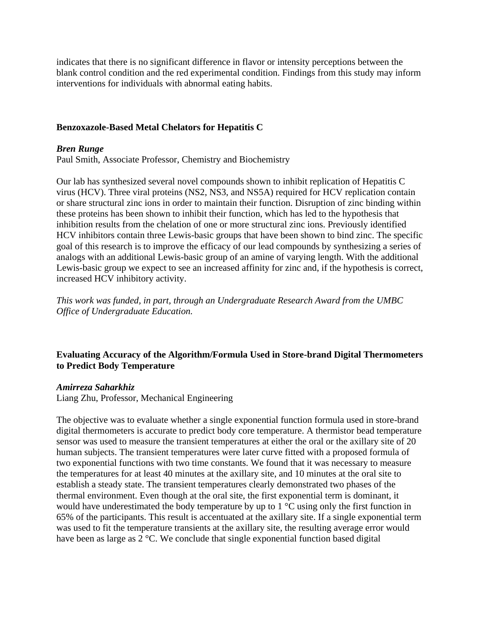indicates that there is no significant difference in flavor or intensity perceptions between the blank control condition and the red experimental condition. Findings from this study may inform interventions for individuals with abnormal eating habits.

# **Benzoxazole-Based Metal Chelators for Hepatitis C**

# *Bren Runge*

Paul Smith, Associate Professor, Chemistry and Biochemistry

Our lab has synthesized several novel compounds shown to inhibit replication of Hepatitis C virus (HCV). Three viral proteins (NS2, NS3, and NS5A) required for HCV replication contain or share structural zinc ions in order to maintain their function. Disruption of zinc binding within these proteins has been shown to inhibit their function, which has led to the hypothesis that inhibition results from the chelation of one or more structural zinc ions. Previously identified HCV inhibitors contain three Lewis-basic groups that have been shown to bind zinc. The specific goal of this research is to improve the efficacy of our lead compounds by synthesizing a series of analogs with an additional Lewis-basic group of an amine of varying length. With the additional Lewis-basic group we expect to see an increased affinity for zinc and, if the hypothesis is correct, increased HCV inhibitory activity.

*This work was funded, in part, through an Undergraduate Research Award from the UMBC Office of Undergraduate Education.*

# **Evaluating Accuracy of the Algorithm/Formula Used in Store-brand Digital Thermometers to Predict Body Temperature**

# *Amirreza Saharkhiz*

Liang Zhu, Professor, Mechanical Engineering

The objective was to evaluate whether a single exponential function formula used in store-brand digital thermometers is accurate to predict body core temperature. A thermistor bead temperature sensor was used to measure the transient temperatures at either the oral or the axillary site of 20 human subjects. The transient temperatures were later curve fitted with a proposed formula of two exponential functions with two time constants. We found that it was necessary to measure the temperatures for at least 40 minutes at the axillary site, and 10 minutes at the oral site to establish a steady state. The transient temperatures clearly demonstrated two phases of the thermal environment. Even though at the oral site, the first exponential term is dominant, it would have underestimated the body temperature by up to  $1 \degree C$  using only the first function in 65% of the participants. This result is accentuated at the axillary site. If a single exponential term was used to fit the temperature transients at the axillary site, the resulting average error would have been as large as 2 °C. We conclude that single exponential function based digital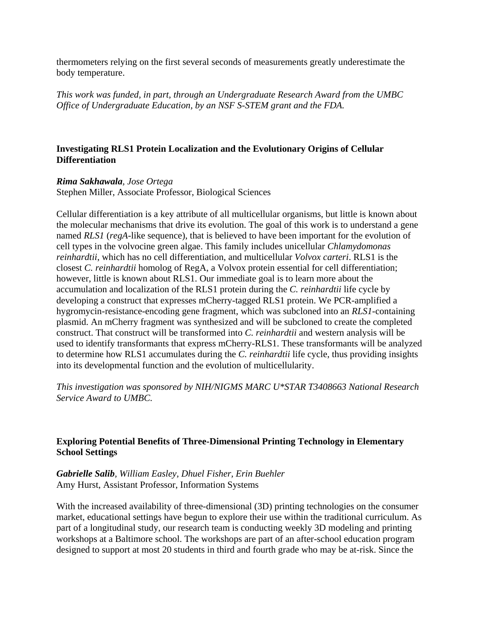thermometers relying on the first several seconds of measurements greatly underestimate the body temperature.

*This work was funded, in part, through an Undergraduate Research Award from the UMBC Office of Undergraduate Education, by an NSF S-STEM grant and the FDA.*

# **Investigating RLS1 Protein Localization and the Evolutionary Origins of Cellular Differentiation**

# *Rima Sakhawala, Jose Ortega*

Stephen Miller, Associate Professor, Biological Sciences

Cellular differentiation is a key attribute of all multicellular organisms, but little is known about the molecular mechanisms that drive its evolution. The goal of this work is to understand a gene named *RLS1* (*regA*-like sequence), that is believed to have been important for the evolution of cell types in the volvocine green algae. This family includes unicellular *Chlamydomonas reinhardtii*, which has no cell differentiation, and multicellular *Volvox carteri*. RLS1 is the closest *C. reinhardtii* homolog of RegA, a Volvox protein essential for cell differentiation; however, little is known about RLS1. Our immediate goal is to learn more about the accumulation and localization of the RLS1 protein during the *C. reinhardtii* life cycle by developing a construct that expresses mCherry-tagged RLS1 protein. We PCR-amplified a hygromycin-resistance-encoding gene fragment, which was subcloned into an *RLS1*-containing plasmid. An mCherry fragment was synthesized and will be subcloned to create the completed construct. That construct will be transformed into *C. reinhardtii* and western analysis will be used to identify transformants that express mCherry-RLS1. These transformants will be analyzed to determine how RLS1 accumulates during the *C. reinhardtii* life cycle, thus providing insights into its developmental function and the evolution of multicellularity.

*This investigation was sponsored by NIH/NIGMS MARC U\*STAR T3408663 National Research Service Award to UMBC.*

# **Exploring Potential Benefits of Three-Dimensional Printing Technology in Elementary School Settings**

*Gabrielle Salib, William Easley, Dhuel Fisher, Erin Buehler* Amy Hurst, Assistant Professor, Information Systems

With the increased availability of three-dimensional (3D) printing technologies on the consumer market, educational settings have begun to explore their use within the traditional curriculum. As part of a longitudinal study, our research team is conducting weekly 3D modeling and printing workshops at a Baltimore school. The workshops are part of an after-school education program designed to support at most 20 students in third and fourth grade who may be at-risk. Since the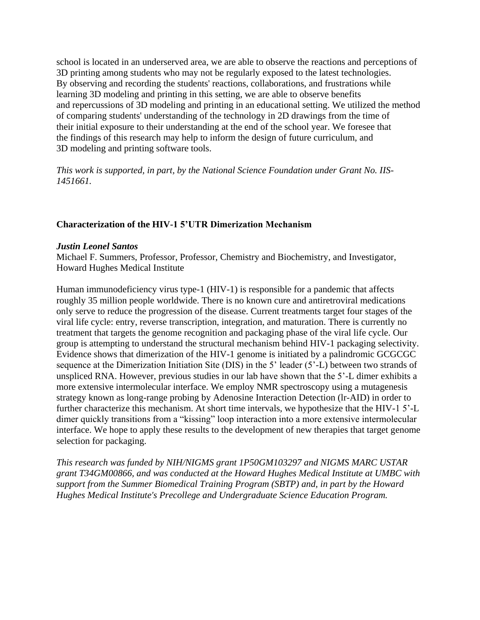school is located in an underserved area, we are able to observe the reactions and perceptions of 3D printing among students who may not be regularly exposed to the latest technologies. By observing and recording the students' reactions, collaborations, and frustrations while learning 3D modeling and printing in this setting, we are able to observe benefits and repercussions of 3D modeling and printing in an educational setting. We utilized the method of comparing students' understanding of the technology in 2D drawings from the time of their initial exposure to their understanding at the end of the school year. We foresee that the findings of this research may help to inform the design of future curriculum, and 3D modeling and printing software tools.

*This work is supported, in part, by the National Science Foundation under Grant No. IIS-1451661.*

# **Characterization of the HIV-1 5'UTR Dimerization Mechanism**

### *Justin Leonel Santos*

Michael F. Summers, Professor, Professor, Chemistry and Biochemistry, and Investigator, Howard Hughes Medical Institute

Human immunodeficiency virus type-1 (HIV-1) is responsible for a pandemic that affects roughly 35 million people worldwide. There is no known cure and antiretroviral medications only serve to reduce the progression of the disease. Current treatments target four stages of the viral life cycle: entry, reverse transcription, integration, and maturation. There is currently no treatment that targets the genome recognition and packaging phase of the viral life cycle. Our group is attempting to understand the structural mechanism behind HIV-1 packaging selectivity. Evidence shows that dimerization of the HIV-1 genome is initiated by a palindromic GCGCGC sequence at the Dimerization Initiation Site (DIS) in the 5' leader (5'-L) between two strands of unspliced RNA. However, previous studies in our lab have shown that the 5'-L dimer exhibits a more extensive intermolecular interface. We employ NMR spectroscopy using a mutagenesis strategy known as long-range probing by Adenosine Interaction Detection (lr-AID) in order to further characterize this mechanism. At short time intervals, we hypothesize that the HIV-1 5'-L dimer quickly transitions from a "kissing" loop interaction into a more extensive intermolecular interface. We hope to apply these results to the development of new therapies that target genome selection for packaging.

*This research was funded by NIH/NIGMS grant 1P50GM103297 and NIGMS MARC USTAR grant T34GM00866, and was conducted at the Howard Hughes Medical Institute at UMBC with support from the Summer Biomedical Training Program (SBTP) and, in part by the Howard Hughes Medical Institute's Precollege and Undergraduate Science Education Program.*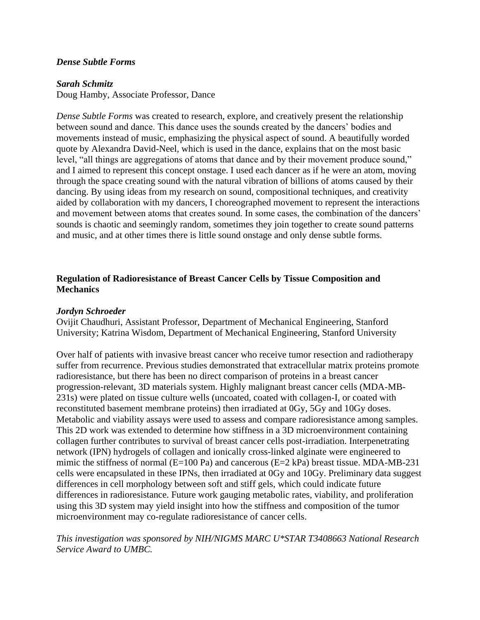### *Dense Subtle Forms*

#### *Sarah Schmitz*

Doug Hamby, Associate Professor, Dance

*Dense Subtle Forms* was created to research, explore, and creatively present the relationship between sound and dance. This dance uses the sounds created by the dancers' bodies and movements instead of music, emphasizing the physical aspect of sound. A beautifully worded quote by Alexandra David-Neel, which is used in the dance, explains that on the most basic level, "all things are aggregations of atoms that dance and by their movement produce sound," and I aimed to represent this concept onstage. I used each dancer as if he were an atom, moving through the space creating sound with the natural vibration of billions of atoms caused by their dancing. By using ideas from my research on sound, compositional techniques, and creativity aided by collaboration with my dancers, I choreographed movement to represent the interactions and movement between atoms that creates sound. In some cases, the combination of the dancers' sounds is chaotic and seemingly random, sometimes they join together to create sound patterns and music, and at other times there is little sound onstage and only dense subtle forms.

# **Regulation of Radioresistance of Breast Cancer Cells by Tissue Composition and Mechanics**

#### *Jordyn Schroeder*

Ovijit Chaudhuri, Assistant Professor, Department of Mechanical Engineering, Stanford University; Katrina Wisdom, Department of Mechanical Engineering, Stanford University

Over half of patients with invasive breast cancer who receive tumor resection and radiotherapy suffer from recurrence. Previous studies demonstrated that extracellular matrix proteins promote radioresistance, but there has been no direct comparison of proteins in a breast cancer progression-relevant, 3D materials system. Highly malignant breast cancer cells (MDA-MB-231s) were plated on tissue culture wells (uncoated, coated with collagen-I, or coated with reconstituted basement membrane proteins) then irradiated at 0Gy, 5Gy and 10Gy doses. Metabolic and viability assays were used to assess and compare radioresistance among samples. This 2D work was extended to determine how stiffness in a 3D microenvironment containing collagen further contributes to survival of breast cancer cells post-irradiation. Interpenetrating network (IPN) hydrogels of collagen and ionically cross-linked alginate were engineered to mimic the stiffness of normal (E=100 Pa) and cancerous (E=2 kPa) breast tissue. MDA-MB-231 cells were encapsulated in these IPNs, then irradiated at 0Gy and 10Gy. Preliminary data suggest differences in cell morphology between soft and stiff gels, which could indicate future differences in radioresistance. Future work gauging metabolic rates, viability, and proliferation using this 3D system may yield insight into how the stiffness and composition of the tumor microenvironment may co-regulate radioresistance of cancer cells.

*This investigation was sponsored by NIH/NIGMS MARC U\*STAR T3408663 National Research Service Award to UMBC.*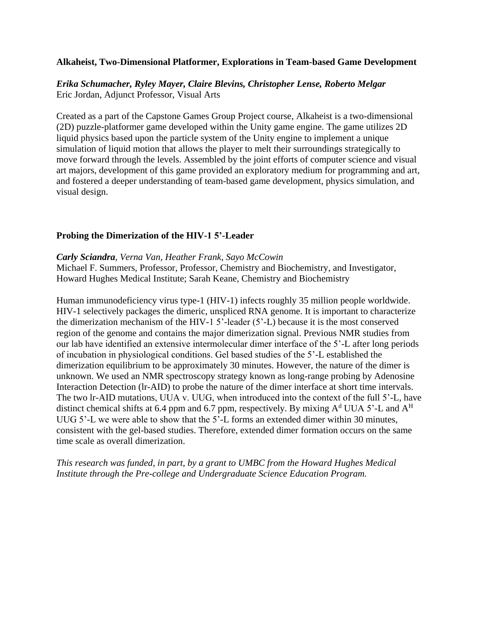### **Alkaheist, Two-Dimensional Platformer, Explorations in Team-based Game Development**

*Erika Schumacher, Ryley Mayer, Claire Blevins, Christopher Lense, Roberto Melgar* Eric Jordan, Adjunct Professor, Visual Arts

Created as a part of the Capstone Games Group Project course, Alkaheist is a two-dimensional (2D) puzzle-platformer game developed within the Unity game engine. The game utilizes 2D liquid physics based upon the particle system of the Unity engine to implement a unique simulation of liquid motion that allows the player to melt their surroundings strategically to move forward through the levels. Assembled by the joint efforts of computer science and visual art majors, development of this game provided an exploratory medium for programming and art, and fostered a deeper understanding of team-based game development, physics simulation, and visual design.

### **Probing the Dimerization of the HIV-1 5'-Leader**

#### *Carly Sciandra, Verna Van, Heather Frank, Sayo McCowin*

Michael F. Summers, Professor, Professor, Chemistry and Biochemistry, and Investigator, Howard Hughes Medical Institute; Sarah Keane, Chemistry and Biochemistry

Human immunodeficiency virus type-1 (HIV-1) infects roughly 35 million people worldwide. HIV-1 selectively packages the dimeric, unspliced RNA genome. It is important to characterize the dimerization mechanism of the HIV-1 5'-leader (5'-L) because it is the most conserved region of the genome and contains the major dimerization signal. Previous NMR studies from our lab have identified an extensive intermolecular dimer interface of the 5'-L after long periods of incubation in physiological conditions. Gel based studies of the 5'-L established the dimerization equilibrium to be approximately 30 minutes. However, the nature of the dimer is unknown. We used an NMR spectroscopy strategy known as long-range probing by Adenosine Interaction Detection (lr-AID) to probe the nature of the dimer interface at short time intervals. The two lr-AID mutations, UUA v. UUG, when introduced into the context of the full 5'-L, have distinct chemical shifts at 6.4 ppm and 6.7 ppm, respectively. By mixing  $A<sup>d</sup> UUA 5'$ -L and  $A<sup>H</sup>$ UUG 5'-L we were able to show that the 5'-L forms an extended dimer within 30 minutes, consistent with the gel-based studies. Therefore, extended dimer formation occurs on the same time scale as overall dimerization.

*This research was funded, in part, by a grant to UMBC from the Howard Hughes Medical Institute through the Pre-college and Undergraduate Science Education Program.*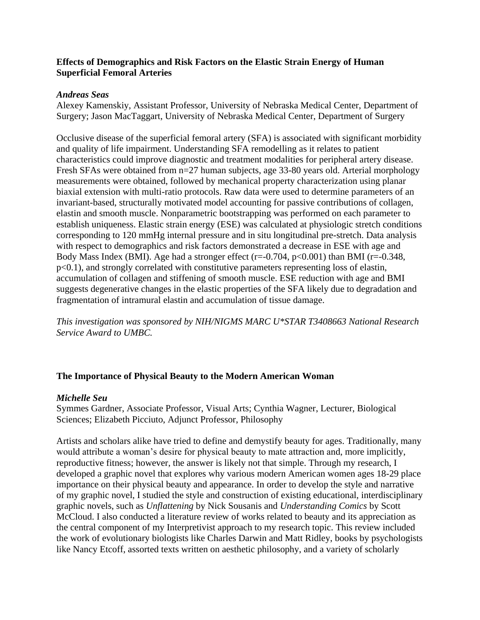# **Effects of Demographics and Risk Factors on the Elastic Strain Energy of Human Superficial Femoral Arteries**

### *Andreas Seas*

Alexey Kamenskiy, Assistant Professor, University of Nebraska Medical Center, Department of Surgery; Jason MacTaggart, University of Nebraska Medical Center, Department of Surgery

Occlusive disease of the superficial femoral artery (SFA) is associated with significant morbidity and quality of life impairment. Understanding SFA remodelling as it relates to patient characteristics could improve diagnostic and treatment modalities for peripheral artery disease. Fresh SFAs were obtained from n=27 human subjects, age 33-80 years old. Arterial morphology measurements were obtained, followed by mechanical property characterization using planar biaxial extension with multi-ratio protocols. Raw data were used to determine parameters of an invariant-based, structurally motivated model accounting for passive contributions of collagen, elastin and smooth muscle. Nonparametric bootstrapping was performed on each parameter to establish uniqueness. Elastic strain energy (ESE) was calculated at physiologic stretch conditions corresponding to 120 mmHg internal pressure and in situ longitudinal pre-stretch. Data analysis with respect to demographics and risk factors demonstrated a decrease in ESE with age and Body Mass Index (BMI). Age had a stronger effect ( $r=-0.704$ ,  $p<0.001$ ) than BMI ( $r=-0.348$ , p<0.1), and strongly correlated with constitutive parameters representing loss of elastin, accumulation of collagen and stiffening of smooth muscle. ESE reduction with age and BMI suggests degenerative changes in the elastic properties of the SFA likely due to degradation and fragmentation of intramural elastin and accumulation of tissue damage.

*This investigation was sponsored by NIH/NIGMS MARC U\*STAR T3408663 National Research Service Award to UMBC.*

# **The Importance of Physical Beauty to the Modern American Woman**

# *Michelle Seu*

Symmes Gardner, Associate Professor, Visual Arts; Cynthia Wagner, Lecturer, Biological Sciences; Elizabeth Picciuto, Adjunct Professor, Philosophy

Artists and scholars alike have tried to define and demystify beauty for ages. Traditionally, many would attribute a woman's desire for physical beauty to mate attraction and, more implicitly, reproductive fitness; however, the answer is likely not that simple. Through my research, I developed a graphic novel that explores why various modern American women ages 18-29 place importance on their physical beauty and appearance. In order to develop the style and narrative of my graphic novel, I studied the style and construction of existing educational, interdisciplinary graphic novels, such as *Unflattening* by Nick Sousanis and *Understanding Comics* by Scott McCloud. I also conducted a literature review of works related to beauty and its appreciation as the central component of my Interpretivist approach to my research topic. This review included the work of evolutionary biologists like Charles Darwin and Matt Ridley, books by psychologists like Nancy Etcoff, assorted texts written on aesthetic philosophy, and a variety of scholarly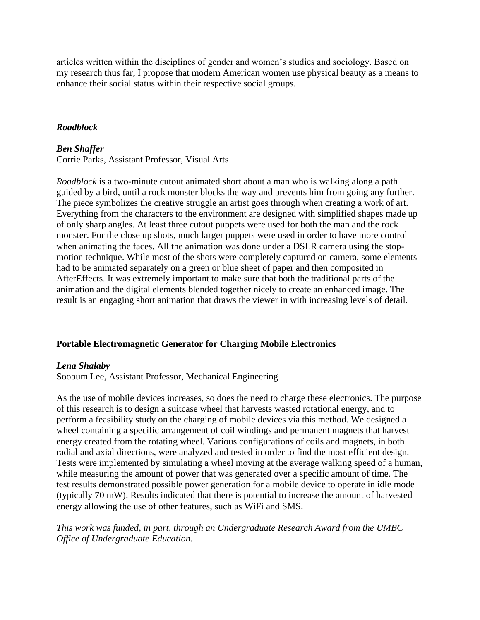articles written within the disciplines of gender and women's studies and sociology. Based on my research thus far, I propose that modern American women use physical beauty as a means to enhance their social status within their respective social groups.

# *Roadblock*

# *Ben Shaffer*

Corrie Parks, Assistant Professor, Visual Arts

*Roadblock* is a two-minute cutout animated short about a man who is walking along a path guided by a bird, until a rock monster blocks the way and prevents him from going any further. The piece symbolizes the creative struggle an artist goes through when creating a work of art. Everything from the characters to the environment are designed with simplified shapes made up of only sharp angles. At least three cutout puppets were used for both the man and the rock monster. For the close up shots, much larger puppets were used in order to have more control when animating the faces. All the animation was done under a DSLR camera using the stopmotion technique. While most of the shots were completely captured on camera, some elements had to be animated separately on a green or blue sheet of paper and then composited in AfterEffects. It was extremely important to make sure that both the traditional parts of the animation and the digital elements blended together nicely to create an enhanced image. The result is an engaging short animation that draws the viewer in with increasing levels of detail.

# **Portable Electromagnetic Generator for Charging Mobile Electronics**

# *Lena Shalaby*

Soobum Lee, Assistant Professor, Mechanical Engineering

As the use of mobile devices increases, so does the need to charge these electronics. The purpose of this research is to design a suitcase wheel that harvests wasted rotational energy, and to perform a feasibility study on the charging of mobile devices via this method. We designed a wheel containing a specific arrangement of coil windings and permanent magnets that harvest energy created from the rotating wheel. Various configurations of coils and magnets, in both radial and axial directions, were analyzed and tested in order to find the most efficient design. Tests were implemented by simulating a wheel moving at the average walking speed of a human, while measuring the amount of power that was generated over a specific amount of time. The test results demonstrated possible power generation for a mobile device to operate in idle mode (typically 70 mW). Results indicated that there is potential to increase the amount of harvested energy allowing the use of other features, such as WiFi and SMS.

*This work was funded, in part, through an Undergraduate Research Award from the UMBC Office of Undergraduate Education.*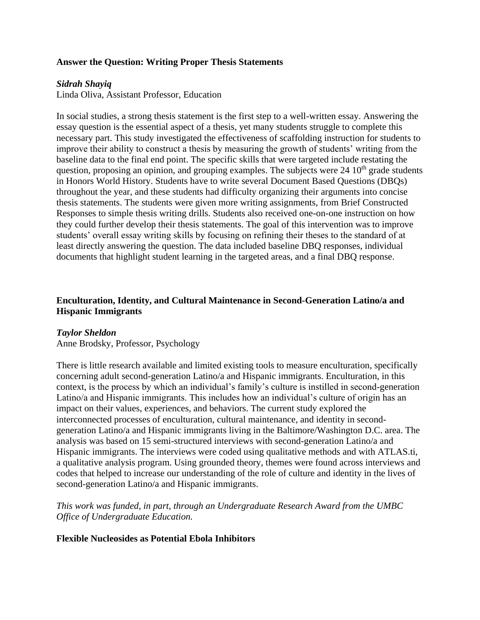# **Answer the Question: Writing Proper Thesis Statements**

### *Sidrah Shayiq*

Linda Oliva, Assistant Professor, Education

In social studies, a strong thesis statement is the first step to a well-written essay. Answering the essay question is the essential aspect of a thesis, yet many students struggle to complete this necessary part. This study investigated the effectiveness of scaffolding instruction for students to improve their ability to construct a thesis by measuring the growth of students' writing from the baseline data to the final end point. The specific skills that were targeted include restating the question, proposing an opinion, and grouping examples. The subjects were  $24 \times 10^{th}$  grade students in Honors World History. Students have to write several Document Based Questions (DBQs) throughout the year, and these students had difficulty organizing their arguments into concise thesis statements. The students were given more writing assignments, from Brief Constructed Responses to simple thesis writing drills. Students also received one-on-one instruction on how they could further develop their thesis statements. The goal of this intervention was to improve students' overall essay writing skills by focusing on refining their theses to the standard of at least directly answering the question. The data included baseline DBQ responses, individual documents that highlight student learning in the targeted areas, and a final DBQ response.

# **Enculturation, Identity, and Cultural Maintenance in Second-Generation Latino/a and Hispanic Immigrants**

#### *Taylor Sheldon*

Anne Brodsky, Professor, Psychology

There is little research available and limited existing tools to measure enculturation, specifically concerning adult second-generation Latino/a and Hispanic immigrants. Enculturation, in this context, is the process by which an individual's family's culture is instilled in second-generation Latino/a and Hispanic immigrants. This includes how an individual's culture of origin has an impact on their values, experiences, and behaviors. The current study explored the interconnected processes of enculturation, cultural maintenance, and identity in secondgeneration Latino/a and Hispanic immigrants living in the Baltimore/Washington D.C. area. The analysis was based on 15 semi-structured interviews with second-generation Latino/a and Hispanic immigrants. The interviews were coded using qualitative methods and with ATLAS.ti, a qualitative analysis program. Using grounded theory, themes were found across interviews and codes that helped to increase our understanding of the role of culture and identity in the lives of second-generation Latino/a and Hispanic immigrants.

*This work was funded, in part, through an Undergraduate Research Award from the UMBC Office of Undergraduate Education.*

### **Flexible Nucleosides as Potential Ebola Inhibitors**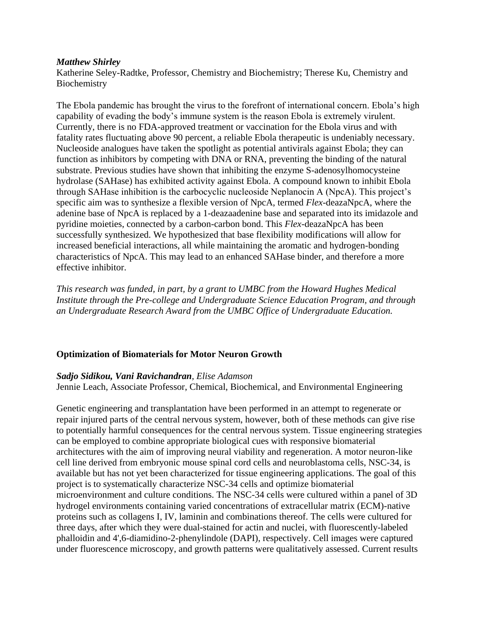### *Matthew Shirley*

Katherine Seley-Radtke, Professor, Chemistry and Biochemistry; Therese Ku, Chemistry and Biochemistry

The Ebola pandemic has brought the virus to the forefront of international concern. Ebola's high capability of evading the body's immune system is the reason Ebola is extremely virulent. Currently, there is no FDA-approved treatment or vaccination for the Ebola virus and with fatality rates fluctuating above 90 percent, a reliable Ebola therapeutic is undeniably necessary. Nucleoside analogues have taken the spotlight as potential antivirals against Ebola; they can function as inhibitors by competing with DNA or RNA, preventing the binding of the natural substrate. Previous studies have shown that inhibiting the enzyme S-adenosylhomocysteine hydrolase (SAHase) has exhibited activity against Ebola. A compound known to inhibit Ebola through SAHase inhibition is the carbocyclic nucleoside Neplanocin A (NpcA). This project's specific aim was to synthesize a flexible version of NpcA, termed *Flex*-deazaNpcA, where the adenine base of NpcA is replaced by a 1-deazaadenine base and separated into its imidazole and pyridine moieties, connected by a carbon-carbon bond. This *Flex*-deazaNpcA has been successfully synthesized. We hypothesized that base flexibility modifications will allow for increased beneficial interactions, all while maintaining the aromatic and hydrogen-bonding characteristics of NpcA. This may lead to an enhanced SAHase binder, and therefore a more effective inhibitor.

*This research was funded, in part, by a grant to UMBC from the Howard Hughes Medical Institute through the Pre-college and Undergraduate Science Education Program, and through an Undergraduate Research Award from the UMBC Office of Undergraduate Education.*

# **Optimization of Biomaterials for Motor Neuron Growth**

# *Sadjo Sidikou, Vani Ravichandran, Elise Adamson*

Jennie Leach, Associate Professor, Chemical, Biochemical, and Environmental Engineering

Genetic engineering and transplantation have been performed in an attempt to regenerate or repair injured parts of the central nervous system, however, both of these methods can give rise to potentially harmful consequences for the central nervous system. Tissue engineering strategies can be employed to combine appropriate biological cues with responsive biomaterial architectures with the aim of improving neural viability and regeneration. A motor neuron-like cell line derived from embryonic mouse spinal cord cells and neuroblastoma cells, NSC-34, is available but has not yet been characterized for tissue engineering applications. The goal of this project is to systematically characterize NSC-34 cells and optimize biomaterial microenvironment and culture conditions. The NSC-34 cells were cultured within a panel of 3D hydrogel environments containing varied concentrations of extracellular matrix (ECM)-native proteins such as collagens I, IV, laminin and combinations thereof. The cells were cultured for three days, after which they were dual-stained for actin and nuclei, with fluorescently-labeled phalloidin and 4',6-diamidino-2-phenylindole (DAPI), respectively. Cell images were captured under fluorescence microscopy, and growth patterns were qualitatively assessed. Current results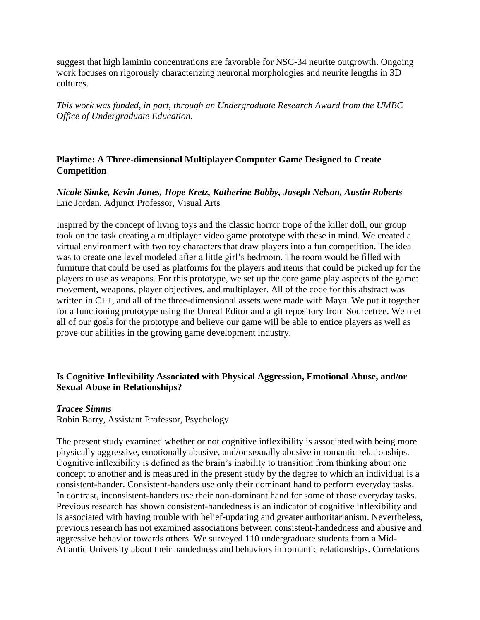suggest that high laminin concentrations are favorable for NSC-34 neurite outgrowth. Ongoing work focuses on rigorously characterizing neuronal morphologies and neurite lengths in 3D cultures.

*This work was funded, in part, through an Undergraduate Research Award from the UMBC Office of Undergraduate Education.*

# **Playtime: A Three-dimensional Multiplayer Computer Game Designed to Create Competition**

*Nicole Simke, Kevin Jones, Hope Kretz, Katherine Bobby, Joseph Nelson, Austin Roberts* Eric Jordan, Adjunct Professor, Visual Arts

Inspired by the concept of living toys and the classic horror trope of the killer doll, our group took on the task creating a multiplayer video game prototype with these in mind. We created a virtual environment with two toy characters that draw players into a fun competition. The idea was to create one level modeled after a little girl's bedroom. The room would be filled with furniture that could be used as platforms for the players and items that could be picked up for the players to use as weapons. For this prototype, we set up the core game play aspects of the game: movement, weapons, player objectives, and multiplayer. All of the code for this abstract was written in C++, and all of the three-dimensional assets were made with Maya. We put it together for a functioning prototype using the Unreal Editor and a git repository from Sourcetree. We met all of our goals for the prototype and believe our game will be able to entice players as well as prove our abilities in the growing game development industry.

# **Is Cognitive Inflexibility Associated with Physical Aggression, Emotional Abuse, and/or Sexual Abuse in Relationships?**

# *Tracee Simms*

Robin Barry, Assistant Professor, Psychology

The present study examined whether or not cognitive inflexibility is associated with being more physically aggressive, emotionally abusive, and/or sexually abusive in romantic relationships. Cognitive inflexibility is defined as the brain's inability to transition from thinking about one concept to another and is measured in the present study by the degree to which an individual is a consistent-hander. Consistent-handers use only their dominant hand to perform everyday tasks. In contrast, inconsistent-handers use their non-dominant hand for some of those everyday tasks. Previous research has shown consistent-handedness is an indicator of cognitive inflexibility and is associated with having trouble with belief-updating and greater authoritarianism. Nevertheless, previous research has not examined associations between consistent-handedness and abusive and aggressive behavior towards others. We surveyed 110 undergraduate students from a Mid-Atlantic University about their handedness and behaviors in romantic relationships. Correlations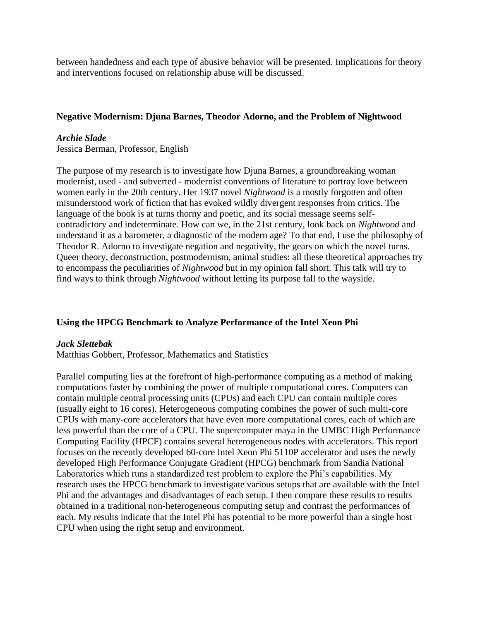between handedness and each type of abusive behavior will be presented. Implications for theory and interventions focused on relationship abuse will be discussed.

# **Negative Modernism: Djuna Barnes, Theodor Adorno, and the Problem of Nightwood**

# *Archie Slade*

Jessica Berman, Professor, English

The purpose of my research is to investigate how Djuna Barnes, a groundbreaking woman modernist, used - and subverted - modernist conventions of literature to portray love between women early in the 20th century. Her 1937 novel *Nightwood* is a mostly forgotten and often misunderstood work of fiction that has evoked wildly divergent responses from critics. The language of the book is at turns thorny and poetic, and its social message seems selfcontradictory and indeterminate. How can we, in the 21st century, look back on *Nightwood* and understand it as a barometer, a diagnostic of the modern age? To that end, I use the philosophy of Theodor R. Adorno to investigate negation and negativity, the gears on which the novel turns. Queer theory, deconstruction, postmodernism, animal studies: all these theoretical approaches try to encompass the peculiarities of *Nightwood* but in my opinion fall short. This talk will try to find ways to think through *Nightwood* without letting its purpose fall to the wayside.

# **Using the HPCG Benchmark to Analyze Performance of the Intel Xeon Phi**

# *Jack Slettebak*

Matthias Gobbert, Professor, Mathematics and Statistics

Parallel computing lies at the forefront of high-performance computing as a method of making computations faster by combining the power of multiple computational cores. Computers can contain multiple central processing units (CPUs) and each CPU can contain multiple cores (usually eight to 16 cores). Heterogeneous computing combines the power of such multi-core CPUs with many-core accelerators that have even more computational cores, each of which are less powerful than the core of a CPU. The supercomputer maya in the UMBC High Performance Computing Facility (HPCF) contains several heterogeneous nodes with accelerators. This report focuses on the recently developed 60-core Intel Xeon Phi 5110P accelerator and uses the newly developed High Performance Conjugate Gradient (HPCG) benchmark from Sandia National Laboratories which runs a standardized test problem to explore the Phi's capabilities. My research uses the HPCG benchmark to investigate various setups that are available with the Intel Phi and the advantages and disadvantages of each setup. I then compare these results to results obtained in a traditional non-heterogeneous computing setup and contrast the performances of each. My results indicate that the Intel Phi has potential to be more powerful than a single host CPU when using the right setup and environment.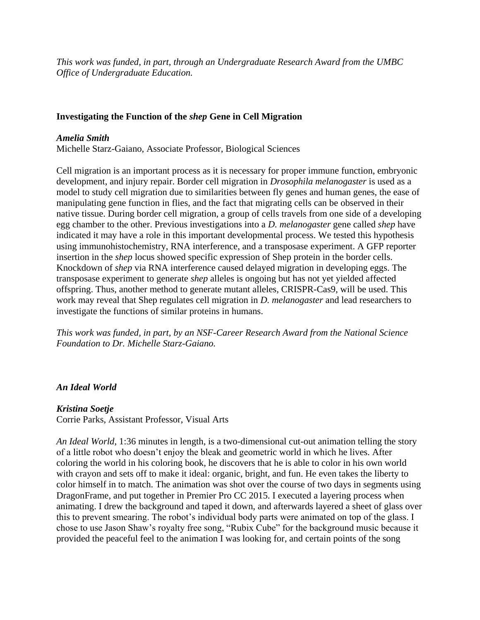*This work was funded, in part, through an Undergraduate Research Award from the UMBC Office of Undergraduate Education.*

# **Investigating the Function of the** *shep* **Gene in Cell Migration**

# *Amelia Smith*

Michelle Starz-Gaiano, Associate Professor, Biological Sciences

Cell migration is an important process as it is necessary for proper immune function, embryonic development, and injury repair. Border cell migration in *Drosophila melanogaster* is used as a model to study cell migration due to similarities between fly genes and human genes, the ease of manipulating gene function in flies, and the fact that migrating cells can be observed in their native tissue. During border cell migration, a group of cells travels from one side of a developing egg chamber to the other. Previous investigations into a *D. melanogaster* gene called *shep* have indicated it may have a role in this important developmental process. We tested this hypothesis using immunohistochemistry, RNA interference, and a transposase experiment. A GFP reporter insertion in the *shep* locus showed specific expression of Shep protein in the border cells. Knockdown of *shep* via RNA interference caused delayed migration in developing eggs. The transposase experiment to generate *shep* alleles is ongoing but has not yet yielded affected offspring. Thus, another method to generate mutant alleles, CRISPR-Cas9, will be used. This work may reveal that Shep regulates cell migration in *D. melanogaster* and lead researchers to investigate the functions of similar proteins in humans.

*This work was funded, in part, by an NSF-Career Research Award from the National Science Foundation to Dr. Michelle Starz-Gaiano.*

# *An Ideal World*

# *Kristina Soetje*

Corrie Parks, Assistant Professor, Visual Arts

*An Ideal World*, 1:36 minutes in length, is a two-dimensional cut-out animation telling the story of a little robot who doesn't enjoy the bleak and geometric world in which he lives. After coloring the world in his coloring book, he discovers that he is able to color in his own world with crayon and sets off to make it ideal: organic, bright, and fun. He even takes the liberty to color himself in to match. The animation was shot over the course of two days in segments using DragonFrame, and put together in Premier Pro CC 2015. I executed a layering process when animating. I drew the background and taped it down, and afterwards layered a sheet of glass over this to prevent smearing. The robot's individual body parts were animated on top of the glass. I chose to use Jason Shaw's royalty free song, "Rubix Cube" for the background music because it provided the peaceful feel to the animation I was looking for, and certain points of the song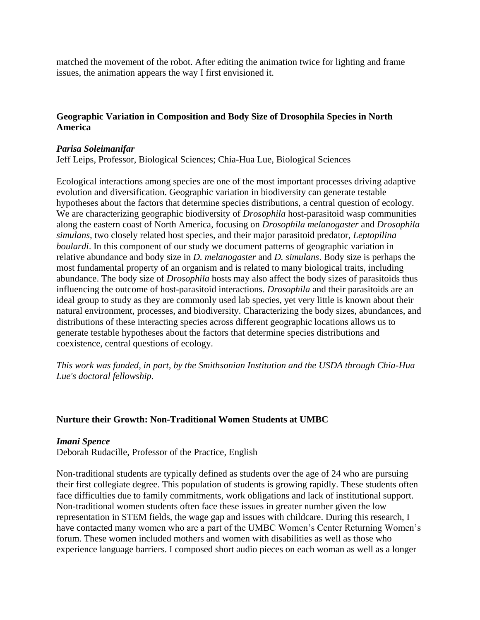matched the movement of the robot. After editing the animation twice for lighting and frame issues, the animation appears the way I first envisioned it.

# **Geographic Variation in Composition and Body Size of Drosophila Species in North America**

### *Parisa Soleimanifar*

Jeff Leips, Professor, Biological Sciences; Chia-Hua Lue, Biological Sciences

Ecological interactions among species are one of the most important processes driving adaptive evolution and diversification. Geographic variation in biodiversity can generate testable hypotheses about the factors that determine species distributions, a central question of ecology. We are characterizing geographic biodiversity of *Drosophila* host-parasitoid wasp communities along the eastern coast of North America, focusing on *Drosophila melanogaster* and *Drosophila simulans,* two closely related host species, and their major parasitoid predator, *Leptopilina boulardi*. In this component of our study we document patterns of geographic variation in relative abundance and body size in *D. melanogaster* and *D. simulans*. Body size is perhaps the most fundamental property of an organism and is related to many biological traits, including abundance. The body size of *Drosophila* hosts may also affect the body sizes of parasitoids thus influencing the outcome of host-parasitoid interactions. *Drosophila* and their parasitoids are an ideal group to study as they are commonly used lab species, yet very little is known about their natural environment, processes, and biodiversity. Characterizing the body sizes, abundances, and distributions of these interacting species across different geographic locations allows us to generate testable hypotheses about the factors that determine species distributions and coexistence, central questions of ecology.

*This work was funded, in part, by the Smithsonian Institution and the USDA through Chia-Hua Lue's doctoral fellowship.*

# **Nurture their Growth: Non-Traditional Women Students at UMBC**

#### *Imani Spence*

Deborah Rudacille, Professor of the Practice, English

Non-traditional students are typically defined as students over the age of 24 who are pursuing their first collegiate degree. This population of students is growing rapidly. These students often face difficulties due to family commitments, work obligations and lack of institutional support. Non-traditional women students often face these issues in greater number given the low representation in STEM fields, the wage gap and issues with childcare. During this research, I have contacted many women who are a part of the UMBC Women's Center Returning Women's forum. These women included mothers and women with disabilities as well as those who experience language barriers. I composed short audio pieces on each woman as well as a longer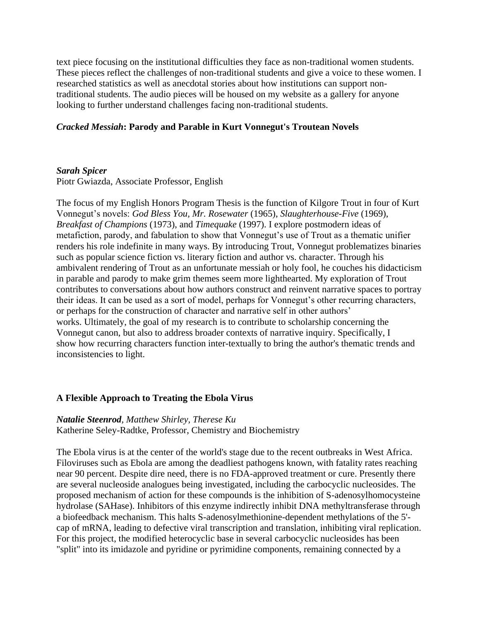text piece focusing on the institutional difficulties they face as non-traditional women students. These pieces reflect the challenges of non-traditional students and give a voice to these women. I researched statistics as well as anecdotal stories about how institutions can support nontraditional students. The audio pieces will be housed on my website as a gallery for anyone looking to further understand challenges facing non-traditional students.

### *Cracked Messiah***: Parody and Parable in Kurt Vonnegut's Troutean Novels**

#### *Sarah Spicer*

Piotr Gwiazda, Associate Professor, English

The focus of my English Honors Program Thesis is the function of Kilgore Trout in four of Kurt Vonnegut's novels: *God Bless You, Mr. Rosewater* (1965), *Slaughterhouse-Five* (1969), *Breakfast of Champions* (1973), and *Timequake* (1997). I explore postmodern ideas of metafiction, parody, and fabulation to show that Vonnegut's use of Trout as a thematic unifier renders his role indefinite in many ways. By introducing Trout, Vonnegut problematizes binaries such as popular science fiction vs. literary fiction and author vs. character. Through his ambivalent rendering of Trout as an unfortunate messiah or holy fool, he couches his didacticism in parable and parody to make grim themes seem more lighthearted. My exploration of Trout contributes to conversations about how authors construct and reinvent narrative spaces to portray their ideas. It can be used as a sort of model, perhaps for Vonnegut's other recurring characters, or perhaps for the construction of character and narrative self in other authors' works. Ultimately, the goal of my research is to contribute to scholarship concerning the Vonnegut canon, but also to address broader contexts of narrative inquiry. Specifically, I show how recurring characters function inter-textually to bring the author's thematic trends and inconsistencies to light.

#### **A Flexible Approach to Treating the Ebola Virus**

*Natalie Steenrod, Matthew Shirley, Therese Ku* Katherine Seley-Radtke, Professor, Chemistry and Biochemistry

The Ebola virus is at the center of the world's stage due to the recent outbreaks in West Africa. Filoviruses such as Ebola are among the deadliest pathogens known, with fatality rates reaching near 90 percent. Despite dire need, there is no FDA-approved treatment or cure. Presently there are several nucleoside analogues being investigated, including the carbocyclic nucleosides. The proposed mechanism of action for these compounds is the inhibition of S-adenosylhomocysteine hydrolase (SAHase). Inhibitors of this enzyme indirectly inhibit DNA methyltransferase through a biofeedback mechanism. This halts S-adenosylmethionine-dependent methylations of the 5' cap of mRNA, leading to defective viral transcription and translation, inhibiting viral replication. For this project, the modified heterocyclic base in several carbocyclic nucleosides has been "split" into its imidazole and pyridine or pyrimidine components, remaining connected by a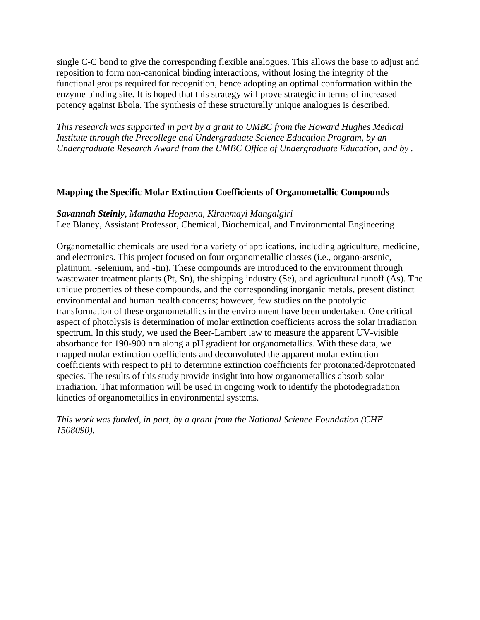single C-C bond to give the corresponding flexible analogues. This allows the base to adjust and reposition to form non-canonical binding interactions, without losing the integrity of the functional groups required for recognition, hence adopting an optimal conformation within the enzyme binding site. It is hoped that this strategy will prove strategic in terms of increased potency against Ebola. The synthesis of these structurally unique analogues is described.

*This research was supported in part by a grant to UMBC from the Howard Hughes Medical Institute through the Precollege and Undergraduate Science Education Program, by an Undergraduate Research Award from the UMBC Office of Undergraduate Education, and by .*

# **Mapping the Specific Molar Extinction Coefficients of Organometallic Compounds**

*Savannah Steinly, Mamatha Hopanna, Kiranmayi Mangalgiri* Lee Blaney, Assistant Professor, Chemical, Biochemical, and Environmental Engineering

Organometallic chemicals are used for a variety of applications, including agriculture, medicine, and electronics. This project focused on four organometallic classes (i.e., organo-arsenic, platinum, -selenium, and -tin). These compounds are introduced to the environment through wastewater treatment plants (Pt, Sn), the shipping industry (Se), and agricultural runoff (As). The unique properties of these compounds, and the corresponding inorganic metals, present distinct environmental and human health concerns; however, few studies on the photolytic transformation of these organometallics in the environment have been undertaken. One critical aspect of photolysis is determination of molar extinction coefficients across the solar irradiation spectrum. In this study, we used the Beer-Lambert law to measure the apparent UV-visible absorbance for 190-900 nm along a pH gradient for organometallics. With these data, we mapped molar extinction coefficients and deconvoluted the apparent molar extinction coefficients with respect to pH to determine extinction coefficients for protonated/deprotonated species. The results of this study provide insight into how organometallics absorb solar irradiation. That information will be used in ongoing work to identify the photodegradation kinetics of organometallics in environmental systems.

*This work was funded, in part, by a grant from the National Science Foundation (CHE 1508090).*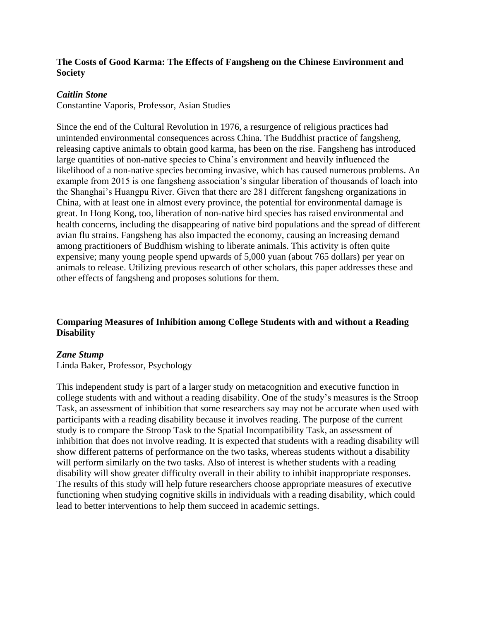# **The Costs of Good Karma: The Effects of Fangsheng on the Chinese Environment and Society**

## *Caitlin Stone*

Constantine Vaporis, Professor, Asian Studies

Since the end of the Cultural Revolution in 1976, a resurgence of religious practices had unintended environmental consequences across China. The Buddhist practice of fangsheng, releasing captive animals to obtain good karma, has been on the rise. Fangsheng has introduced large quantities of non-native species to China's environment and heavily influenced the likelihood of a non-native species becoming invasive, which has caused numerous problems. An example from 2015 is one fangsheng association's singular liberation of thousands of loach into the Shanghai's Huangpu River. Given that there are 281 different fangsheng organizations in China, with at least one in almost every province, the potential for environmental damage is great. In Hong Kong, too, liberation of non-native bird species has raised environmental and health concerns, including the disappearing of native bird populations and the spread of different avian flu strains. Fangsheng has also impacted the economy, causing an increasing demand among practitioners of Buddhism wishing to liberate animals. This activity is often quite expensive; many young people spend upwards of 5,000 yuan (about 765 dollars) per year on animals to release. Utilizing previous research of other scholars, this paper addresses these and other effects of fangsheng and proposes solutions for them.

# **Comparing Measures of Inhibition among College Students with and without a Reading Disability**

### *Zane Stump*

Linda Baker, Professor, Psychology

This independent study is part of a larger study on metacognition and executive function in college students with and without a reading disability. One of the study's measures is the Stroop Task, an assessment of inhibition that some researchers say may not be accurate when used with participants with a reading disability because it involves reading. The purpose of the current study is to compare the Stroop Task to the Spatial Incompatibility Task, an assessment of inhibition that does not involve reading. It is expected that students with a reading disability will show different patterns of performance on the two tasks, whereas students without a disability will perform similarly on the two tasks. Also of interest is whether students with a reading disability will show greater difficulty overall in their ability to inhibit inappropriate responses. The results of this study will help future researchers choose appropriate measures of executive functioning when studying cognitive skills in individuals with a reading disability, which could lead to better interventions to help them succeed in academic settings.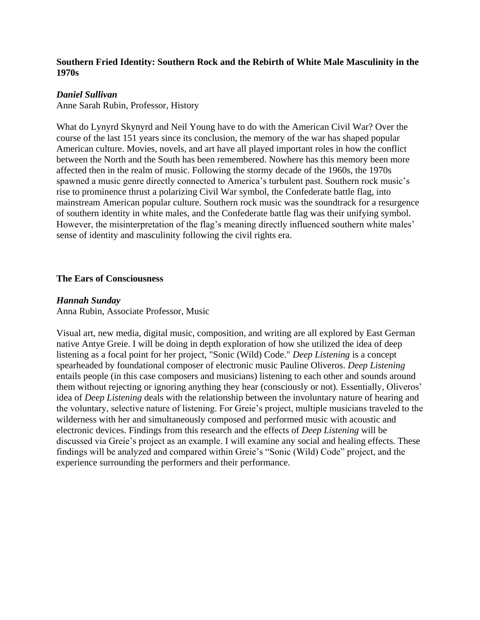# **Southern Fried Identity: Southern Rock and the Rebirth of White Male Masculinity in the 1970s**

## *Daniel Sullivan*

Anne Sarah Rubin, Professor, History

What do Lynyrd Skynyrd and Neil Young have to do with the American Civil War? Over the course of the last 151 years since its conclusion, the memory of the war has shaped popular American culture. Movies, novels, and art have all played important roles in how the conflict between the North and the South has been remembered. Nowhere has this memory been more affected then in the realm of music. Following the stormy decade of the 1960s, the 1970s spawned a music genre directly connected to America's turbulent past. Southern rock music's rise to prominence thrust a polarizing Civil War symbol, the Confederate battle flag, into mainstream American popular culture. Southern rock music was the soundtrack for a resurgence of southern identity in white males, and the Confederate battle flag was their unifying symbol. However, the misinterpretation of the flag's meaning directly influenced southern white males' sense of identity and masculinity following the civil rights era.

#### **The Ears of Consciousness**

#### *Hannah Sunday*

Anna Rubin, Associate Professor, Music

Visual art, new media, digital music, composition, and writing are all explored by East German native Antye Greie. I will be doing in depth exploration of how she utilized the idea of deep listening as a focal point for her project, "Sonic (Wild) Code." *Deep Listening* is a concept spearheaded by foundational composer of electronic music Pauline Oliveros. *Deep Listening* entails people (in this case composers and musicians) listening to each other and sounds around them without rejecting or ignoring anything they hear (consciously or not). Essentially, Oliveros' idea of *Deep Listening* deals with the relationship between the involuntary nature of hearing and the voluntary, selective nature of listening. For Greie's project, multiple musicians traveled to the wilderness with her and simultaneously composed and performed music with acoustic and electronic devices. Findings from this research and the effects of *Deep Listening* will be discussed via Greie's project as an example. I will examine any social and healing effects. These findings will be analyzed and compared within Greie's "Sonic (Wild) Code" project, and the experience surrounding the performers and their performance.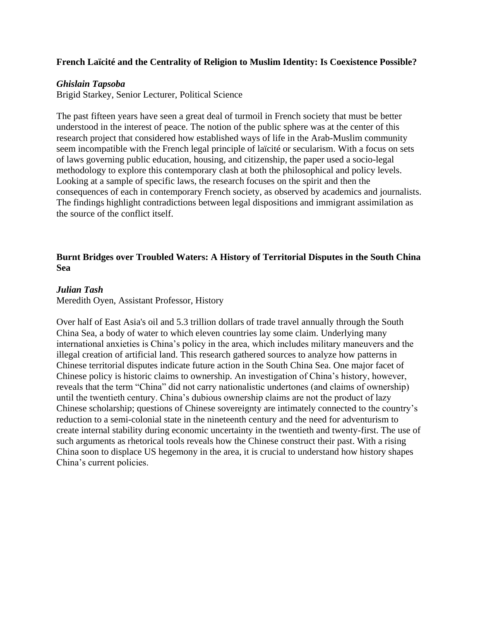# **French Laïcité and the Centrality of Religion to Muslim Identity: Is Coexistence Possible?**

### *Ghislain Tapsoba*

Brigid Starkey, Senior Lecturer, Political Science

The past fifteen years have seen a great deal of turmoil in French society that must be better understood in the interest of peace. The notion of the public sphere was at the center of this research project that considered how established ways of life in the Arab-Muslim community seem incompatible with the French legal principle of laïcité or secularism. With a focus on sets of laws governing public education, housing, and citizenship, the paper used a socio-legal methodology to explore this contemporary clash at both the philosophical and policy levels. Looking at a sample of specific laws, the research focuses on the spirit and then the consequences of each in contemporary French society, as observed by academics and journalists. The findings highlight contradictions between legal dispositions and immigrant assimilation as the source of the conflict itself.

# **Burnt Bridges over Troubled Waters: A History of Territorial Disputes in the South China Sea**

#### *Julian Tash*

Meredith Oyen, Assistant Professor, History

Over half of East Asia's oil and 5.3 trillion dollars of trade travel annually through the South China Sea, a body of water to which eleven countries lay some claim. Underlying many international anxieties is China's policy in the area, which includes military maneuvers and the illegal creation of artificial land. This research gathered sources to analyze how patterns in Chinese territorial disputes indicate future action in the South China Sea. One major facet of Chinese policy is historic claims to ownership. An investigation of China's history, however, reveals that the term "China" did not carry nationalistic undertones (and claims of ownership) until the twentieth century. China's dubious ownership claims are not the product of lazy Chinese scholarship; questions of Chinese sovereignty are intimately connected to the country's reduction to a semi-colonial state in the nineteenth century and the need for adventurism to create internal stability during economic uncertainty in the twentieth and twenty-first. The use of such arguments as rhetorical tools reveals how the Chinese construct their past. With a rising China soon to displace US hegemony in the area, it is crucial to understand how history shapes China's current policies.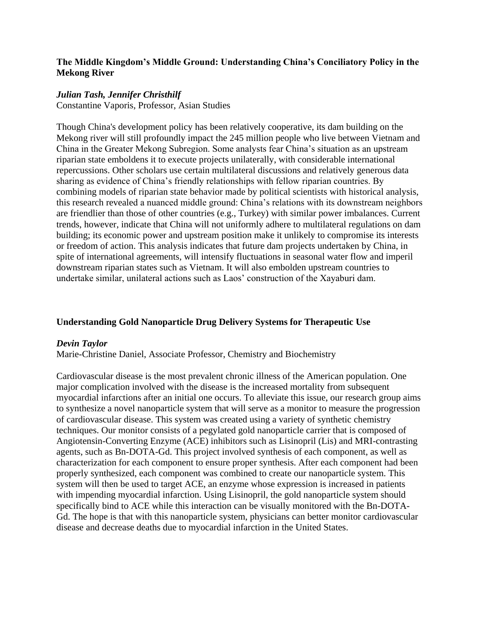## **The Middle Kingdom's Middle Ground: Understanding China's Conciliatory Policy in the Mekong River**

### *Julian Tash, Jennifer Christhilf*

Constantine Vaporis, Professor, Asian Studies

Though China's development policy has been relatively cooperative, its dam building on the Mekong river will still profoundly impact the 245 million people who live between Vietnam and China in the Greater Mekong Subregion. Some analysts fear China's situation as an upstream riparian state emboldens it to execute projects unilaterally, with considerable international repercussions. Other scholars use certain multilateral discussions and relatively generous data sharing as evidence of China's friendly relationships with fellow riparian countries. By combining models of riparian state behavior made by political scientists with historical analysis, this research revealed a nuanced middle ground: China's relations with its downstream neighbors are friendlier than those of other countries (e.g., Turkey) with similar power imbalances. Current trends, however, indicate that China will not uniformly adhere to multilateral regulations on dam building; its economic power and upstream position make it unlikely to compromise its interests or freedom of action. This analysis indicates that future dam projects undertaken by China, in spite of international agreements, will intensify fluctuations in seasonal water flow and imperil downstream riparian states such as Vietnam. It will also embolden upstream countries to undertake similar, unilateral actions such as Laos' construction of the Xayaburi dam.

### **Understanding Gold Nanoparticle Drug Delivery Systems for Therapeutic Use**

### *Devin Taylor*

Marie-Christine Daniel, Associate Professor, Chemistry and Biochemistry

Cardiovascular disease is the most prevalent chronic illness of the American population. One major complication involved with the disease is the increased mortality from subsequent myocardial infarctions after an initial one occurs. To alleviate this issue, our research group aims to synthesize a novel nanoparticle system that will serve as a monitor to measure the progression of cardiovascular disease. This system was created using a variety of synthetic chemistry techniques. Our monitor consists of a pegylated gold nanoparticle carrier that is composed of Angiotensin-Converting Enzyme (ACE) inhibitors such as Lisinopril (Lis) and MRI-contrasting agents, such as Bn-DOTA-Gd. This project involved synthesis of each component, as well as characterization for each component to ensure proper synthesis. After each component had been properly synthesized, each component was combined to create our nanoparticle system. This system will then be used to target ACE, an enzyme whose expression is increased in patients with impending myocardial infarction. Using Lisinopril, the gold nanoparticle system should specifically bind to ACE while this interaction can be visually monitored with the Bn-DOTA-Gd. The hope is that with this nanoparticle system, physicians can better monitor cardiovascular disease and decrease deaths due to myocardial infarction in the United States.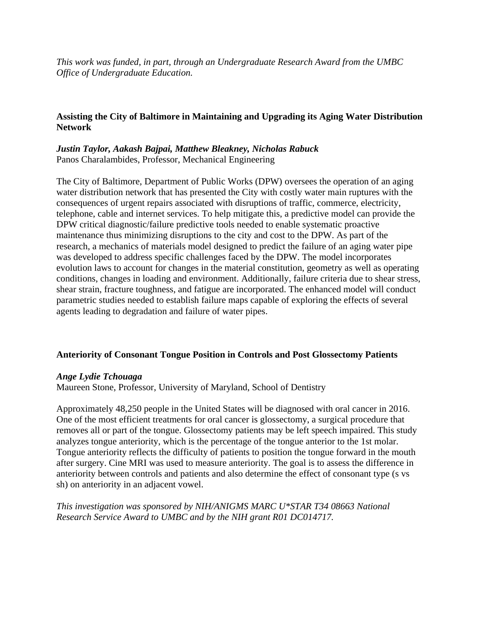*This work was funded, in part, through an Undergraduate Research Award from the UMBC Office of Undergraduate Education.*

# **Assisting the City of Baltimore in Maintaining and Upgrading its Aging Water Distribution Network**

# *Justin Taylor, Aakash Bajpai, Matthew Bleakney, Nicholas Rabuck* Panos Charalambides, Professor, Mechanical Engineering

The City of Baltimore, Department of Public Works (DPW) oversees the operation of an aging water distribution network that has presented the City with costly water main ruptures with the consequences of urgent repairs associated with disruptions of traffic, commerce, electricity, telephone, cable and internet services. To help mitigate this, a predictive model can provide the DPW critical diagnostic/failure predictive tools needed to enable systematic proactive maintenance thus minimizing disruptions to the city and cost to the DPW. As part of the research, a mechanics of materials model designed to predict the failure of an aging water pipe was developed to address specific challenges faced by the DPW. The model incorporates evolution laws to account for changes in the material constitution, geometry as well as operating conditions, changes in loading and environment. Additionally, failure criteria due to shear stress, shear strain, fracture toughness, and fatigue are incorporated. The enhanced model will conduct parametric studies needed to establish failure maps capable of exploring the effects of several agents leading to degradation and failure of water pipes.

### **Anteriority of Consonant Tongue Position in Controls and Post Glossectomy Patients**

### *Ange Lydie Tchouaga*

Maureen Stone, Professor, University of Maryland, School of Dentistry

Approximately 48,250 people in the United States will be diagnosed with oral cancer in 2016. One of the most efficient treatments for oral cancer is glossectomy, a surgical procedure that removes all or part of the tongue. Glossectomy patients may be left speech impaired. This study analyzes tongue anteriority, which is the percentage of the tongue anterior to the 1st molar. Tongue anteriority reflects the difficulty of patients to position the tongue forward in the mouth after surgery. Cine MRI was used to measure anteriority. The goal is to assess the difference in anteriority between controls and patients and also determine the effect of consonant type (s vs sh) on anteriority in an adjacent vowel.

*This investigation was sponsored by NIH/ANIGMS MARC U\*STAR T34 08663 National Research Service Award to UMBC and by the NIH grant R01 DC014717.*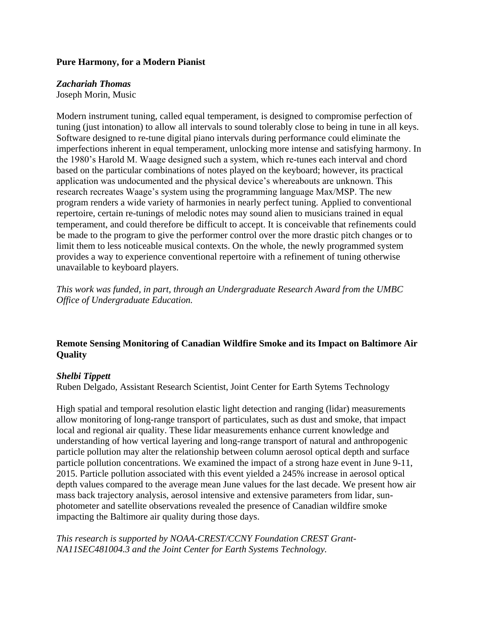#### **Pure Harmony, for a Modern Pianist**

#### *Zachariah Thomas*

Joseph Morin, Music

Modern instrument tuning, called equal temperament, is designed to compromise perfection of tuning (just intonation) to allow all intervals to sound tolerably close to being in tune in all keys. Software designed to re-tune digital piano intervals during performance could eliminate the imperfections inherent in equal temperament, unlocking more intense and satisfying harmony. In the 1980's Harold M. Waage designed such a system, which re-tunes each interval and chord based on the particular combinations of notes played on the keyboard; however, its practical application was undocumented and the physical device's whereabouts are unknown. This research recreates Waage's system using the programming language Max/MSP. The new program renders a wide variety of harmonies in nearly perfect tuning. Applied to conventional repertoire, certain re-tunings of melodic notes may sound alien to musicians trained in equal temperament, and could therefore be difficult to accept. It is conceivable that refinements could be made to the program to give the performer control over the more drastic pitch changes or to limit them to less noticeable musical contexts. On the whole, the newly programmed system provides a way to experience conventional repertoire with a refinement of tuning otherwise unavailable to keyboard players.

*This work was funded, in part, through an Undergraduate Research Award from the UMBC Office of Undergraduate Education.*

# **Remote Sensing Monitoring of Canadian Wildfire Smoke and its Impact on Baltimore Air Quality**

### *Shelbi Tippett*

Ruben Delgado, Assistant Research Scientist, Joint Center for Earth Sytems Technology

High spatial and temporal resolution elastic light detection and ranging (lidar) measurements allow monitoring of long-range transport of particulates, such as dust and smoke, that impact local and regional air quality. These lidar measurements enhance current knowledge and understanding of how vertical layering and long-range transport of natural and anthropogenic particle pollution may alter the relationship between column aerosol optical depth and surface particle pollution concentrations. We examined the impact of a strong haze event in June 9-11, 2015. Particle pollution associated with this event yielded a 245% increase in aerosol optical depth values compared to the average mean June values for the last decade. We present how air mass back trajectory analysis, aerosol intensive and extensive parameters from lidar, sunphotometer and satellite observations revealed the presence of Canadian wildfire smoke impacting the Baltimore air quality during those days.

*This research is supported by NOAA-CREST/CCNY Foundation CREST Grant-NA11SEC481004.3 and the Joint Center for Earth Systems Technology.*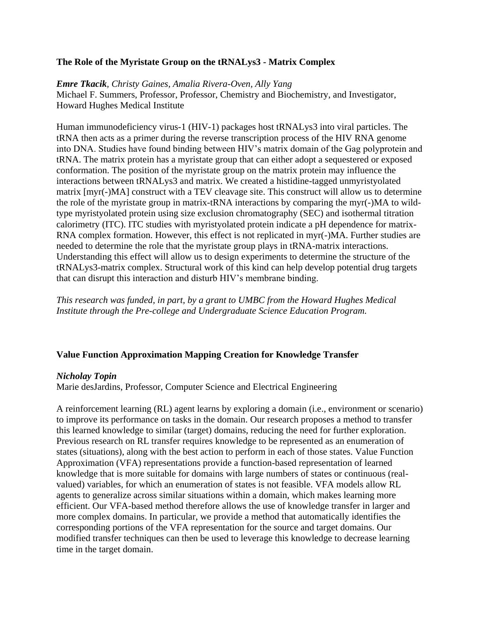# **The Role of the Myristate Group on the tRNALys3 - Matrix Complex**

#### *Emre Tkacik, Christy Gaines, Amalia Rivera-Oven, Ally Yang*

Michael F. Summers, Professor, Professor, Chemistry and Biochemistry, and Investigator, Howard Hughes Medical Institute

Human immunodeficiency virus-1 (HIV-1) packages host tRNALys3 into viral particles. The tRNA then acts as a primer during the reverse transcription process of the HIV RNA genome into DNA. Studies have found binding between HIV's matrix domain of the Gag polyprotein and tRNA. The matrix protein has a myristate group that can either adopt a sequestered or exposed conformation. The position of the myristate group on the matrix protein may influence the interactions between tRNALys3 and matrix. We created a histidine-tagged unmyristyolated matrix [myr(-)MA] construct with a TEV cleavage site. This construct will allow us to determine the role of the myristate group in matrix-tRNA interactions by comparing the myr(-)MA to wildtype myristyolated protein using size exclusion chromatography (SEC) and isothermal titration calorimetry (ITC). ITC studies with myristyolated protein indicate a pH dependence for matrix-RNA complex formation. However, this effect is not replicated in myr(-)MA. Further studies are needed to determine the role that the myristate group plays in tRNA-matrix interactions. Understanding this effect will allow us to design experiments to determine the structure of the tRNALys3-matrix complex. Structural work of this kind can help develop potential drug targets that can disrupt this interaction and disturb HIV's membrane binding.

*This research was funded, in part, by a grant to UMBC from the Howard Hughes Medical Institute through the Pre-college and Undergraduate Science Education Program.*

### **Value Function Approximation Mapping Creation for Knowledge Transfer**

#### *Nicholay Topin*

Marie desJardins, Professor, Computer Science and Electrical Engineering

A reinforcement learning (RL) agent learns by exploring a domain (i.e., environment or scenario) to improve its performance on tasks in the domain. Our research proposes a method to transfer this learned knowledge to similar (target) domains, reducing the need for further exploration. Previous research on RL transfer requires knowledge to be represented as an enumeration of states (situations), along with the best action to perform in each of those states. Value Function Approximation (VFA) representations provide a function-based representation of learned knowledge that is more suitable for domains with large numbers of states or continuous (realvalued) variables, for which an enumeration of states is not feasible. VFA models allow RL agents to generalize across similar situations within a domain, which makes learning more efficient. Our VFA-based method therefore allows the use of knowledge transfer in larger and more complex domains. In particular, we provide a method that automatically identifies the corresponding portions of the VFA representation for the source and target domains. Our modified transfer techniques can then be used to leverage this knowledge to decrease learning time in the target domain.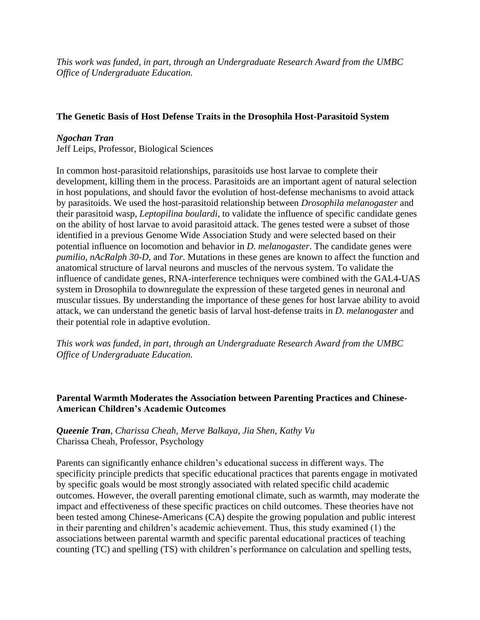*This work was funded, in part, through an Undergraduate Research Award from the UMBC Office of Undergraduate Education.*

# **The Genetic Basis of Host Defense Traits in the Drosophila Host-Parasitoid System**

# *Ngochan Tran*

Jeff Leips, Professor, Biological Sciences

In common host-parasitoid relationships, parasitoids use host larvae to complete their development, killing them in the process. Parasitoids are an important agent of natural selection in host populations, and should favor the evolution of host-defense mechanisms to avoid attack by parasitoids. We used the host-parasitoid relationship between *Drosophila melanogaster* and their parasitoid wasp, *Leptopilina boulardi*, to validate the influence of specific candidate genes on the ability of host larvae to avoid parasitoid attack. The genes tested were a subset of those identified in a previous Genome Wide Association Study and were selected based on their potential influence on locomotion and behavior in *D. melanogaster*. The candidate genes were *pumilio*, *nAcRalph 30-D*, and *Tor*. Mutations in these genes are known to affect the function and anatomical structure of larval neurons and muscles of the nervous system. To validate the influence of candidate genes, RNA-interference techniques were combined with the GAL4-UAS system in Drosophila to downregulate the expression of these targeted genes in neuronal and muscular tissues. By understanding the importance of these genes for host larvae ability to avoid attack, we can understand the genetic basis of larval host-defense traits in *D. melanogaster* and their potential role in adaptive evolution.

*This work was funded, in part, through an Undergraduate Research Award from the UMBC Office of Undergraduate Education.*

# **Parental Warmth Moderates the Association between Parenting Practices and Chinese-American Children's Academic Outcomes**

# *Queenie Tran, Charissa Cheah, Merve Balkaya, Jia Shen, Kathy Vu* Charissa Cheah, Professor, Psychology

Parents can significantly enhance children's educational success in different ways. The specificity principle predicts that specific educational practices that parents engage in motivated by specific goals would be most strongly associated with related specific child academic outcomes. However, the overall parenting emotional climate, such as warmth, may moderate the impact and effectiveness of these specific practices on child outcomes. These theories have not been tested among Chinese-Americans (CA) despite the growing population and public interest in their parenting and children's academic achievement. Thus, this study examined (1) the associations between parental warmth and specific parental educational practices of teaching counting (TC) and spelling (TS) with children's performance on calculation and spelling tests,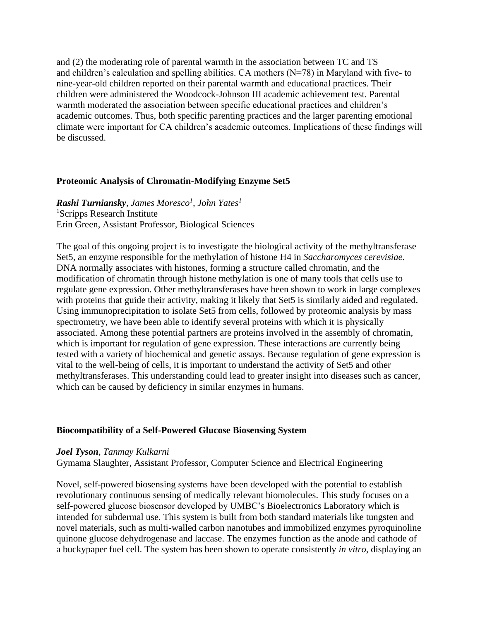and (2) the moderating role of parental warmth in the association between TC and TS and children's calculation and spelling abilities. CA mothers (N=78) in Maryland with five- to nine-year-old children reported on their parental warmth and educational practices. Their children were administered the Woodcock-Johnson III academic achievement test. Parental warmth moderated the association between specific educational practices and children's academic outcomes. Thus, both specific parenting practices and the larger parenting emotional climate were important for CA children's academic outcomes. Implications of these findings will be discussed.

#### **Proteomic Analysis of Chromatin-Modifying Enzyme Set5**

*Rashi Turniansky, James Moresco<sup>1</sup> , John Yates<sup>1</sup>* <sup>1</sup>Scripps Research Institute Erin Green, Assistant Professor, Biological Sciences

The goal of this ongoing project is to investigate the biological activity of the methyltransferase Set5, an enzyme responsible for the methylation of histone H4 in *Saccharomyces cerevisiae*. DNA normally associates with histones, forming a structure called chromatin, and the modification of chromatin through histone methylation is one of many tools that cells use to regulate gene expression. Other methyltransferases have been shown to work in large complexes with proteins that guide their activity, making it likely that Set5 is similarly aided and regulated. Using immunoprecipitation to isolate Set5 from cells, followed by proteomic analysis by mass spectrometry, we have been able to identify several proteins with which it is physically associated. Among these potential partners are proteins involved in the assembly of chromatin, which is important for regulation of gene expression. These interactions are currently being tested with a variety of biochemical and genetic assays. Because regulation of gene expression is vital to the well-being of cells, it is important to understand the activity of Set5 and other methyltransferases. This understanding could lead to greater insight into diseases such as cancer, which can be caused by deficiency in similar enzymes in humans.

### **Biocompatibility of a Self-Powered Glucose Biosensing System**

#### *Joel Tyson, Tanmay Kulkarni*

Gymama Slaughter, Assistant Professor, Computer Science and Electrical Engineering

Novel, self-powered biosensing systems have been developed with the potential to establish revolutionary continuous sensing of medically relevant biomolecules. This study focuses on a self-powered glucose biosensor developed by UMBC's Bioelectronics Laboratory which is intended for subdermal use. This system is built from both standard materials like tungsten and novel materials, such as multi-walled carbon nanotubes and immobilized enzymes pyroquinoline quinone glucose dehydrogenase and laccase. The enzymes function as the anode and cathode of a buckypaper fuel cell. The system has been shown to operate consistently *in vitro*, displaying an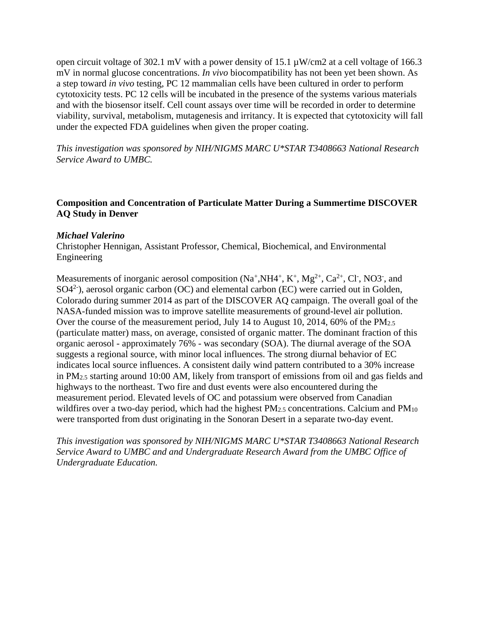open circuit voltage of 302.1 mV with a power density of 15.1 µW/cm2 at a cell voltage of 166.3 mV in normal glucose concentrations. *In vivo* biocompatibility has not been yet been shown. As a step toward *in vivo* testing, PC 12 mammalian cells have been cultured in order to perform cytotoxicity tests. PC 12 cells will be incubated in the presence of the systems various materials and with the biosensor itself. Cell count assays over time will be recorded in order to determine viability, survival, metabolism, mutagenesis and irritancy. It is expected that cytotoxicity will fall under the expected FDA guidelines when given the proper coating.

*This investigation was sponsored by NIH/NIGMS MARC U\*STAR T3408663 National Research Service Award to UMBC.*

# **Composition and Concentration of Particulate Matter During a Summertime DISCOVER AQ Study in Denver**

#### *Michael Valerino*

Christopher Hennigan, Assistant Professor, Chemical, Biochemical, and Environmental Engineering

Measurements of inorganic aerosol composition  $(Na^+, NH4^+, K^+, Mg^{2+}, Ca^{2+}, Cl^-, NO3^-, and)$  $SO(4<sup>2</sup>)$ , aerosol organic carbon (OC) and elemental carbon (EC) were carried out in Golden, Colorado during summer 2014 as part of the DISCOVER AQ campaign. The overall goal of the NASA-funded mission was to improve satellite measurements of ground-level air pollution. Over the course of the measurement period, July 14 to August 10, 2014, 60% of the PM<sub>2.5</sub> (particulate matter) mass, on average, consisted of organic matter. The dominant fraction of this organic aerosol - approximately 76% - was secondary (SOA). The diurnal average of the SOA suggests a regional source, with minor local influences. The strong diurnal behavior of EC indicates local source influences. A consistent daily wind pattern contributed to a 30% increase in PM2.5 starting around 10:00 AM, likely from transport of emissions from oil and gas fields and highways to the northeast. Two fire and dust events were also encountered during the measurement period. Elevated levels of OC and potassium were observed from Canadian wildfires over a two-day period, which had the highest PM<sub>2.5</sub> concentrations. Calcium and PM<sub>10</sub> were transported from dust originating in the Sonoran Desert in a separate two-day event.

*This investigation was sponsored by NIH/NIGMS MARC U\*STAR T3408663 National Research Service Award to UMBC and and Undergraduate Research Award from the UMBC Office of Undergraduate Education.*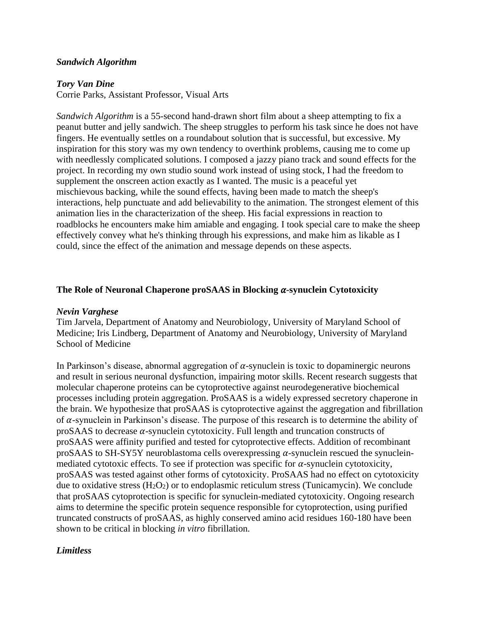#### *Sandwich Algorithm*

#### *Tory Van Dine*

Corrie Parks, Assistant Professor, Visual Arts

*Sandwich Algorithm* is a 55-second hand-drawn short film about a sheep attempting to fix a peanut butter and jelly sandwich. The sheep struggles to perform his task since he does not have fingers. He eventually settles on a roundabout solution that is successful, but excessive. My inspiration for this story was my own tendency to overthink problems, causing me to come up with needlessly complicated solutions. I composed a jazzy piano track and sound effects for the project. In recording my own studio sound work instead of using stock, I had the freedom to supplement the onscreen action exactly as I wanted. The music is a peaceful yet mischievous backing, while the sound effects, having been made to match the sheep's interactions, help punctuate and add believability to the animation. The strongest element of this animation lies in the characterization of the sheep. His facial expressions in reaction to roadblocks he encounters make him amiable and engaging. I took special care to make the sheep effectively convey what he's thinking through his expressions, and make him as likable as I could, since the effect of the animation and message depends on these aspects.

#### **The Role of Neuronal Chaperone proSAAS in Blocking**  $\alpha$ **-synuclein Cytotoxicity**

#### *Nevin Varghese*

Tim Jarvela, Department of Anatomy and Neurobiology, University of Maryland School of Medicine; Iris Lindberg, Department of Anatomy and Neurobiology, University of Maryland School of Medicine

In Parkinson's disease, abnormal aggregation of  $\alpha$ -synuclein is toxic to dopaminergic neurons and result in serious neuronal dysfunction, impairing motor skills. Recent research suggests that molecular chaperone proteins can be cytoprotective against neurodegenerative biochemical processes including protein aggregation. ProSAAS is a widely expressed secretory chaperone in the brain. We hypothesize that proSAAS is cytoprotective against the aggregation and fibrillation of  $\alpha$ -synuclein in Parkinson's disease. The purpose of this research is to determine the ability of proSAAS to decrease  $\alpha$ -synuclein cytotoxicity. Full length and truncation constructs of proSAAS were affinity purified and tested for cytoprotective effects. Addition of recombinant proSAAS to SH-SY5Y neuroblastoma cells overexpressing  $\alpha$ -synuclein rescued the synucleinmediated cytotoxic effects. To see if protection was specific for  $\alpha$ -synuclein cytotoxicity, proSAAS was tested against other forms of cytotoxicity. ProSAAS had no effect on cytotoxicity due to oxidative stress (H<sub>2</sub>O<sub>2</sub>) or to endoplasmic reticulum stress (Tunicamycin). We conclude that proSAAS cytoprotection is specific for synuclein-mediated cytotoxicity. Ongoing research aims to determine the specific protein sequence responsible for cytoprotection, using purified truncated constructs of proSAAS, as highly conserved amino acid residues 160-180 have been shown to be critical in blocking *in vitro* fibrillation.

### *Limitless*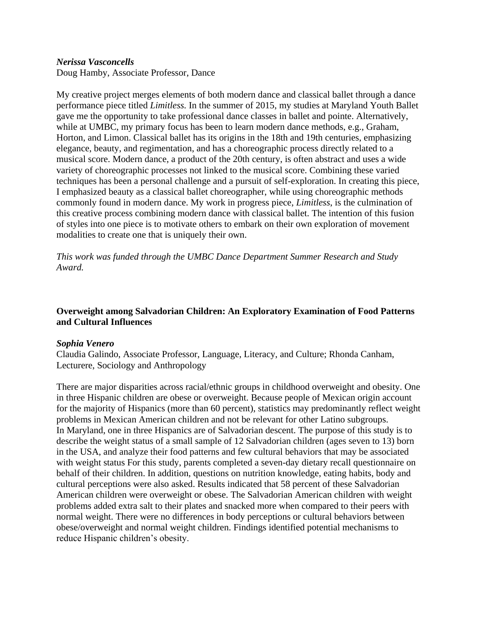### *Nerissa Vasconcells*

Doug Hamby, Associate Professor, Dance

My creative project merges elements of both modern dance and classical ballet through a dance performance piece titled *Limitless.* In the summer of 2015, my studies at Maryland Youth Ballet gave me the opportunity to take professional dance classes in ballet and pointe. Alternatively, while at UMBC, my primary focus has been to learn modern dance methods, e.g., Graham, Horton, and Limon. Classical ballet has its origins in the 18th and 19th centuries, emphasizing elegance, beauty, and regimentation, and has a choreographic process directly related to a musical score. Modern dance, a product of the 20th century, is often abstract and uses a wide variety of choreographic processes not linked to the musical score. Combining these varied techniques has been a personal challenge and a pursuit of self-exploration. In creating this piece, I emphasized beauty as a classical ballet choreographer, while using choreographic methods commonly found in modern dance. My work in progress piece, *Limitless*, is the culmination of this creative process combining modern dance with classical ballet. The intention of this fusion of styles into one piece is to motivate others to embark on their own exploration of movement modalities to create one that is uniquely their own.

*This work was funded through the UMBC Dance Department Summer Research and Study Award.*

# **Overweight among Salvadorian Children: An Exploratory Examination of Food Patterns and Cultural Influences**

### *Sophia Venero*

Claudia Galindo, Associate Professor, Language, Literacy, and Culture; Rhonda Canham, Lecturere, Sociology and Anthropology

There are major disparities across racial/ethnic groups in childhood overweight and obesity. One in three Hispanic children are obese or overweight. Because people of Mexican origin account for the majority of Hispanics (more than 60 percent), statistics may predominantly reflect weight problems in Mexican American children and not be relevant for other Latino subgroups. In Maryland, one in three Hispanics are of Salvadorian descent. The purpose of this study is to describe the weight status of a small sample of 12 Salvadorian children (ages seven to 13) born in the USA, and analyze their food patterns and few cultural behaviors that may be associated with weight status For this study, parents completed a seven-day dietary recall questionnaire on behalf of their children. In addition, questions on nutrition knowledge, eating habits, body and cultural perceptions were also asked. Results indicated that 58 percent of these Salvadorian American children were overweight or obese. The Salvadorian American children with weight problems added extra salt to their plates and snacked more when compared to their peers with normal weight. There were no differences in body perceptions or cultural behaviors between obese/overweight and normal weight children. Findings identified potential mechanisms to reduce Hispanic children's obesity.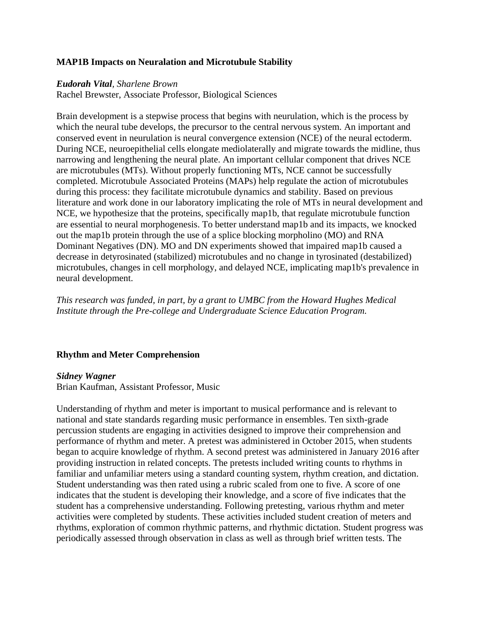#### **MAP1B Impacts on Neuralation and Microtubule Stability**

#### *Eudorah Vital, Sharlene Brown*

Rachel Brewster, Associate Professor, Biological Sciences

Brain development is a stepwise process that begins with neurulation, which is the process by which the neural tube develops, the precursor to the central nervous system. An important and conserved event in neurulation is neural convergence extension (NCE) of the neural ectoderm. During NCE, neuroepithelial cells elongate mediolaterally and migrate towards the midline, thus narrowing and lengthening the neural plate. An important cellular component that drives NCE are microtubules (MTs). Without properly functioning MTs, NCE cannot be successfully completed. Microtubule Associated Proteins (MAPs) help regulate the action of microtubules during this process: they facilitate microtubule dynamics and stability. Based on previous literature and work done in our laboratory implicating the role of MTs in neural development and NCE, we hypothesize that the proteins, specifically map1b, that regulate microtubule function are essential to neural morphogenesis. To better understand map1b and its impacts, we knocked out the map1b protein through the use of a splice blocking morpholino (MO) and RNA Dominant Negatives (DN). MO and DN experiments showed that impaired map1b caused a decrease in detyrosinated (stabilized) microtubules and no change in tyrosinated (destabilized) microtubules, changes in cell morphology, and delayed NCE, implicating map1b's prevalence in neural development.

*This research was funded, in part, by a grant to UMBC from the Howard Hughes Medical Institute through the Pre-college and Undergraduate Science Education Program.*

### **Rhythm and Meter Comprehension**

#### *Sidney Wagner*

Brian Kaufman, Assistant Professor, Music

Understanding of rhythm and meter is important to musical performance and is relevant to national and state standards regarding music performance in ensembles. Ten sixth-grade percussion students are engaging in activities designed to improve their comprehension and performance of rhythm and meter. A pretest was administered in October 2015, when students began to acquire knowledge of rhythm. A second pretest was administered in January 2016 after providing instruction in related concepts. The pretests included writing counts to rhythms in familiar and unfamiliar meters using a standard counting system, rhythm creation, and dictation. Student understanding was then rated using a rubric scaled from one to five. A score of one indicates that the student is developing their knowledge, and a score of five indicates that the student has a comprehensive understanding. Following pretesting, various rhythm and meter activities were completed by students. These activities included student creation of meters and rhythms, exploration of common rhythmic patterns, and rhythmic dictation. Student progress was periodically assessed through observation in class as well as through brief written tests. The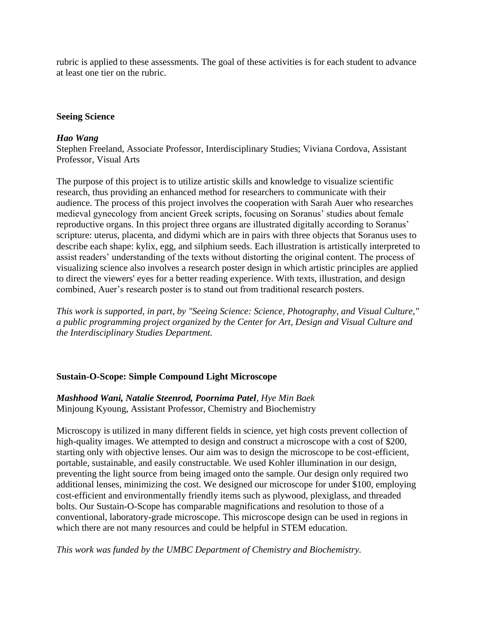rubric is applied to these assessments. The goal of these activities is for each student to advance at least one tier on the rubric.

## **Seeing Science**

## *Hao Wang*

Stephen Freeland, Associate Professor, Interdisciplinary Studies; Viviana Cordova, Assistant Professor, Visual Arts

The purpose of this project is to utilize artistic skills and knowledge to visualize scientific research, thus providing an enhanced method for researchers to communicate with their audience. The process of this project involves the cooperation with Sarah Auer who researches medieval gynecology from ancient Greek scripts, focusing on Soranus' studies about female reproductive organs. In this project three organs are illustrated digitally according to Soranus' scripture: uterus, placenta, and didymi which are in pairs with three objects that Soranus uses to describe each shape: kylix, egg, and silphium seeds. Each illustration is artistically interpreted to assist readers' understanding of the texts without distorting the original content. The process of visualizing science also involves a research poster design in which artistic principles are applied to direct the viewers' eyes for a better reading experience. With texts, illustration, and design combined, Auer's research poster is to stand out from traditional research posters.

*This work is supported, in part, by "Seeing Science: Science, Photography, and Visual Culture," a public programming project organized by the Center for Art, Design and Visual Culture and the Interdisciplinary Studies Department.*

# **Sustain-O-Scope: Simple Compound Light Microscope**

*Mashhood Wani, Natalie Steenrod, Poornima Patel, Hye Min Baek*  Minjoung Kyoung, Assistant Professor, Chemistry and Biochemistry

Microscopy is utilized in many different fields in science, yet high costs prevent collection of high-quality images. We attempted to design and construct a microscope with a cost of \$200, starting only with objective lenses. Our aim was to design the microscope to be cost-efficient, portable, sustainable, and easily constructable. We used Kohler illumination in our design, preventing the light source from being imaged onto the sample. Our design only required two additional lenses, minimizing the cost. We designed our microscope for under \$100, employing cost-efficient and environmentally friendly items such as plywood, plexiglass, and threaded bolts. Our Sustain-O-Scope has comparable magnifications and resolution to those of a conventional, laboratory-grade microscope. This microscope design can be used in regions in which there are not many resources and could be helpful in STEM education.

*This work was funded by the UMBC Department of Chemistry and Biochemistry.*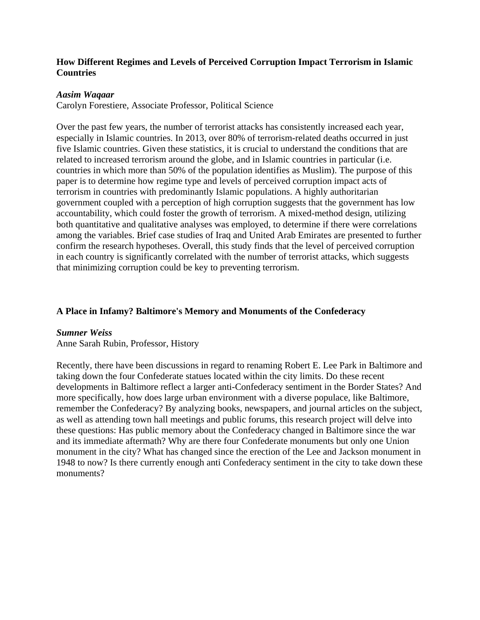# **How Different Regimes and Levels of Perceived Corruption Impact Terrorism in Islamic Countries**

## *Aasim Waqaar*

Carolyn Forestiere, Associate Professor, Political Science

Over the past few years, the number of terrorist attacks has consistently increased each year, especially in Islamic countries. In 2013, over 80% of terrorism-related deaths occurred in just five Islamic countries. Given these statistics, it is crucial to understand the conditions that are related to increased terrorism around the globe, and in Islamic countries in particular (i.e. countries in which more than 50% of the population identifies as Muslim). The purpose of this paper is to determine how regime type and levels of perceived corruption impact acts of terrorism in countries with predominantly Islamic populations. A highly authoritarian government coupled with a perception of high corruption suggests that the government has low accountability, which could foster the growth of terrorism. A mixed-method design, utilizing both quantitative and qualitative analyses was employed, to determine if there were correlations among the variables. Brief case studies of Iraq and United Arab Emirates are presented to further confirm the research hypotheses. Overall, this study finds that the level of perceived corruption in each country is significantly correlated with the number of terrorist attacks, which suggests that minimizing corruption could be key to preventing terrorism.

# **A Place in Infamy? Baltimore's Memory and Monuments of the Confederacy**

### *Sumner Weiss*

Anne Sarah Rubin, Professor, History

Recently, there have been discussions in regard to renaming Robert E. Lee Park in Baltimore and taking down the four Confederate statues located within the city limits. Do these recent developments in Baltimore reflect a larger anti-Confederacy sentiment in the Border States? And more specifically, how does large urban environment with a diverse populace, like Baltimore, remember the Confederacy? By analyzing books, newspapers, and journal articles on the subject, as well as attending town hall meetings and public forums, this research project will delve into these questions: Has public memory about the Confederacy changed in Baltimore since the war and its immediate aftermath? Why are there four Confederate monuments but only one Union monument in the city? What has changed since the erection of the Lee and Jackson monument in 1948 to now? Is there currently enough anti Confederacy sentiment in the city to take down these monuments?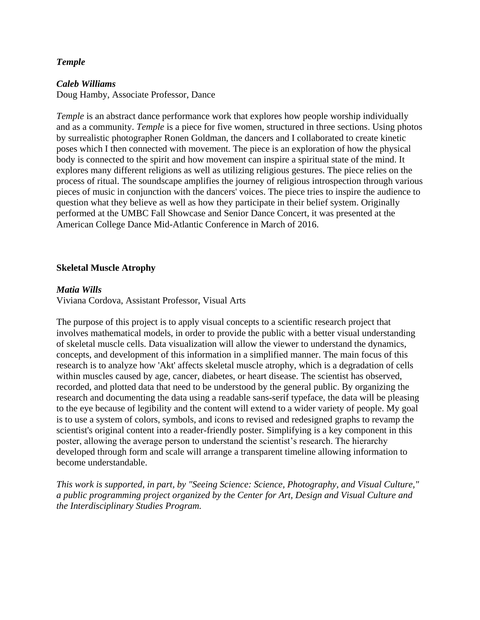## *Temple*

#### *Caleb Williams*

Doug Hamby, Associate Professor, Dance

*Temple* is an abstract dance performance work that explores how people worship individually and as a community. *Temple* is a piece for five women, structured in three sections. Using photos by surrealistic photographer Ronen Goldman, the dancers and I collaborated to create kinetic poses which I then connected with movement. The piece is an exploration of how the physical body is connected to the spirit and how movement can inspire a spiritual state of the mind. It explores many different religions as well as utilizing religious gestures. The piece relies on the process of ritual. The soundscape amplifies the journey of religious introspection through various pieces of music in conjunction with the dancers' voices. The piece tries to inspire the audience to question what they believe as well as how they participate in their belief system. Originally performed at the UMBC Fall Showcase and Senior Dance Concert, it was presented at the American College Dance Mid-Atlantic Conference in March of 2016.

# **Skeletal Muscle Atrophy**

### *Matia Wills*

Viviana Cordova, Assistant Professor, Visual Arts

The purpose of this project is to apply visual concepts to a scientific research project that involves mathematical models, in order to provide the public with a better visual understanding of skeletal muscle cells. Data visualization will allow the viewer to understand the dynamics, concepts, and development of this information in a simplified manner. The main focus of this research is to analyze how 'Akt' affects skeletal muscle atrophy, which is a degradation of cells within muscles caused by age, cancer, diabetes, or heart disease. The scientist has observed, recorded, and plotted data that need to be understood by the general public. By organizing the research and documenting the data using a readable sans-serif typeface, the data will be pleasing to the eye because of legibility and the content will extend to a wider variety of people. My goal is to use a system of colors, symbols, and icons to revised and redesigned graphs to revamp the scientist's original content into a reader-friendly poster. Simplifying is a key component in this poster, allowing the average person to understand the scientist's research. The hierarchy developed through form and scale will arrange a transparent timeline allowing information to become understandable.

*This work is supported, in part, by "Seeing Science: Science, Photography, and Visual Culture," a public programming project organized by the Center for Art, Design and Visual Culture and the Interdisciplinary Studies Program.*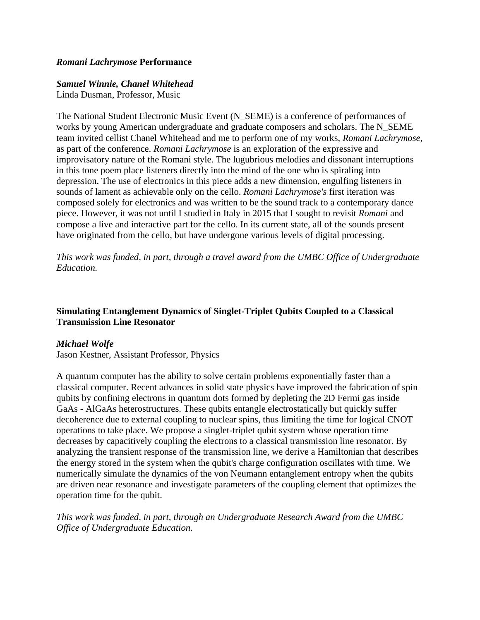# *Romani Lachrymose* **Performance**

#### *Samuel Winnie, Chanel Whitehead*

Linda Dusman, Professor, Music

The National Student Electronic Music Event (N\_SEME) is a conference of performances of works by young American undergraduate and graduate composers and scholars. The N\_SEME team invited cellist Chanel Whitehead and me to perform one of my works, *Romani Lachrymose*, as part of the conference. *Romani Lachrymose* is an exploration of the expressive and improvisatory nature of the Romani style. The lugubrious melodies and dissonant interruptions in this tone poem place listeners directly into the mind of the one who is spiraling into depression. The use of electronics in this piece adds a new dimension, engulfing listeners in sounds of lament as achievable only on the cello. *Romani Lachrymose's* first iteration was composed solely for electronics and was written to be the sound track to a contemporary dance piece. However, it was not until I studied in Italy in 2015 that I sought to revisit *Romani* and compose a live and interactive part for the cello. In its current state, all of the sounds present have originated from the cello, but have undergone various levels of digital processing.

*This work was funded, in part, through a travel award from the UMBC Office of Undergraduate Education.*

# **Simulating Entanglement Dynamics of Singlet-Triplet Qubits Coupled to a Classical Transmission Line Resonator**

### *Michael Wolfe*

Jason Kestner, Assistant Professor, Physics

A quantum computer has the ability to solve certain problems exponentially faster than a classical computer. Recent advances in solid state physics have improved the fabrication of spin qubits by confining electrons in quantum dots formed by depleting the 2D Fermi gas inside GaAs - AlGaAs heterostructures. These qubits entangle electrostatically but quickly suffer decoherence due to external coupling to nuclear spins, thus limiting the time for logical CNOT operations to take place. We propose a singlet-triplet qubit system whose operation time decreases by capacitively coupling the electrons to a classical transmission line resonator. By analyzing the transient response of the transmission line, we derive a Hamiltonian that describes the energy stored in the system when the qubit's charge configuration oscillates with time. We numerically simulate the dynamics of the von Neumann entanglement entropy when the qubits are driven near resonance and investigate parameters of the coupling element that optimizes the operation time for the qubit.

# *This work was funded, in part, through an Undergraduate Research Award from the UMBC Office of Undergraduate Education.*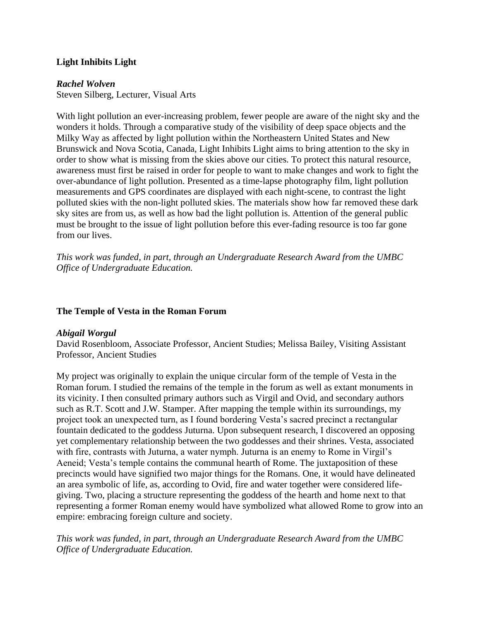# **Light Inhibits Light**

### *Rachel Wolven*

Steven Silberg, Lecturer, Visual Arts

With light pollution an ever-increasing problem, fewer people are aware of the night sky and the wonders it holds. Through a comparative study of the visibility of deep space objects and the Milky Way as affected by light pollution within the Northeastern United States and New Brunswick and Nova Scotia, Canada, Light Inhibits Light aims to bring attention to the sky in order to show what is missing from the skies above our cities. To protect this natural resource, awareness must first be raised in order for people to want to make changes and work to fight the over-abundance of light pollution. Presented as a time-lapse photography film, light pollution measurements and GPS coordinates are displayed with each night-scene, to contrast the light polluted skies with the non-light polluted skies. The materials show how far removed these dark sky sites are from us, as well as how bad the light pollution is. Attention of the general public must be brought to the issue of light pollution before this ever-fading resource is too far gone from our lives.

*This work was funded, in part, through an Undergraduate Research Award from the UMBC Office of Undergraduate Education.*

#### **The Temple of Vesta in the Roman Forum**

### *Abigail Worgul*

David Rosenbloom, Associate Professor, Ancient Studies; Melissa Bailey, Visiting Assistant Professor, Ancient Studies

My project was originally to explain the unique circular form of the temple of Vesta in the Roman forum. I studied the remains of the temple in the forum as well as extant monuments in its vicinity. I then consulted primary authors such as Virgil and Ovid, and secondary authors such as R.T. Scott and J.W. Stamper. After mapping the temple within its surroundings, my project took an unexpected turn, as I found bordering Vesta's sacred precinct a rectangular fountain dedicated to the goddess Juturna. Upon subsequent research, I discovered an opposing yet complementary relationship between the two goddesses and their shrines. Vesta, associated with fire, contrasts with Juturna, a water nymph. Juturna is an enemy to Rome in Virgil's Aeneid; Vesta's temple contains the communal hearth of Rome. The juxtaposition of these precincts would have signified two major things for the Romans. One, it would have delineated an area symbolic of life, as, according to Ovid, fire and water together were considered lifegiving. Two, placing a structure representing the goddess of the hearth and home next to that representing a former Roman enemy would have symbolized what allowed Rome to grow into an empire: embracing foreign culture and society.

*This work was funded, in part, through an Undergraduate Research Award from the UMBC Office of Undergraduate Education.*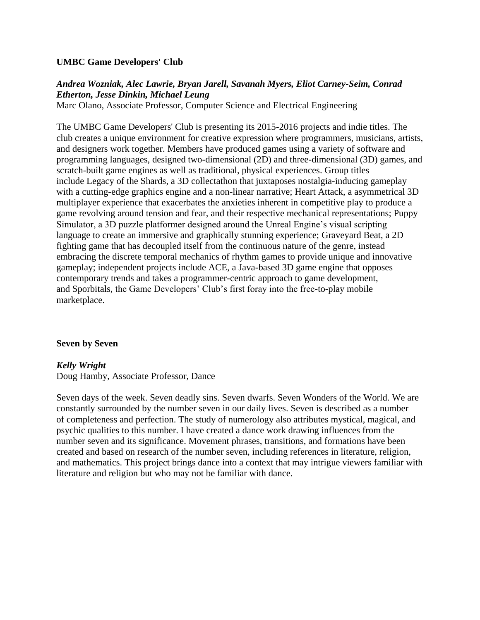#### **UMBC Game Developers' Club**

## *Andrea Wozniak, Alec Lawrie, Bryan Jarell, Savanah Myers, Eliot Carney-Seim, Conrad Etherton, Jesse Dinkin, Michael Leung*

Marc Olano, Associate Professor, Computer Science and Electrical Engineering

The UMBC Game Developers' Club is presenting its 2015-2016 projects and indie titles. The club creates a unique environment for creative expression where programmers, musicians, artists, and designers work together. Members have produced games using a variety of software and programming languages, designed two-dimensional (2D) and three-dimensional (3D) games, and scratch-built game engines as well as traditional, physical experiences. Group titles include Legacy of the Shards, a 3D collectathon that juxtaposes nostalgia-inducing gameplay with a cutting-edge graphics engine and a non-linear narrative; Heart Attack, a asymmetrical 3D multiplayer experience that exacerbates the anxieties inherent in competitive play to produce a game revolving around tension and fear, and their respective mechanical representations; Puppy Simulator, a 3D puzzle platformer designed around the Unreal Engine's visual scripting language to create an immersive and graphically stunning experience; Graveyard Beat, a 2D fighting game that has decoupled itself from the continuous nature of the genre, instead embracing the discrete temporal mechanics of rhythm games to provide unique and innovative gameplay; independent projects include ACE, a Java-based 3D game engine that opposes contemporary trends and takes a programmer-centric approach to game development, and Sporbitals, the Game Developers' Club's first foray into the free-to-play mobile marketplace.

#### **Seven by Seven**

### *Kelly Wright*

Doug Hamby, Associate Professor, Dance

Seven days of the week. Seven deadly sins. Seven dwarfs. Seven Wonders of the World. We are constantly surrounded by the number seven in our daily lives. Seven is described as a number of completeness and perfection. The study of numerology also attributes mystical, magical, and psychic qualities to this number. I have created a dance work drawing influences from the number seven and its significance. Movement phrases, transitions, and formations have been created and based on research of the number seven, including references in literature, religion, and mathematics. This project brings dance into a context that may intrigue viewers familiar with literature and religion but who may not be familiar with dance.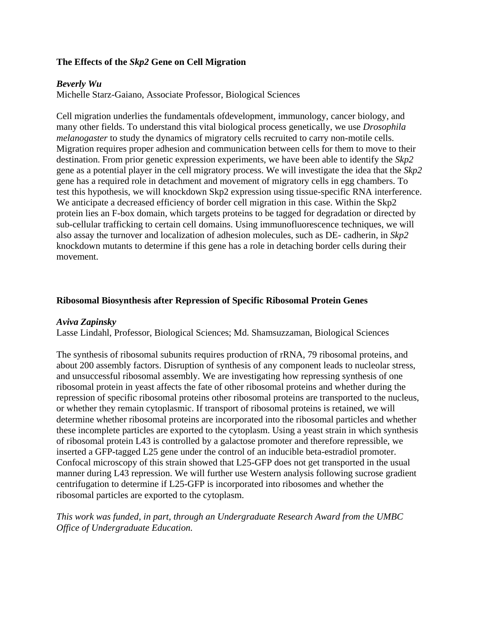# **The Effects of the** *Skp2* **Gene on Cell Migration**

#### *Beverly Wu*

Michelle Starz-Gaiano, Associate Professor, Biological Sciences

Cell migration underlies the fundamentals ofdevelopment, immunology, cancer biology, and many other fields. To understand this vital biological process genetically, we use *Drosophila melanogaster* to study the dynamics of migratory cells recruited to carry non-motile cells. Migration requires proper adhesion and communication between cells for them to move to their destination. From prior genetic expression experiments, we have been able to identify the *Skp2* gene as a potential player in the cell migratory process. We will investigate the idea that the *Skp2* gene has a required role in detachment and movement of migratory cells in egg chambers. To test this hypothesis, we will knockdown Skp2 expression using tissue-specific RNA interference. We anticipate a decreased efficiency of border cell migration in this case. Within the Skp2 protein lies an F-box domain, which targets proteins to be tagged for degradation or directed by sub-cellular trafficking to certain cell domains. Using immunofluorescence techniques, we will also assay the turnover and localization of adhesion molecules, such as DE- cadherin, in *Skp2* knockdown mutants to determine if this gene has a role in detaching border cells during their movement.

#### **Ribosomal Biosynthesis after Repression of Specific Ribosomal Protein Genes**

#### *Aviva Zapinsky*

Lasse Lindahl, Professor, Biological Sciences; Md. Shamsuzzaman, Biological Sciences

The synthesis of ribosomal subunits requires production of rRNA, 79 ribosomal proteins, and about 200 assembly factors. Disruption of synthesis of any component leads to nucleolar stress, and unsuccessful ribosomal assembly. We are investigating how repressing synthesis of one ribosomal protein in yeast affects the fate of other ribosomal proteins and whether during the repression of specific ribosomal proteins other ribosomal proteins are transported to the nucleus, or whether they remain cytoplasmic. If transport of ribosomal proteins is retained, we will determine whether ribosomal proteins are incorporated into the ribosomal particles and whether these incomplete particles are exported to the cytoplasm. Using a yeast strain in which synthesis of ribosomal protein L43 is controlled by a galactose promoter and therefore repressible, we inserted a GFP-tagged L25 gene under the control of an inducible beta-estradiol promoter. Confocal microscopy of this strain showed that L25-GFP does not get transported in the usual manner during L43 repression. We will further use Western analysis following sucrose gradient centrifugation to determine if L25-GFP is incorporated into ribosomes and whether the ribosomal particles are exported to the cytoplasm.

# *This work was funded, in part, through an Undergraduate Research Award from the UMBC Office of Undergraduate Education.*